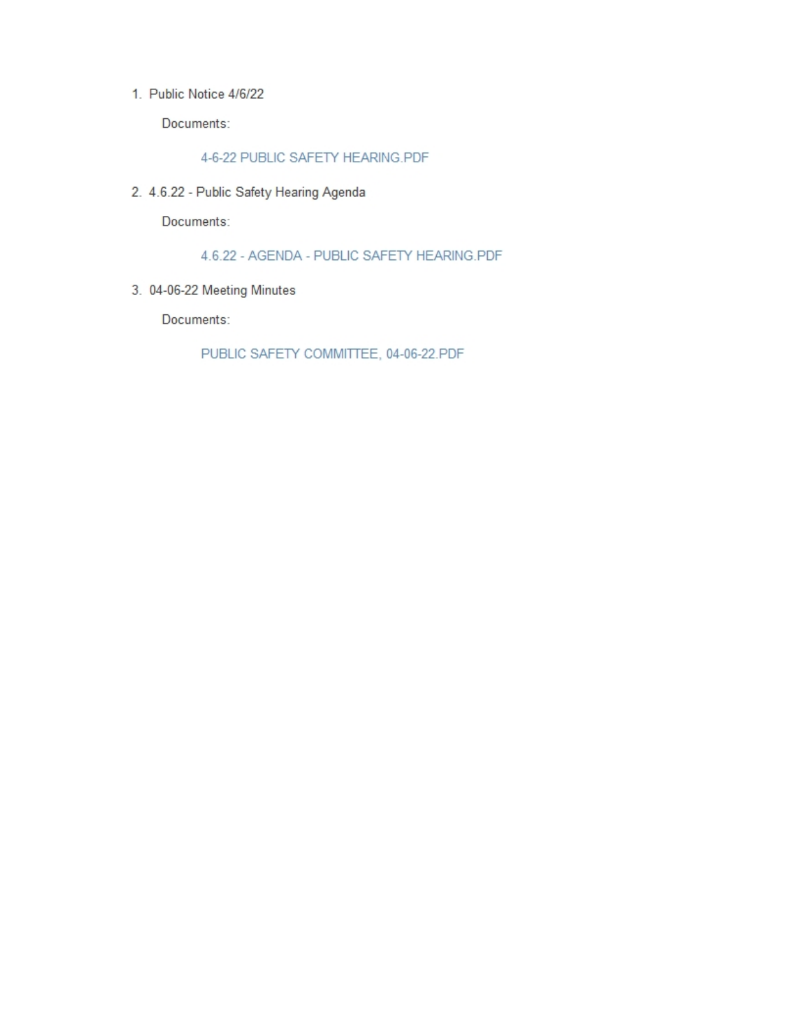1. Public Notice 4/6/22

Documents:

4-6-22 PUBLIC SAFETY HEARING.PDF

2. 4.6.22 - Public Safety Hearing Agenda

Documents:

4.6.22 - AGENDA - PUBLIC SAFETY HEARING.PDF

3. 04-06-22 Meeting Minutes

Documents:

PUBLIC SAFETY COMMITTEE, 04-06-22.PDF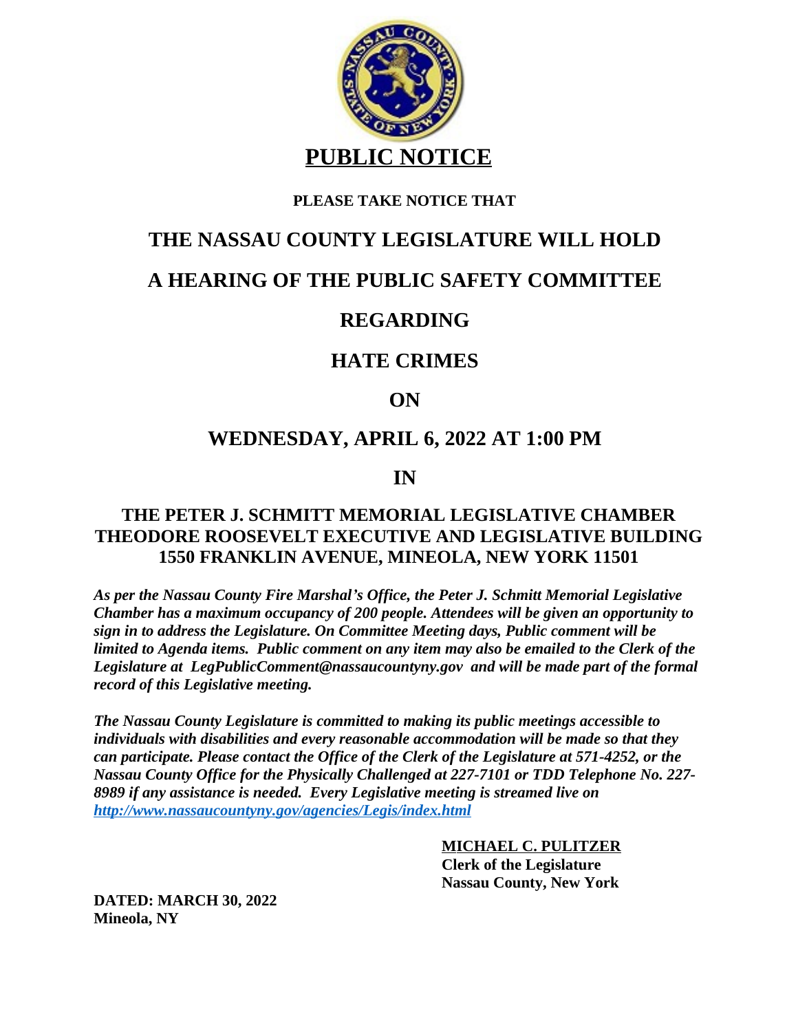

#### **PLEASE TAKE NOTICE THAT**

### **THE NASSAU COUNTY LEGISLATURE WILL HOLD**

## **A HEARING OF THE PUBLIC SAFETY COMMITTEE**

# **REGARDING**

## **HATE CRIMES**

### **ON**

# **WEDNESDAY, APRIL 6, 2022 AT 1:00 PM**

### **IN**

### **THE PETER J. SCHMITT MEMORIAL LEGISLATIVE CHAMBER THEODORE ROOSEVELT EXECUTIVE AND LEGISLATIVE BUILDING 1550 FRANKLIN AVENUE, MINEOLA, NEW YORK 11501**

*As per the Nassau County Fire Marshal's Office, the Peter J. Schmitt Memorial Legislative Chamber has a maximum occupancy of 200 people. Attendees will be given an opportunity to sign in to address the Legislature. On Committee Meeting days, Public comment will be limited to Agenda items. Public comment on any item may also be emailed to the Clerk of the Legislature at LegPublicComment@nassaucountyny.gov and will be made part of the formal record of this Legislative meeting.* 

*The Nassau County Legislature is committed to making its public meetings accessible to individuals with disabilities and every reasonable accommodation will be made so that they can participate. Please contact the Office of the Clerk of the Legislature at 571-4252, or the Nassau County Office for the Physically Challenged at 227-7101 or TDD Telephone No. 227- 8989 if any assistance is needed. Every Legislative meeting is streamed live on <http://www.nassaucountyny.gov/agencies/Legis/index.html>*

> **[MICHAEL C. PULITZER](http://www.nassaucountyny.gov/agencies/Legis/index.html)  [Clerk of the Legislature](http://www.nassaucountyny.gov/agencies/Legis/index.html)  [Nassau County, New York](http://www.nassaucountyny.gov/agencies/Legis/index.html)**

**[DATED: MARCH](http://www.nassaucountyny.gov/agencies/Legis/index.html) [30, 2022](http://www.nassaucountyny.gov/agencies/Legis/index.html) [Mineola, NY](http://www.nassaucountyny.gov/agencies/Legis/index.html)**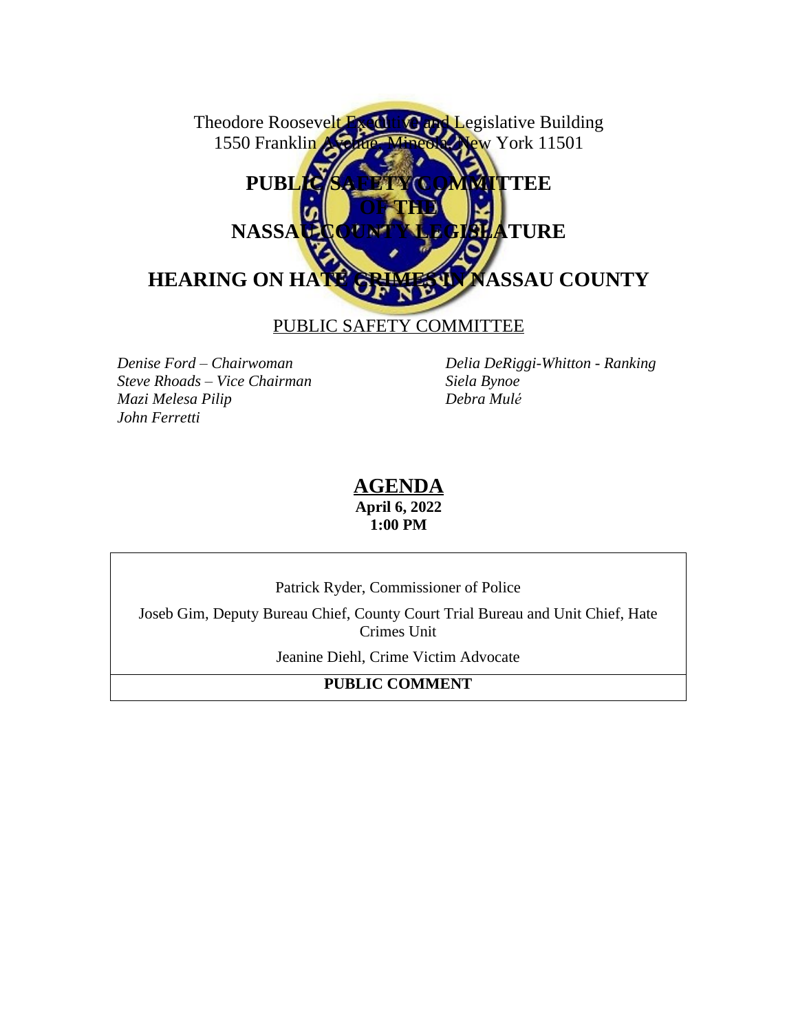Theodore Roosevelt Executive and Legislative Building 1550 Franklin Avenue, Mineola, New York 11501 PUBLIC SAFETY COMMITTEE **OF THE NASSAU COUNTY LEGISLATURE HEARING ON HATE CRIMES IN NASSAU COUNTY**

PUBLIC SAFETY COMMITTEE

*Steve Rhoads – Vice Chairman Siela Bynoe*  $M$ azi *Melesa Pilip John Ferretti*

*Denise Ford – Chairwoman Delia DeRiggi-Whitton - Ranking*

#### **AGENDA April 6, 2022 1:00 PM**

Patrick Ryder, Commissioner of Police

Joseb Gim, Deputy Bureau Chief, County Court Trial Bureau and Unit Chief, Hate Crimes Unit

Jeanine Diehl, Crime Victim Advocate

**PUBLIC COMMENT**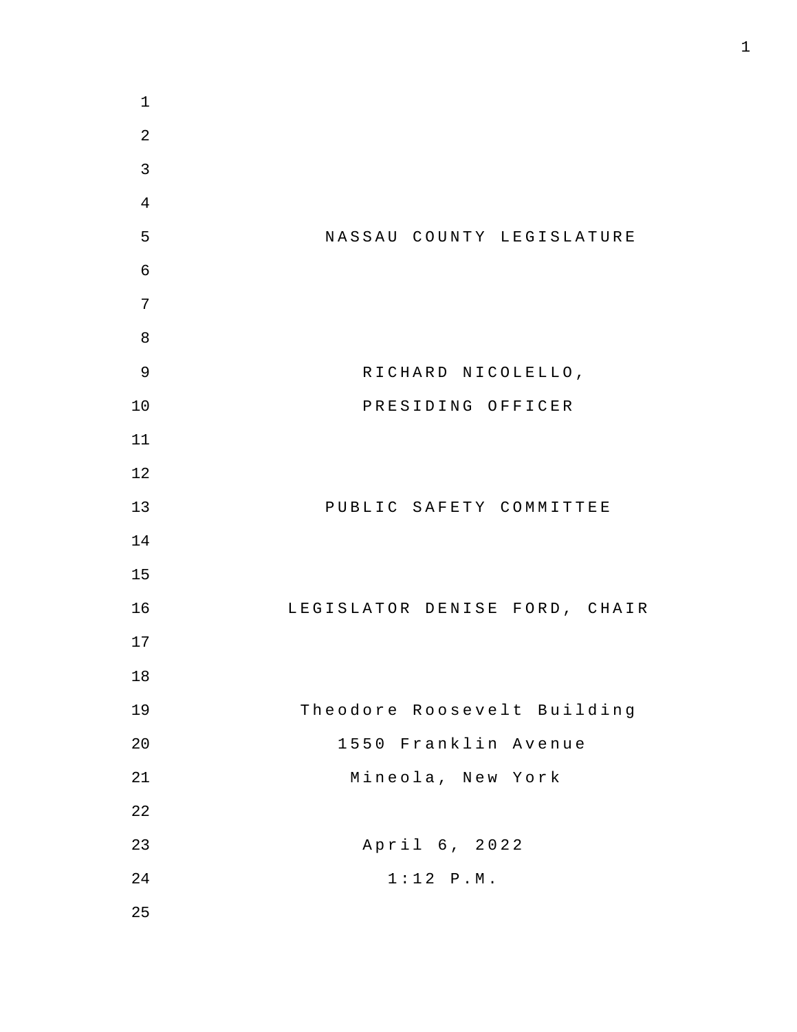NASSAU COUNTY LEGISLATURE RICHARD NICOLELLO , PRESIDING OFFICER PUBLIC SAFETY COMMITTEE LEGISLATOR DENISE FORD , CHAIR Theodore Roosevelt Building Franklin Avenue Mineola , New York April 6, 2022  $1:12$  P.M.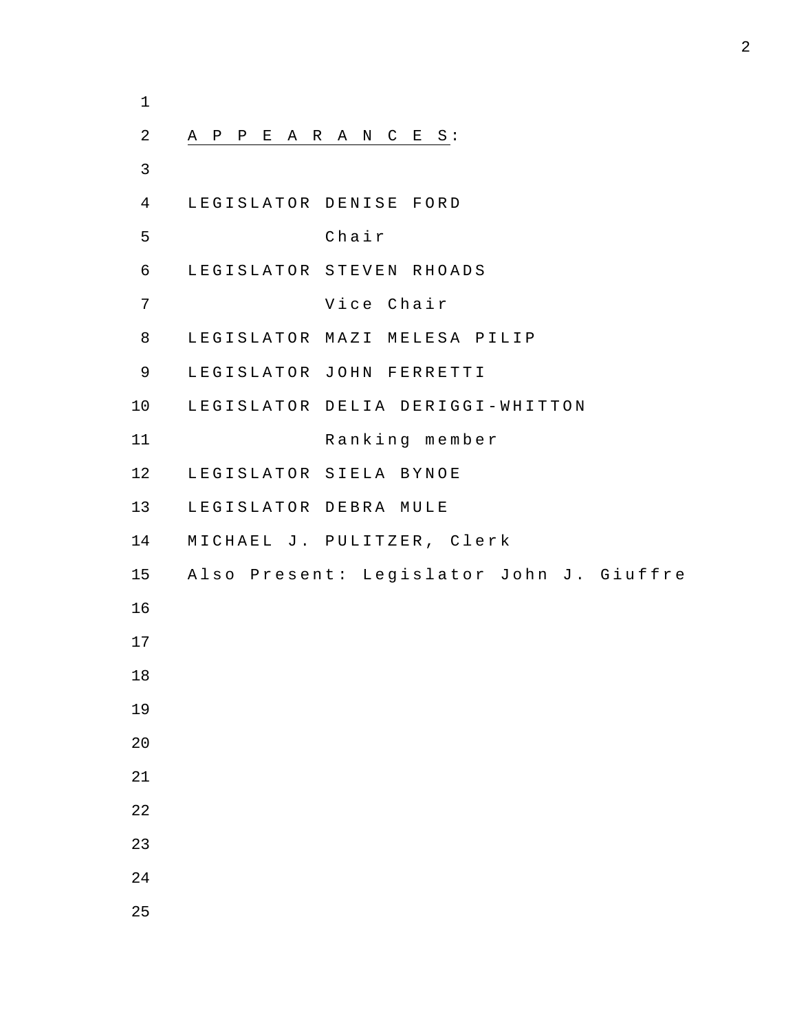| $\mathbf 1$    |                                          |
|----------------|------------------------------------------|
| $\overline{c}$ | A P P E A R A N C E S :                  |
| 3              |                                          |
| 4              | LEGISLATOR DENISE FORD                   |
| 5              | Chair                                    |
| 6              | LEGISLATOR STEVEN RHOADS                 |
| 7              | Vice Chair                               |
| 8              | LEGISLATOR MAZI MELESA PILIP             |
| 9              | LEGISLATOR JOHN FERRETTI                 |
| 10             | LEGISLATOR DELIA DERIGGI-WHITTON         |
| 11             | Ranking member                           |
| 12             | LEGISLATOR SIELA BYNOE                   |
| 13             | LEGISLATOR DEBRA MULE                    |
| 14             | MICHAEL J. PULITZER, Clerk               |
| 15             | Also Present: Legislator John J. Giuffre |
| 16             |                                          |
| 17             |                                          |
| 18             |                                          |
| 19             |                                          |
| 20             |                                          |
| 21             |                                          |
| 22             |                                          |
| 23             |                                          |
| 24             |                                          |
| 25             |                                          |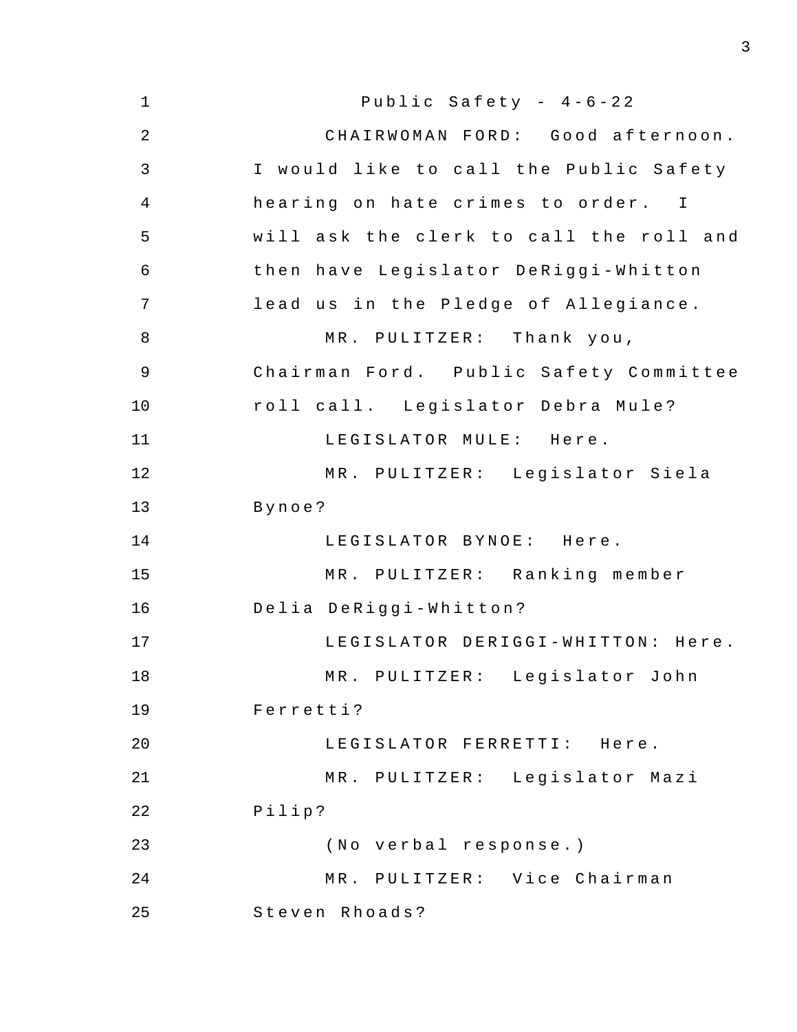| $\mathbf 1$    | Public Safety - $4-6-22$                |
|----------------|-----------------------------------------|
| $\overline{2}$ | CHAIRWOMAN FORD: Good afternoon.        |
| 3              | I would like to call the Public Safety  |
| 4              | hearing on hate crimes to order. I      |
| 5              | will ask the clerk to call the roll and |
| 6              | then have Legislator DeRiggi-Whitton    |
| 7              | lead us in the Pledge of Allegiance.    |
| 8              | MR. PULITZER: Thank you,                |
| $\mathsf 9$    | Chairman Ford. Public Safety Committee  |
| 10             | roll call. Legislator Debra Mule?       |
| 11             | LEGISLATOR MULE: Here.                  |
| 12             | MR. PULITZER: Legislator Siela          |
| 13             | Bynoe?                                  |
| 14             | LEGISLATOR BYNOE: Here.                 |
| 15             | MR. PULITZER: Ranking member            |
| 16             | Delia DeRiggi-Whitton?                  |
| 17             | LEGISLATOR DERIGGI-WHITTON: Here.       |
| 18             | MR. PULITZER: Legislator John           |
| 19             | Ferretti?                               |
| 20             | LEGISLATOR FERRETTI: Here.              |
| 21             | MR. PULITZER: Legislator Mazi           |
| 22             | Pilip?                                  |
| 23             | (No verbal response.)                   |
| 24             | MR. PULITZER: Vice Chairman             |
| 25             | Steven Rhoads?                          |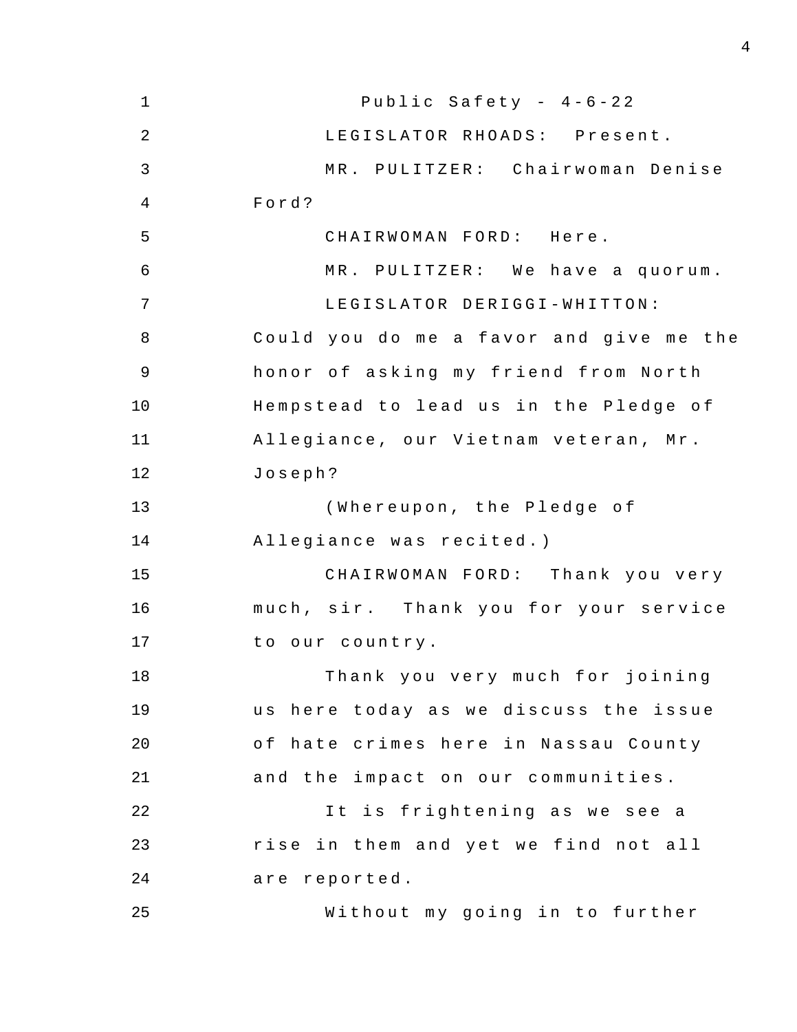| $\mathbf{1}$   | Public Safety - $4-6-22$                |
|----------------|-----------------------------------------|
| $\overline{2}$ | LEGISLATOR RHOADS: Present.             |
| $\mathfrak{Z}$ | MR. PULITZER: Chairwoman Denise         |
| 4              | Ford?                                   |
| 5              | CHAIRWOMAN FORD: Here.                  |
| $\epsilon$     | MR. PULITZER: We have a quorum.         |
| $\overline{7}$ | LEGISLATOR DERIGGI-WHITTON:             |
| 8              | Could you do me a favor and give me the |
| 9              | honor of asking my friend from North    |
| 10             | Hempstead to lead us in the Pledge of   |
| 11             | Allegiance, our Vietnam veteran, Mr.    |
| 12             | Joseph?                                 |
| 13             | (Whereupon, the Pledge of               |
| 14             | Allegiance was recited.)                |
| 15             | CHAIRWOMAN FORD: Thank you very         |
| 16             | much, sir. Thank you for your service   |
| 17             | to our country.                         |
| 18             | Thank you very much for joining         |
| 19             | us here today as we discuss the issue   |
| 20             | of hate crimes here in Nassau County    |
| 21             | and the impact on our communities.      |
| 22             | It is frightening as we see a           |
| 23             | rise in them and yet we find not all    |
| 24             | are reported.                           |
| 25             | Without my going in to further          |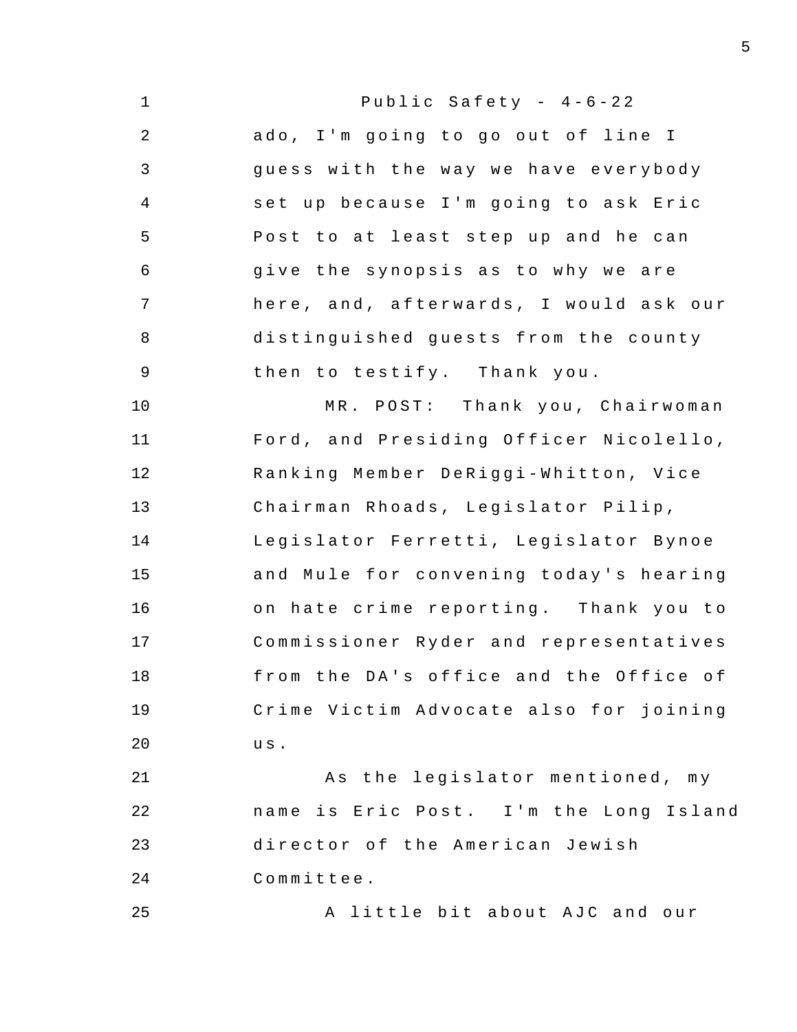| $\mathbf 1$    | Public Safety - $4-6-22$               |
|----------------|----------------------------------------|
| $\overline{2}$ | ado, I'm going to go out of line I     |
| 3              | guess with the way we have everybody   |
| 4              | set up because I'm going to ask Eric   |
| 5              | Post to at least step up and he can    |
| 6              | give the synopsis as to why we are     |
| 7              | here, and, afterwards, I would ask our |
| 8              | distinguished guests from the county   |
| $\mathsf 9$    | then to testify. Thank you.            |
| 10             | MR. POST: Thank you, Chairwoman        |
| 11             | Ford, and Presiding Officer Nicolello, |
| 12             | Ranking Member DeRiggi-Whitton, Vice   |
| 13             | Chairman Rhoads, Legislator Pilip,     |
| 14             | Legislator Ferretti, Legislator Bynoe  |
| 15             | and Mule for convening today's hearing |
| 16             | on hate crime reporting. Thank you to  |
| 17             | Commissioner Ryder and representatives |
| 18             | from the DA's office and the Office of |
| 19             | Crime Victim Advocate also for joining |
| 20             | us.                                    |
| 21             | As the legislator mentioned, my        |
| 22             | name is Eric Post. I'm the Long Island |
| 23             | director of the American Jewish        |
| 24             | Committee.                             |
| 25             | little bit about AJC and our<br>A      |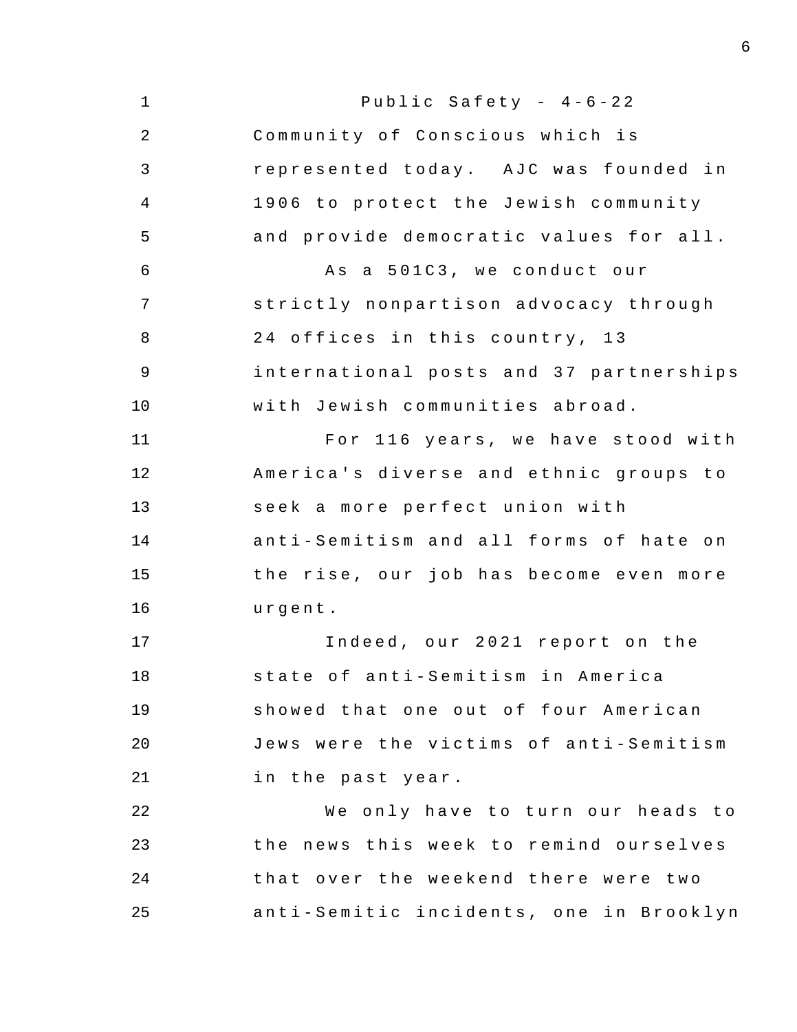| $\mathbf 1$    | Public Safety - $4-6-22$                |
|----------------|-----------------------------------------|
| $\overline{2}$ | Community of Conscious which is         |
| 3              | represented today. AJC was founded in   |
| 4              | 1906 to protect the Jewish community    |
| 5              | and provide democratic values for all.  |
| $\epsilon$     | As a 501C3, we conduct our              |
| 7              | strictly nonpartison advocacy through   |
| 8              | 24 offices in this country, 13          |
| 9              | international posts and 37 partnerships |
| 10             | with Jewish communities abroad.         |
| 11             | For 116 years, we have stood with       |
| 12             | America's diverse and ethnic groups to  |
| 13             | seek a more perfect union with          |
| 14             | anti-Semitism and all forms of hate on  |
| 15             | the rise, our job has become even more  |
| 16             | urgent.                                 |
| 17             | Indeed, our 2021 report on the          |
| 18             | state of anti-Semitism in America       |
| 19             | showed that one out of four American    |
| 20             | Jews were the victims of anti-Semitism  |
| 21             | in the past year.                       |
| 22             | We only have to turn our heads to       |
| 23             | the news this week to remind ourselves  |
| 24             | that over the weekend there were two    |
| 25             | anti-Semitic incidents, one in Brooklyn |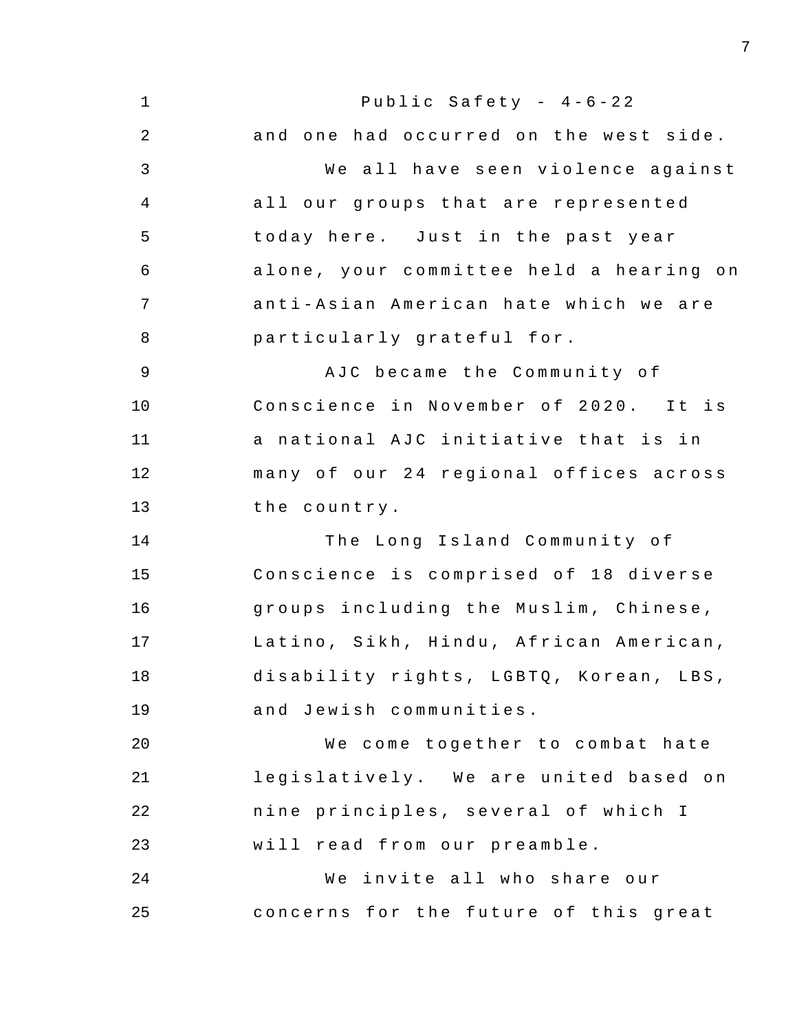1 2 3 4 5 6 7 8 9 10 11 12 13 14 15 16 17 18 19 20 21 22 23 24 25 Public Safety -  $4-6-22$ and one had occurred on the west side. We all have seen violence against all our groups that are represented today here. Just in the past year alone, your committee held a hearing on anti-Asian American hate which we are particularly grateful for . AJC became the Community of Conscience in November of 2020. It is a national AJC initiative that is in many of our 24 regional offices across the country . The Long Island Community of Conscience is comprised of 18 diverse groups inc luding the Muslim , Chinese , Latino, Sikh, Hindu, African American, disability rights, LGBTQ, Korean, LBS, and Jewish communities . We come together to combat hate legislatively. We are united based on nine principles, several of which I will read from our preamble . We invite all who share our concerns for the future of this great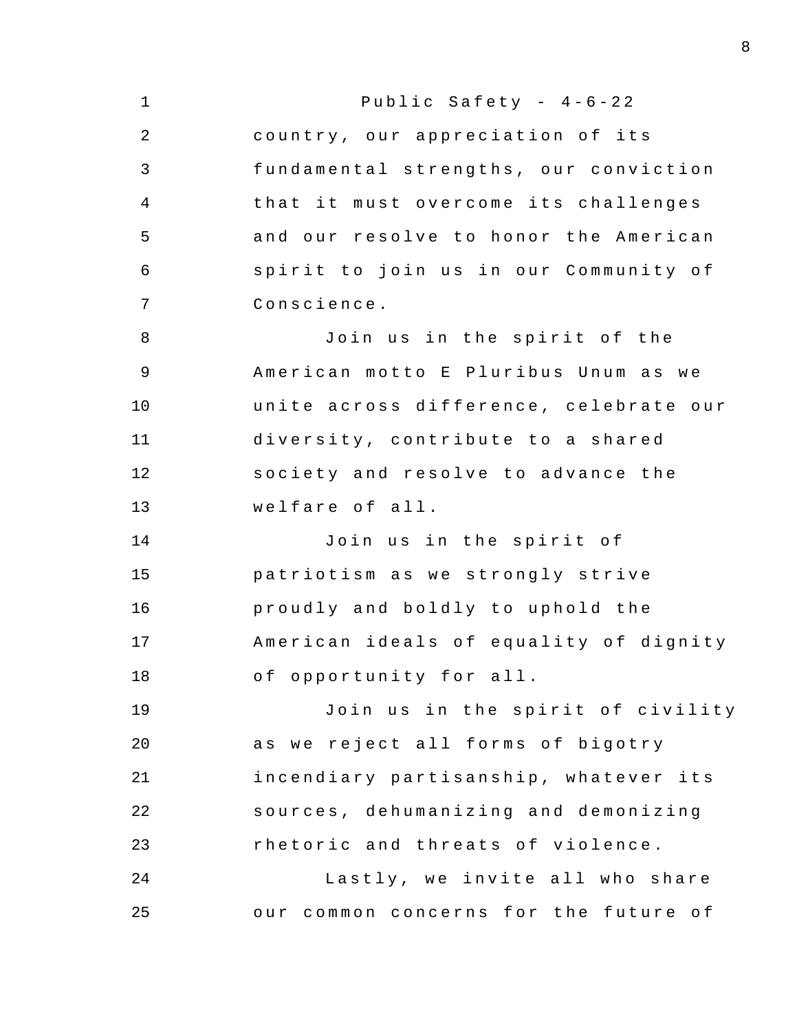| $\mathbf 1$ | Public Safety - $4-6-22$               |
|-------------|----------------------------------------|
| 2           | country, our appreciation of its       |
| 3           | fundamental strengths, our conviction  |
| 4           | that it must overcome its challenges   |
| 5           | and our resolve to honor the American  |
| 6           | spirit to join us in our Community of  |
| 7           | Conscience.                            |
| 8           | Join us in the spirit of the           |
| 9           | American motto E Pluribus Unum as we   |
| 10          | unite across difference, celebrate our |
| 11          | diversity, contribute to a shared      |
| 12          | society and resolve to advance the     |
| 13          | welfare of all.                        |
| 14          | Join us in the spirit of               |
| 15          | patriotism as we strongly strive       |
| 16          | proudly and boldly to uphold the       |
| 17          | American ideals of equality of dignity |
| 18          | of opportunity for all.                |
| 19          | Join us in the spirit of civility      |
| 20          | as we reject all forms of bigotry      |
| 21          | incendiary partisanship, whatever its  |
| 22          | sources, dehumanizing and demonizing   |
| 23          | rhetoric and threats of violence.      |
| 24          | Lastly, we invite all who share        |
| 25          | our common concerns for the future of  |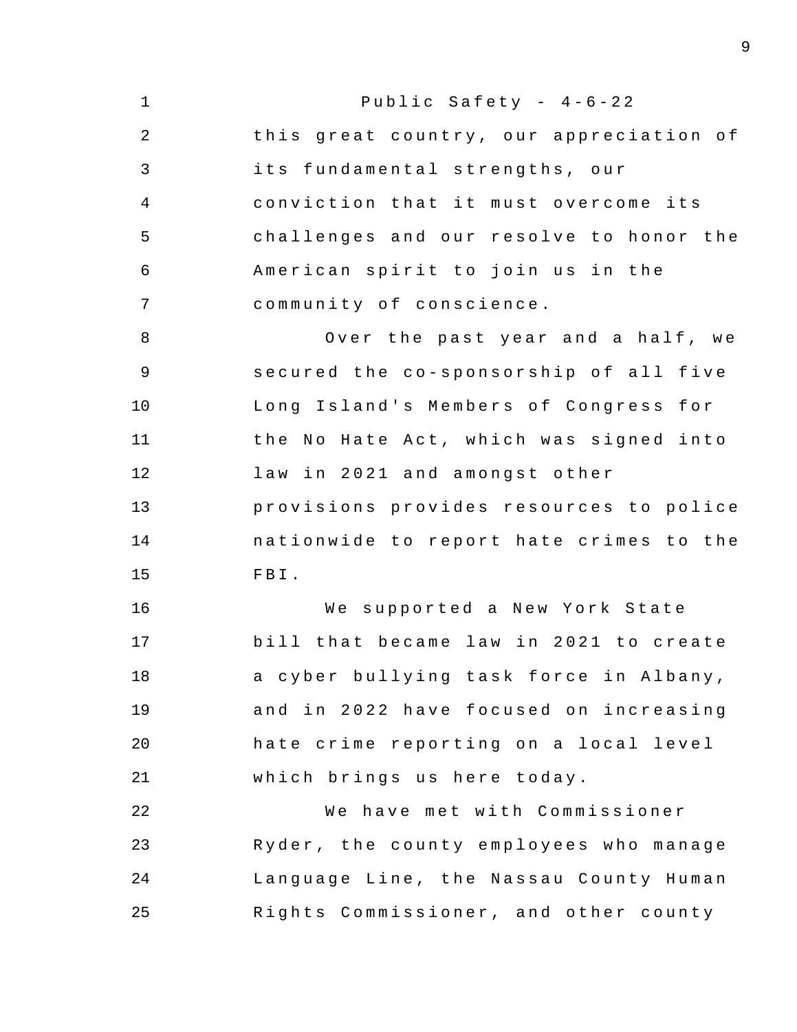1 2 3 4 5 6 7 8 9 10 11 12 13 14 15 16 17 18 19 20 21 22 23 24 25 Public Safety -  $4-6-22$ this great country, our appreciation of its fundamental strengths , our conviction that it must overcome its challenges and our resolve to honor the American spirit to join us in the community of conscience. Over the past year and a half, we secured the co-sponsorship of all five Long Island's Members of Congress for the No Hate Act, which was signed into law in 2021 and amongst other provisions provides resources to police nationwide to report hate crimes to the FBI. We supported a New York State bill that became law in 2021 to create a cyber bullying task force in Albany, and in 2022 have focused on increasing hate crime reporting on a local level which brings us here today. We have met with Commissioner Ryder , the county employees who manage Language Line, the Nassau County Human Rights Commissioner, and other county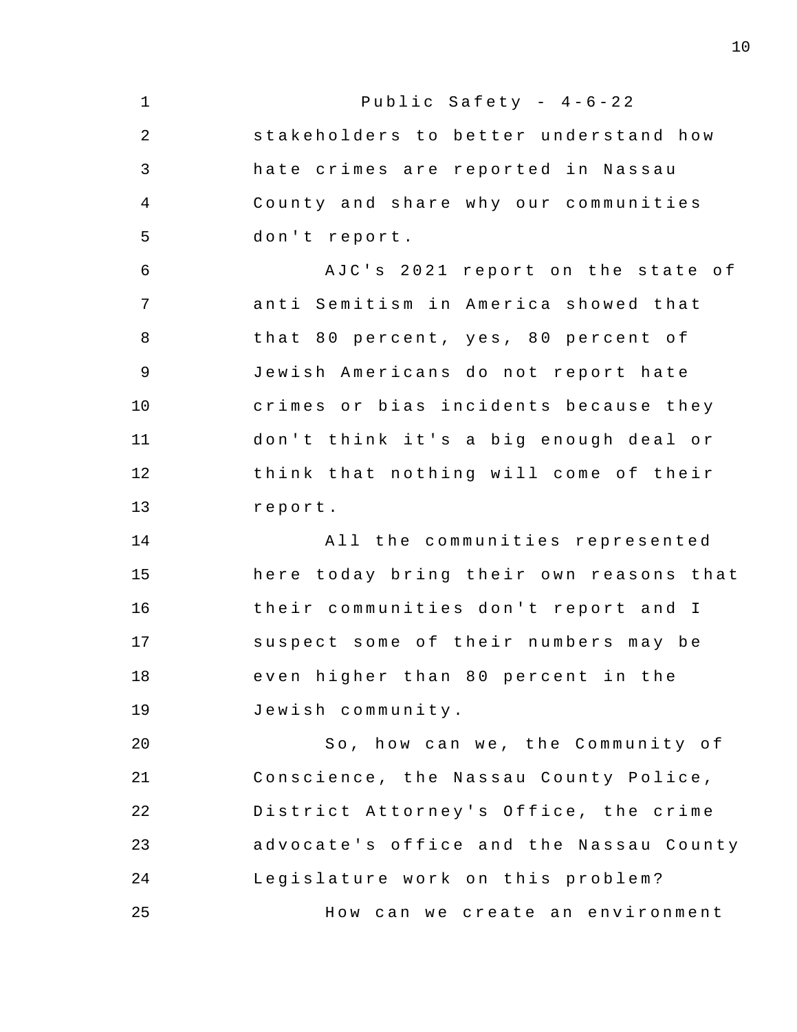1 2 3 4 5 6 7 8 9 10 11 12 13 14 15 16 17 18 19 20 21 22 23 24 25 Public Safety -  $4-6-22$ stakeholders to better understand how hate crimes are reported in Nassau County and share why our communities don't report. AJC's 2021 report on the state of anti Semitism in America showed that that 80 percent, yes, 80 percent of Jewish Americans do not report hate crimes or bias incidents because they don't think it's a big enough deal or think that nothing will come of their report . All the communities represented here today bring their own reasons that their communities don't report and I suspect some of their numbers may be even higher than 80 percent in the Jewish c ommunity . So, how can we, the Community of Conscience , the Nassau County Police , District Attorney's Office, the crime advocate's office and the Nassau County Legislature work on this problem? How can we create an environment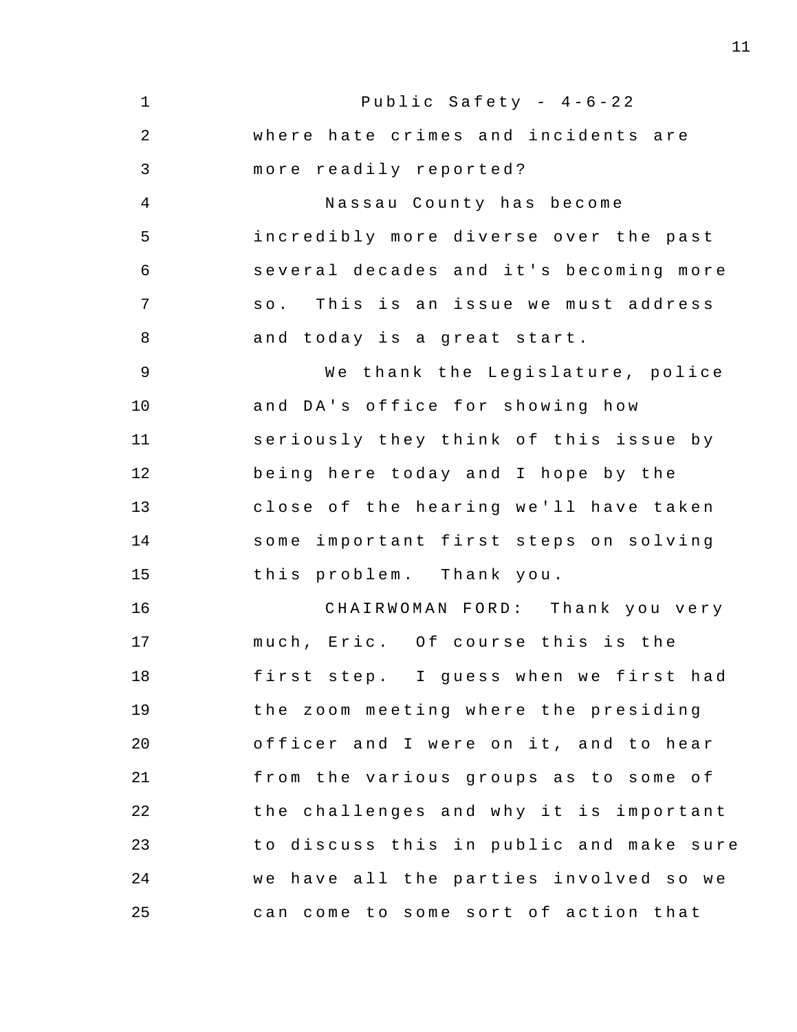1 2 3 4 5 6 7 8 9 10 11 12 13 14 15 16 17 18 19 20 21 22 23 24 25 Public Safety -  $4-6-22$ where hate crimes and incidents are more readily reported? Nassau County has become incredibly more diverse over the past several decades and it's becoming more so. This is an issue we must address and today is a great start. We thank the Legislature, police and DA's office for showing how seriously they think of this issue by being here today and I hope by the close of the hearing we'll have taken some important first steps on solving this problem. Thank you. CHAIRWOMAN FORD: Thank you very much, Eric. Of course this is the first step. I quess when we first had the zoom meeting where the presiding officer and I were on it, and to hear from the various groups as to some of the challenges and why it is important to discuss this in public and make sure we have all the parties involved so we can come to some sort of action that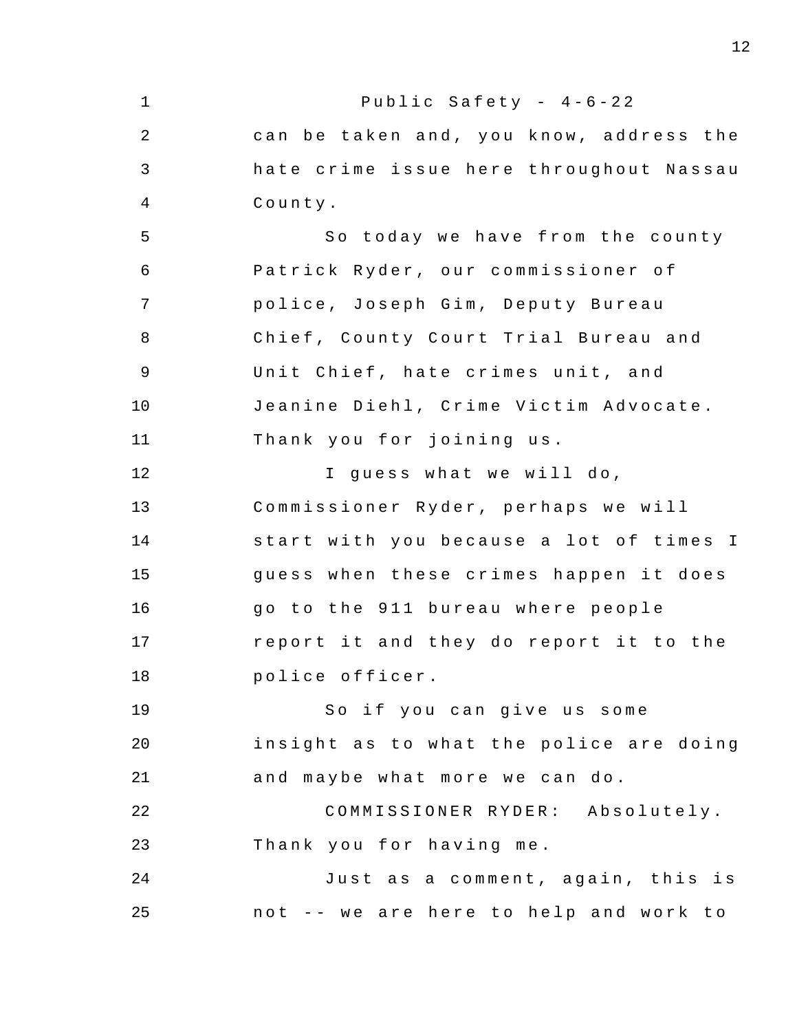1 2 3 4 5 6 7 8 9 10 11 12 13 14 15 16 17 18 19 20 21 22 23 24 25 Public Safety -  $4-6-22$ can be taken and, you know, address the hate crime issue here throughout Nassau County . So today we have from the county Patrick Ryder, our commissioner of police, Joseph Gim, Deputy Bureau Chief , County Court Trial Bureau and Unit Chief, hate crimes unit, and Jeanine Diehl, Crime Victim Advocate. Thank you for joining us. I guess what we will do, Commissioner Ryder, perhaps we will start with you because a lot of times I guess when these crimes happen it does go to the 911 bureau where people report it and they do report it to the police officer . So if you can give us some insight as to what the police are doing and maybe what more we can do. COMMISSIONER RYDER: Absolutely. Thank you for having me. Just as a comment, again, this is not -- we are here to help and work to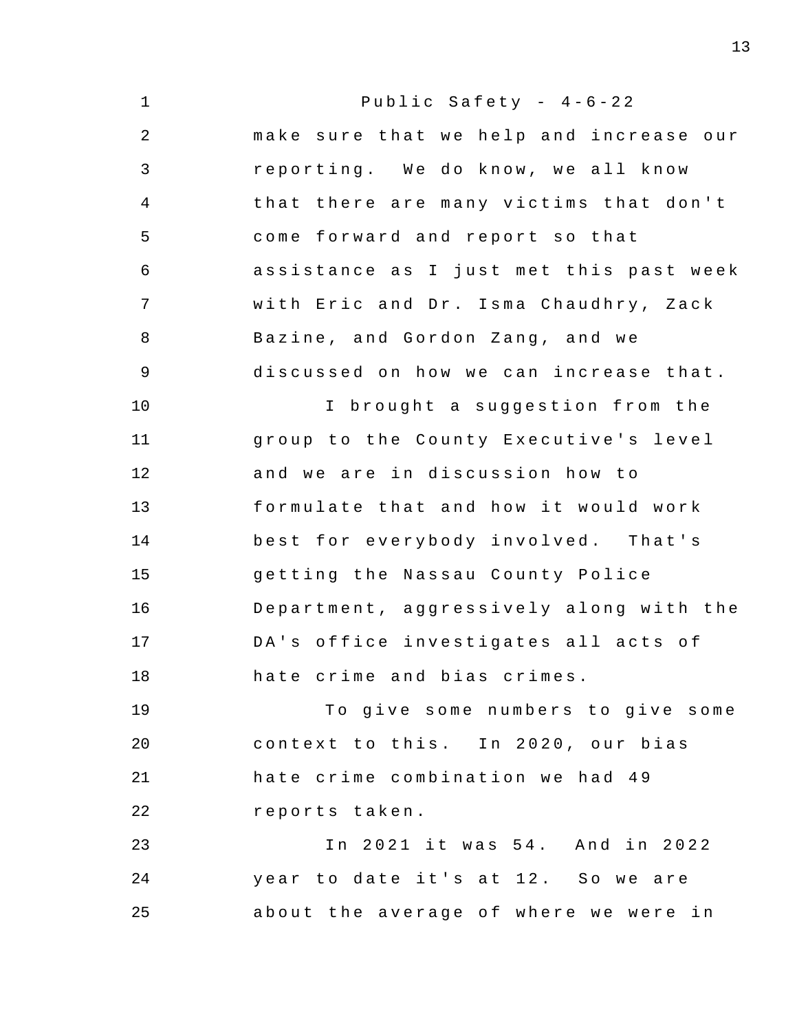1 2 3 4 5 6 7 8 9 10 11 12 13 14 15 16 17 18 19 20 21 22 23 24 25 Public Safety -  $4-6-22$ make sure that we help and increase our reporting. We do know, we all know that there are many victims that don't come forward and report so that assistance as I just met this past week with Eric and Dr. Isma Chaudhry, Zack Bazine, and Gordon Zang, and we discussed on how we can increase that. I brought a suggestion from the group to the County Executive's level and we are in discussion how to formulate that and how it would work best for everybody involved. That's getting the Nassau County Police Department, aggressively along with the DA's office investigates all acts of hate crime and bias crimes . To give some numbers to give some context to this. In 2020, our bias hate crime combination we had 49 reports taken . In 2021 it was 54. And in 2022 year to date it's at 12. So we are about the average of where we were in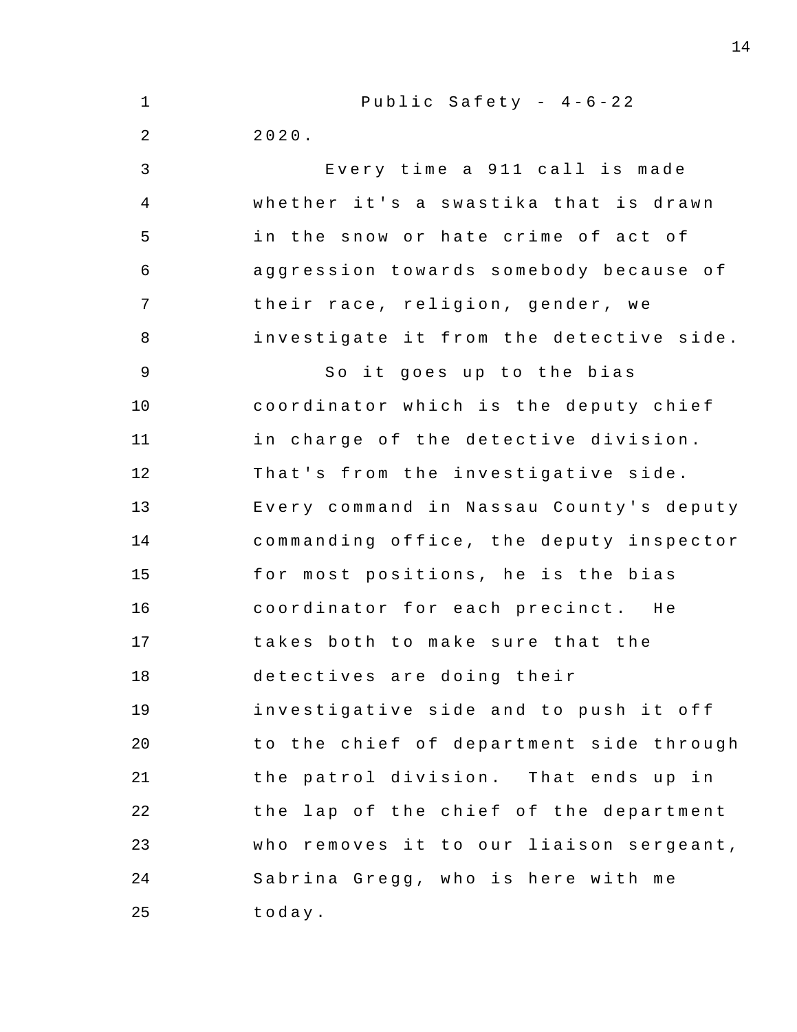| $\mathbf 1$    | Public Safety - $4-6-22$                |
|----------------|-----------------------------------------|
| 2              | 2020.                                   |
| 3              | Every time a 911 call is made           |
| $\overline{4}$ | whether it's a swastika that is drawn   |
| 5              | in the snow or hate crime of act of     |
| 6              | aggression towards somebody because of  |
| 7              | their race, religion, gender, we        |
| 8              | investigate it from the detective side. |
| 9              | So it goes up to the bias               |
| 10             | coordinator which is the deputy chief   |
| 11             | in charge of the detective division.    |
| 12             | That's from the investigative side.     |
| 13             | Every command in Nassau County's deputy |
| 14             | commanding office, the deputy inspector |
| 15             | for most positions, he is the bias      |
| 16             | coordinator for each precinct. He       |
| 17             | takes both to make sure that the        |
| 18             | detectives are doing their              |
| 19             | investigative side and to push it off   |
| 20             | to the chief of department side through |
| 21             | the patrol division. That ends up in    |
| 22             | the lap of the chief of the department  |
| 23             | who removes it to our liaison sergeant, |
| 24             | Sabrina Gregg, who is here with me      |
| 25             | today.                                  |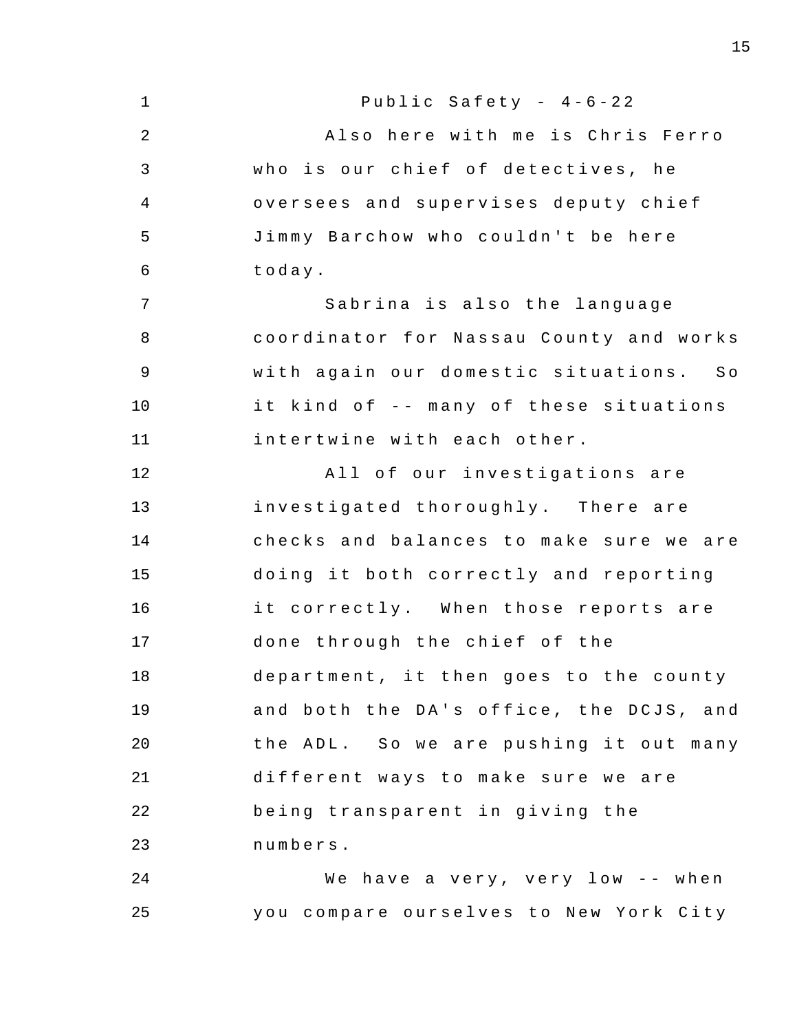1 2 3 4 5 6 7 8 9 10 11 12 13 14 15 16 17 18 19 20 21 22 23 24 25 Public Safety -  $4-6-22$ Also here with me is Chris Ferro who is our chief of detectives, he oversees and supervises deputy chief Jimmy Barchow who couldn't be here today . Sabrina is also the language coordinator for Nassau County and works with again our domestic situations. So it kind of -- many of these situations intertwine with each other . All of our investigations are investigated thoroughly. There are checks and balances to make sure we are doing it both correctly and reporting it correctly. When those reports are done through the chief of the department, it then goes to the county and both the DA's office, the DCJS, and the ADL. So we are pushing it out many different ways to make sure we are being transparent in giving the numbers . We have a very, very low -- when you compare ourselves to New York City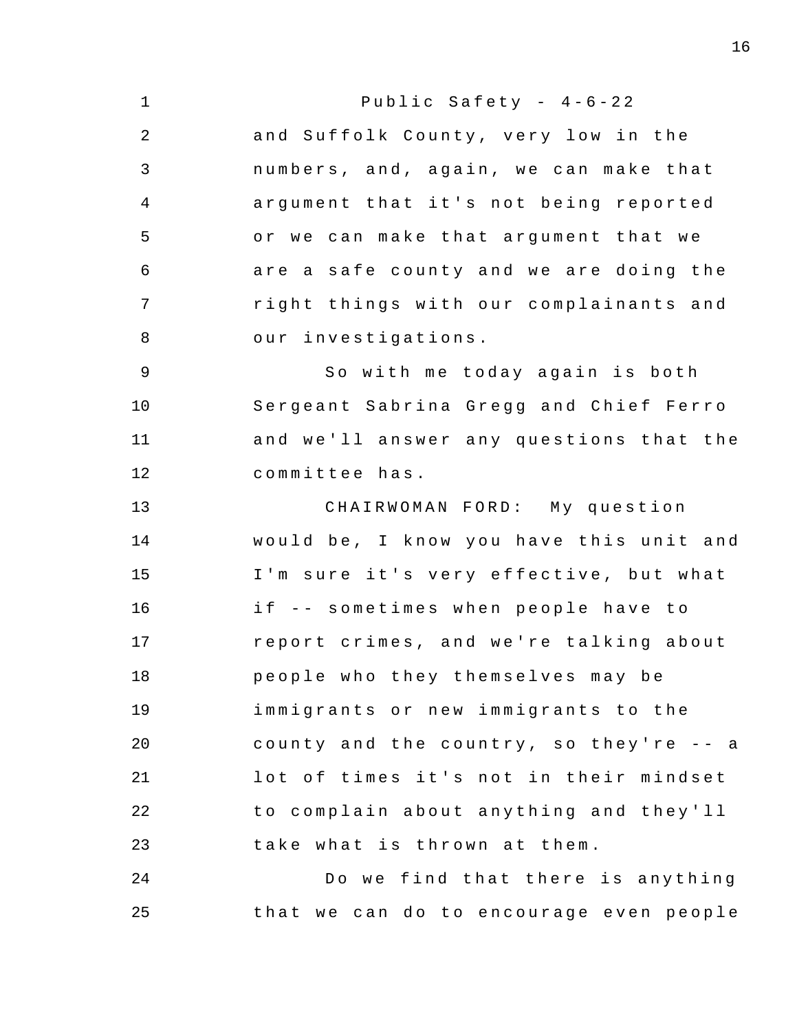1 2 3 4 5 6 7 8 9 10 11 12 13 14 15 16 17 18 19 20 21 22 23 24 25 Public Safety -  $4-6-22$ and Suffolk County, very low in the numbers, and, again, we can make that argument that it's not being reported or we can make that argument that we are a safe county and we are doing the right things with our complainants and our investigations . So with me today again is both Sergeant Sabrina Gregg and Chief Ferro and we'll answer any questions that the committee has . CHAIRWOMAN FORD: My question would be, I know you have this unit and I'm sure it's very effective, but what if -- sometimes when people have to report crimes, and we're talking about people who they themselves may be immigrants or new immigrants to the county and the country, so they're  $-$  a lot of times it's not in their mindset to complain about anything and they'll take what is thrown at them. Do we find that there is anything that we can do to encourage even people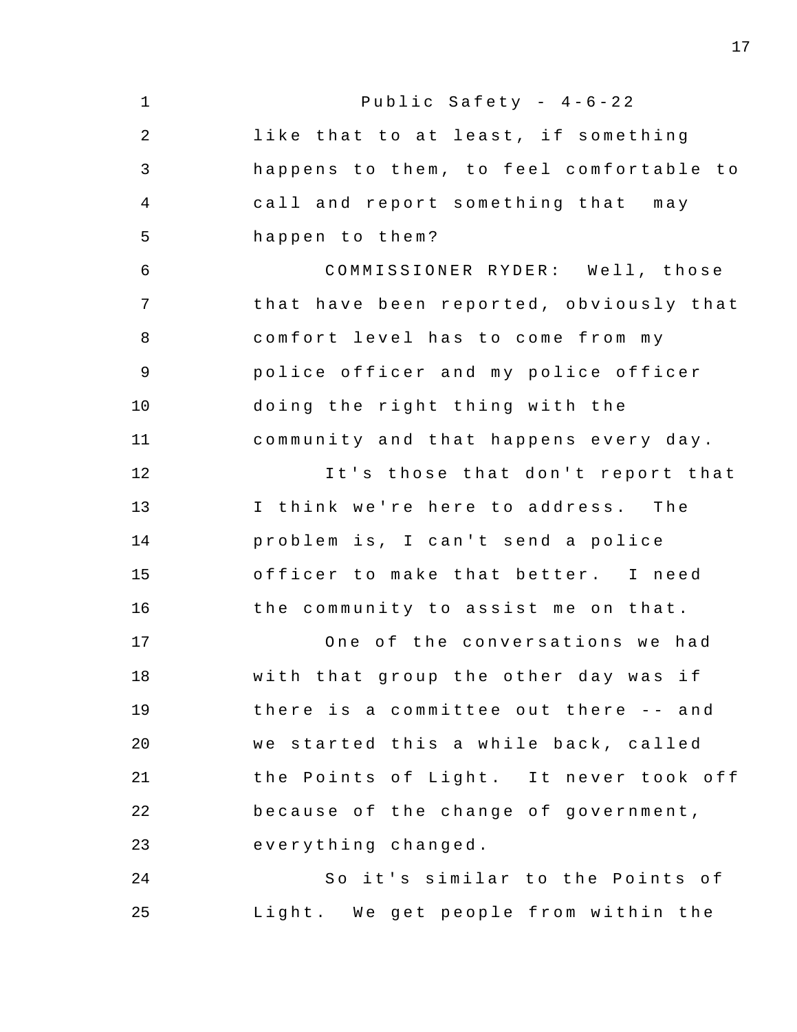| $\mathbf 1$ | Public Safety - 4-6-22                  |
|-------------|-----------------------------------------|
| 2           | like that to at least, if something     |
| 3           | happens to them, to feel comfortable to |
| 4           | call and report something that may      |
| 5           | happen to them?                         |
| 6           | COMMISSIONER RYDER: Well, those         |
| 7           | that have been reported, obviously that |
| 8           | comfort level has to come from my       |
| 9           | police officer and my police officer    |
| 10          | doing the right thing with the          |
| 11          | community and that happens every day.   |
| 12          | It's those that don't report that       |
| 13          | I think we're here to address. The      |
| 14          | problem is, I can't send a police       |
| 15          | officer to make that better. I need     |
| 16          | the community to assist me on that.     |
| 17          | One of the conversations we had         |
| 18          | with that group the other day was if    |
| 19          | there is a committee out there -- and   |
| 20          | we started this a while back, called    |
| 21          | the Points of Light. It never took off  |
| 22          | because of the change of government,    |
| 23          | everything changed.                     |
| 24          | So it's similar to the Points of        |
| 25          | Light. We get people from within the    |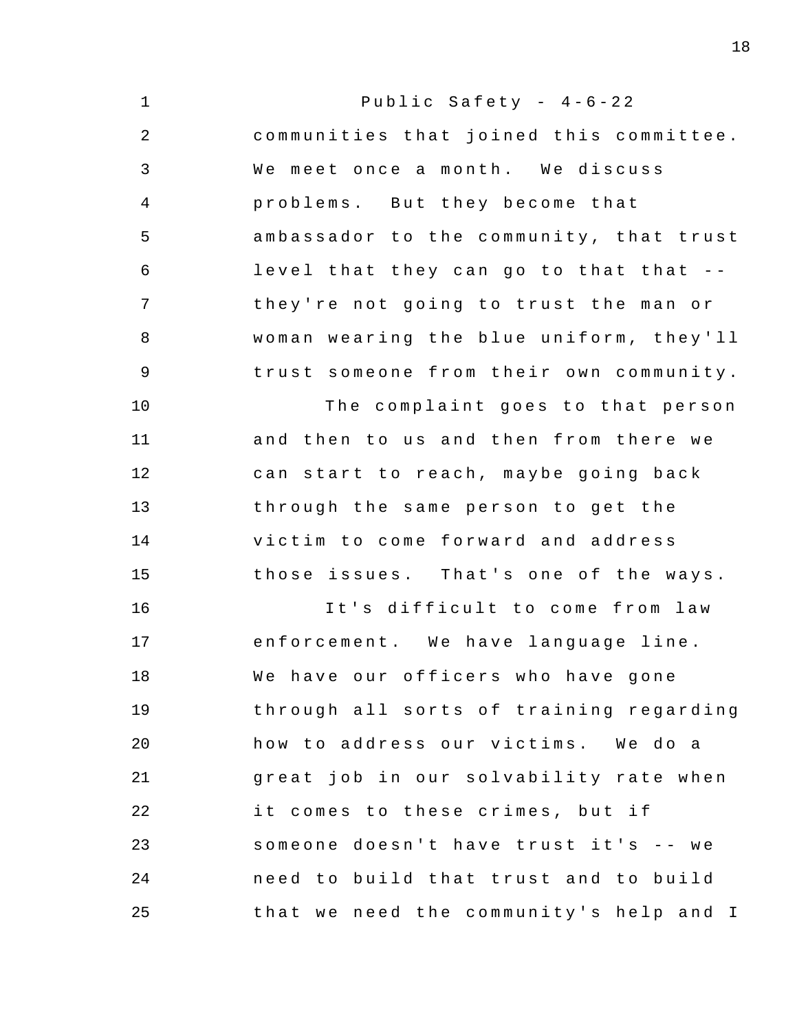1 2 3 4 5 6 7 8 9 10 11 12 13 14 15 16 17 18 19  $20^{\circ}$ 21 22 23 24 25 Public Safety -  $4-6-22$ communities that joined this committee . We meet once a month. We discuss problems. But they become that ambassador to the community, that trust level that they can go to that that -they're not going to trust the man or woman wearing the blue uniform, they'll trust someone from their own community . The complaint goes to that person and then to us and then from there we can start to reach, maybe going back through the same person to get the victim to come forward and address those issues. That's one of the ways. It's difficult to come from law enforcement. We have language line. We have our officers who have gone through all sorts of training regarding how to address our victims. We do a great job in our solvability rate when it comes to these crimes, but if someone doesn't have trust it's -- we need to build that trust and to build that we need the community's help and I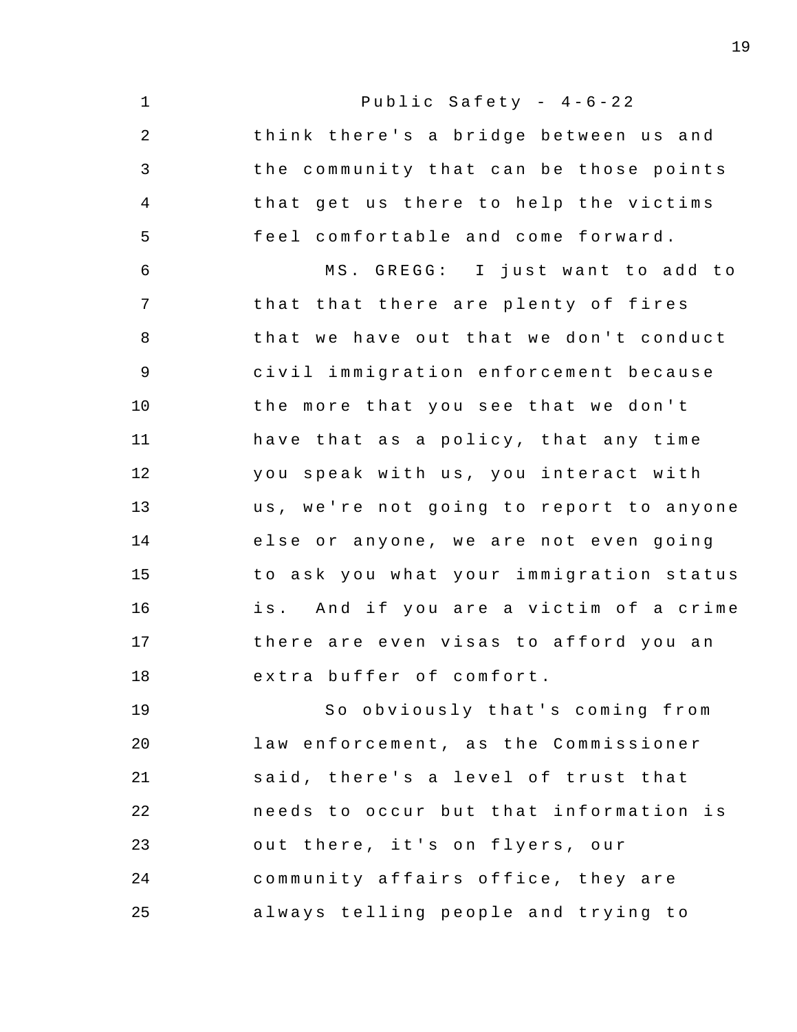1 2 3 4 5 6 7 8 9 10 11 12 13 14 15 16 17 18 19 20 21 22 23 Public Safety -  $4-6-22$ think there's a bridge between us and the community that can be those points that get us there to help the victims feel comfortable and come forward . MS. GREGG: I just want to add to that that there are plenty of fires that we have out that we don't conduct civil immigration enforcement because the more that you see that we don't have that as a policy, that any time you speak with us, you interact with us, we're not going to report to anyone else or anyone, we are not even going to ask you what your immigration status is. And if you are a victim of a crime there are even visas to afford you an extra buffer of comfort. So obviously that's coming from law enforcement, as the Commissioner said, there's a level of trust that needs to occur but that information is out there, it's on flyers, our

24 25 community affairs office, they are always telling people and trying to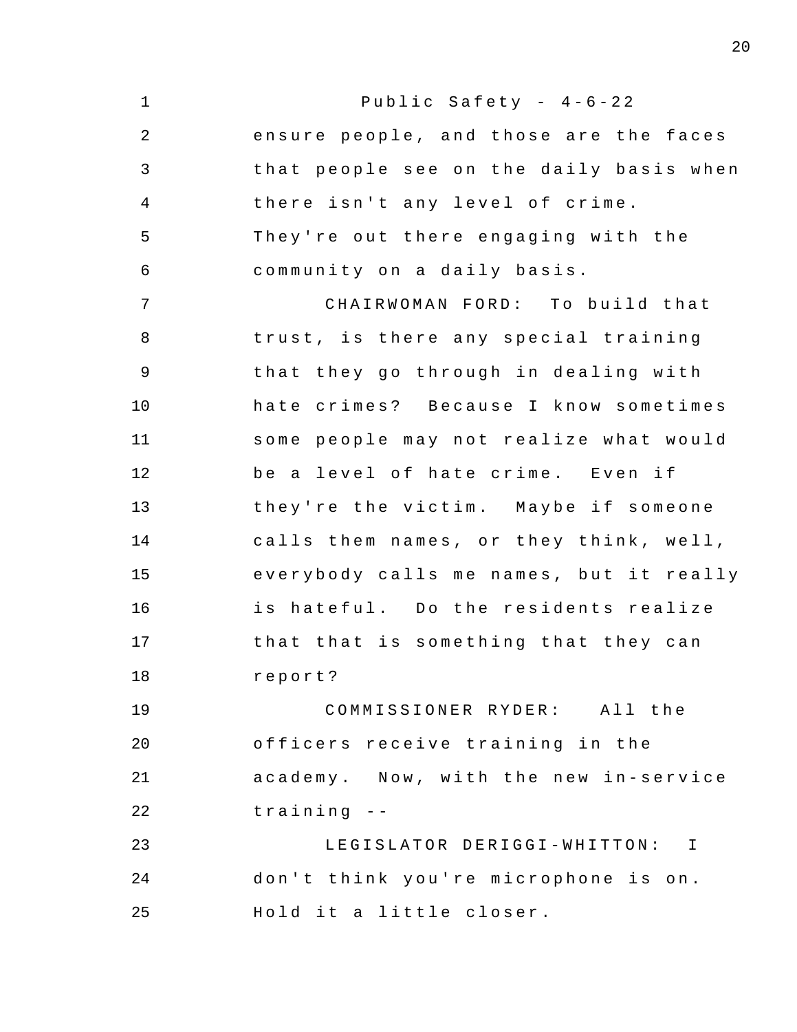1 2 3 4 5 6 7 8 9 10 11 12 13 14 15 16 17 18 19 20 21 22 23 24 25 Public Safety -  $4-6-22$ ensure people, and those are the faces that people see on the daily basis when there isn't any level of crime. They're out there engaging with the community on a daily basis. CHAIRWOMAN FORD: To build that trust, is there any special training that they go through in dealing with hate crimes? Because I know sometimes some people may not realize what would be a level of hate crime. Even if they're the victim. Maybe if someone calls them names, or they think, well, everybody calls me names, but it really is hateful. Do the residents realize that that is something that they can report ? COMMISSIONER RYDER : All the officers receive training in the academy. Now, with the new in-service training - - LEGISLATOR DERIGGI-WHITTON: I don't think you're microphone is on. Hold it a little closer.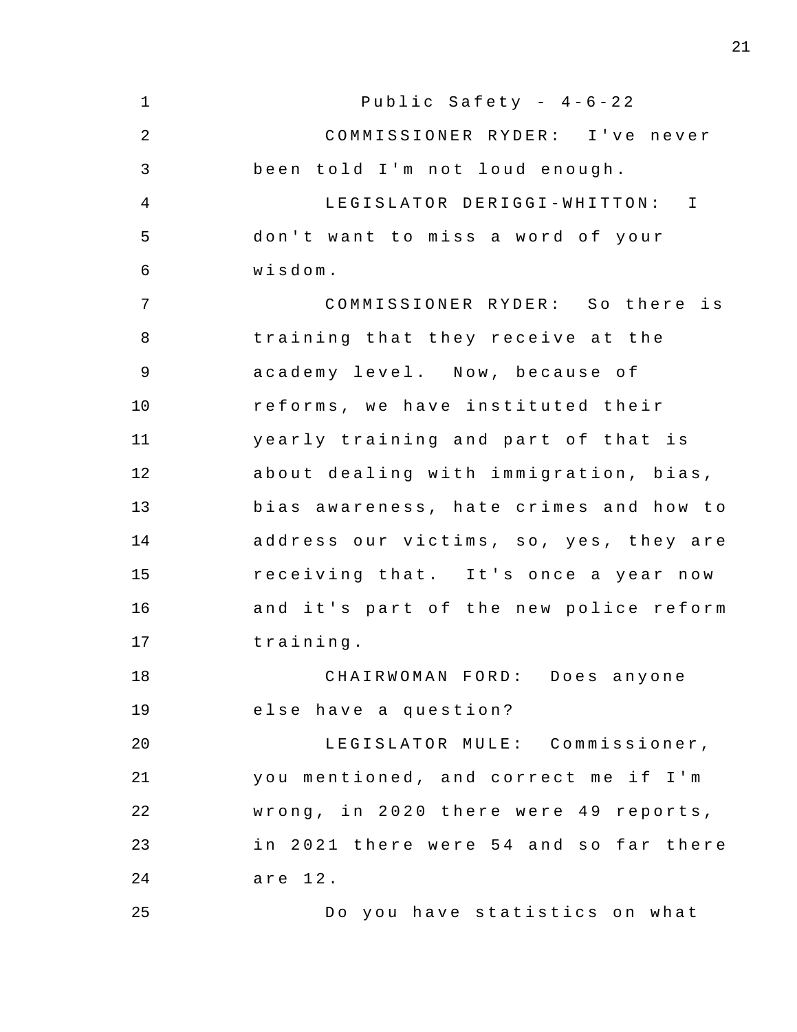1 2 3 4 5 6 7 8 9 10 11 12 13 14 15 16 17 18 19  $20^{\circ}$ 21 22 23 24 25 Public Safety -  $4-6-22$ COMMISSIONER RYDER: I've never been told I'm not loud enough. LEGISLATOR DERIGGI-WHITTON: I don't want to miss a word of your wisdom . COMMISSIONER RYDER: So there is training that they receive at the academy level. Now, because of reforms, we have instituted their yearly training and part of that is about dealing with immigration, bias, bias awareness, hate crimes and how to address our victims, so, yes, they are receiving that. It's once a year now and it's part of the new police reform training . CHAIRWOMAN FORD: Does anyone else have a question? LEGISLATOR MULE: Commissioner, you mentioned, and correct me if I'm wrong, in 2020 there were 49 reports, in 2021 there were 54 and so far there are 12. Do you have statistics on what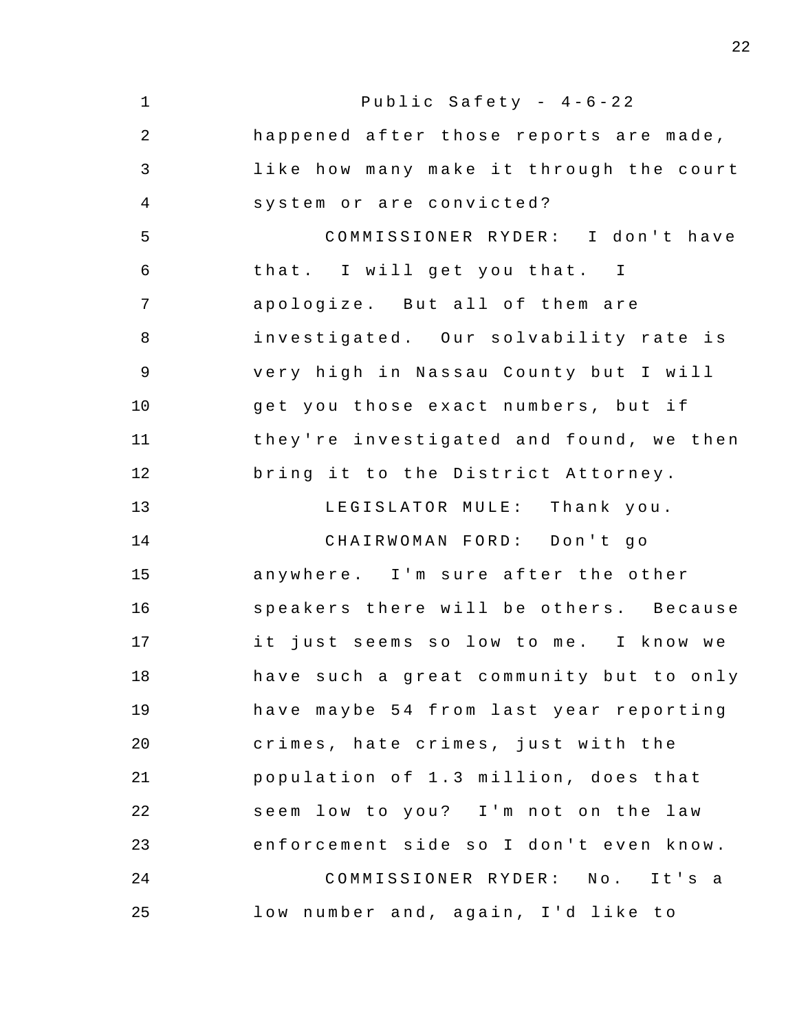1 2 3 4 5 6 7 8 9 10 11 12 13 14 15 16 17 18 19 20 21 22 23 24 25 Public Safety -  $4-6-22$ happened after those reports are made , like how many make it through the court system or are convicted? COMMISSIONER RYDER: I don't have that. I will get you that. I apologize. But all of them are investigated. Our solvability rate is very high in Nassau County but I will get you those exact numbers, but if they're investigated and found, we then bring it to the District Attorney. LEGISLATOR MULE: Thank you. CHAIRWOMAN FORD: Don't go anywhere. I'm sure after the other speakers there will be others. Because it just seems so low to me. I know we have such a great community but to only have maybe 54 from last year reporting crimes , hate crimes , just with the population of 1.3 million, does that seem low to you? I'm not on the law enforcement side so I don't even know. COMMISSIONER RYDER: No. It's a low number and, again, I'd like to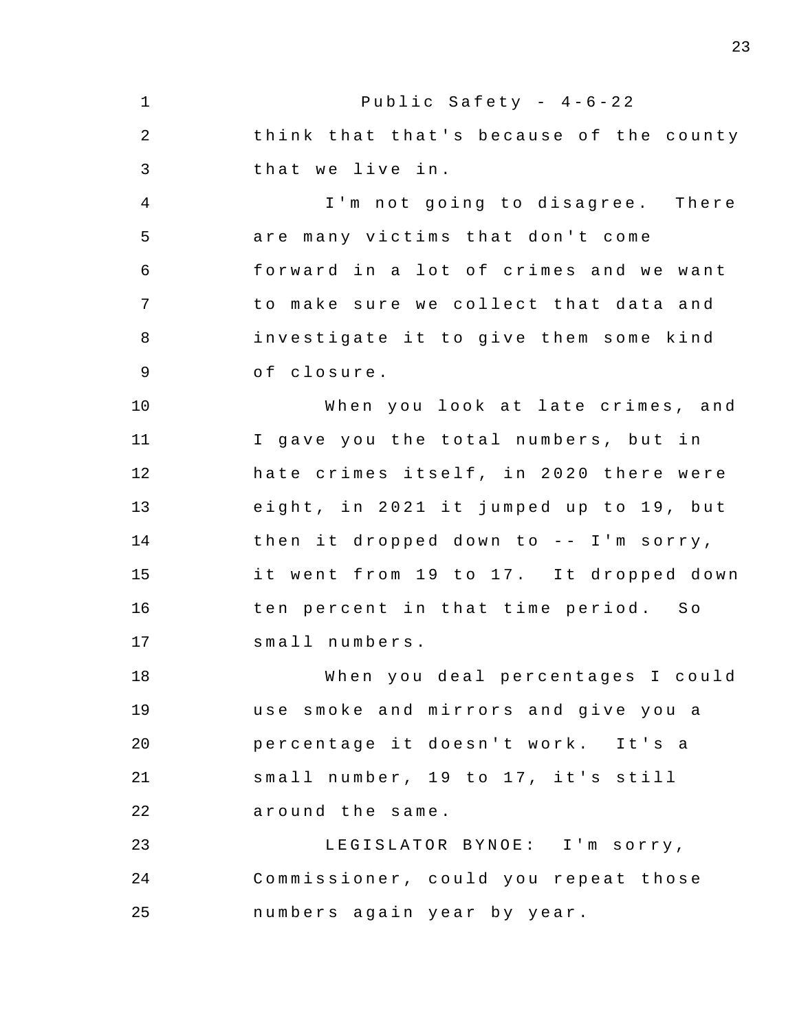1 2 3 4 5 6 7 8 9 10 11 12 13 14 15 16 17 18 19 20 21 22 23 24 25 Public Safety -  $4-6-22$ think that that's because of the county that we live in. I'm not going to disagree. There are many victims that don't come forward in a lot of crimes and we want to make sure we collect that data and investigate it to give them some kind of closure. When you look at late crimes, and I gave you the total numbers, but in hate crimes itself, in 2020 there were eight, in 2021 it jumped up to 19, but then it dropped down to  $-$  I'm sorry, it went from 19 to 17. It dropped down ten percent in that time period. So small numbers . When you deal percentages I could use smoke and mirrors and give you a percentage it doesn't work. It's a small number, 19 to 17, it's still around the same . LEGISLATOR BYNOE: I'm sorry, Commissioner , could you repeat those numbers again year by year.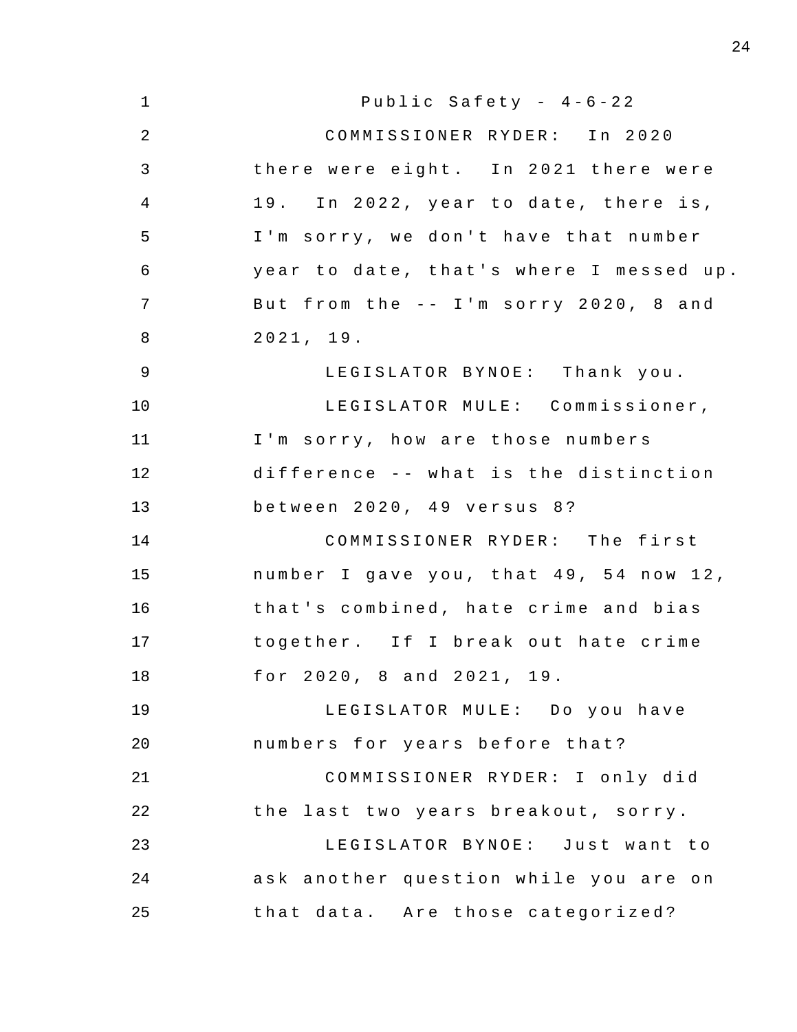| $\mathbf{1}$   | Public Safety - $4-6-22$                |
|----------------|-----------------------------------------|
| $\overline{2}$ | COMMISSIONER RYDER: In 2020             |
| 3              | there were eight. In 2021 there were    |
| $\overline{4}$ | 19. In 2022, year to date, there is,    |
| 5              | I'm sorry, we don't have that number    |
| 6              | year to date, that's where I messed up. |
| 7              | But from the -- I'm sorry 2020, 8 and   |
| 8              | 2021, 19.                               |
| 9              | LEGISLATOR BYNOE: Thank you.            |
| 10             | LEGISLATOR MULE: Commissioner,          |
| 11             | I'm sorry, how are those numbers        |
| 12             | difference -- what is the distinction   |
| 13             | between 2020, 49 versus 8?              |
| 14             | COMMISSIONER RYDER: The first           |
| 15             | number I gave you, that 49, 54 now 12,  |
| 16             | that's combined, hate crime and bias    |
| 17             | together. If I break out hate crime     |
| 18             | for 2020, 8 and 2021, 19.               |
| 19             | LEGISLATOR MULE: Do you have            |
| 20             | numbers for years before that?          |
| 21             | COMMISSIONER RYDER: I only did          |
| 22             | the last two years breakout, sorry.     |
| 23             | LEGISLATOR BYNOE: Just want to          |
| 24             | ask another question while you are on   |
| 25             | that data. Are those categorized?       |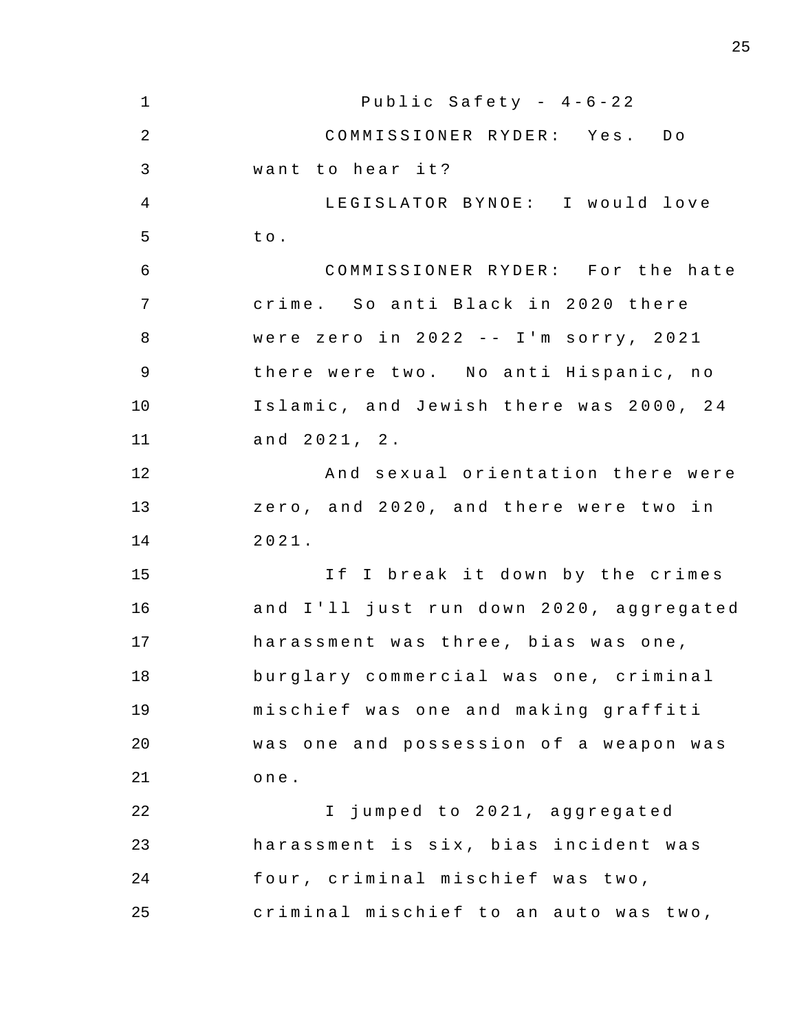1 2 3 4 5 6 7 8 9 10 11 12 13 14 15 16 17 18 19 20 21 22 23 24 25 Public Safety -  $4-6-22$ COMMISSIONER RYDER: Yes. Do want to hear it? LEGISLATOR BYNOE: I would love t o . COMMISSIONER RYDER : For the hate crime. So anti Black in 2020 there were zero in  $2022 - - I$ 'm sorry,  $2021$ there were two. No anti Hispanic, no Islamic, and Jewish there was 2000, 24 and 2021 , 2 . And sexual orientation there were zero, and 2020, and there were two in 2021 . If I break it down by the crimes and I'll just run down 2020, aggregated harassment was three, bias was one, burglary commercial was one, criminal mischief was one and making graffiti was one and possession of a weapon was one . I jumped to 2021, aggregated harassment is six, bias incident was four, criminal mischief was two, criminal mischief to an auto was two,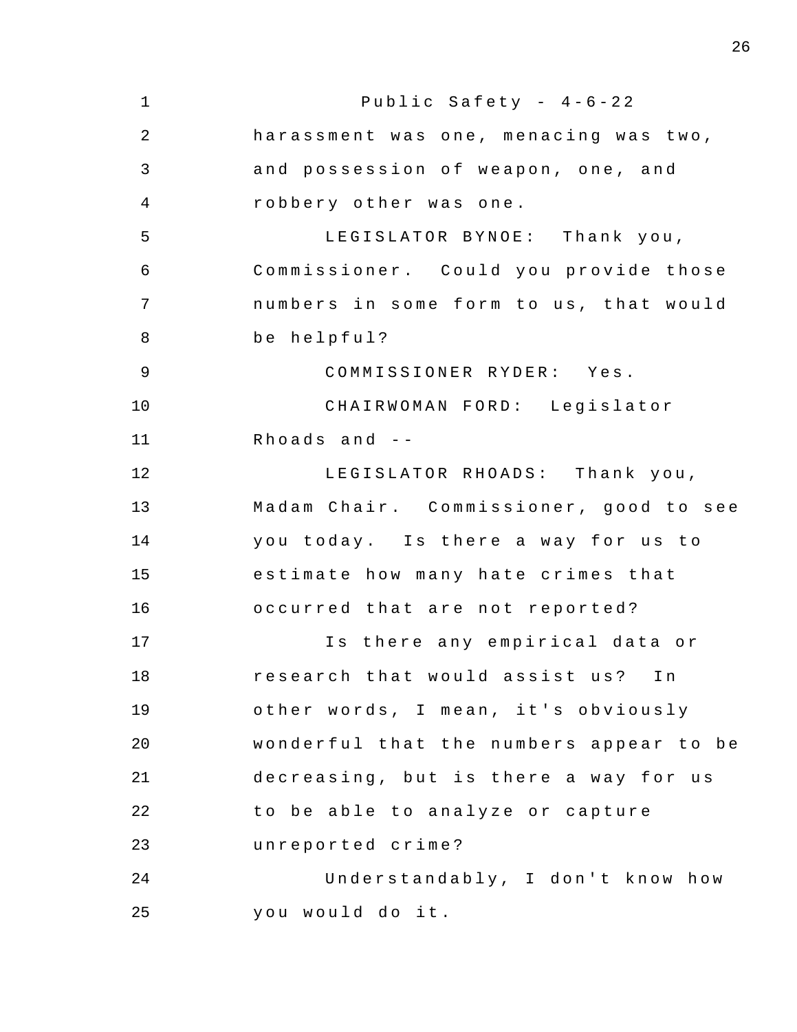1 2 3 4 5 6 7 8 9 10 11 12 13 14 15 16 17 18 19  $20^{\circ}$ 21 22 23 24 25 Public Safety -  $4-6-22$ harassment was one, menacing was two, and possession of weapon, one, and robbery other was one . LEGISLATOR BYNOE: Thank you, Commissioner. Could you provide those numbers in some form to us, that would be helpful? COMMISSIONER RYDER : Yes . CHAIRWOMAN FORD: Legislator Rhoads and  $-$ LEGISLATOR RHOADS: Thank you, Madam Chair. Commissioner, good to see you today. Is there a way for us to estimate how many hate crimes that occurred that are not reported? Is there any empirical data or research that would assist us? In other words, I mean, it's obviously wonderful that the numbers appear to be decreasing, but is there a way for us to be able to analyze or capture unreported crime ? Understandably, I don't know how you would do it.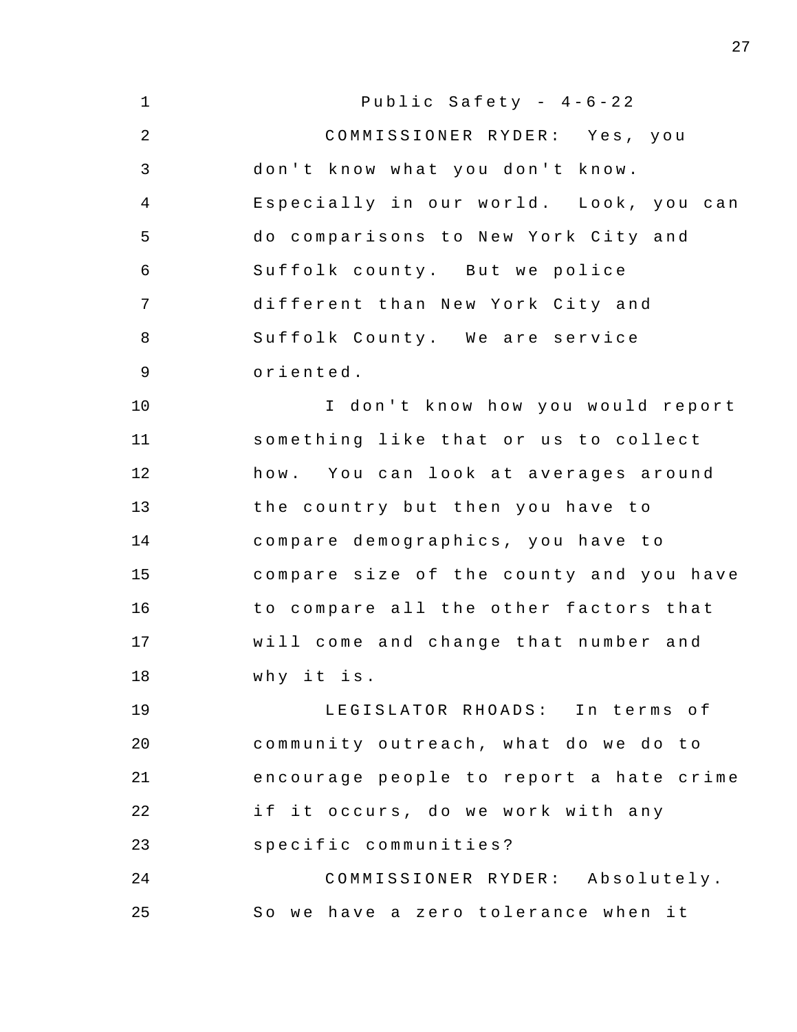| $\mathbf 1$    | Public Safety - $4-6-22$                |
|----------------|-----------------------------------------|
| $\overline{2}$ | COMMISSIONER RYDER: Yes, you            |
| 3              | don't know what you don't know.         |
| 4              | Especially in our world. Look, you can  |
| 5              | do comparisons to New York City and     |
| 6              | Suffolk county. But we police           |
| 7              | different than New York City and        |
| 8              | Suffolk County. We are service          |
| 9              | oriented.                               |
| 10             | I don't know how you would report       |
| 11             | something like that or us to collect    |
| 12             | how. You can look at averages around    |
| 13             | the country but then you have to        |
| 14             | compare demographics, you have to       |
| 15             | compare size of the county and you have |
| 16             | to compare all the other factors that   |
| 17             | will come and change that number and    |
| 18             | why it is.                              |
| 19             | LEGISLATOR RHOADS: In terms of          |
| 20             | community outreach, what do we do to    |
| 21             | encourage people to report a hate crime |
| 22             | if it occurs, do we work with any       |
| 23             | specific communities?                   |
| 24             | COMMISSIONER RYDER: Absolutely.         |
| 25             | So we have a zero tolerance when it     |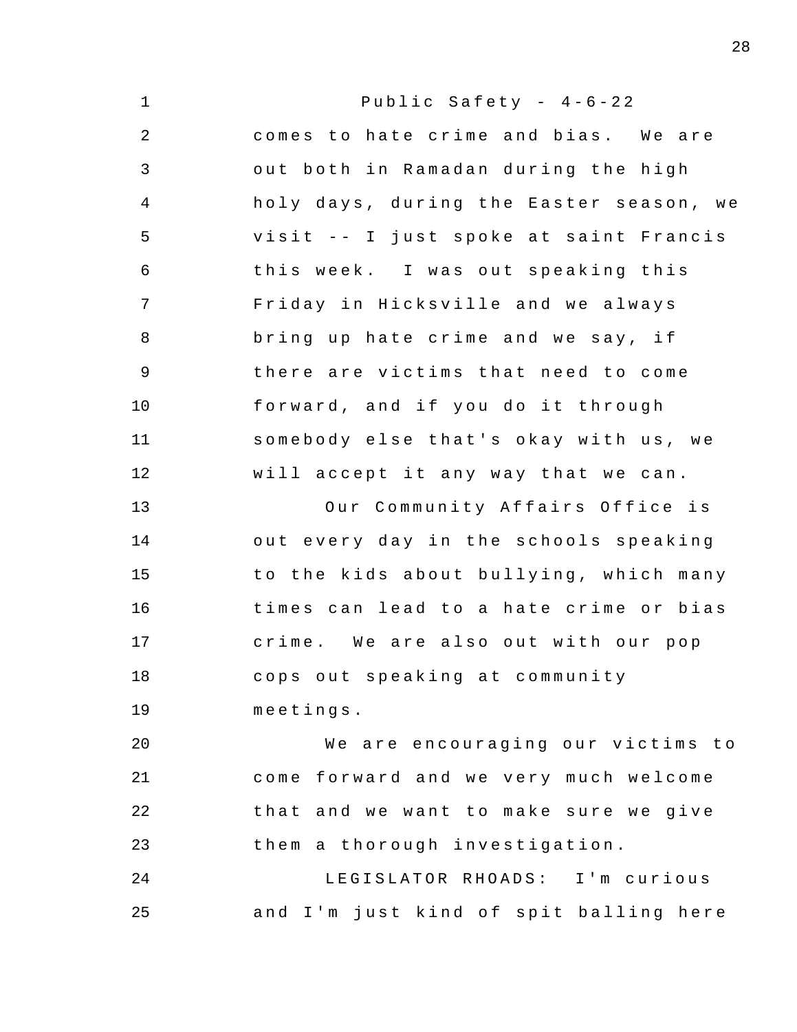1 2 3 4 5 6 7 8 9 10 11 12 13 14 15 16 17 18 19 20 21 22 23 24 25 Public Safety -  $4-6-22$ comes to hate crime and bias. We are out both in Ramadan during the high holy days, during the Easter season, we visit -- I just spoke at saint Francis this week . I was out speaking this Friday in Hicksville and we always bring up hate crime and we say, if there are victims that need to come forward, and if you do it through somebody else that's okay with us, we will accept it any way that we can. Our Community Affairs Office is out every day in the schools speaking to the kids about bullying, which many times can lead to a hate crime or bias crime. We are also out with our pop cops out speaking at community meeting s . We are encouraging our victims to come forward and we very much welcome that and we want to make sure we give them a thorough investigation . LEGISLATOR RHOADS: I'm curious and I'm just kind of spit balling here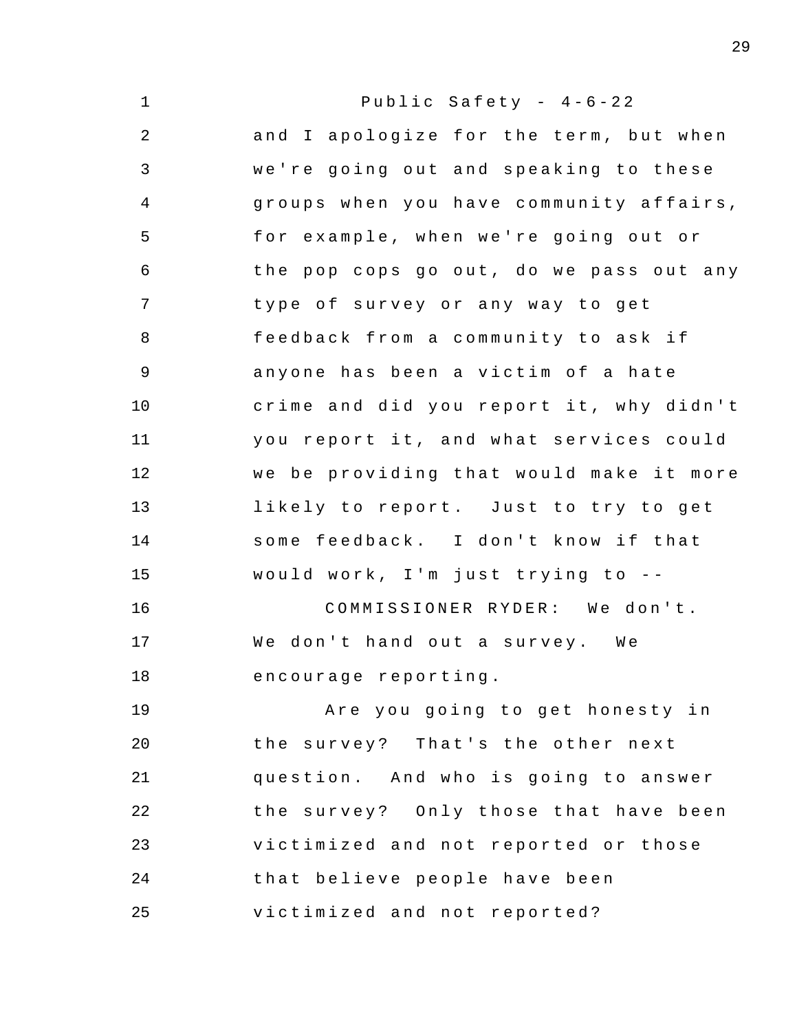1 2 3 4 5 6 7 8 9 10 11 12 13 14 15 16 17 18 19 20 21 22 23 24 25 Public Safety -  $4-6-22$ and I apologize for the term, but when we're going out and speaking to these groups when you have community affairs , for example, when we're going out or the pop cops go out, do we pass out any type of survey or any way to get feedback from a community to ask if anyone has been a victim of a hate crime and did you report it, why didn't you report it, and what services could we be providing that would make it more likely to report. Just to try to get some feedback. I don't know if that would work, I'm just trying to  $-$ COMMISSIONER RYDER: We don't. We don't hand out a survey. We encourage reporting . Are you going to get honesty in the survey? That's the other next question. And who is going to answer the survey? Only those that have been victimized and not reported or those that believe people have been victimized and not reported?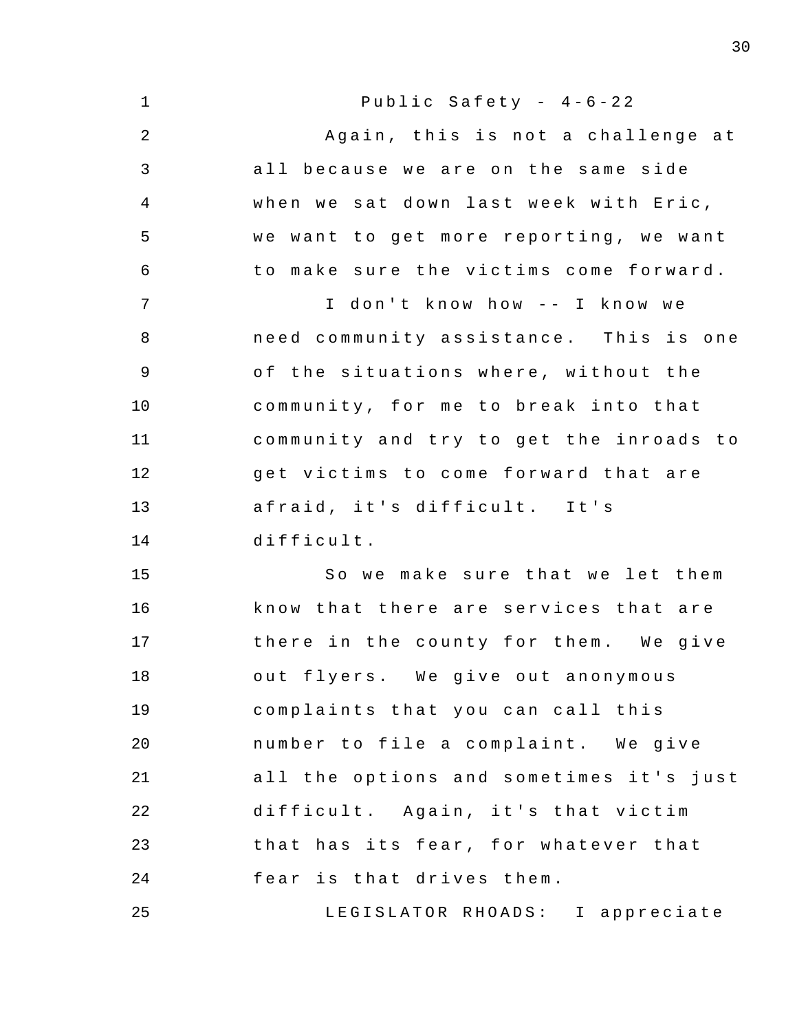| $\mathbf{1}$   | Public Safety - $4-6-22$                |
|----------------|-----------------------------------------|
| $\sqrt{2}$     | Again, this is not a challenge at       |
| $\mathfrak{Z}$ | all because we are on the same side     |
| $\overline{4}$ | when we sat down last week with Eric,   |
| 5              | we want to get more reporting, we want  |
| 6              | to make sure the victims come forward.  |
| 7              | I don't know how -- I know we           |
| $\, 8$         | need community assistance. This is one  |
| $\mathsf 9$    | of the situations where, without the    |
| 10             | community, for me to break into that    |
| 11             | community and try to get the inroads to |
| 12             | get victims to come forward that are    |
| 13             | afraid, it's difficult. It's            |
| 14             | difficult.                              |
| 15             | So we make sure that we let them        |
| 16             | know that there are services that are   |
| 17             | there in the county for them. We give   |
| 18             | out flyers. We give out anonymous       |
| 19             | complaints that you can call this       |
| 20             | number to file a complaint. We give     |
| 21             | all the options and sometimes it's just |
| 22             | difficult. Again, it's that victim      |
| 23             | that has its fear, for whatever that    |
| 24             | fear is that drives them.               |
| 25             | LEGISLATOR RHOADS: I appreciate         |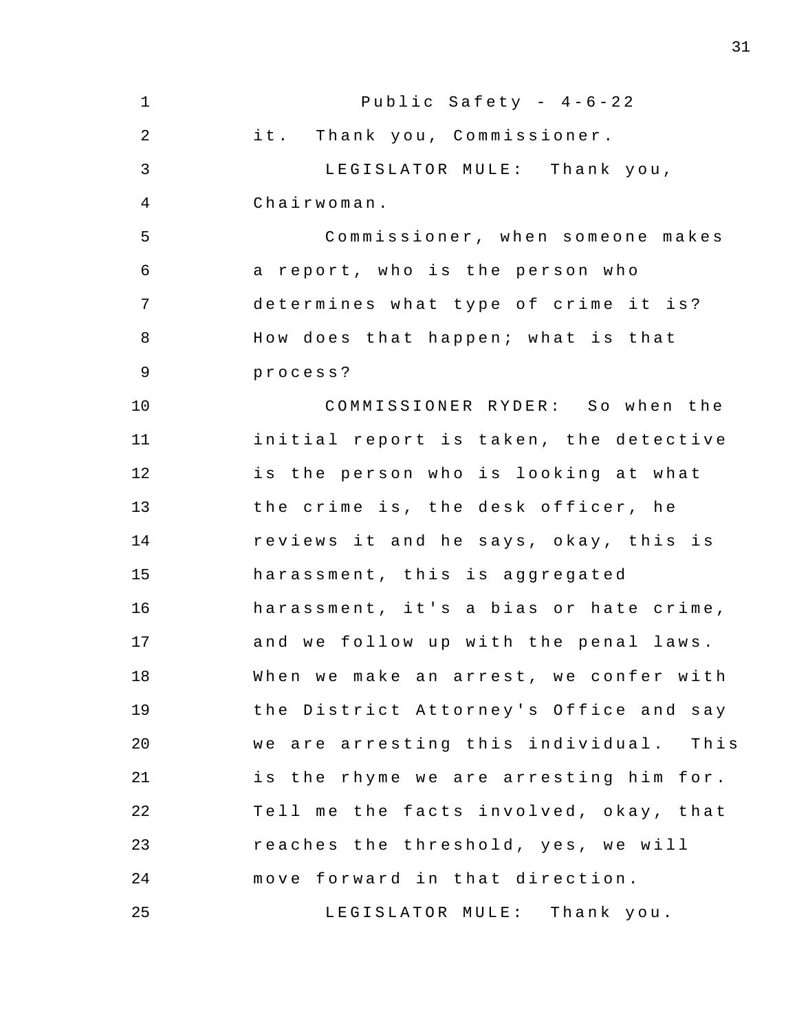| $\mathbf 1$    | Public Safety - $4-6-22$               |
|----------------|----------------------------------------|
| $\overline{a}$ | it. Thank you, Commissioner.           |
| 3              | LEGISLATOR MULE: Thank you,            |
| 4              | Chairwoman.                            |
| 5              | Commissioner, when someone makes       |
| 6              | a report, who is the person who        |
| 7              | determines what type of crime it is?   |
| 8              | How does that happen; what is that     |
| $\mathsf 9$    | process?                               |
| 10             | COMMISSIONER RYDER: So when the        |
| 11             | initial report is taken, the detective |
| 12             | is the person who is looking at what   |
| 13             | the crime is, the desk officer, he     |
| 14             | reviews it and he says, okay, this is  |
| 15             | harassment, this is aggregated         |
| 16             | harassment, it's a bias or hate crime, |
| 17             | and we follow up with the penal laws.  |
| 18             | When we make an arrest, we confer with |
| 19             | the District Attorney's Office and say |
| 20             | we are arresting this individual. This |
| 21             | is the rhyme we are arresting him for. |
| 22             | Tell me the facts involved, okay, that |
| 23             | reaches the threshold, yes, we will    |
| 24             | move forward in that direction.        |
| 25             | LEGISLATOR MULE: Thank you.            |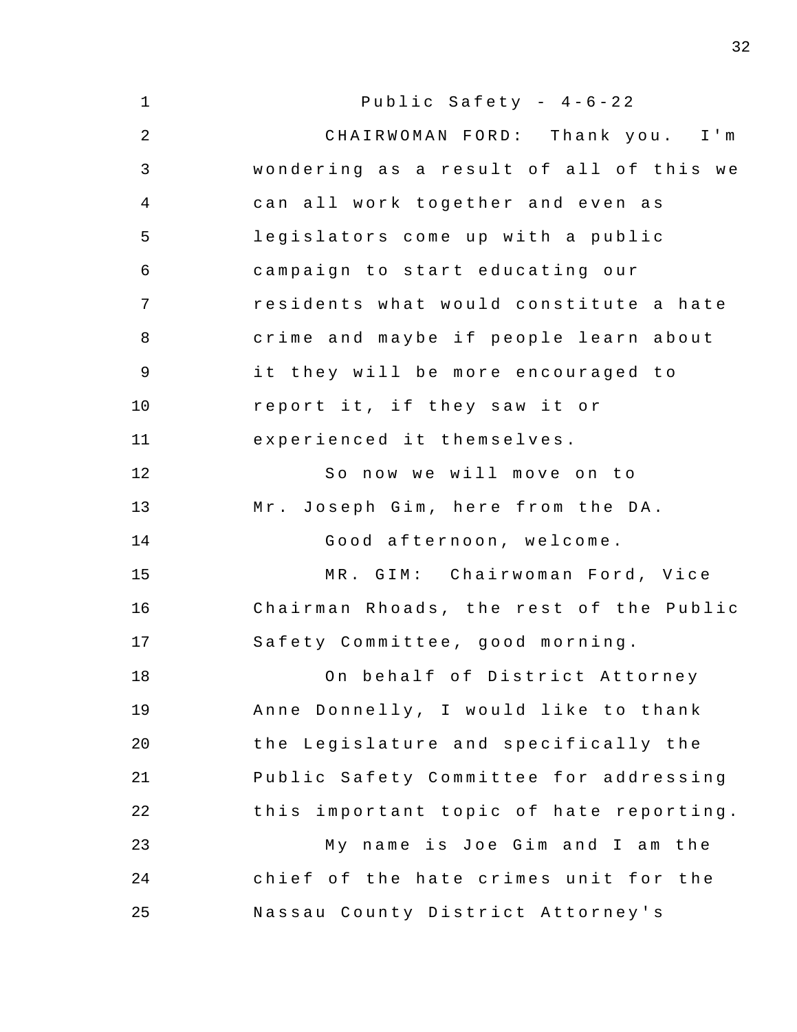| $\mathbf 1$    | Public Safety - $4-6-22$                |
|----------------|-----------------------------------------|
| $\overline{2}$ | CHAIRWOMAN FORD: Thank you. I'm         |
| 3              | wondering as a result of all of this we |
| 4              | can all work together and even as       |
| 5              | legislators come up with a public       |
| 6              | campaign to start educating our         |
| 7              | residents what would constitute a hate  |
| 8              | crime and maybe if people learn about   |
| $\mathsf 9$    | it they will be more encouraged to      |
| 10             | report it, if they saw it or            |
| 11             | experienced it themselves.              |
| 12             | So now we will move on to               |
| 13             | Mr. Joseph Gim, here from the DA.       |
| 14             | Good afternoon, welcome.                |
| 15             | MR. GIM: Chairwoman Ford, Vice          |
| 16             | Chairman Rhoads, the rest of the Public |
| 17             | Safety Committee, good morning.         |
| 18             | On behalf of District Attorney          |
| 19             | Anne Donnelly, I would like to thank    |
| 20             | the Legislature and specifically the    |
| 21             | Public Safety Committee for addressing  |
| 22             | this important topic of hate reporting. |
| 23             | My name is Joe Gim and I am the         |
| 24             | chief of the hate crimes unit for the   |
| 25             | Nassau County District Attorney's       |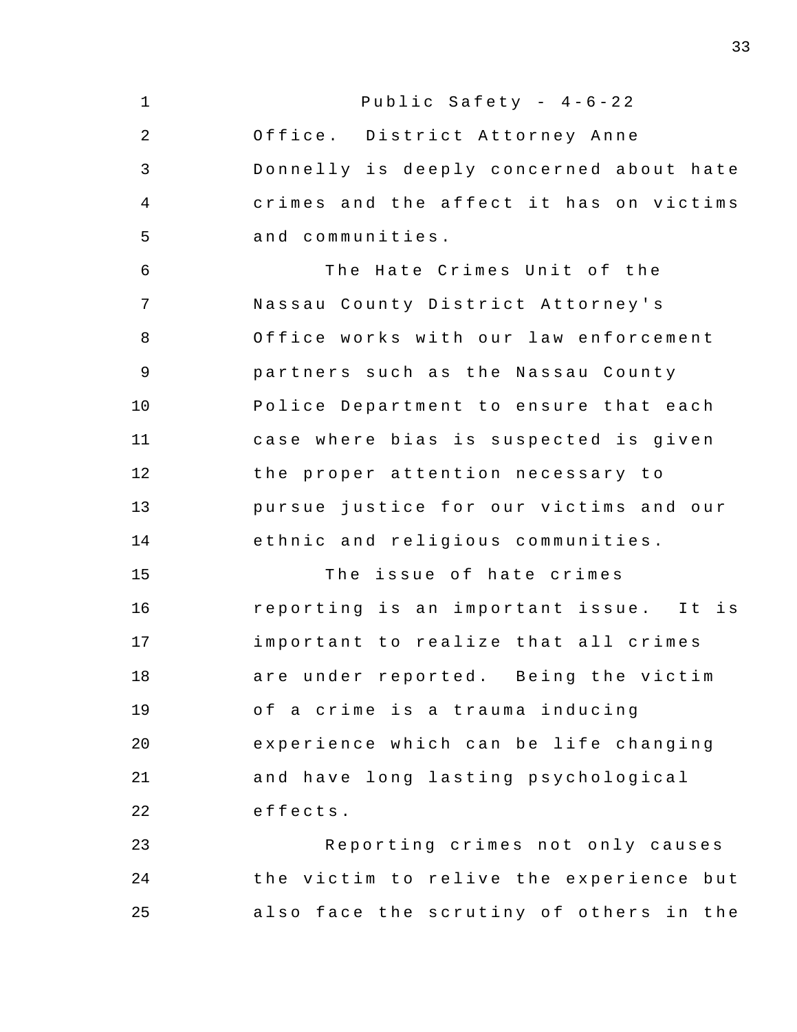| $\mathbf 1$    | Public Safety - 4-6-22                  |
|----------------|-----------------------------------------|
| $\overline{2}$ | Office. District Attorney Anne          |
| 3              | Donnelly is deeply concerned about hate |
| 4              | crimes and the affect it has on victims |
| 5              | and communities.                        |
| 6              | The Hate Crimes Unit of the             |
| 7              | Nassau County District Attorney's       |
| 8              | Office works with our law enforcement   |
| 9              | partners such as the Nassau County      |
| 10             | Police Department to ensure that each   |
| 11             | case where bias is suspected is given   |
| 12             | the proper attention necessary to       |
| 13             | pursue justice for our victims and our  |
| 14             | ethnic and religious communities.       |
| 15             | The issue of hate crimes                |
| 16             | reporting is an important issue. It is  |
| 17             | important to realize that all crimes    |
| 18             | are under reported. Being the victim    |
| 19             | of a crime is a trauma inducing         |
| 20             | experience which can be life changing   |
| 21             | and have long lasting psychological     |
| 22             | effects.                                |
| 23             | Reporting crimes not only causes        |
| 24             | the victim to relive the experience but |
| 25             | also face the scrutiny of others in the |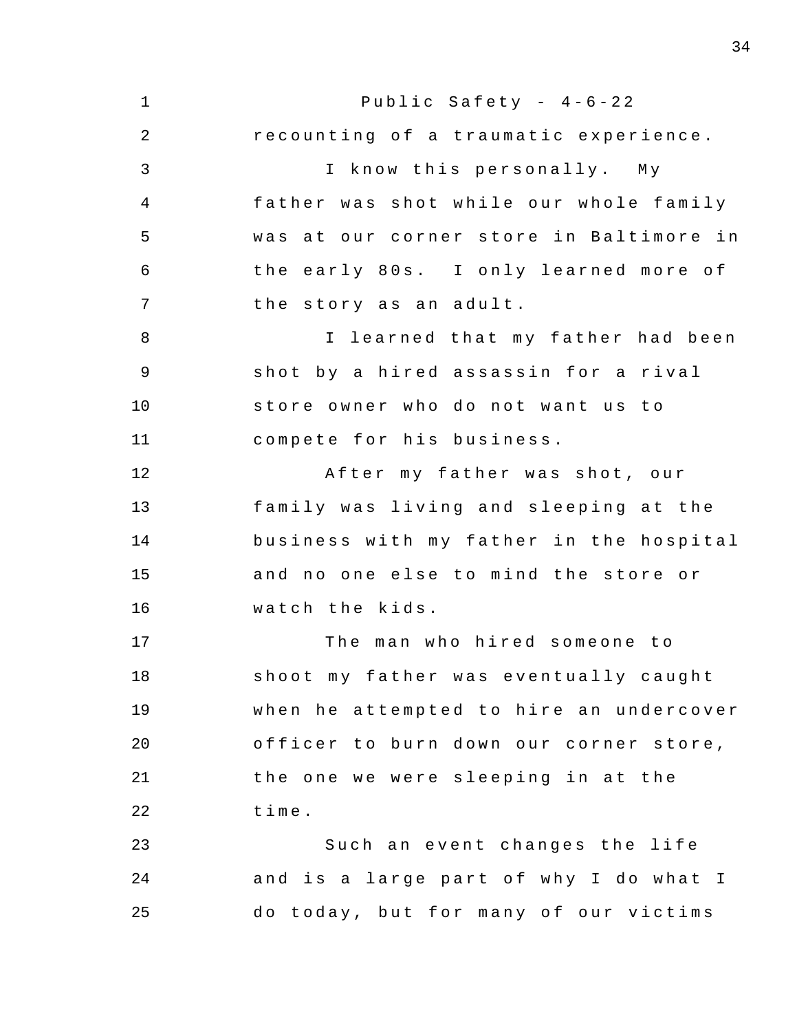1 2 3 4 5 6 7 8 9 10 11 12 13 14 15 16 17 18 19 20 21 22 23 24 25 Public Safety -  $4-6-22$ recounting of a traumatic experience. I know this personally. My father was shot while our whole family was at our corner store in Baltimore in the early 80s. I only learned more of the story as an adult. I learned that my father had been shot by a hired assassin for a rival store owner who do not want us to compete for his business . After my father was shot, our family was living and sleeping at the business with my father in the hospital and no one else to mind the store or watch the kids . The man who hired someone to shoot my father was eventually caught when he attempted to hire an undercover officer to burn down our corner store, the one we were sleeping in at the time . Such an event changes the life and is a large part of why I do what I do today, but for many of our victims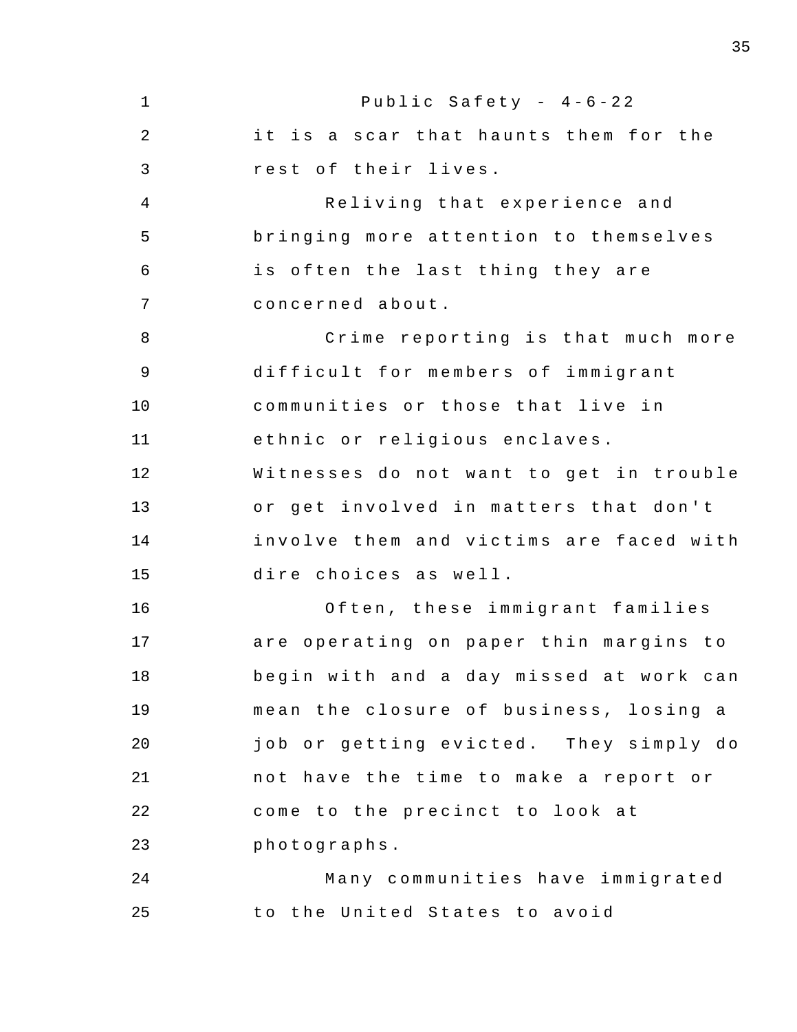1 2 3 4 5 6 7 8 9 10 11 12 13 14 15 16 17 18 19 20 21 22 23 24 25 Public Safety -  $4-6-22$ it is a scar that haunts them for the rest of their lives. Reliving that experience and bringing more attention to themselves is often the last thing they are concerned about . Crime reporting is that much more difficult for members of immigrant communities or those that live in ethnic or religious enclaves. Witnesses do not want to get in trouble or get involved in matters that don't involve them and victims are faced with dire choices as well. Often, these immigrant families are operating on paper thin margins to begin with and a day missed at work can mean the closure of business, losing a job or getting evicted. They simply do not have the time to make a report or come to the precinct to look at photographs . Many communities have immigrated to the United States to avoid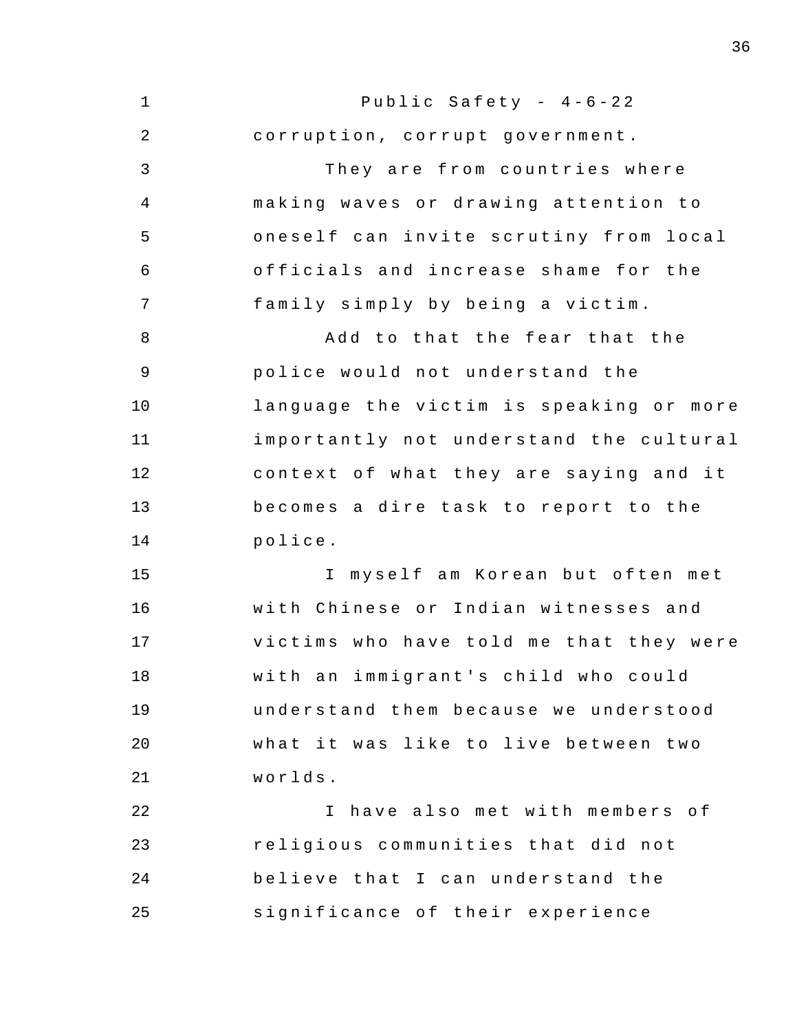| 1              | Public Safety - $4-6-22$                      |
|----------------|-----------------------------------------------|
| $\overline{2}$ | corruption, corrupt government.               |
| 3              | They are from countries where                 |
| $\overline{4}$ | making waves or drawing attention to          |
| 5              | oneself can invite scrutiny from local        |
| 6              | officials and increase shame for the          |
| 7              | family simply by being a victim.              |
| 8              | Add to that the fear that the                 |
| $\mathsf 9$    | police would not understand the               |
| 10             | language the victim is speaking or more       |
| 11             | importantly not understand the cultural       |
| 12             | context of what they are saying and it        |
| 13             | becomes a dire task to report to the          |
| 14             | police.                                       |
| 15             | I myself am Korean but often met              |
| 16             | with Chinese or Indian witnesses and          |
| 17             | victims who have told me that they were       |
| 18             | with an immigrant's child who could           |
| 19             | understand them because we understood         |
| 20             | what it was like to live between two          |
| 21             | worlds.                                       |
| 22             | have also met with members of<br>$\mathbf{I}$ |
| 23             | religious communities that did not            |
| 24             | believe that I can understand the             |
| 25             | significance of their experience              |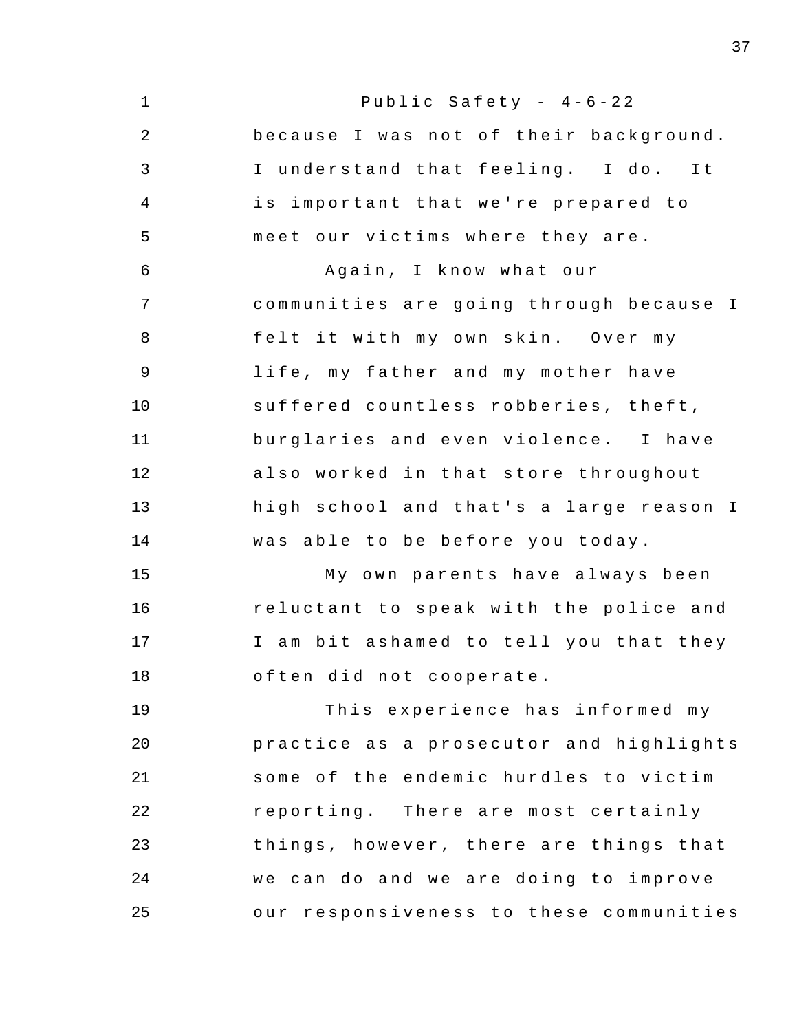| $\mathbf 1$  | Public Safety - $4-6-22$                |
|--------------|-----------------------------------------|
| 2            | because I was not of their background.  |
| $\mathsf{3}$ | I understand that feeling. I do. It     |
| 4            | important that we're prepared to<br>is  |
| 5            | meet our victims where they are.        |
| 6            | Again, I know what our                  |
| 7            | communities are going through because I |
| 8            | felt it with my own skin. Over my       |
| 9            | life, my father and my mother have      |
| 10           | suffered countless robberies, theft,    |
| 11           | burglaries and even violence. I have    |
| 12           | also worked in that store throughout    |
| 13           | high school and that's a large reason I |
| 14           | was able to be before you today.        |
| 15           | My own parents have always been         |
| 16           | reluctant to speak with the police and  |
| 17           | I am bit ashamed to tell you that they  |
| 18           | often did not cooperate.                |
| 19           | This experience has informed my         |
| 20           | practice as a prosecutor and highlights |
| 21           | some of the endemic hurdles to victim   |
| 22           | reporting. There are most certainly     |
| 23           | things, however, there are things that  |
| 24           | we can do and we are doing to improve   |
| 25           | our responsiveness to these communities |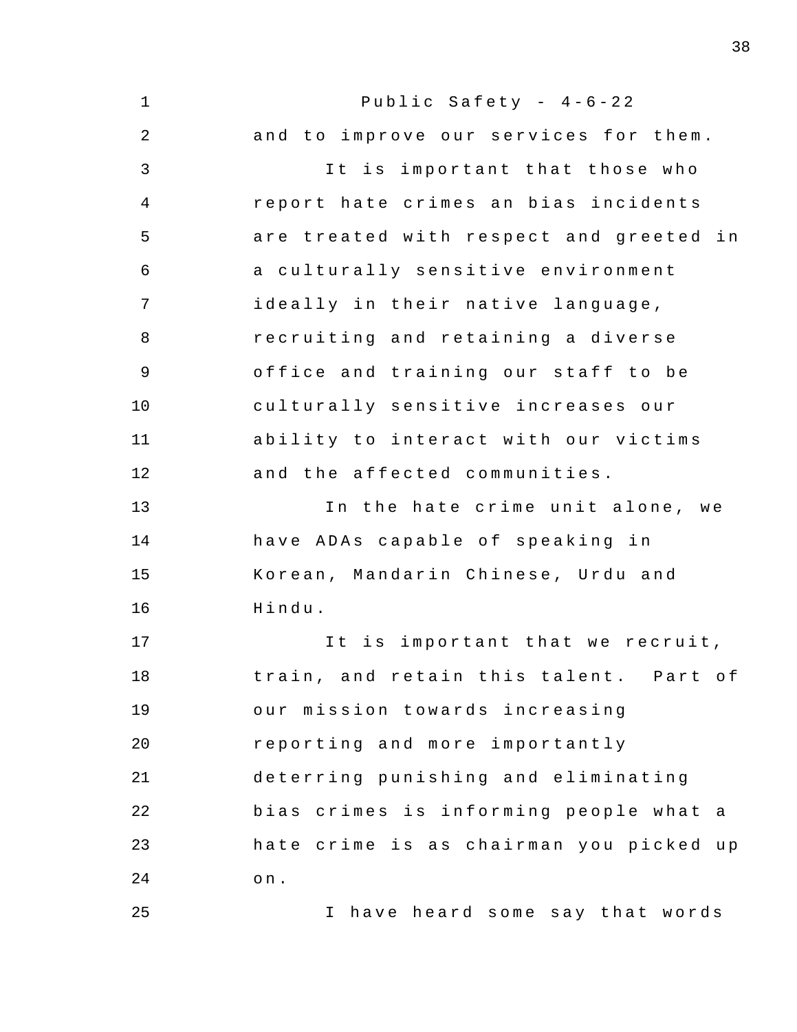| $\mathbf 1$  | Public Safety - $4-6-22$                    |
|--------------|---------------------------------------------|
| $\sqrt{2}$   | and to improve our services for them.       |
| $\mathbf{3}$ | It is important that those who              |
| 4            | report hate crimes an bias incidents        |
| 5            | are treated with respect and greeted in     |
| 6            | a culturally sensitive environment          |
| 7            | ideally in their native language,           |
| $\, 8$       | recruiting and retaining a diverse          |
| $\mathsf 9$  | office and training our staff to be         |
| 10           | culturally sensitive increases our          |
| 11           | ability to interact with our victims        |
| 12           | and the affected communities.               |
| 13           | In the hate crime unit alone, we            |
| 14           | have ADAs capable of speaking in            |
| 15           | Korean, Mandarin Chinese, Urdu and          |
| 16           | Hindu.                                      |
| 17           | It is important that we recruit,            |
| 18           | train, and retain this talent. Part of      |
| 19           | our mission towards increasing              |
| 20           | reporting and more importantly              |
| 21           | deterring punishing and eliminating         |
| 22           | bias crimes is informing people what<br>a a |
| 23           | hate crime is as chairman you picked up     |
| 24           | $\circ$ n .                                 |
| 25           | have heard some say that words<br>I.        |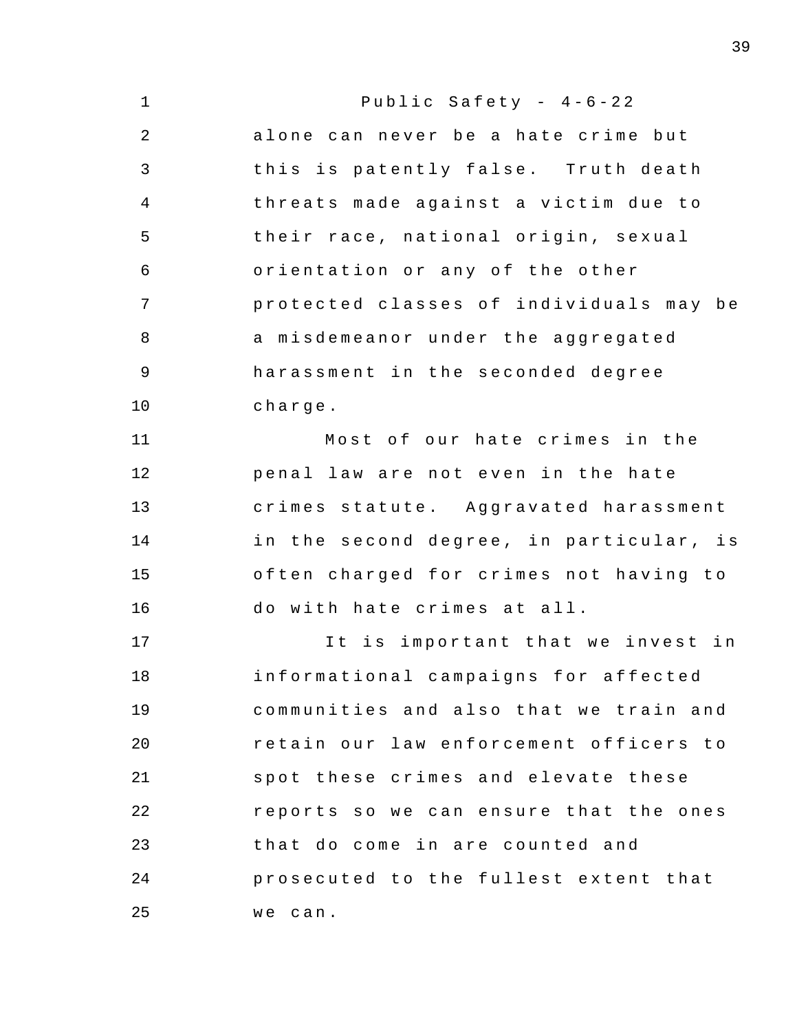| $\mathbf 1$ | Public Safety - $4-6-22$                |
|-------------|-----------------------------------------|
| 2           | alone can never be a hate crime but     |
| 3           | this is patently false. Truth death     |
| 4           | threats made against a victim due to    |
| 5           | their race, national origin, sexual     |
| 6           | orientation or any of the other         |
| 7           | protected classes of individuals may be |
| 8           | a misdemeanor under the aggregated      |
| $\mathsf 9$ | harassment in the seconded degree       |
| 10          | charge.                                 |
| 11          | Most of our hate crimes in the          |
| 12          | penal law are not even in the hate      |
| 13          | crimes statute. Aggravated harassment   |
| 14          | in the second degree, in particular, is |
| 15          | often charged for crimes not having to  |
| 16          | do with hate crimes at all.             |
| 17          | It is important that we invest in       |
| 18          | informational campaigns for affected    |
| 19          | communities and also that we train and  |
| 20          | retain our law enforcement officers to  |
| 21          | spot these crimes and elevate these     |
| 22          | reports so we can ensure that the ones  |
| 23          | that do come in are counted and         |
| 24          | prosecuted to the fullest extent that   |
| 25          | we can.                                 |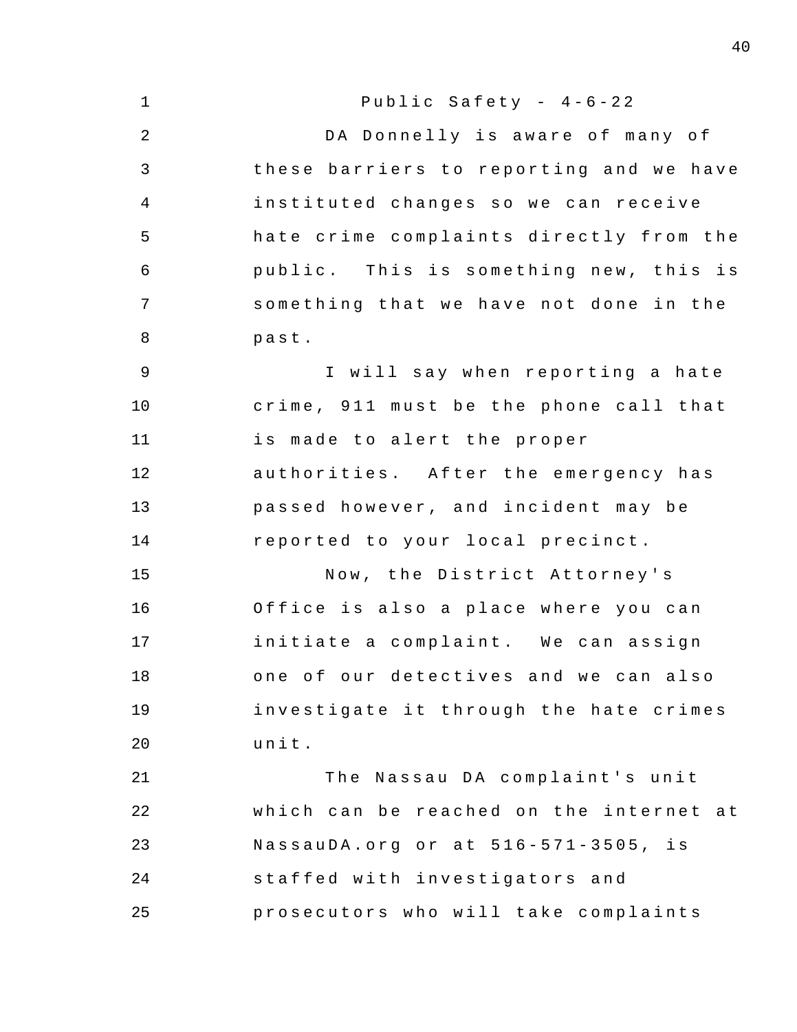1 2 3 4 5 6 7 8 9 10 11 12 13 14 15 16 17 18 19  $20^{\circ}$ 21 22 23 24 25 Public Safety -  $4-6-22$ DA Donnelly is aware of many of these barriers to reporting and we have instituted changes so we can receive hate crime complaints directly from the public. This is something new, this is something that we have not done in the past . I will say when reporting a hate crime, 911 must be the phone call that is made to alert the proper authorities. After the emergency has passed however, and incident may be reported to your local precinct. Now , the District Attorney ' s Office is also a place where you can initiate a complaint. We can assign one of our detectives and we can also investigate it through the hate crimes unit . The Nassau DA complaint's unit which can be reached on the internet at NassauDA.org or at 516-571-3505, is staffed with investigators and prosecutors who will take complaints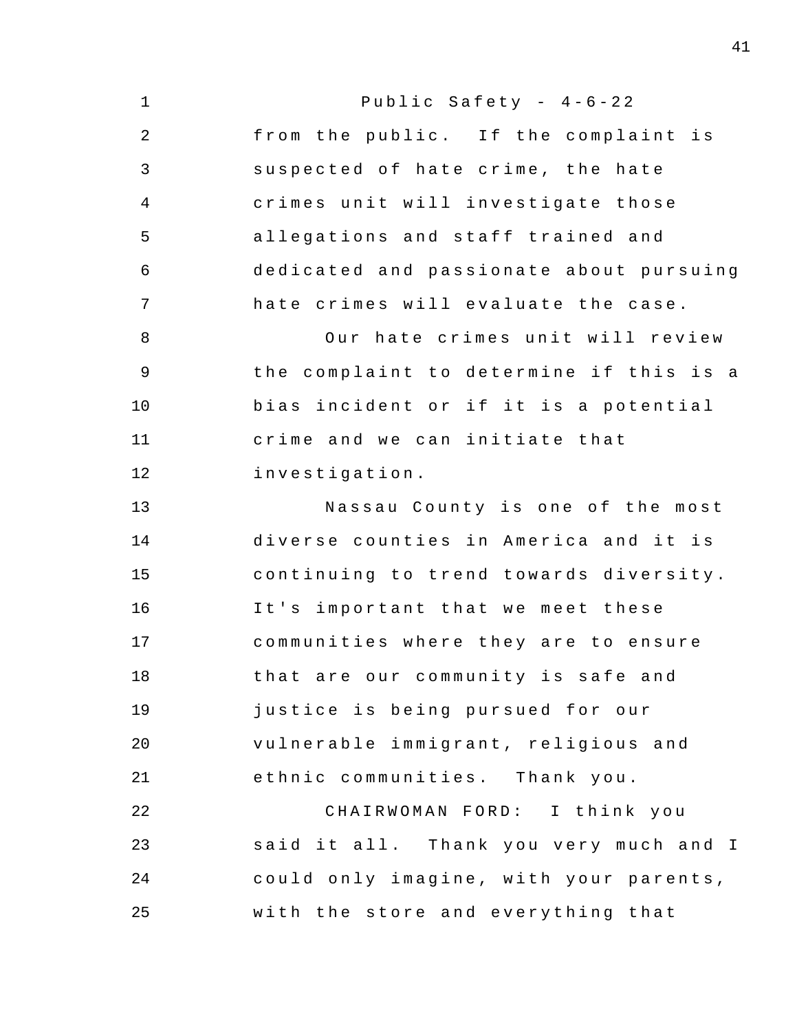1 2 3 4 5 6 7 8 9 10 11 12 13 14 15 16 17 18 19 20 21 22 23 24 25 Public Safety -  $4-6-22$ from the public. If the complaint is suspected of hate crime, the hate crimes unit will investigate those allegations and staff trained and dedicated and passionate about pursuing hate crimes will evaluate the case . Our hate crimes unit will review the complaint to determine if this is a bias incident or if it is a potential crime and we can initiate that investigation . Nassau County is one of the most diverse counties in America and it is continuing to trend towards diversity. It's important that we meet these communities where they are to ensure that are our community is safe and justice is being pursued for our vulnerable immigrant, religious and ethnic communities. Thank you. CHAIRWOMAN FORD: I think you said it all. Thank you very much and I could only imagine, with your parents, with the store and everything that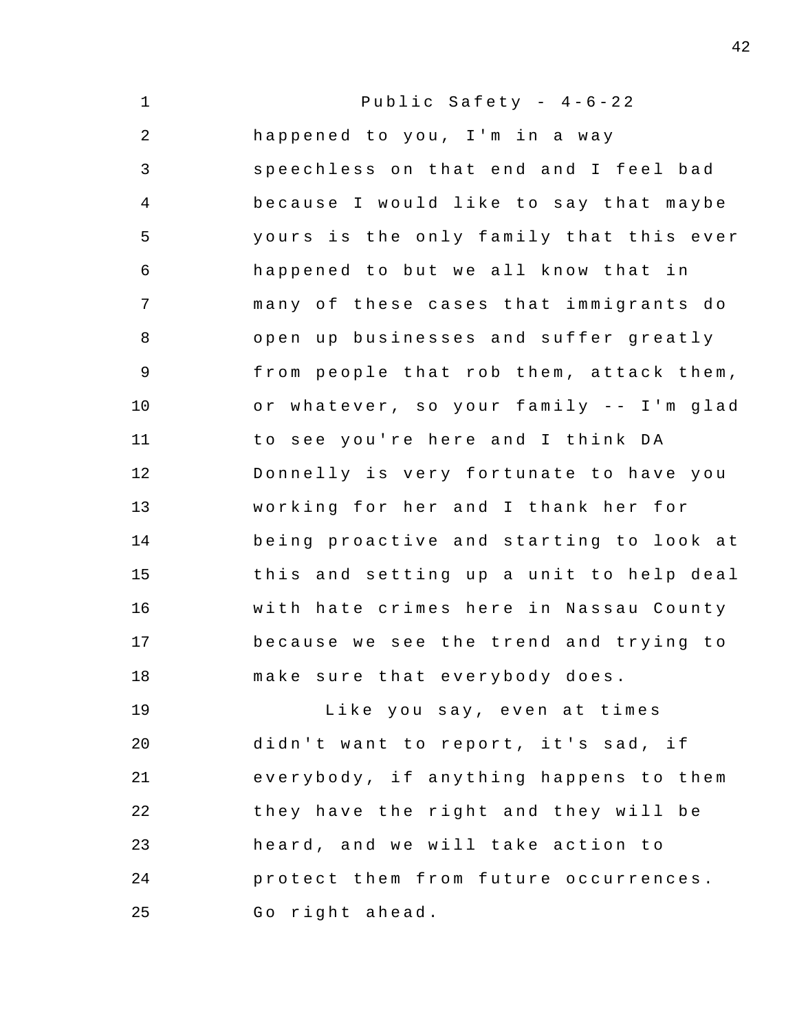| $\mathbf 1$    | Public Safety - $4-6-22$                |
|----------------|-----------------------------------------|
| $\overline{a}$ | happened to you, I'm in a way           |
| $\mathsf{3}$   | speechless on that end and I feel bad   |
| $\overline{4}$ | because I would like to say that maybe  |
| 5              | yours is the only family that this ever |
| 6              | happened to but we all know that in     |
| 7              | many of these cases that immigrants do  |
| 8              | open up businesses and suffer greatly   |
| 9              | from people that rob them, attack them, |
| 10             | or whatever, so your family -- I'm glad |
| 11             | to see you're here and I think DA       |
| 12             | Donnelly is very fortunate to have you  |
| 13             | working for her and I thank her for     |
| 14             | being proactive and starting to look at |
| 15             | this and setting up a unit to help deal |
| 16             | with hate crimes here in Nassau County  |
| 17             | because we see the trend and trying to  |
| 18             | make sure that everybody does.          |
| 19             | Like you say, even at times             |
| 20             | didn't want to report, it's sad, if     |
| 21             | everybody, if anything happens to them  |
| 22             | they have the right and they will be    |
| 23             | heard, and we will take action to       |

24 25 protect them from future occurrences. Go right ahead.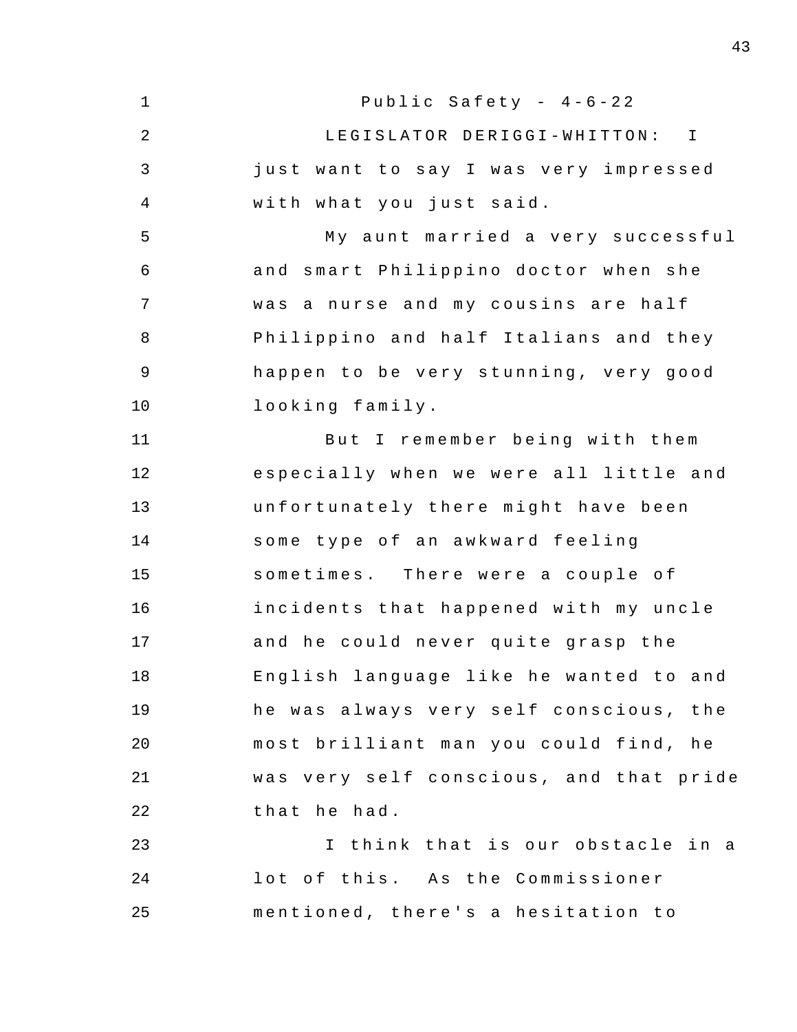1 2 3 4 5 6 7 8 9 10 11 12 13 14 15 16 17 18 19 20 21 22 23 24 25 Public Safety -  $4-6-22$ LEGISLATOR DERIGGI-WHITTON: I just want to say I was very impressed with what you just said. My aunt married a very successful and smart Philippino doctor when she was a nurse and my cousins are half Philippino and half Italians and they happen to be very stunning, very good looking family . But I remember being with them especially when we were all little and unfortunately there might have been some type of an awkward feeling sometimes. There were a couple of incidents that happened with my uncle and he could never quite grasp the English language like he wanted to and he was always very self conscious, the most brilliant man you could find, he was very self con scious , and that pride that he had. I think that is our obstacle in a lot of this. As the Commissioner mentioned, there's a hesitation to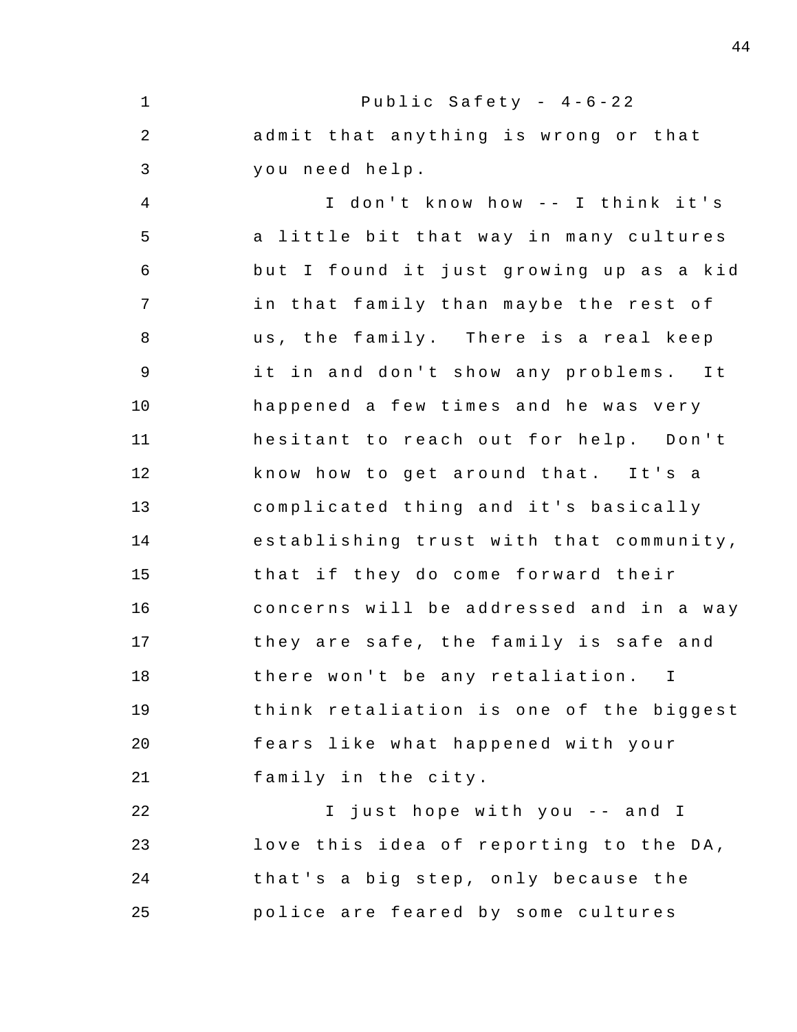1 2 3 4 5 6 7 8 9 10 11 12 13 14 15 16 17 18 19 20 21 22 23 24 25 Public Safety -  $4-6-22$ admit that anything is wrong or that you need help . I don't know how -- I think it's a little bit that way in many cultures but I found it just growing up as a kid in that family than maybe the rest of us, the family. There is a real keep it in and don't show any problems. It happened a few times and he was very hesitant to reach out for help. Don't know how to get around that. It's a complicated thing and it's basically establishing trust with that community , that if they do come forward their concerns will be addressed and in a way they are safe, the family is safe and there won't be any retaliation. I think retaliation is one of the biggest fears like what happened with your family in the city. I just hope with you -- and I love this idea of reporting to the DA, that's a big step, only because the police are feared by some cultures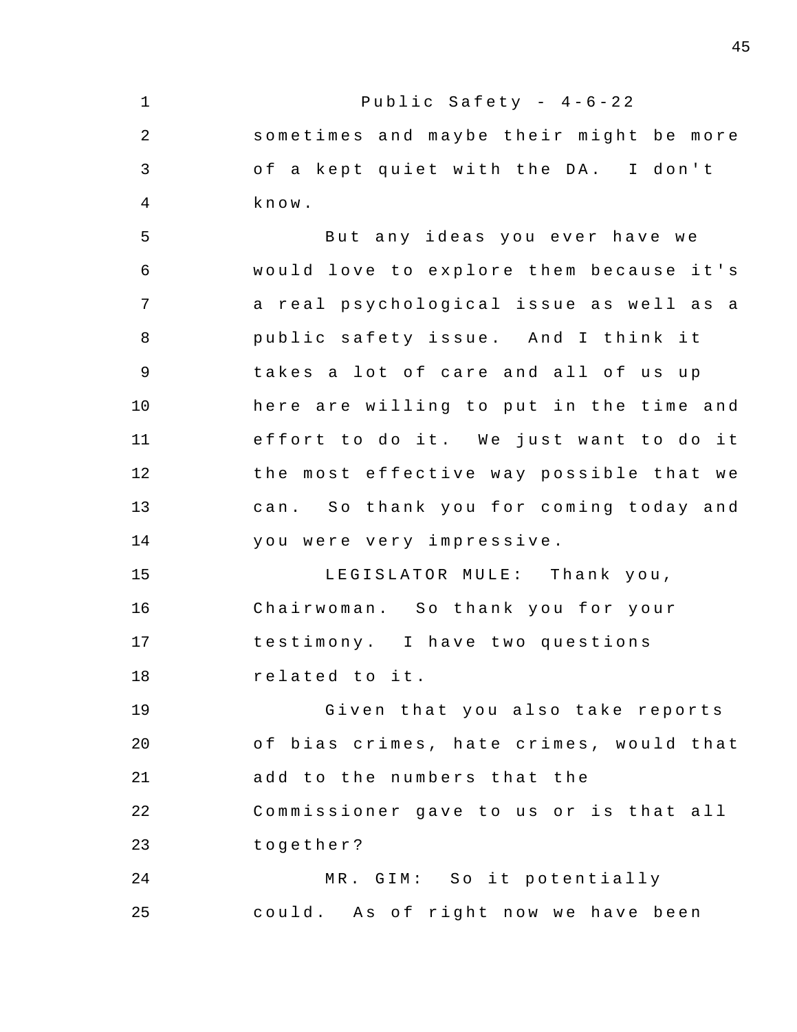1 2 3 4 5 6 7 8 9 10 11 12 13 14 15 16 17 18 19 20 21 22 23 24 25 Public Safety -  $4-6-22$ sometimes and maybe their might be more of a kept quiet with the DA. I don't know . But any ideas you ever have we would love to explore them because it's a real psychological issue as well as a public safety issue. And I think it takes a lot of care and all of us up here are willing to put in the time and effort to do it. We just want to do it the most effective way possible that we can. So thank you for coming today and you were very impressive . LEGISLATOR MULE: Thank you, Chairwoman. So thank you for your testimony . I have two questions related to it. Given that you also take reports of bias crimes, hate crimes, would that add to the numbers that the Commissioner gave to us or is that all together ? MR. GIM: So it potentially could. As of right now we have been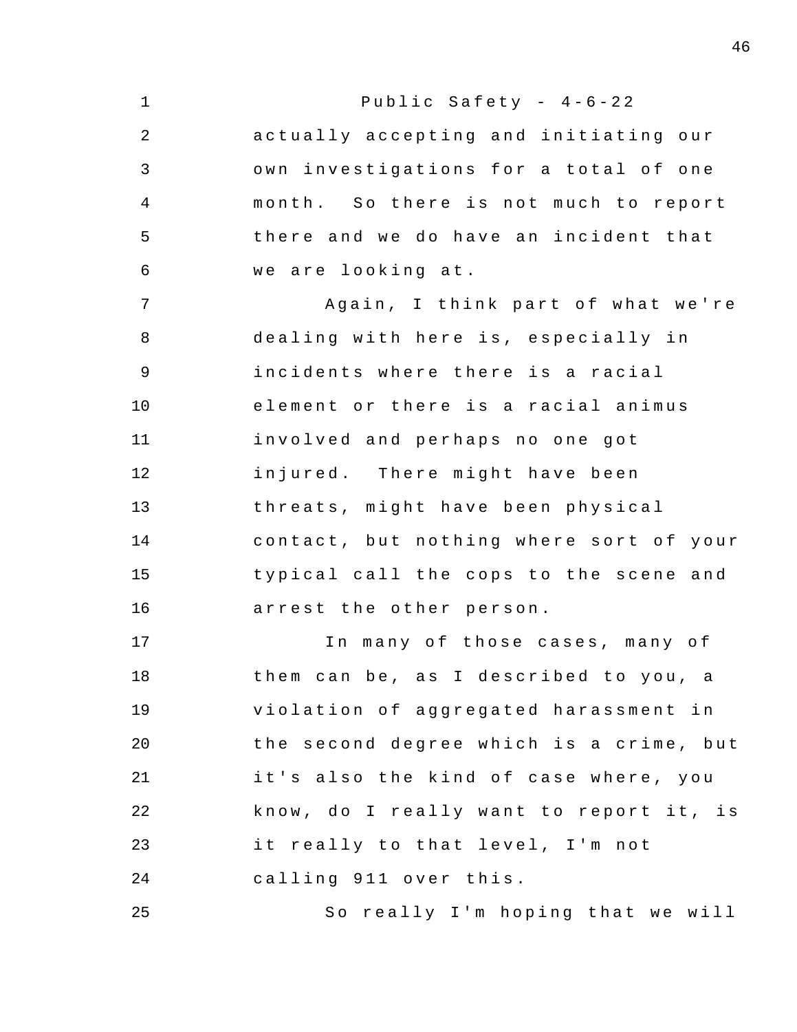| $\mathbf 1$    | Public Safety - $4-6-22$                |
|----------------|-----------------------------------------|
| $\sqrt{2}$     | actually accepting and initiating our   |
| $\mathfrak{Z}$ | own investigations for a total of one   |
| $\overline{4}$ | month. So there is not much to report   |
| 5              | there and we do have an incident that   |
| 6              | we are looking at.                      |
| 7              | Again, I think part of what we're       |
| 8              | dealing with here is, especially in     |
| 9              | incidents where there is a racial       |
| 10             | element or there is a racial animus     |
| 11             | involved and perhaps no one got         |
| 12             | injured. There might have been          |
| 13             | threats, might have been physical       |
| 14             | contact, but nothing where sort of your |
| 15             | typical call the cops to the scene and  |
| 16             | arrest the other person.                |
| 17             | In many of those cases, many of         |
| 18             | them can be, as I described to you, a   |
| 19             | violation of aggregated harassment in   |
| 20             | the second degree which is a crime, but |
| 21             | it's also the kind of case where, you   |
| 22             | know, do I really want to report it, is |
| 23             | it really to that level, I'm not        |
| 24             | calling 911 over this.                  |
| 25             | So really I'm hoping that we will       |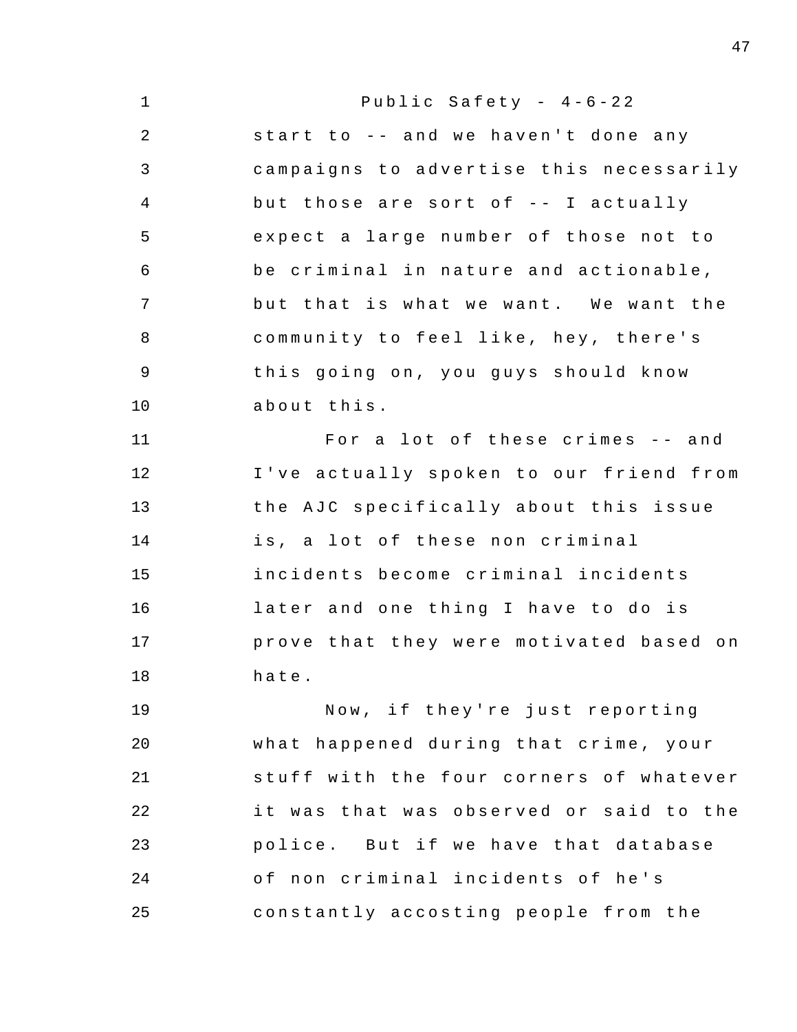| $\mathbf 1$    | Public Safety - $4-6-22$                |
|----------------|-----------------------------------------|
| 2              | start to -- and we haven't done any     |
| 3              | campaigns to advertise this necessarily |
| $\overline{4}$ | but those are sort of -- I actually     |
| 5              | expect a large number of those not to   |
| 6              | be criminal in nature and actionable,   |
| $7\phantom{.}$ | but that is what we want. We want the   |
| 8              | community to feel like, hey, there's    |
| $\mathsf 9$    | this going on, you guys should know     |
| 10             | about this.                             |
| 11             | For a lot of these crimes -- and        |
| 12             | I've actually spoken to our friend from |
| 13             | the AJC specifically about this issue   |
| 14             | is, a lot of these non criminal         |
| 15             | incidents become criminal incidents     |
| 16             | later and one thing I have to do is     |
| 17             | prove that they were motivated based on |
| 18             | hate.                                   |
| 19             | Now, if they're just reporting          |
| 20             | what happened during that crime, your   |
| 21             | stuff with the four corners of whatever |
| 22             | it was that was observed or said to the |
| 23             | police. But if we have that database    |
| 24             | of non criminal incidents of he's       |
| 25             | constantly accosting people from the    |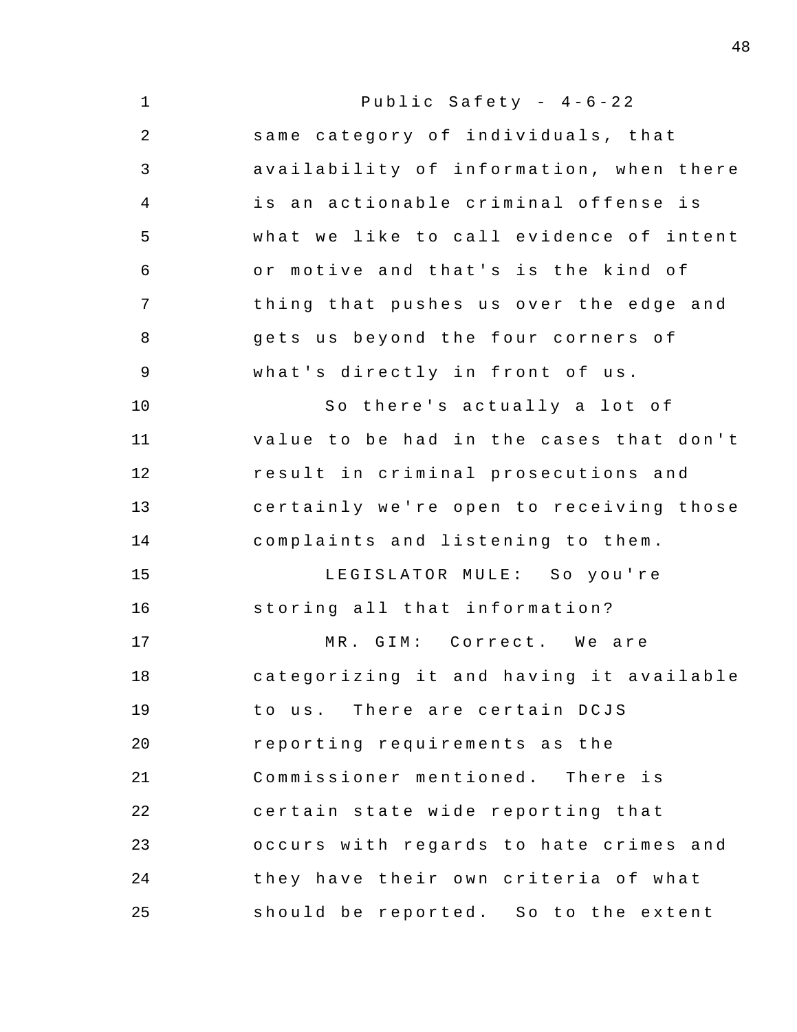| $\mathbf 1$    | Public Safety - $4-6-22$                |
|----------------|-----------------------------------------|
| $\overline{2}$ | same category of individuals, that      |
| 3              | availability of information, when there |
| $\overline{4}$ | is an actionable criminal offense is    |
| 5              | what we like to call evidence of intent |
| 6              | or motive and that's is the kind of     |
| 7              | thing that pushes us over the edge and  |
| 8              | gets us beyond the four corners of      |
| 9              | what's directly in front of us.         |
| 10             | So there's actually a lot of            |
| 11             | value to be had in the cases that don't |
| 12             | result in criminal prosecutions and     |
| 13             | certainly we're open to receiving those |
| 14             | complaints and listening to them.       |
| 15             | LEGISLATOR MULE: So you're              |
| 16             | storing all that information?           |
| 17             | MR. GIM: Correct. We are                |
| 18             | categorizing it and having it available |
| 19             | to us. There are certain DCJS           |
| 20             | reporting requirements as the           |
| 21             | Commissioner mentioned. There is        |
| 22             | certain state wide reporting that       |
| 23             | occurs with regards to hate crimes and  |
| 24             | they have their own criteria of what    |
| 25             | should be reported. So to the extent    |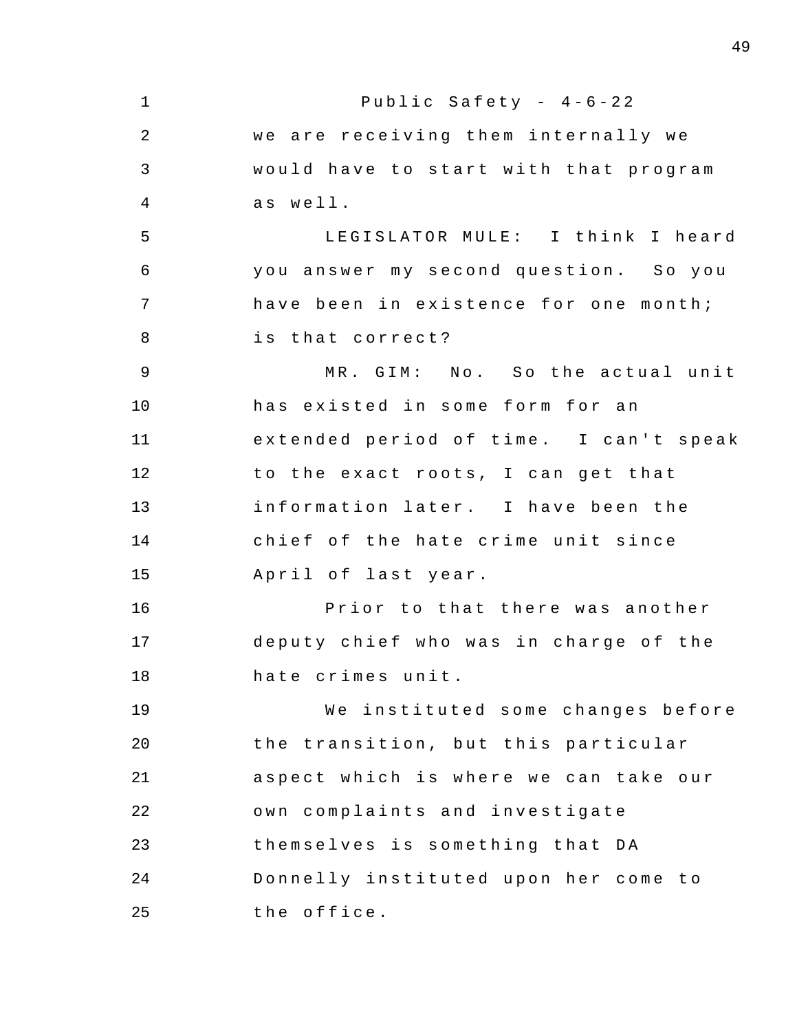1 2 3 4 5 6 7 8 9 10 11 12 13 14 15 16 17 18 19 20 21 22 23 24 25 Public Safety -  $4-6-22$ we are receiving them internally we would have to start with that program as well. LEGISLATOR MULE: I think I heard you answer my second question. So you have been in existence for one month; is that correct? MR. GIM: No. So the actual unit has existed in some form for an extended period of time. I can't speak to the exact roots, I can get that information later. I have been the chief of the hate crime unit since April of last year. Prior to that there was another deputy chief who was in charge of the hate crimes unit . We instituted some changes before the transition, but this particular aspect which is where we can take our own complaints and investigate themselves is something that DA Donnelly instituted upon her come to the office .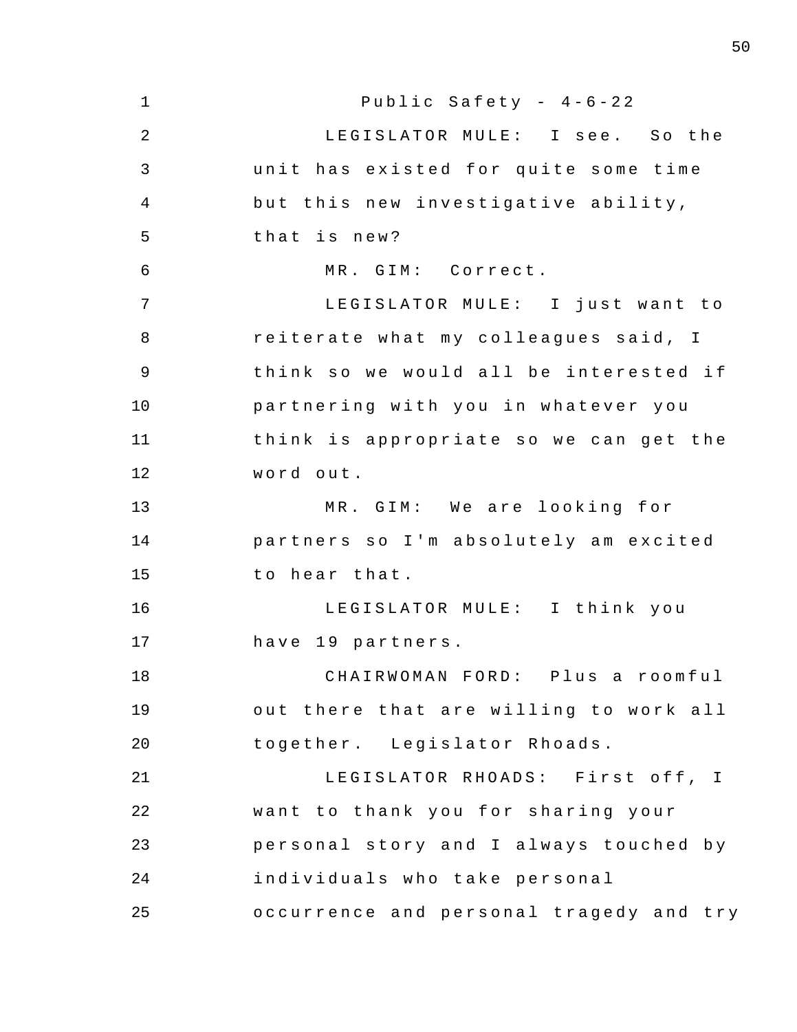| $1\,$          | Public Safety - $4-6-22$                |
|----------------|-----------------------------------------|
| $\sqrt{2}$     | LEGISLATOR MULE: I see. So the          |
| 3              | unit has existed for quite some time    |
| $\overline{4}$ | but this new investigative ability,     |
| 5              | that is new?                            |
| 6              | MR. GIM: Correct.                       |
| 7              | LEGISLATOR MULE: I just want to         |
| 8              | reiterate what my colleagues said, I    |
| 9              | think so we would all be interested if  |
| 10             | partnering with you in whatever you     |
| 11             | think is appropriate so we can get the  |
| 12             | word out.                               |
| 13             | MR. GIM: We are looking for             |
| 14             | partners so I'm absolutely am excited   |
| 15             | to hear that.                           |
| 16             | LEGISLATOR MULE: I think you            |
| 17             | have 19 partners.                       |
| 18             | CHAIRWOMAN FORD: Plus a roomful         |
| 19             | out there that are willing to work all  |
| 20             | together. Legislator Rhoads.            |
| 21             | LEGISLATOR RHOADS: First off, I         |
| 22             | want to thank you for sharing your      |
| 23             | personal story and I always touched by  |
| 24             | individuals who take personal           |
| 25             | occurrence and personal tragedy and try |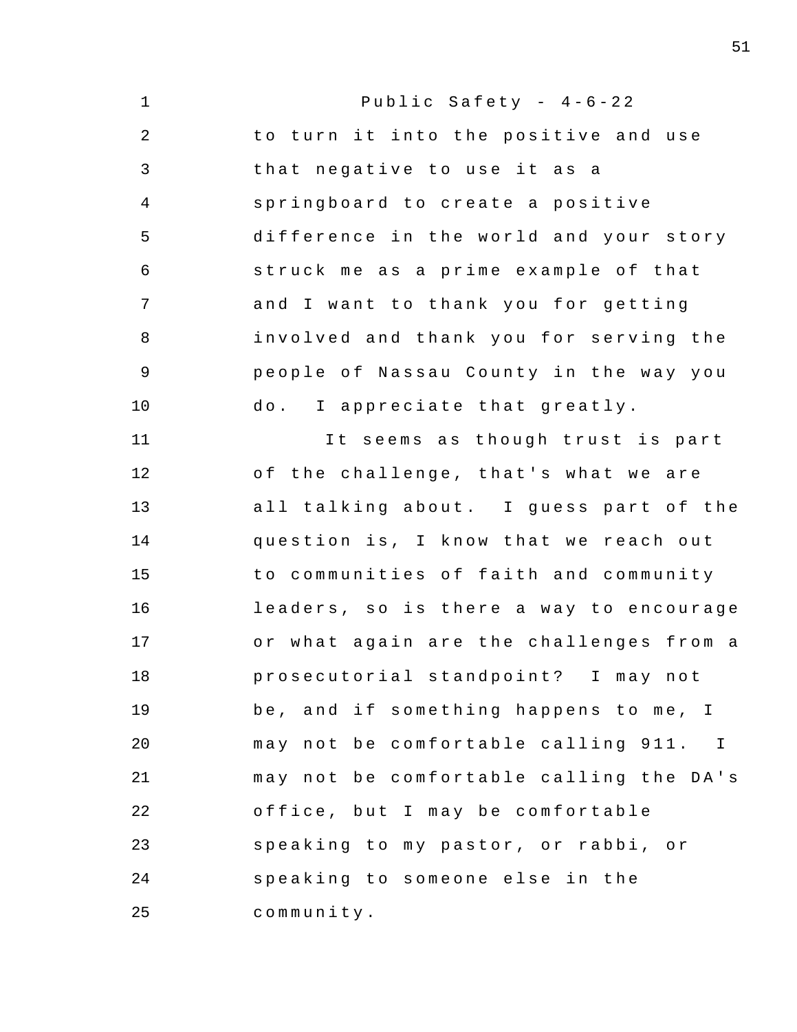| $\mathbf{1}$   | Public Safety - $4-6-22$                |
|----------------|-----------------------------------------|
| $\overline{2}$ | to turn it into the positive and use    |
| 3              | that negative to use it as a            |
| $\overline{4}$ | springboard to create a positive        |
| 5              | difference in the world and your story  |
| 6              | struck me as a prime example of that    |
| 7              | and I want to thank you for getting     |
| 8              | involved and thank you for serving the  |
| 9              | people of Nassau County in the way you  |
| 10             | do. I appreciate that greatly.          |
| 11             | It seems as though trust is part        |
| 12             | of the challenge, that's what we are    |
| 13             | all talking about. I guess part of the  |
| 14             | question is, I know that we reach out   |
| 15             | to communities of faith and community   |
| 16             | leaders, so is there a way to encourage |
| 17             | or what again are the challenges from a |
| 18             | prosecutorial standpoint? I may not     |
| 19             | be, and if something happens to me, I   |
| 20             | may not be comfortable calling 911. I   |
| 21             | may not be comfortable calling the DA's |
| 22             | office, but I may be comfortable        |
| 23             | speaking to my pastor, or rabbi, or     |
| 24             | speaking to someone else in the         |
| 25             | community.                              |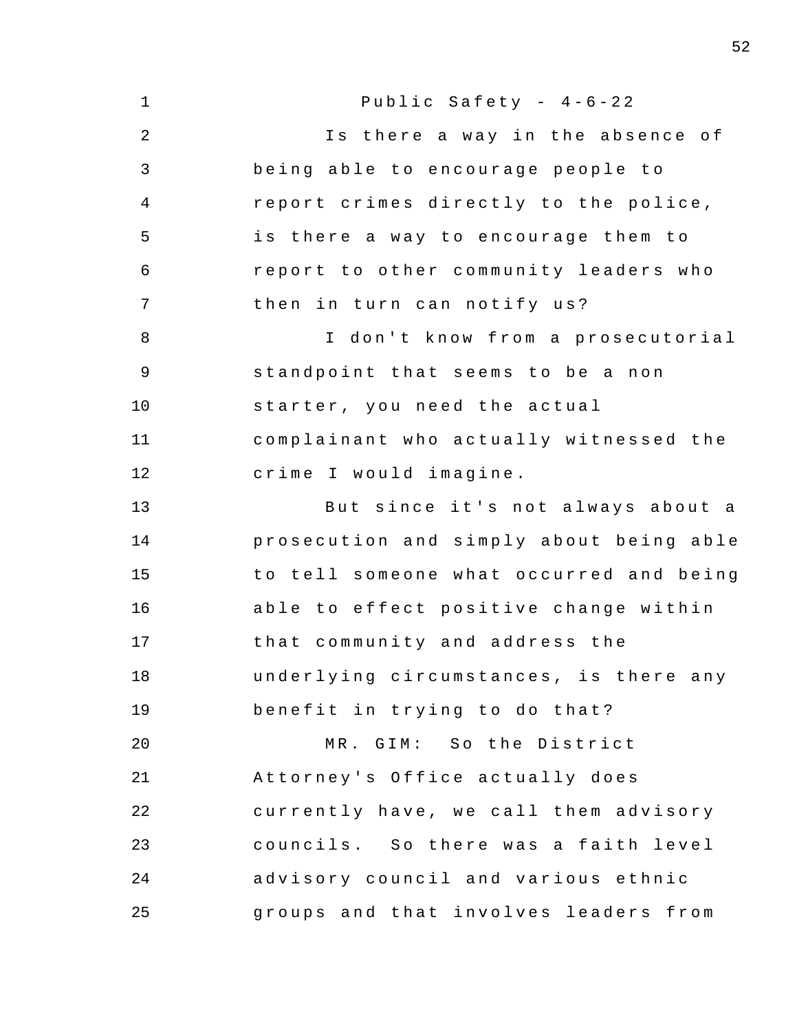| $\mathbf 1$    | Public Safety - $4-6-22$                |
|----------------|-----------------------------------------|
| 2              | Is there a way in the absence of        |
| 3              | being able to encourage people to       |
| 4              | report crimes directly to the police,   |
| 5              | is there a way to encourage them to     |
| 6              | report to other community leaders who   |
| 7              | then in turn can notify us?             |
| 8              | I don't know from a prosecutorial       |
| $\overline{9}$ | standpoint that seems to be a non       |
| 10             | starter, you need the actual            |
| 11             | complainant who actually witnessed the  |
| 12             | crime I would imagine.                  |
| 13             | But since it's not always about a       |
| 14             | prosecution and simply about being able |
| 15             | to tell someone what occurred and being |
| 16             | able to effect positive change within   |
| 17             | that community and address the          |
| 18             | underlying circumstances, is there any  |
| 19             | benefit in trying to do that?           |
| 20             | MR. GIM: So the District                |
| 21             | Attorney's Office actually does         |
| 22             | currently have, we call them advisory   |
| 23             | councils. So there was a faith level    |
| 24             | advisory council and various ethnic     |
| 25             | groups and that involves leaders from   |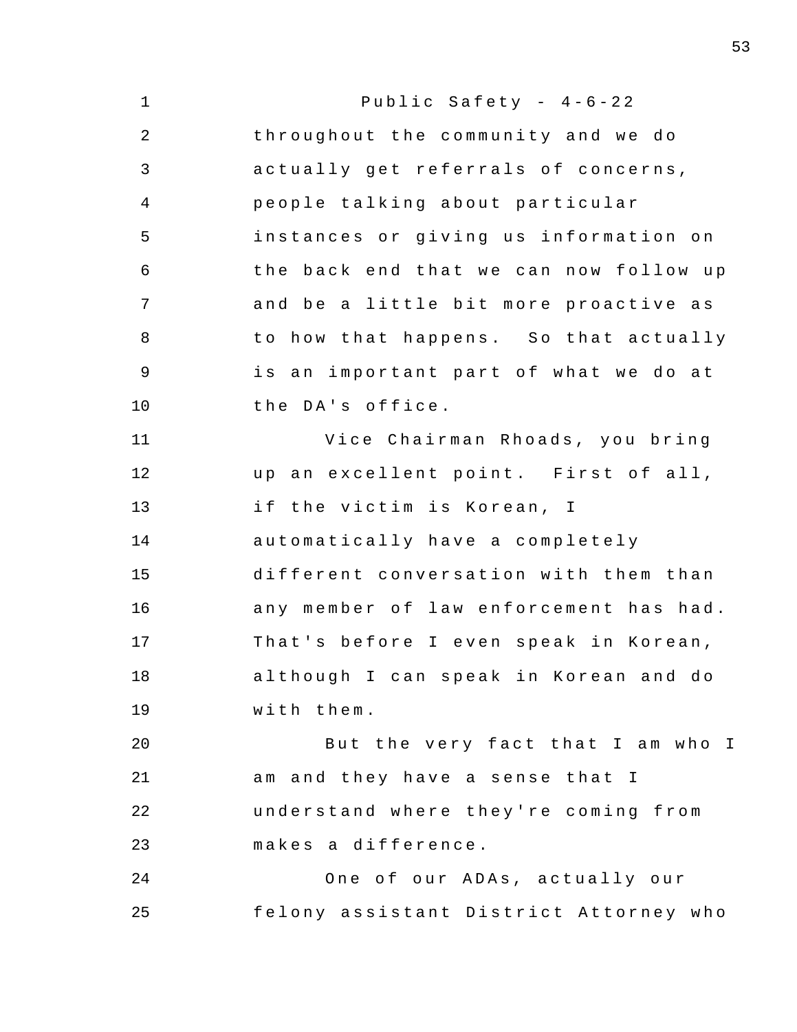| $\mathbf 1$    | Public Safety - $4-6-22$               |
|----------------|----------------------------------------|
| $\overline{2}$ | throughout the community and we do     |
| 3              | actually get referrals of concerns,    |
| 4              | people talking about particular        |
| 5              | instances or giving us information on  |
| 6              | the back end that we can now follow up |
| 7              | and be a little bit more proactive as  |
| 8              | to how that happens. So that actually  |
| 9              | is an important part of what we do at  |
| 10             | the DA's office.                       |
| 11             | Vice Chairman Rhoads, you bring        |
| 12             | up an excellent point. First of all,   |
| 13             | if the victim is Korean, I             |
| 14             | automatically have a completely        |
| 15             | different conversation with them than  |
| 16             | any member of law enforcement has had. |
| 17             | That's before I even speak in Korean,  |
| 18             | although I can speak in Korean and do  |
| 19             | with them.                             |
| 20             | But the very fact that I am who I      |
| 21             | am and they have a sense that I        |
| 22             | understand where they're coming from   |
| 23             | makes a difference.                    |
| 24             | One of our ADAs, actually our          |
| 25             | felony assistant District Attorney who |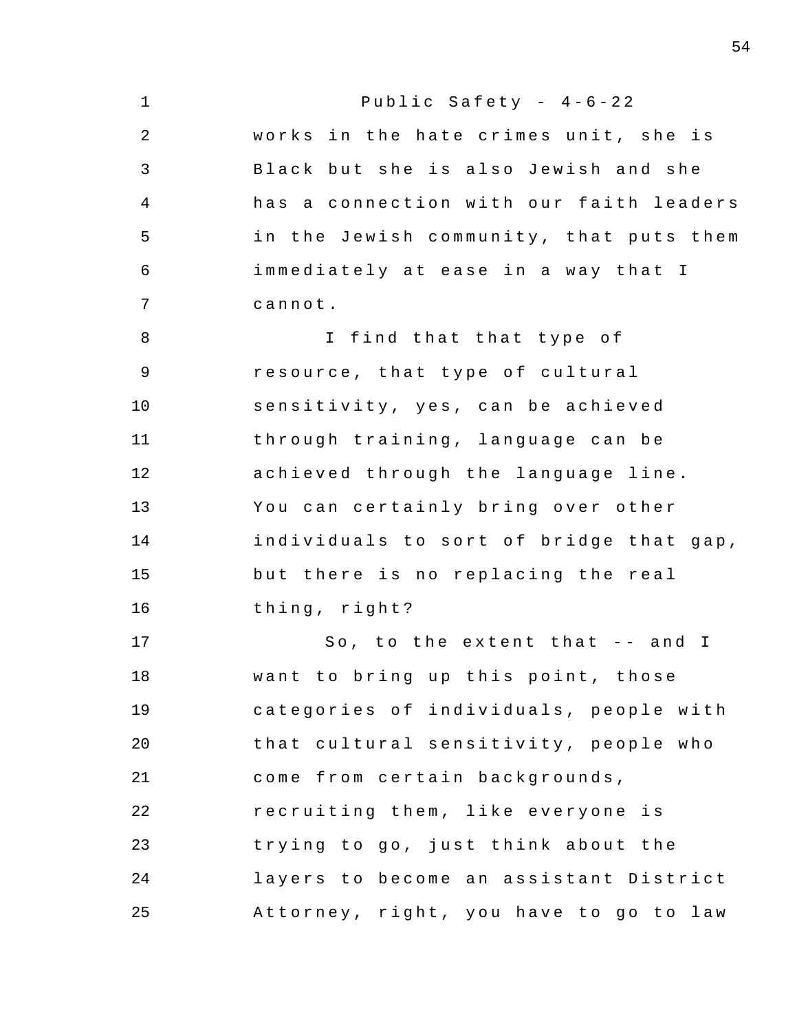| $\mathbf 1$    | Public Safety - $4-6-22$                |
|----------------|-----------------------------------------|
| $\overline{2}$ | works in the hate crimes unit, she is   |
| 3              | Black but she is also Jewish and she    |
| 4              | has a connection with our faith leaders |
| 5              | in the Jewish community, that puts them |
| 6              | immediately at ease in a way that I     |
| 7              | cannot.                                 |
| 8              | I find that that type of                |
| $\mathsf 9$    | resource, that type of cultural         |
| 10             | sensitivity, yes, can be achieved       |
| 11             | through training, language can be       |
| 12             | achieved through the language line.     |
| 13             | You can certainly bring over other      |
| 14             | individuals to sort of bridge that gap, |
| 15             | but there is no replacing the real      |
| 16             | thing, right?                           |
| 17             | So, to the extent that -- and I         |
| 18             | want to bring up this point, those      |
| 19             | categories of individuals, people with  |
| 20             | that cultural sensitivity, people who   |
| 21             | come from certain backgrounds,          |
| 22             | recruiting them, like everyone is       |
| 23             | trying to go, just think about the      |
| 24             | layers to become an assistant District  |
| 25             | Attorney, right, you have to go to law  |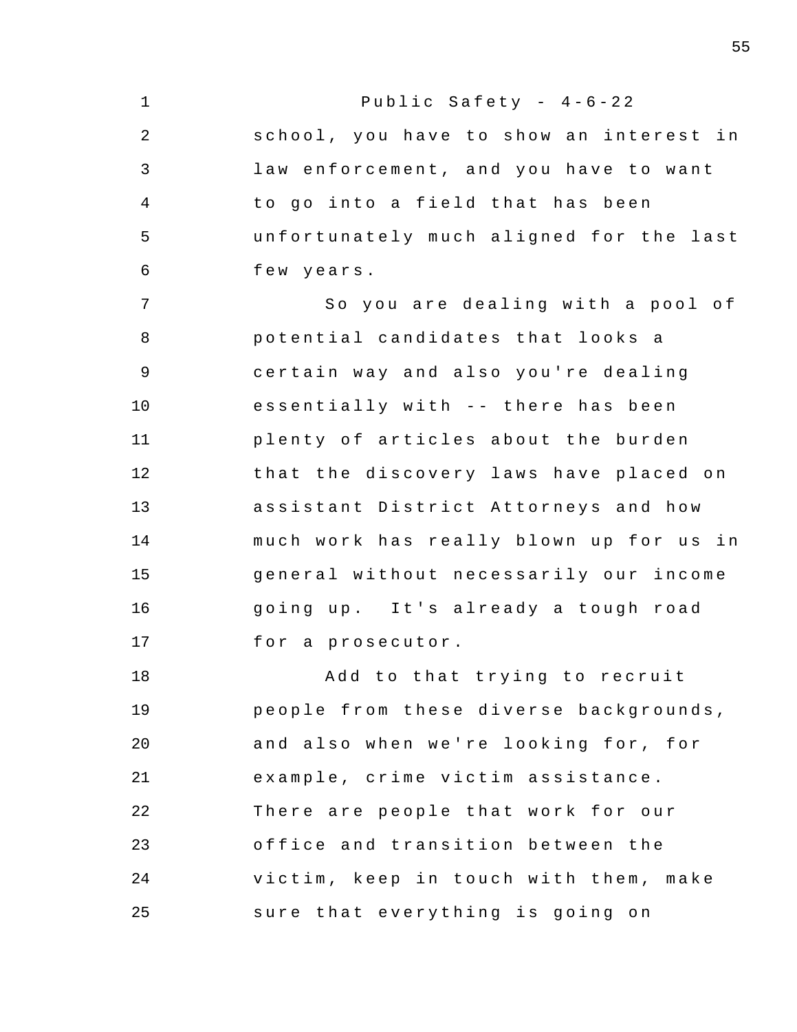1 2 3 4 5 6 7 8 9 10 11 12 13 14 15 16 17 18 19  $20^{\circ}$ 21 22 23 24 25 Public Safety -  $4-6-22$ school, you have to show an interest in law enforcement, and you have to want to go into a field that has been unfortunately much aligned for the last few years . So you are dealing with a pool of potential candidates that looks a certain way and also you're dealing essentially with -- there has been plenty of articles about the burden that the discovery laws have placed on assistant District Attorneys and how much work has really blown up for us in general without necessarily our income going up. It's already a tough road for a prosecutor . Add to that trying to recruit people from these diverse backgrounds , and also when we're looking for, for example, crime victim assistance. There are people that work for our office and transition between the victim, keep in touch with them, make sure that everything is going on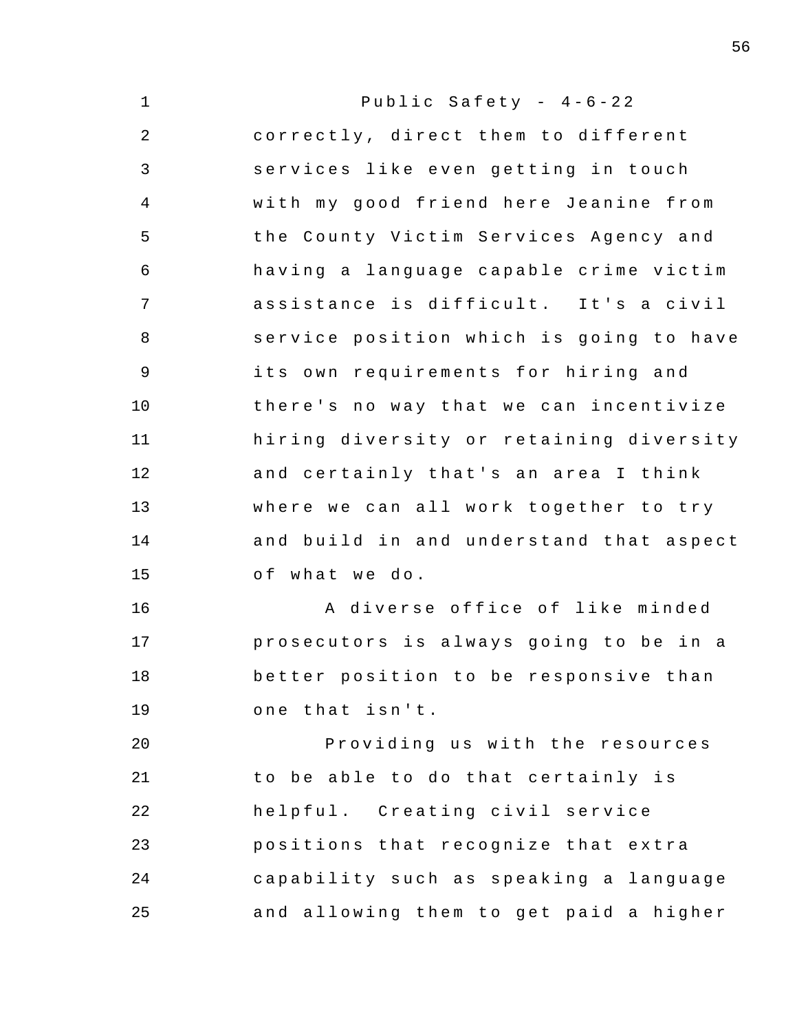| $\mathbf{1}$   | Public Safety - $4-6-22$                |
|----------------|-----------------------------------------|
| $\overline{2}$ | correctly, direct them to different     |
| 3              | services like even getting in touch     |
| $\overline{4}$ | with my good friend here Jeanine from   |
| 5              | the County Victim Services Agency and   |
| 6              | having a language capable crime victim  |
| 7              | assistance is difficult. It's a civil   |
| 8              | service position which is going to have |
| $\overline{9}$ | its own requirements for hiring and     |
| 10             | there's no way that we can incentivize  |
| 11             | hiring diversity or retaining diversity |
| 12             | and certainly that's an area I think    |
| 13             | where we can all work together to try   |
| 14             | and build in and understand that aspect |
| 15             | of what we do.                          |
| 16             | A diverse office of like minded         |
| 17             | prosecutors is always going to be in a  |
| 18             | better position to be responsive than   |
| 19             | one that isn't.                         |
| 20             | Providing us with the resources         |
| 21             | to be able to do that certainly is      |
| 22             | helpful. Creating civil service         |
| 23             | positions that recognize that extra     |
| 24             | capability such as speaking a language  |
| 25             | and allowing them to get paid a higher  |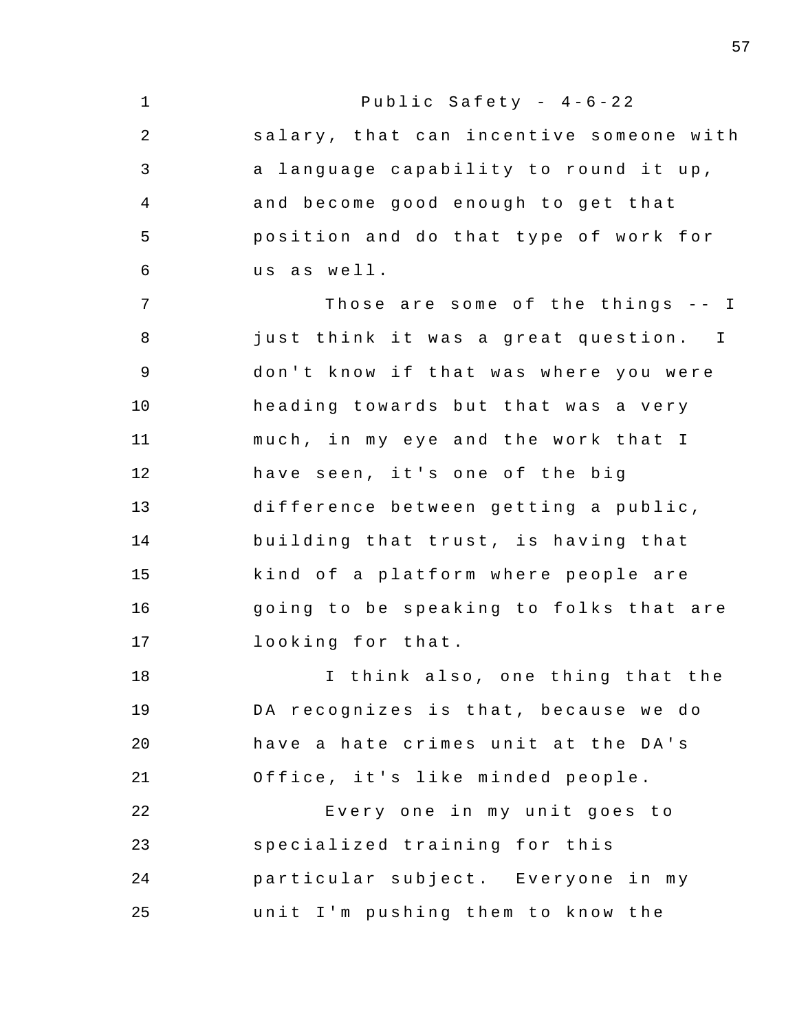| $\mathbf 1$    | Public Safety - $4-6-22$                |
|----------------|-----------------------------------------|
| $\overline{2}$ | salary, that can incentive someone with |
| 3              | a language capability to round it up,   |
| 4              | and become good enough to get that      |
| 5              | position and do that type of work for   |
| 6              | us as well.                             |
| 7              | Those are some of the things -- I       |
| 8              | just think it was a great question. I   |
| $\mathsf 9$    | don't know if that was where you were   |
| 10             | heading towards but that was a very     |
| 11             | much, in my eye and the work that I     |
| 12             | have seen, it's one of the big          |
| 13             | difference between getting a public,    |
| 14             | building that trust, is having that     |
| 15             | kind of a platform where people are     |
| 16             | going to be speaking to folks that are  |
| 17             | looking for that.                       |
| 18             | I think also, one thing that the        |
| 19             | DA recognizes is that, because we do    |
| 20             | have a hate crimes unit at the DA's     |
| 21             | Office, it's like minded people.        |
| 22             | Every one in my unit goes to            |
| 23             | specialized training for this           |
| 24             | particular subject. Everyone in my      |
| 25             | unit I'm pushing them to know the       |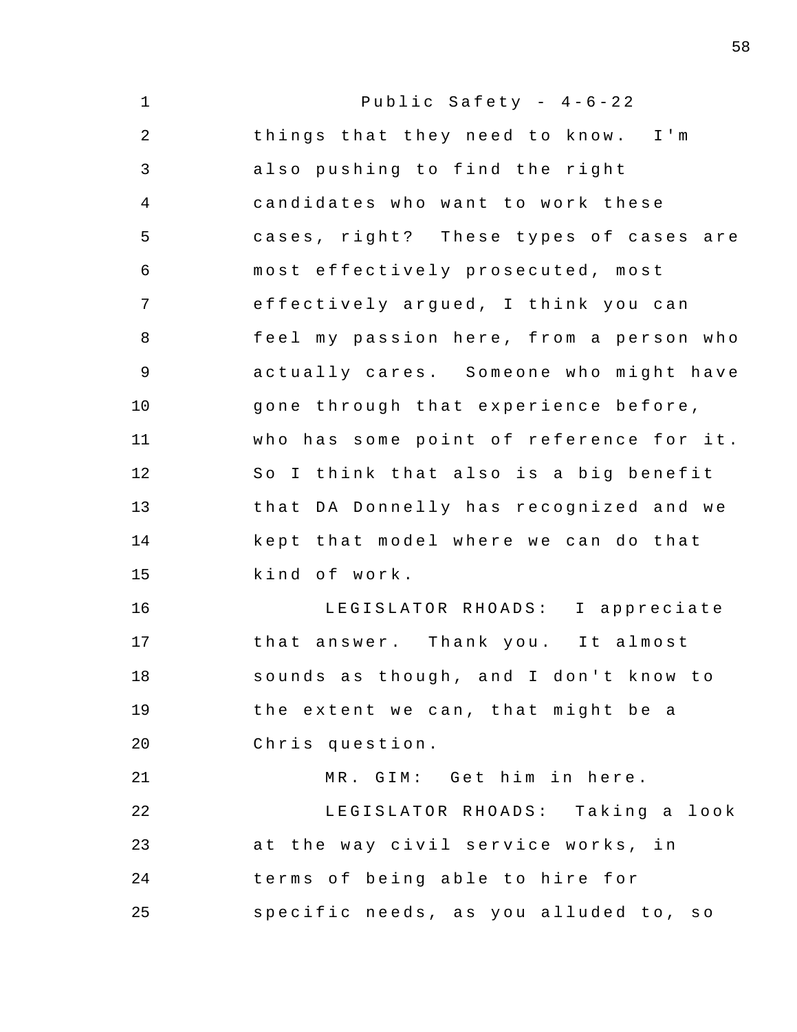| $\mathbf 1$    | Public Safety - $4-6-22$                |
|----------------|-----------------------------------------|
| $\overline{2}$ | things that they need to know. I'm      |
| 3              | also pushing to find the right          |
| $\overline{4}$ | candidates who want to work these       |
| 5              | cases, right? These types of cases are  |
| $\epsilon$     | most effectively prosecuted, most       |
| 7              | effectively argued, I think you can     |
| 8              | feel my passion here, from a person who |
| $\mathsf 9$    | actually cares. Someone who might have  |
| 10             | gone through that experience before,    |
| 11             | who has some point of reference for it. |
| 12             | So I think that also is a big benefit   |
| 13             | that DA Donnelly has recognized and we  |
| 14             | kept that model where we can do that    |
| 15             | kind of work.                           |
| 16             | LEGISLATOR RHOADS: I appreciate         |
| 17             | that answer. Thank you. It almost       |
| 18             | sounds as though, and I don't know to   |
| 19             | the extent we can, that might be a      |
| 20             | Chris question.                         |
| 21             | MR. GIM: Get him in here.               |
| 22             | LEGISLATOR RHOADS: Taking a look        |
| 23             | at the way civil service works, in      |
| 24             | terms of being able to hire for         |
| 25             | specific needs, as you alluded to, so   |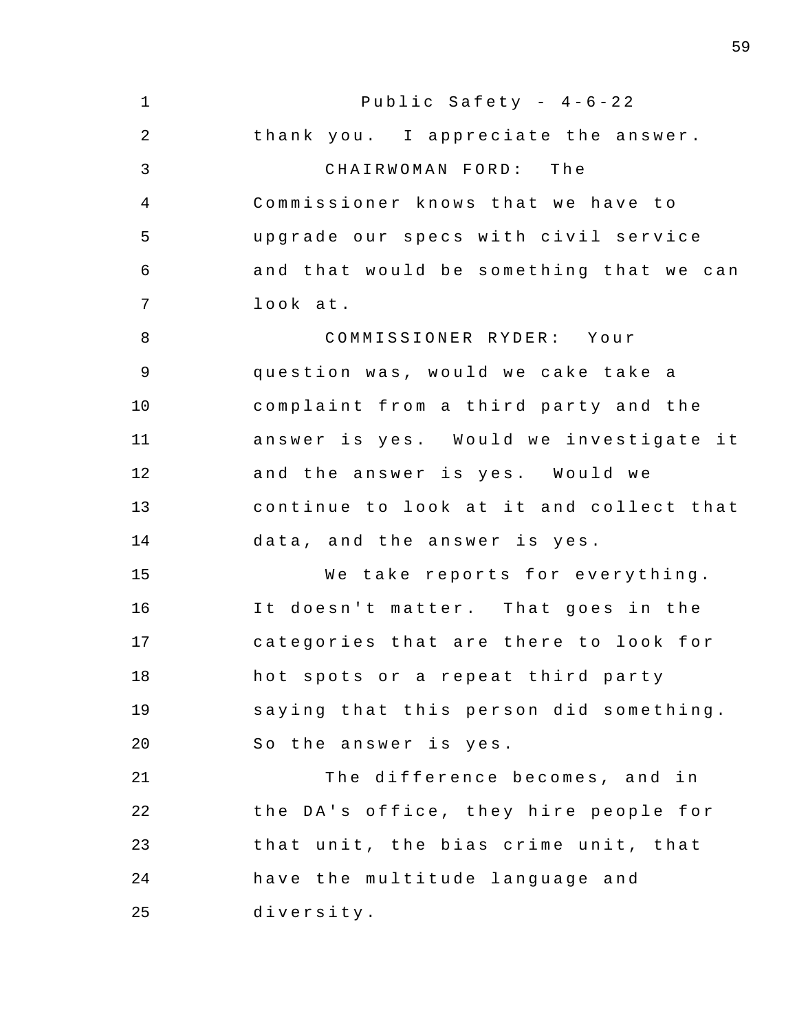1 2 3 4 5 6 7 8 9 10 11 12 13 14 15 16 17 18 19 20 21 22 23 24 25 Public Safety -  $4-6-22$ thank you. I appreciate the answer. CHAIRWOMAN FORD: The Commissioner knows that we have to upgrade our specs with civil service and that would be something that we can look at. COMMISSIONER RYDER : Your question was, would we cake take a complaint from a third party and the answer is yes. Would we investigate it and the answer is yes. Would we continue to look at it and collect that data, and the answer is yes. We take reports for everything. It doesn't matter. That goes in the categories that are there to look for hot spots or a repeat third party saying that this person did something . So the answer is yes. The difference becomes, and in the DA's office, they hire people for that unit, the bias crime unit, that have the multitude language and diversity .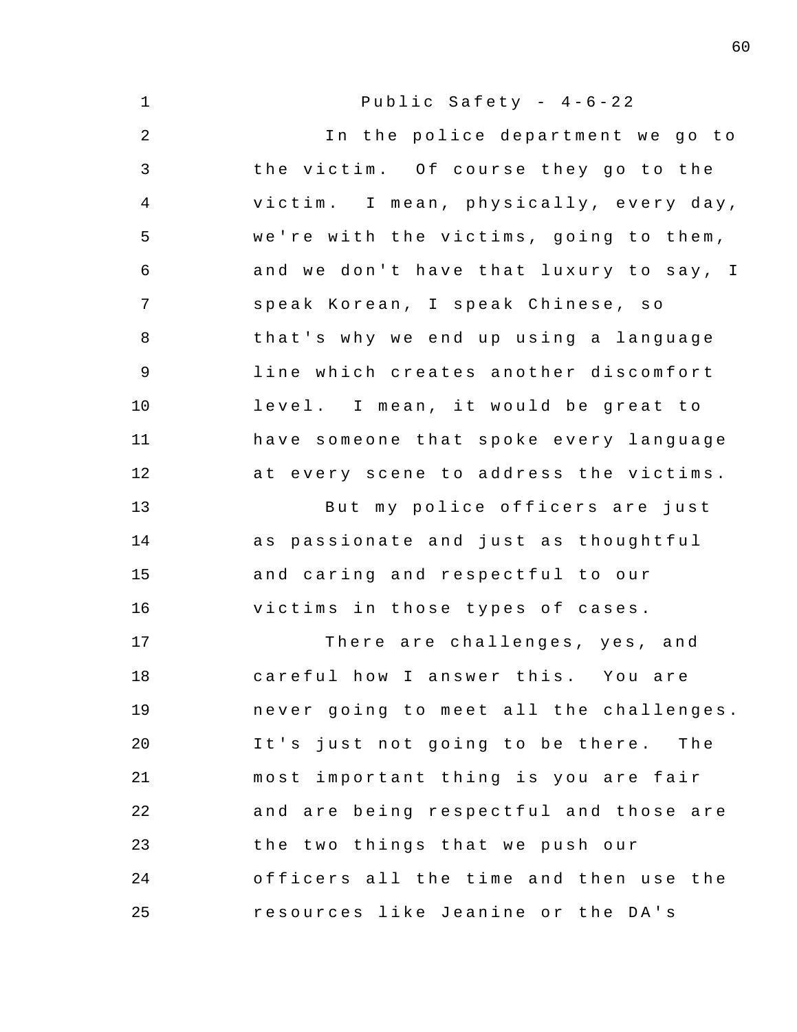1 2 3 4 5 6 7 8 9 10 11 12 13 14 15 16 17 18 19 20 21 22 23 24 25 Public Safety -  $4-6-22$ In the police department we go to the victim. Of course they go to the victim. I mean, physically, every day, we're with the victims, going to them, and we don't have that luxury to say, I speak Korean, I speak Chinese, so that's why we end up using a language line which creates another discomfort level. I mean, it would be great to have someone that spoke every language at every scene to address the victims. But my police officers are just as passionate and just as thoughtful and caring and respectful to our victims in those types of cases. There are challenges, yes, and careful how I answer this. You are never going to meet all the challenges. It's just not going to be there. The most important thing is you are fair and are being respectful and those are the two things that we push our officers all the time and then use the resources like Jeanine or the DA's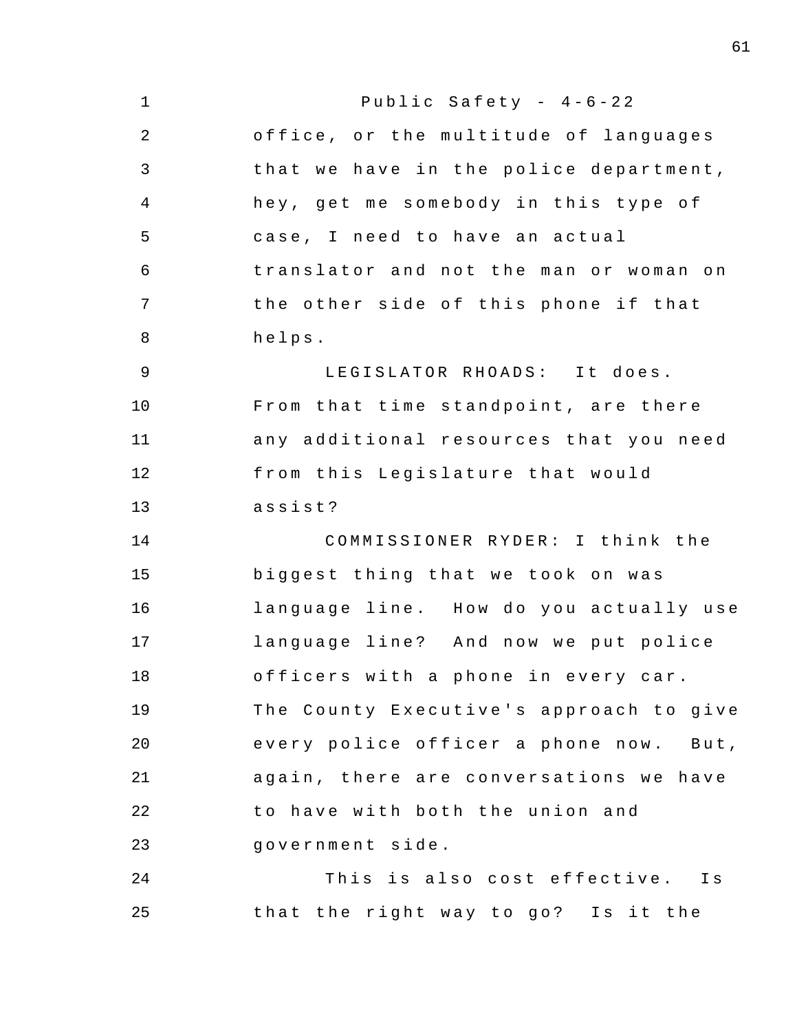| $\mathbf 1$    | Public Safety - $4-6-22$                |
|----------------|-----------------------------------------|
| $\overline{2}$ | office, or the multitude of languages   |
| 3              | that we have in the police department,  |
| 4              | hey, get me somebody in this type of    |
| 5              | case, I need to have an actual          |
| 6              | translator and not the man or woman on  |
| 7              | the other side of this phone if that    |
| 8              | helps.                                  |
| 9              | LEGISLATOR RHOADS: It does.             |
| 10             | From that time standpoint, are there    |
| 11             | any additional resources that you need  |
| 12             | from this Legislature that would        |
| 13             | assist?                                 |
| 14             | COMMISSIONER RYDER: I think the         |
| 15             | biggest thing that we took on was       |
| 16             | language line. How do you actually use  |
| 17             | language line? And now we put police    |
| 18             | officers with a phone in every car.     |
| 19             | The County Executive's approach to give |
| 20             | every police officer a phone now. But,  |
| 21             | again, there are conversations we have  |
| 22             | to have with both the union and         |
| 23             | government side.                        |
| 24             | This is also cost effective. Is         |
| 25             | that the right way to go? Is it the     |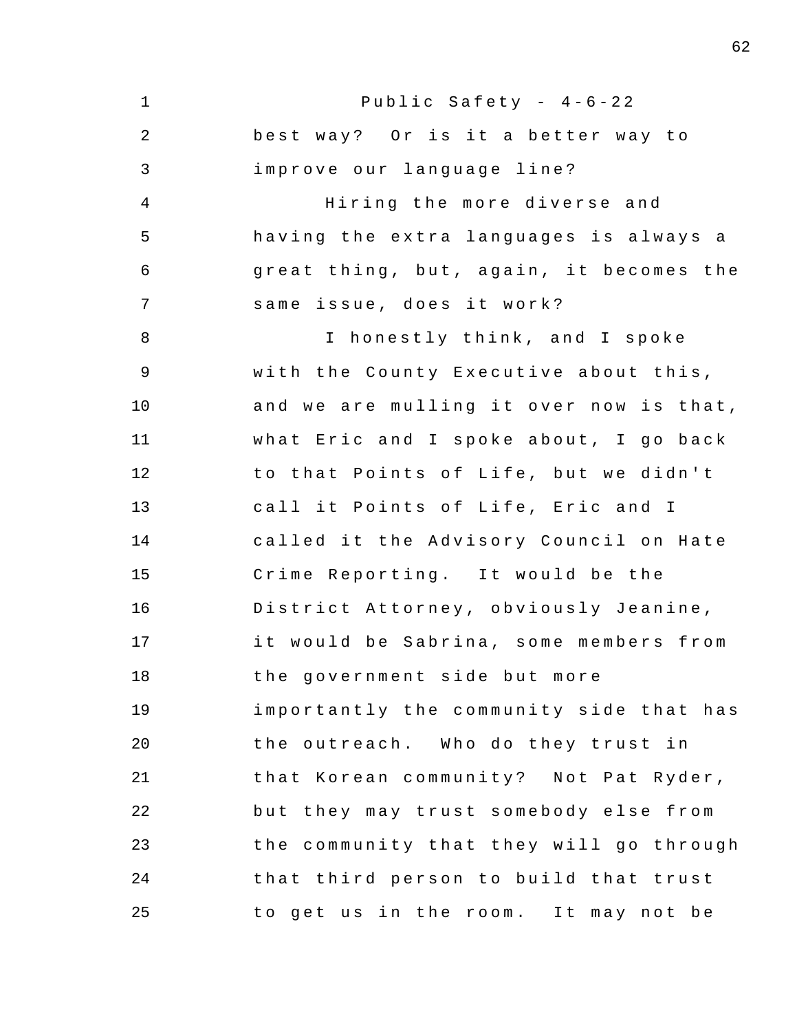1 2 3 4 5 6 7 8 9 10 11 12 13 14 15 16 17 18 19 20 21 22 23 24 25 Public Safety -  $4-6-22$ best way? Or is it a better way to improve our language line? Hiring the more diverse and having the extra languages is always a great thing, but, again, it becomes the same issue, does it work? I honestly think, and I spoke with the County Executive about this , and we are mulling it over now is that, what Eric and I spoke about, I go back to that Points of Life, but we didn't call it Points of Life, Eric and I called it the Advisory Council on Hate Crime Reporting. It would be the District Attorney , obviously Jeanine , it would be Sabrina, some members from the government side but more importantly the community side that has the outreach. Who do they trust in that Korean community? Not Pat Ryder, but they may trust somebody else from the community that they will go through that third person to build that trust to get us in the room. It may not be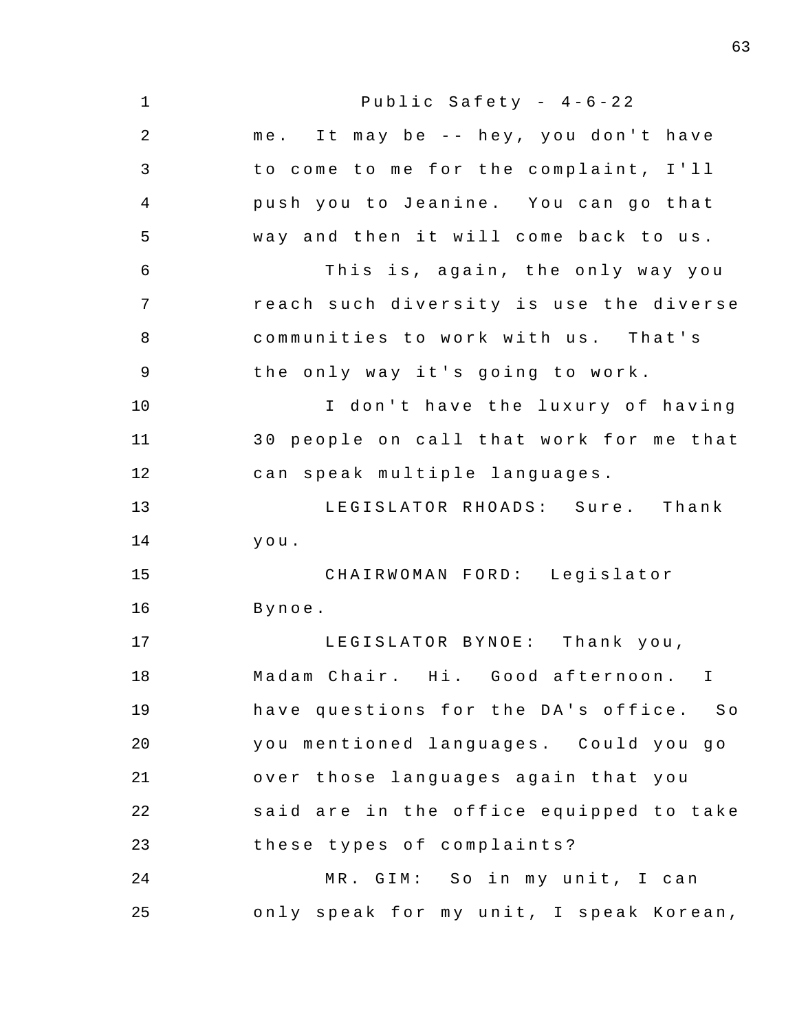| $\mathbf 1$ | Public Safety - $4-6-22$                |
|-------------|-----------------------------------------|
| 2           | me. It may be -- hey, you don't have    |
| 3           | to come to me for the complaint, I'll   |
| 4           | push you to Jeanine. You can go that    |
| 5           | way and then it will come back to us.   |
| 6           | This is, again, the only way you        |
| 7           | reach such diversity is use the diverse |
| 8           | communities to work with us. That's     |
| $\mathsf 9$ | the only way it's going to work.        |
| 10          | I don't have the luxury of having       |
| 11          | 30 people on call that work for me that |
| 12          | can speak multiple languages.           |
| 13          | LEGISLATOR RHOADS: Sure. Thank          |
| 14          | you.                                    |
| 15          | CHAIRWOMAN FORD: Legislator             |
| 16          | Bynoe.                                  |
| 17          | LEGISLATOR BYNOE: Thank you,            |
| 18          | Madam Chair. Hi. Good afternoon. I      |
| 19          | have questions for the DA's office. So  |
| 20          | you mentioned languages. Could you go   |
| 21          | over those languages again that you     |
| 22          | said are in the office equipped to take |
| 23          | these types of complaints?              |
| 24          | MR. GIM: So in my unit, I can           |
| 25          | only speak for my unit, I speak Korean, |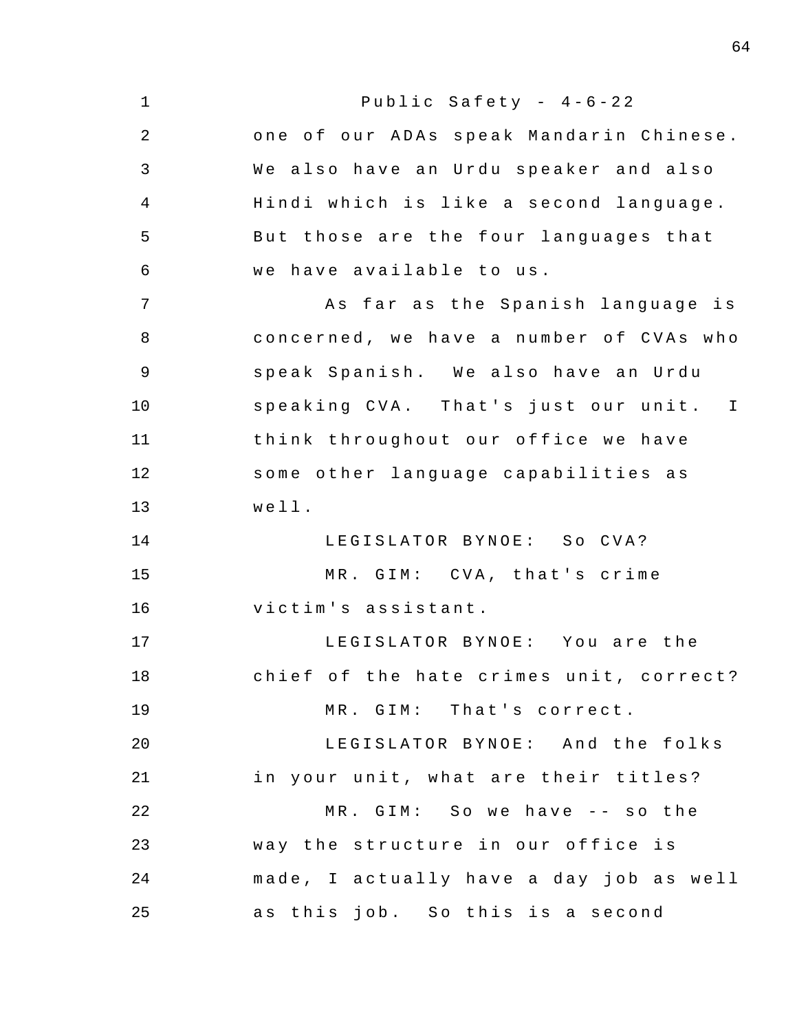| $\mathbf 1$ | Public Safety - $4-6-22$                |
|-------------|-----------------------------------------|
| 2           | one of our ADAs speak Mandarin Chinese. |
| 3           | We also have an Urdu speaker and also   |
| 4           | Hindi which is like a second language.  |
| 5           | But those are the four languages that   |
| 6           | we have available to us.                |
| 7           | As far as the Spanish language is       |
| 8           | concerned, we have a number of CVAs who |
| $\mathsf 9$ | speak Spanish. We also have an Urdu     |
| 10          | speaking CVA. That's just our unit. I   |
| 11          | think throughout our office we have     |
| 12          | some other language capabilities as     |
| 13          | well.                                   |
| 14          | LEGISLATOR BYNOE: So CVA?               |
| 15          | MR. GIM: CVA, that's crime              |
| 16          | victim's assistant.                     |
| 17          | LEGISLATOR BYNOE: You are the           |
| 18          | chief of the hate crimes unit, correct? |
| 19          | MR. GIM: That's correct.                |
| 20          | LEGISLATOR BYNOE: And the folks         |
| 21          | in your unit, what are their titles?    |
| 22          | MR. GIM: So we have -- so the           |
| 23          | way the structure in our office is      |
| 24          | made, I actually have a day job as well |
| 25          | as this job. So this is a second        |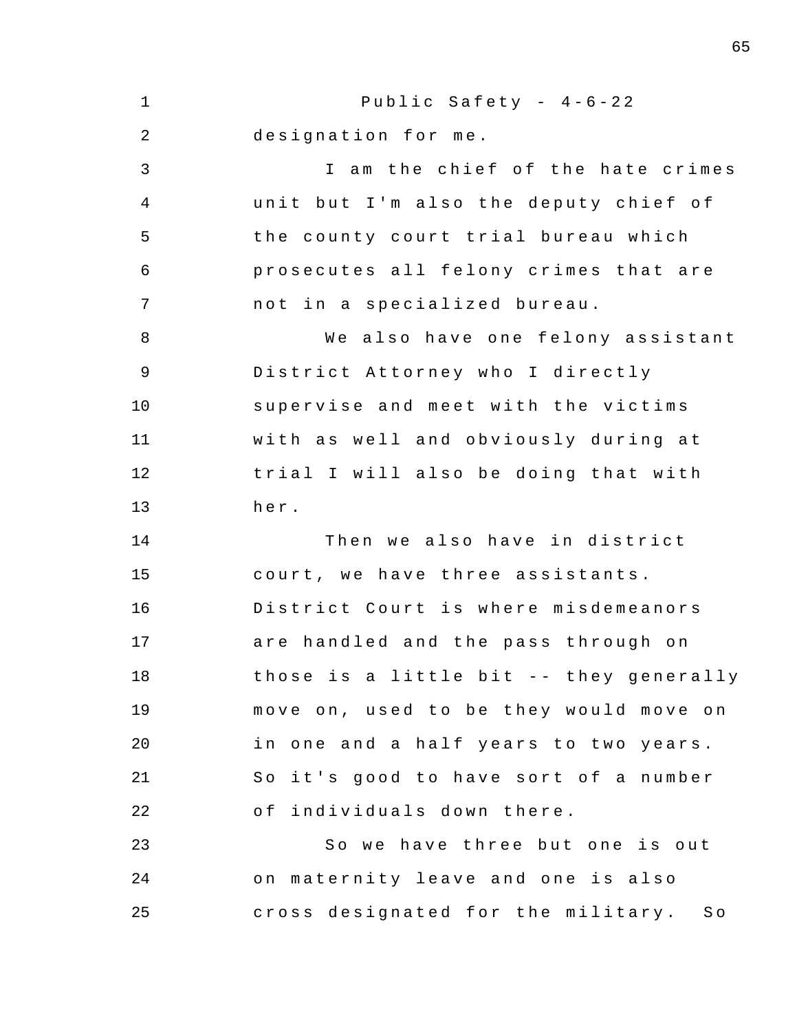1 2 3 4 5 6 7 8 9 10 11 12 13 14 15 16 17 18 19 20 21 22 23 24 25 Public Safety -  $4-6-22$ designation for me. I am the chief of the hate crimes unit but I'm also the deputy chief of the county court trial bureau which prosecutes all felony crimes that are not in a specialized bureau. We also have one felony assistant District Attorney who I directly supervise and meet with the victims with as well and obviously during at trial I will also be doing that with her . Then we also have in district court, we have three assistants. District Court is where misdemeanors are handled and the pass through on those is a little bit -- they generally move on, used to be they would move on in one and a half years to two years. So it's good to have sort of a number of individuals down there. So we have three but one is out on maternity leave and one is also cross designated for the military. So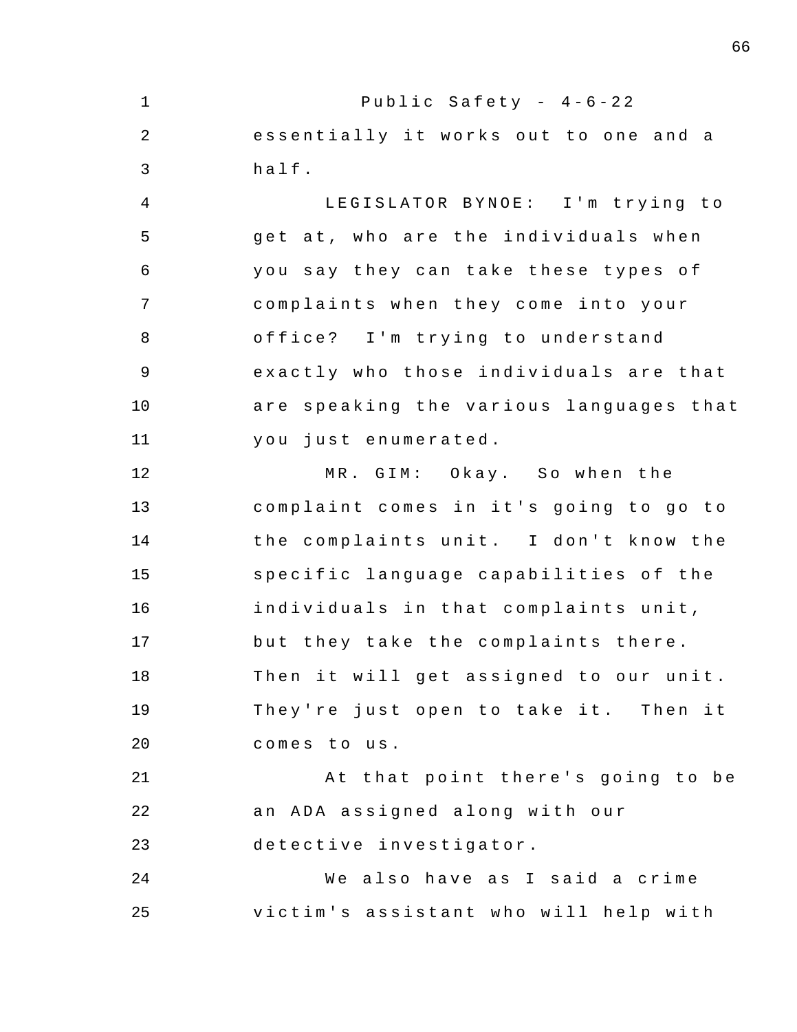1 2 3 4 5 6 7 8 9 10 11 12 13 14 15 16 17 18 19  $20^{\circ}$ 21 22 23 24 25 Public Safety -  $4-6-22$ essentially it works out to one and a half . LEGISLATOR BYNOE: I'm trying to get at, who are the individuals when you say they can take these types of complaints when they come into your office? I'm trying to understand exactly who those individuals are that are speaking the various languages that you just enumerated . MR. GIM: Okay. So when the complaint comes in it's going to go to the complaints unit. I don't know the specific language capabilities of the individuals in that complaints unit, but they take the complaints there . Then it will get assigned to our unit. They're just open to take it. Then it comes to us. At that point there's going to be an ADA assigned along with our detective investigator . We also have as I said a crime victim's assistant who will help with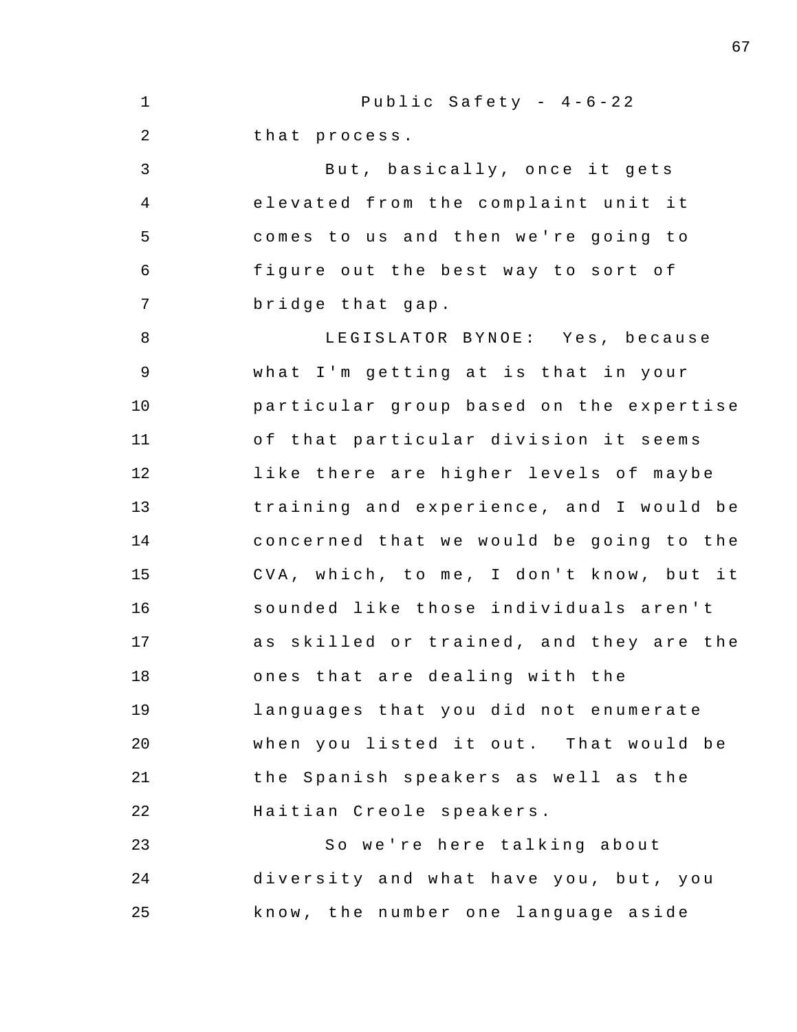1 2 3 4 5 6 7 8 9 10 11 12 13 14 15 16 17 18 19 20 21 22 23 24 25 Public Safety -  $4-6-22$ that process . But, basically, once it gets elevated from the complaint unit it comes to us and then we're going to figure out the best way to sort of bridge that gap . LEGISLATOR BYNOE: Yes, because what I'm getting at is that in your particular group based on the expertise of that particular division it seems like there are higher levels of maybe training and experience, and I would be concerned that we would be going to the CVA, which, to me, I don't know, but it sounded like those individuals aren't as skilled or trained, and they are the ones that are dealing with the languages that you did not enumerate when you listed it out. That would be the Spanish speakers as well as the Haitian Creole speakers . So we're here talking about diversity and what have you, but, you know , the number one language aside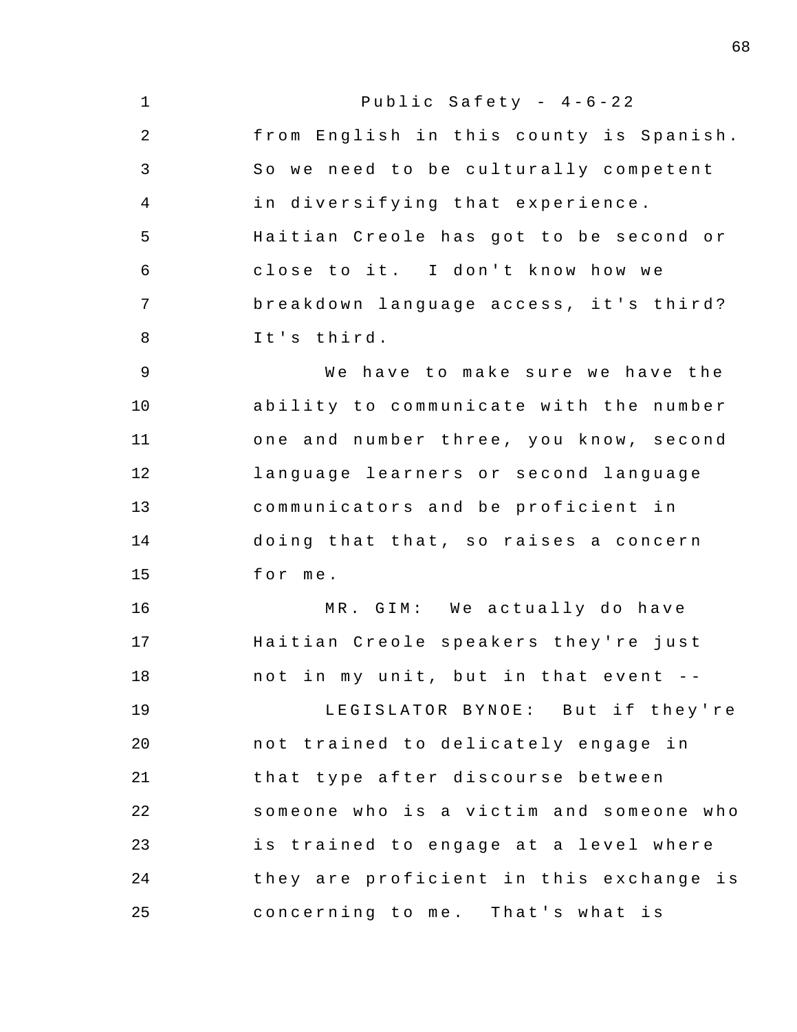| $\mathbf 1$    | Public Safety - $4-6-22$                |
|----------------|-----------------------------------------|
| 2              | from English in this county is Spanish. |
| 3              | So we need to be culturally competent   |
| 4              | in diversifying that experience.        |
| 5              | Haitian Creole has got to be second or  |
| 6              | close to it. I don't know how we        |
| 7              | breakdown language access, it's third?  |
| 8              | It's third.                             |
| $\overline{9}$ | We have to make sure we have the        |
| 10             | ability to communicate with the number  |
| 11             | one and number three, you know, second  |
| 12             | language learners or second language    |
| 13             | communicators and be proficient in      |
| 14             | doing that that, so raises a concern    |
| 15             | for me.                                 |
| 16             | MR. GIM: We actually do have            |
| 17             | Haitian Creole speakers they're just    |
| 18             | not in my unit, but in that event --    |
| 19             | LEGISLATOR BYNOE: But if they're        |
| 20             | not trained to delicately engage in     |
| 21             | that type after discourse between       |
| 22             | someone who is a victim and someone who |
| 23             | is trained to engage at a level where   |
| 24             | they are proficient in this exchange is |
| 25             | concerning to me. That's what is        |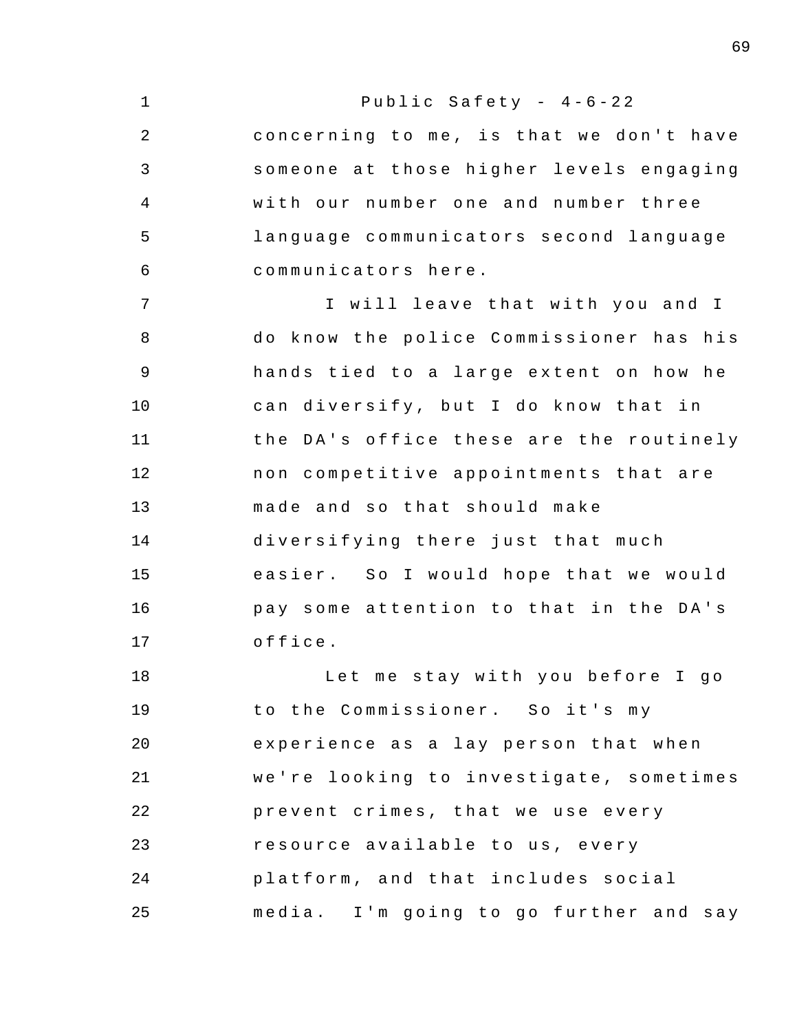| $\mathbf 1$ | Public Safety - $4-6-22$                |
|-------------|-----------------------------------------|
| 2           | concerning to me, is that we don't have |
| 3           | someone at those higher levels engaging |
| 4           | with our number one and number three    |
| 5           | language communicators second language  |
| $\epsilon$  | communicators here.                     |
| 7           | I will leave that with you and I        |
| 8           | do know the police Commissioner has his |
| $\mathsf 9$ | hands tied to a large extent on how he  |
| 10          | can diversify, but I do know that in    |
| 11          | the DA's office these are the routinely |
| 12          | non competitive appointments that are   |
| 13          | made and so that should make            |
| 14          | diversifying there just that much       |
| 15          | easier. So I would hope that we would   |
| 16          | pay some attention to that in the DA's  |
| 17          | office.                                 |
| 18          | Let me stay with you before I go        |
| 19          | to the Commissioner. So it's my         |
| 20          | experience as a lay person that when    |
| 21          | we're looking to investigate, sometimes |
| 22          | prevent crimes, that we use every       |
| 23          | resource available to us, every         |
| 24          | platform, and that includes social      |
| 25          | media. I'm going to go further and say  |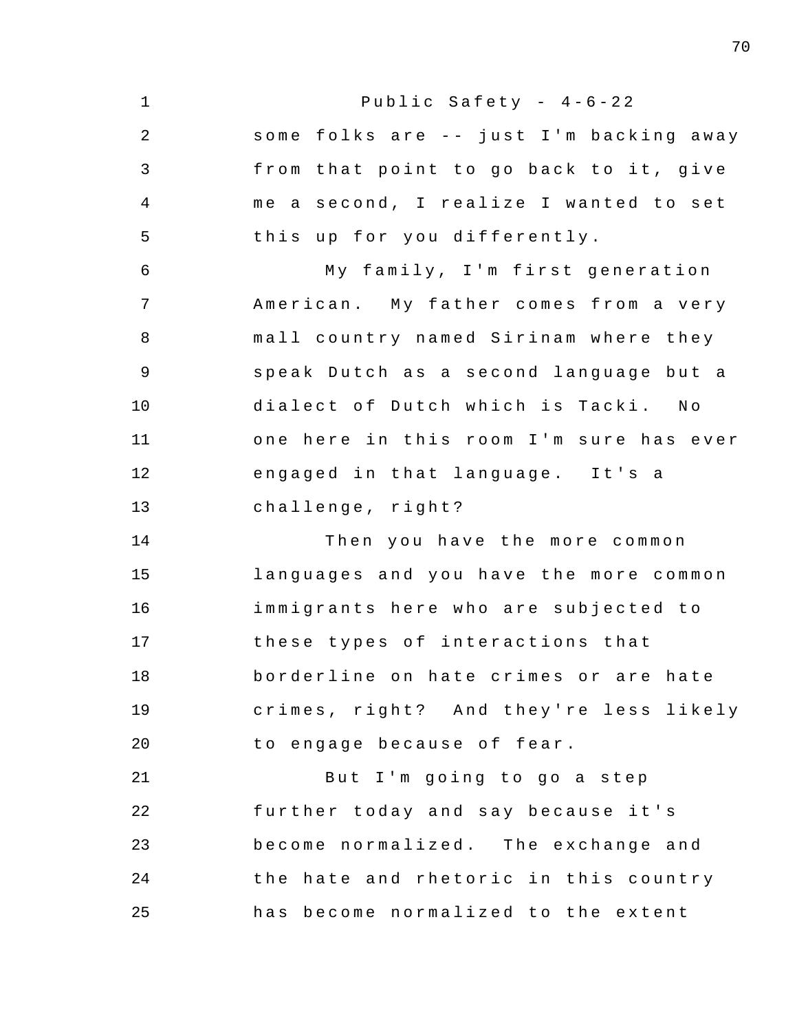1 2 3 4 5 6 7 8 9 10 11 12 13 14 15 16 17 18 19 20 21 22 23 24 25 Public Safety -  $4-6-22$ some folks are -- just I'm backing away from that point to go back to it, give me a second, I realize I wanted to set this up for you differently. My family, I'm first generation American. My father comes from a very mall country named Sirinam where they speak Dutch as a second language but a dialect of Dutch which is Tacki. No one here in this room I'm sure has ever engaged in that language. It's a challenge, right? Then you have the more common languages and you have the more common immigrants here who are subjected to these types of interactions that borderline on hate crimes or are hate crimes, right? And they're less likely to engage because of fear. But I'm going to go a step further today and say because it's become normalized. The exchange and the hate and rhetoric in this country has become normalized to the extent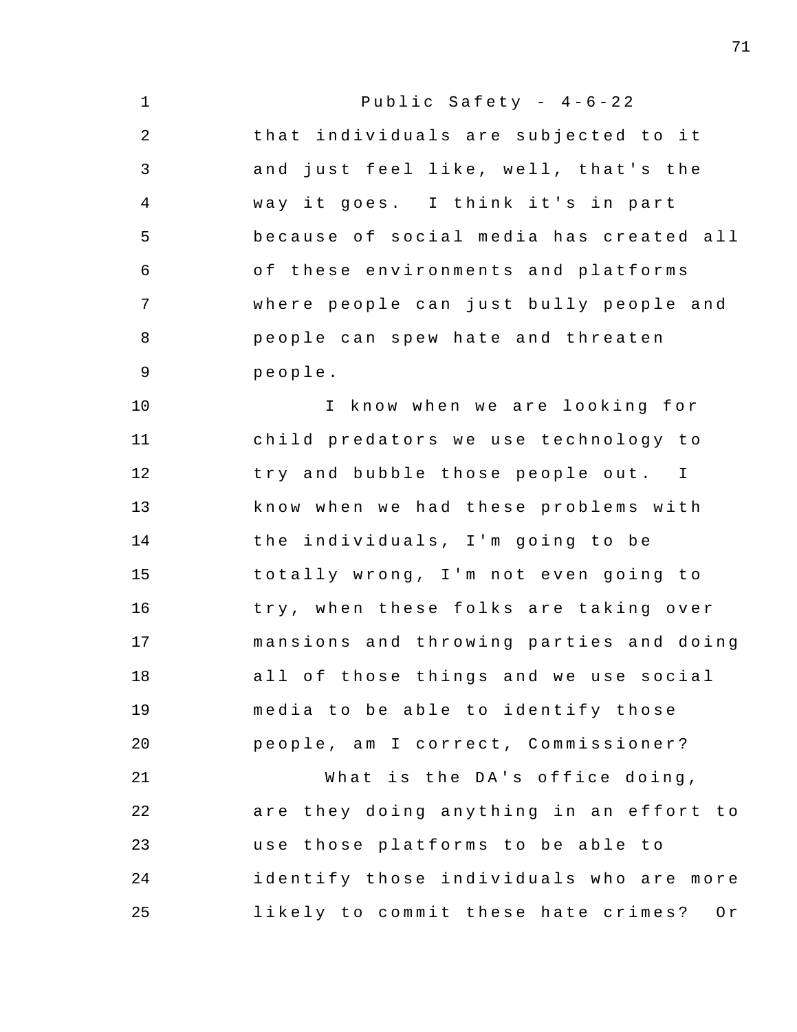| $\mathbf 1$ | Public Safety - $4-6-22$                  |
|-------------|-------------------------------------------|
| 2           | that individuals are subjected to it      |
| 3           | and just feel like, well, that's the      |
| 4           | way it goes. I think it's in part         |
| 5           | because of social media has created all   |
| 6           | of these environments and platforms       |
| 7           | where people can just bully people and    |
| 8           | people can spew hate and threaten         |
| $\mathsf 9$ | people.                                   |
| 10          | I know when we are looking for            |
| 11          | child predators we use technology to      |
| 12          | try and bubble those people out. I        |
| 13          | know when we had these problems with      |
| 14          | the individuals, I'm going to be          |
| 15          | totally wrong, I'm not even going to      |
| 16          | try, when these folks are taking over     |
| 17          | mansions and throwing parties and doing   |
| 18          | all of those things and we use social     |
| 19          | media to be able to identify those        |
| 20          | people, am I correct, Commissioner?       |
| 21          | What is the DA's office doing,            |
| 22          | are they doing anything in an effort to   |
| 23          | use those platforms to be able to         |
| 24          | identify those individuals who are more   |
| 25          | likely to commit these hate crimes?<br>Or |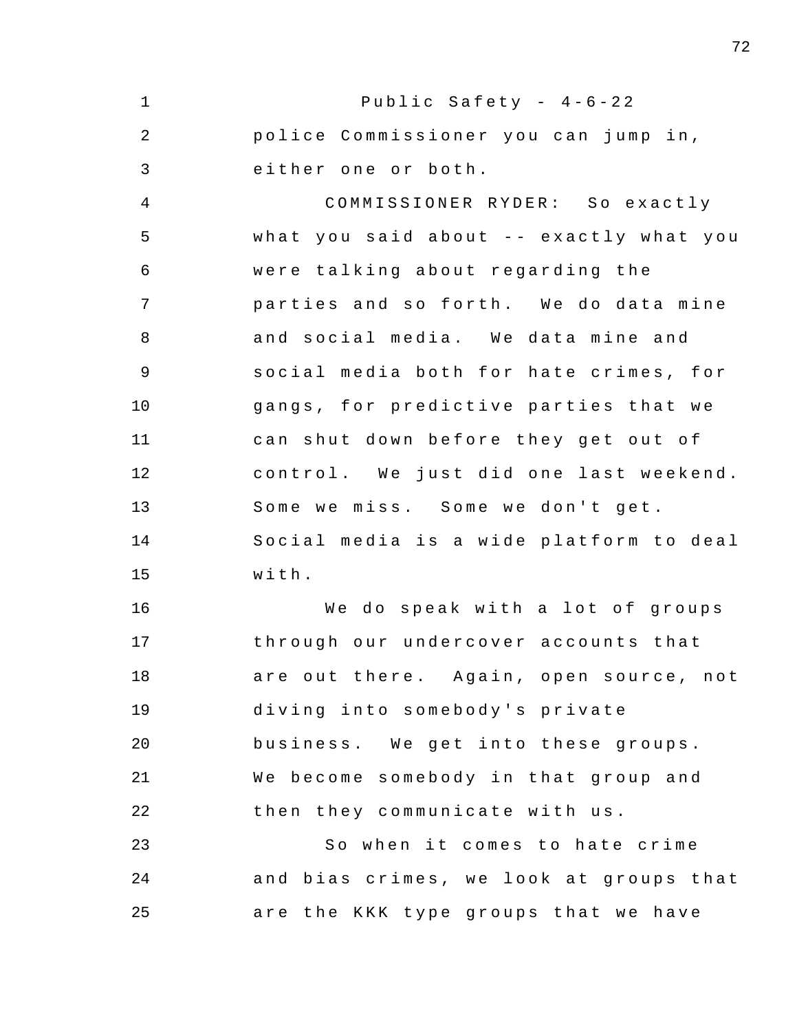1 2 3 4 5 6 7 8 9 10 11 12 13 14 15 16 17 18 19 20 21 22 23 24 25 Public Safety -  $4-6-22$ police Commissioner you can jump in, either one or both. COMMISSIONER RYDER: So exactly what you said about -- exactly what you were talking about regarding the parties and so forth. We do data mine and social media. We data mine and social media both for hate crimes , for gangs, for predictive parties that we can shut down before they get out of control. We just did one last weekend. Some we miss. Some we don't get. Social media is a wide platform to deal with . We do speak with a lot of groups through our undercover accounts that are out there. Again, open source, not diving into somebody's private business. We get into these groups. We become somebody in that group and then they communicate with us. So when it comes to hate crime and bias crimes, we look at groups that are the KKK type groups that we have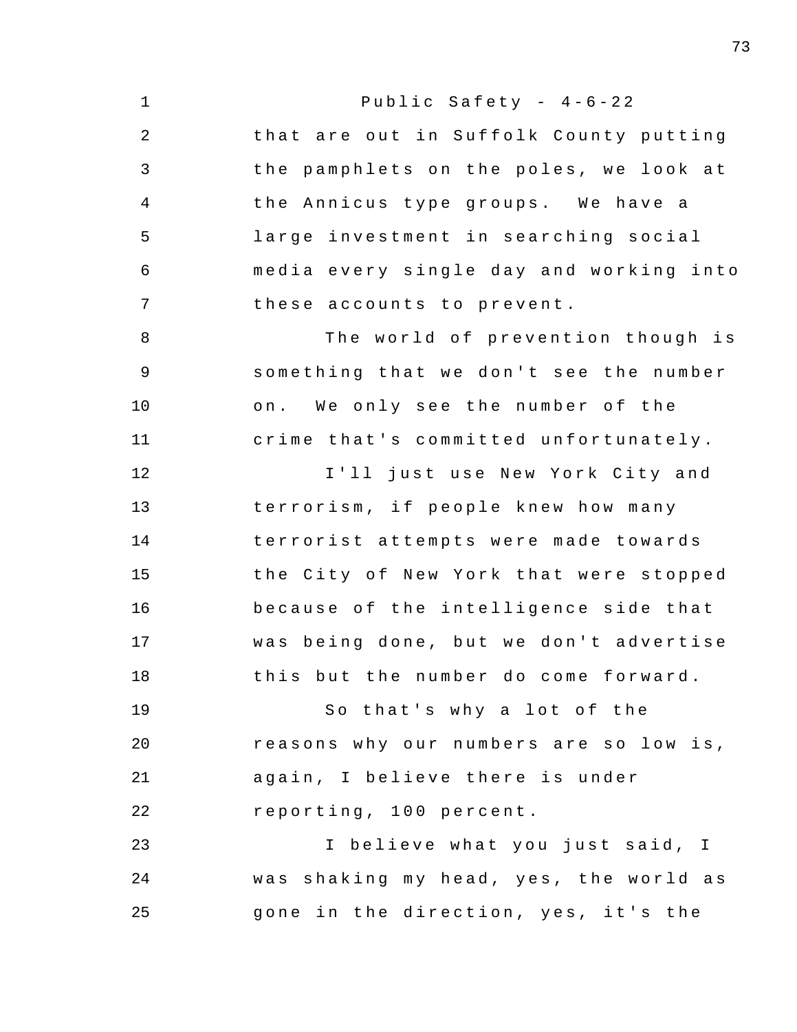1 2 3 4 5 6 7 8 9 10 11 12 13 14 15 16 17 18 19 20 21 22 23 24 25 Public Safety -  $4-6-22$ that are out in Suffolk County putting the pamphlets on the poles, we look at the Annicus type groups. We have a large investment in searching social media every single day and working into these accounts to prevent. The world of prevention though is something that we don't see the number on. We only see the number of the crime that's committed unfortunately. I'll just use New York City and terrorism, if people knew how many terrorist attempts were made towards the City of New York that were stopped because of the intelligence side that was being done, but we don't advertise this but the number do come forward. So that's why a lot of the reasons why our numbers are so low is, again, I believe there is under reporting , 100 percent . I believe what you just said, I was shaking my head, yes, the world as gone in the direction, yes, it's the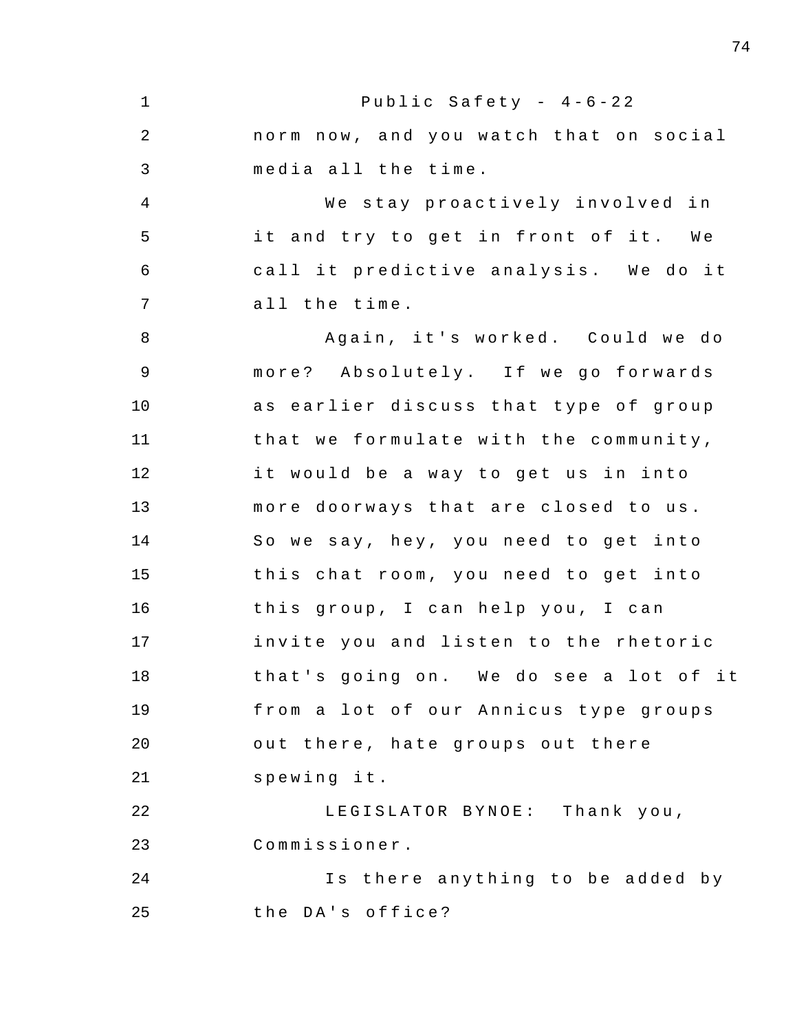1 2 3 4 5 6 7 8 9 10 11 12 13 14 15 16 17 18 19 20 21 22 23 24 25 Public Safety -  $4-6-22$ norm now, and you watch that on social media all the time . We stay proactively involved in it and try to get in front of it. We call it predictive analysis. We do it all the time . Again, it's worked. Could we do more? Absolutely. If we go forwards as earlier discuss that type of group that we formulate with the community, it would be a way to get us in into more doorways that are closed to us. So we say, hey, you need to get into this chat room, you need to get into this group, I can help you, I can invite you and listen to the rhetoric that's going on. We do see a lot of it from a lot of our Annicus type groups out there, hate groups out there spewing it. LEGISLATOR BYNOE: Thank you, Commissioner . Is there anything to be added by the DA's office?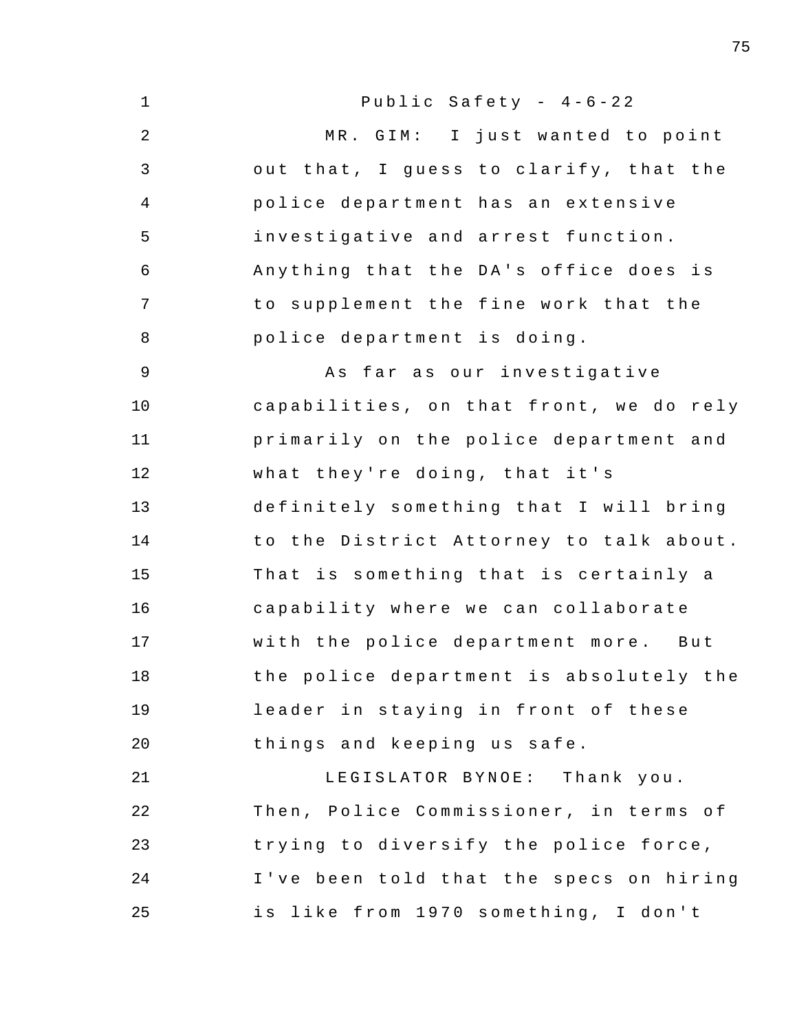| $\mathbf 1$    | Public Safety - $4-6-22$                |
|----------------|-----------------------------------------|
| $\overline{2}$ | MR. GIM: I just wanted to point         |
| $\mathfrak{Z}$ | out that, I guess to clarify, that the  |
| 4              | police department has an extensive      |
| 5              | investigative and arrest function.      |
| 6              | Anything that the DA's office does is   |
| 7              | to supplement the fine work that the    |
| $\,8\,$        | police department is doing.             |
| 9              | As far as our investigative             |
| 10             | capabilities, on that front, we do rely |
| 11             | primarily on the police department and  |
| 12             | what they're doing, that it's           |
| 13             | definitely something that I will bring  |
| 14             | to the District Attorney to talk about. |
| 15             | That is something that is certainly a   |
| 16             | capability where we can collaborate     |
| 17             | with the police department more. But    |
| 18             | the police department is absolutely the |
| 19             | leader in staying in front of these     |
| 20             | things and keeping us safe.             |
| 21             | LEGISLATOR BYNOE: Thank you.            |
| 22             | Then, Police Commissioner, in terms of  |
| 23             | trying to diversify the police force,   |
| 24             | I've been told that the specs on hiring |
| 25             | is like from 1970 something, I don't    |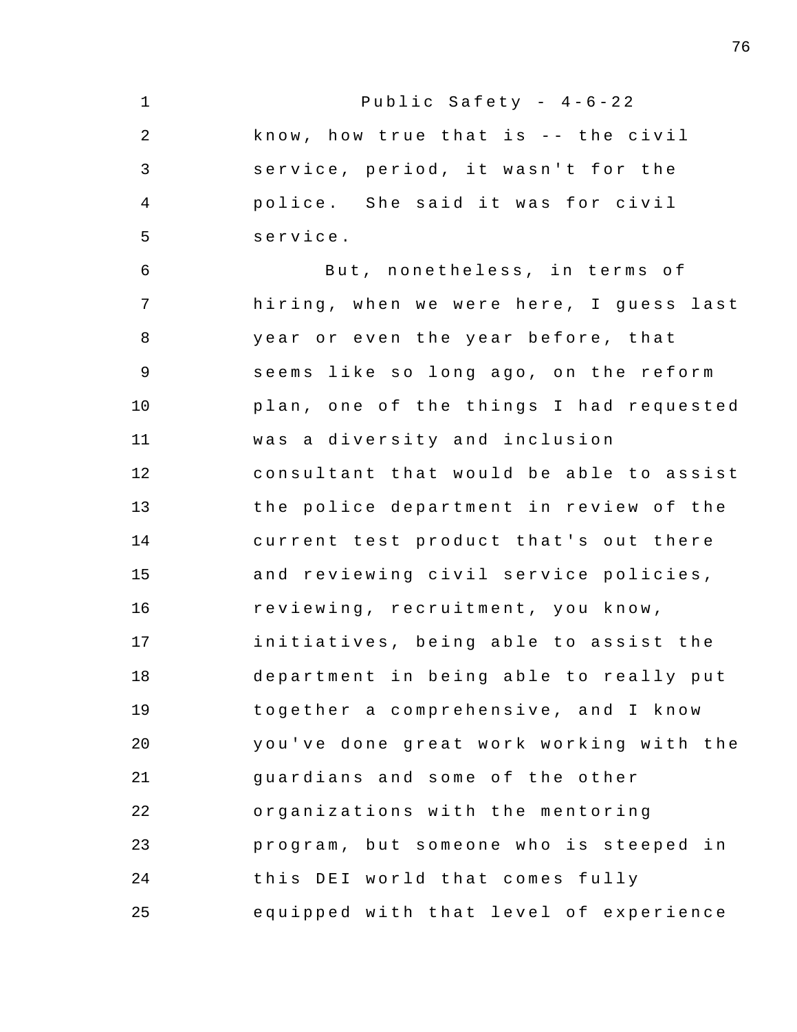| $\mathbf 1$    | Public Safety - $4-6-22$                |
|----------------|-----------------------------------------|
| 2              | know, how true that is -- the civil     |
| 3              | service, period, it wasn't for the      |
| $\overline{4}$ | police. She said it was for civil       |
| 5              | service.                                |
| 6              | But, nonetheless, in terms of           |
| 7              | hiring, when we were here, I guess last |
| 8              | year or even the year before, that      |
| 9              | seems like so long ago, on the reform   |
| 10             | plan, one of the things I had requested |
| 11             | was a diversity and inclusion           |
| 12             | consultant that would be able to assist |
| 13             | the police department in review of the  |
| 14             | current test product that's out there   |
| 15             | and reviewing civil service policies,   |
| 16             | reviewing, recruitment, you know,       |
| 17             | initiatives, being able to assist the   |
| 18             | department in being able to really put  |
| 19             | together a comprehensive, and I know    |
| 20             | you've done great work working with the |
| 21             | guardians and some of the other         |
| 22             | organizations with the mentoring        |
| 23             | program, but someone who is steeped in  |
| 24             | this DEI world that comes fully         |
| 25             | equipped with that level of experience  |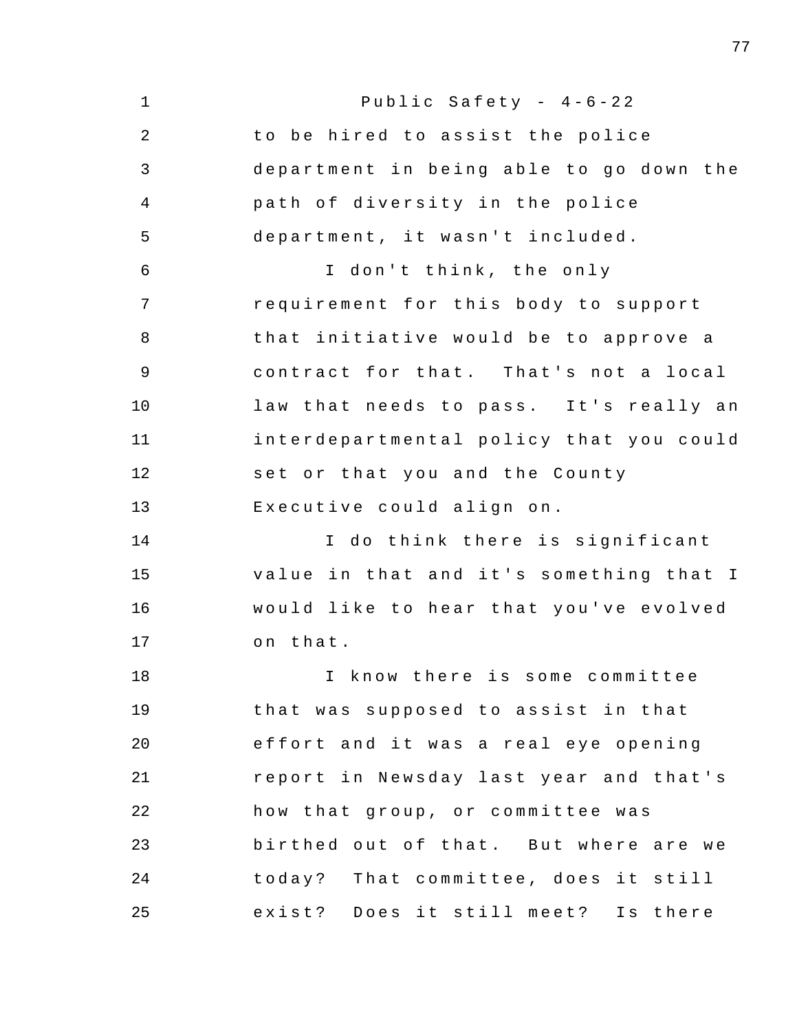| $\mathbf 1$ | Public Safety - $4-6-22$                |
|-------------|-----------------------------------------|
| 2           | to be hired to assist the police        |
| 3           | department in being able to go down the |
| 4           | path of diversity in the police         |
| 5           | department, it wasn't included.         |
| 6           | I don't think, the only                 |
| 7           | requirement for this body to support    |
| 8           | that initiative would be to approve a   |
| $\mathsf 9$ | contract for that. That's not a local   |
| 10          | law that needs to pass. It's really an  |
| 11          | interdepartmental policy that you could |
| 12          | set or that you and the County          |
| 13          | Executive could align on.               |
| 14          | I do think there is significant         |
| 15          | value in that and it's something that I |
| 16          | would like to hear that you've evolved  |
| 17          | on that.                                |
| 18          | I know there is some committee          |
| 19          | that was supposed to assist in that     |
| 20          | effort and it was a real eye opening    |
| 21          | report in Newsday last year and that's  |
| 22          | how that group, or committee was        |
| 23          | birthed out of that. But where are we   |
| 24          | today? That committee, does it still    |
| 25          | exist? Does it still meet? Is there     |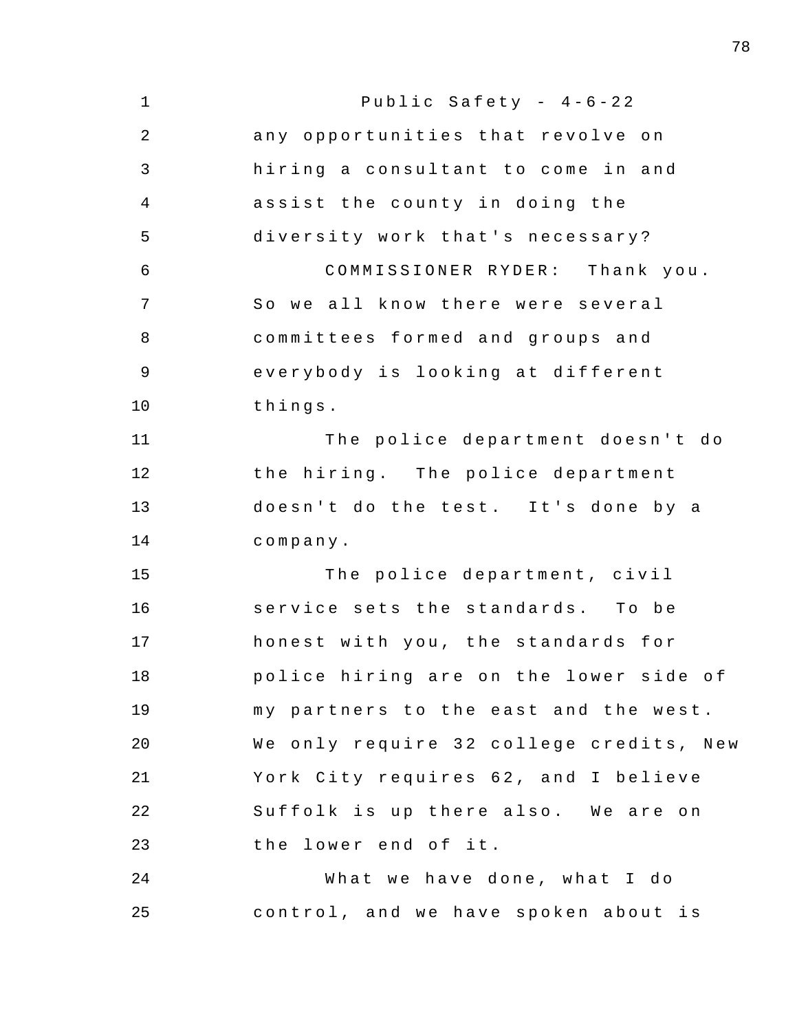| $\mathbf 1$    | Public Safety - $4-6-22$                |
|----------------|-----------------------------------------|
| $\overline{2}$ | any opportunities that revolve on       |
| $\mathfrak{Z}$ | hiring a consultant to come in and      |
| 4              | assist the county in doing the          |
| 5              | diversity work that's necessary?        |
| 6              | COMMISSIONER RYDER: Thank you.          |
| 7              | So we all know there were several       |
| 8              | committees formed and groups and        |
| 9              | everybody is looking at different       |
| 10             | things.                                 |
| 11             | The police department doesn't do        |
| 12             | the hiring. The police department       |
| 13             | doesn't do the test. It's done by a     |
| 14             | company.                                |
| 15             | The police department, civil            |
| 16             | service sets the standards. To be       |
| 17             | honest with you, the standards for      |
| 18             | police hiring are on the lower side of  |
| 19             | my partners to the east and the west.   |
| 20             | We only require 32 college credits, New |
| 21             | York City requires 62, and I believe    |
| 22             | Suffolk is up there also. We are on     |
| 23             | the lower end of it.                    |
| 24             | What we have done, what I do            |
| 25             | control, and we have spoken about is    |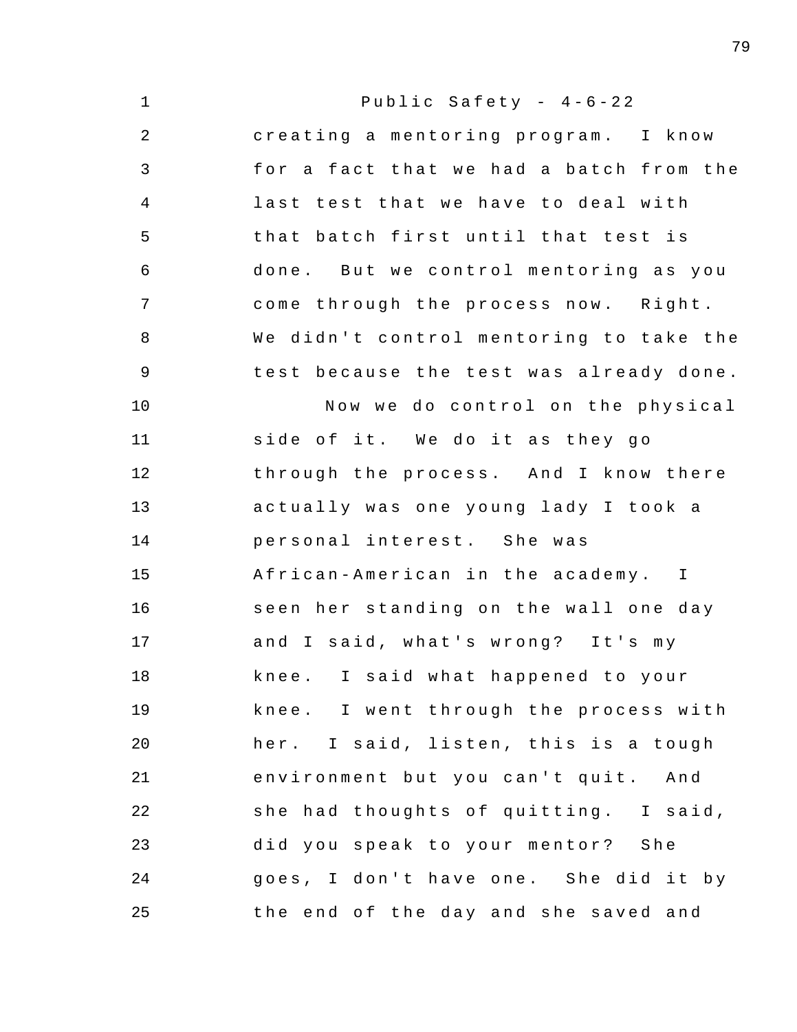| $\mathbf 1$    | Public Safety - $4-6-22$                |
|----------------|-----------------------------------------|
| $\mathbf{2}$   | creating a mentoring program. I know    |
| 3              | for a fact that we had a batch from the |
| $\overline{4}$ | last test that we have to deal with     |
| 5              | that batch first until that test is     |
| 6              | done. But we control mentoring as you   |
| $\overline{7}$ | come through the process now. Right.    |
| 8              | We didn't control mentoring to take the |
| 9              | test because the test was already done. |
| 10             | Now we do control on the physical       |
| 11             | side of it. We do it as they go         |
| 12             | through the process. And I know there   |
| 13             | actually was one young lady I took a    |
| 14             | personal interest. She was              |
| 15             | African-American in the academy. I      |
| 16             | seen her standing on the wall one day   |
| 17             | and I said, what's wrong? It's my       |
| 18             | knee. I said what happened to your      |
| 19             | knee. I went through the process with   |
| 20             | her. I said, listen, this is a tough    |
| 21             | environment but you can't quit. And     |
| 22             | she had thoughts of quitting. I said,   |
| 23             | did you speak to your mentor? She       |
| 24             | goes, I don't have one. She did it by   |
| 25             | the end of the day and she saved and    |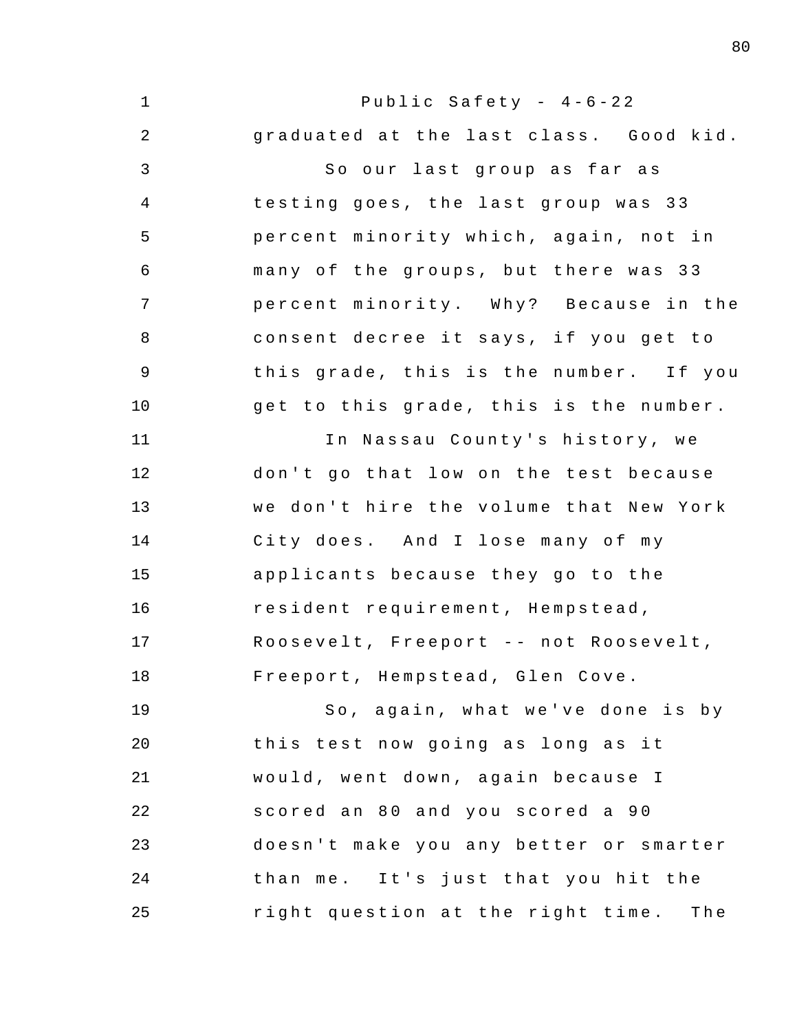1 2 3 4 5 6 7 8 9 10 11 12 13 14 15 16 17 18 19 20 21 22 23 24 25 Public Safety -  $4-6-22$ graduated at the last class. Good kid. So our last group as far as testing goes, the last group was 33 percent minority which, again, not in many of the groups, but there was 33 percent minority. Why? Because in the consent decree it says, if you get to this grade, this is the number. If you get to this grade, this is the number. In Nassau County's history, we don't go that low on the test because we don't hire the volume that New York City does. And I lose many of my applicants because they go to the resident requirement , Hempstead , Roosevelt, Freeport -- not Roosevelt, Freeport, Hempstead, Glen Cove. So, again, what we've done is by this test now going as long as it would, went down, again because I scored an 80 and you scored a 90 doesn't make you any better or smarter than me. It's just that you hit the right question at the right time. The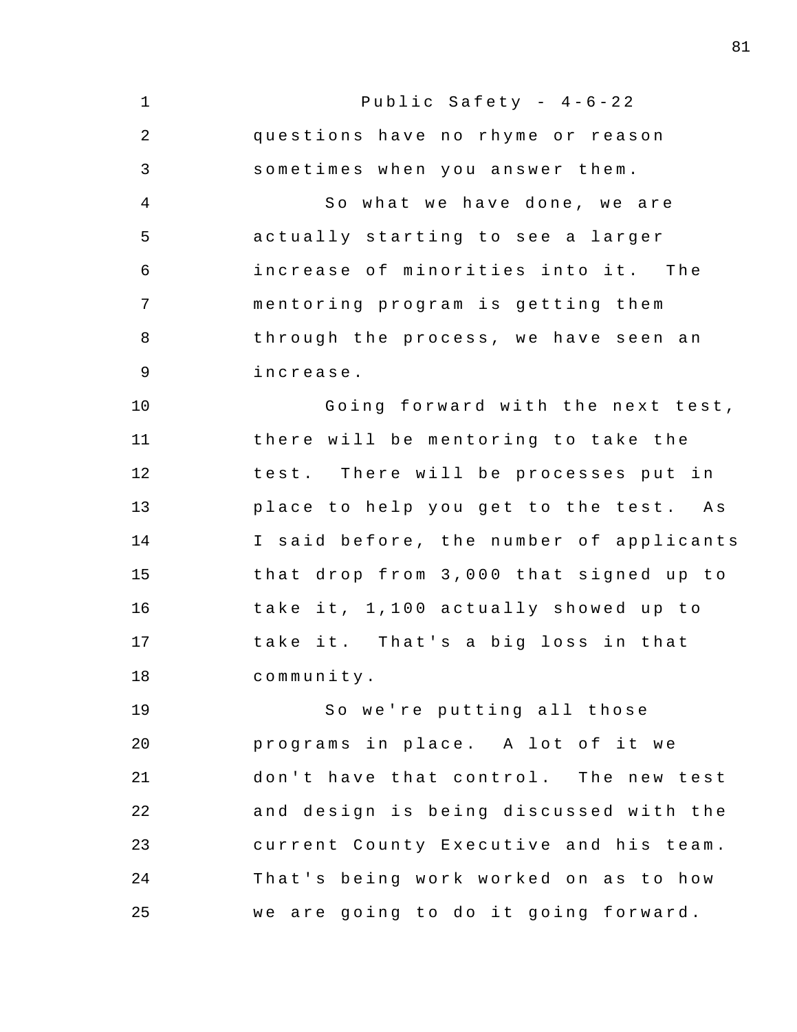1 2 3 4 5 6 7 8 9 10 11 12 13 14 15 16 17 18 19 20 21 22 23 24 25 Public Safety -  $4-6-22$ questions have no rhyme or reason sometimes when you answer them . So what we have done, we are actually starting to see a larger increase of minorities into it. The mentoring program is getting them through the process, we have seen an increase . Going forward with the next test, there will be mentoring to take the test. There will be processes put in place to help you get to the test. As I said before, the number of applicants that drop from 3,000 that signed up to take it, 1,100 actually showed up to take it. That's a big loss in that community . So we're putting all those programs in place. A lot of it we don't have that control. The new test and design is being discussed with the current County Executive and his team . That's being work worked on as to how we are going to do it going forward.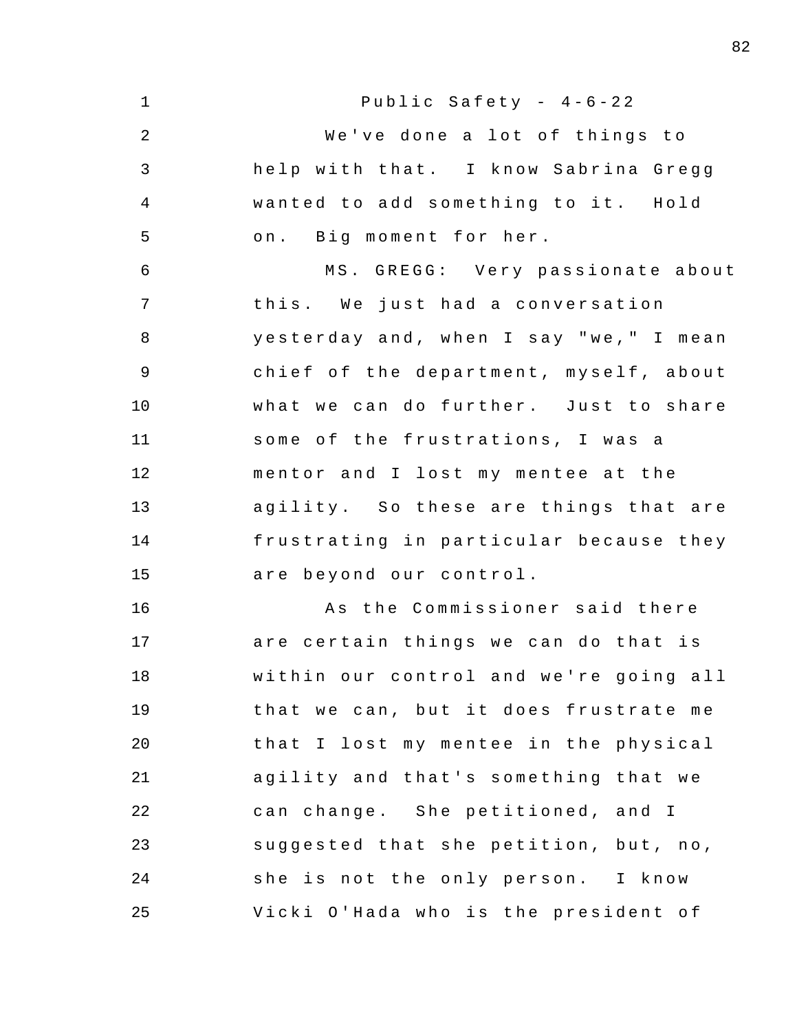1 2 3 4 5 6 7 8 9 10 11 12 13 14 15 16 17 18 19 20 21 22 23 24 25 Public Safety -  $4-6-22$ We've done a lot of things to help with that. I know Sabrina Gregg wanted to add something to it. Hold on. Big moment for her. MS. GREGG: Very passionate about this. We just had a conversation yesterday and, when I say "we," I mean chief of the department, myself, about what we can do further. Just to share some of the frustrations, I was a mentor and I lost my mentee at the agility. So these are things that are frustrating in particular because they are beyond our control . As the Commissioner said there are certain things we can do that is within our control and we're going all that we can, but it does frustrate me that I lost my mentee in the physical agility and that's something that we can change. She petitioned, and I suggested that she petition, but, no, she is not the only person. I know Vicki O'Hada who is the president of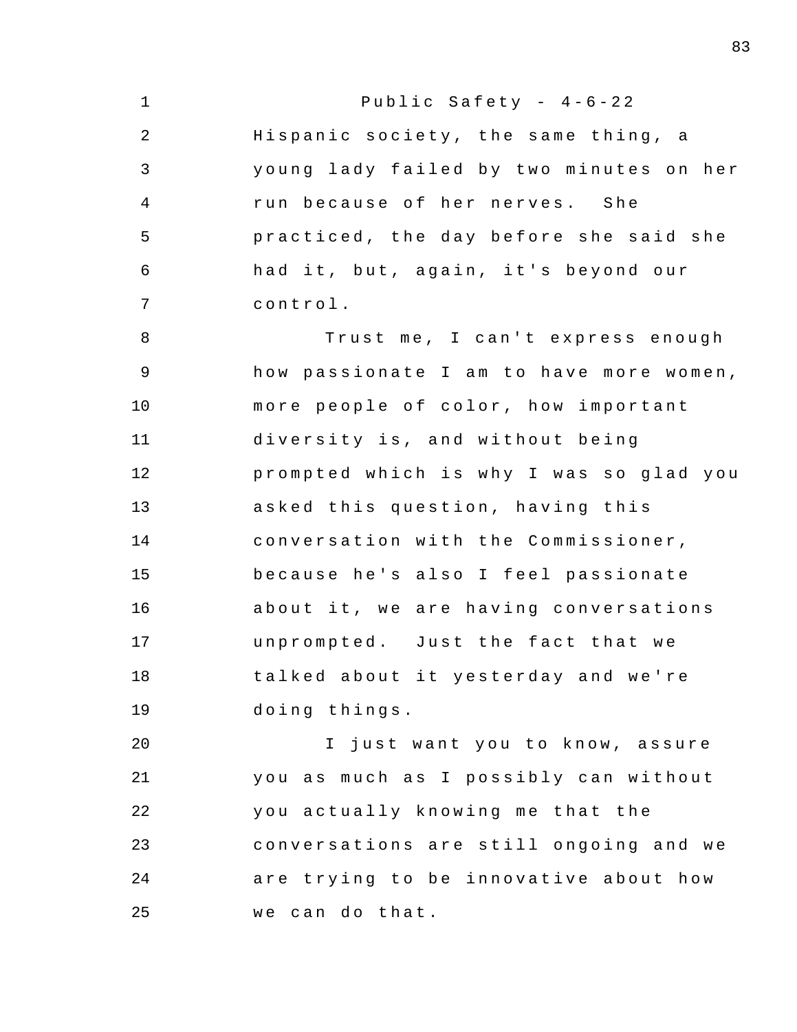| $\mathbf 1$    | Public Safety - $4-6-22$                |
|----------------|-----------------------------------------|
| 2              | Hispanic society, the same thing, a     |
| 3              | young lady failed by two minutes on her |
| $\overline{4}$ | run because of her nerves. She          |
| 5              | practiced, the day before she said she  |
| 6              | had it, but, again, it's beyond our     |
| 7              | control.                                |
| 8              | Trust me, I can't express enough        |
| 9              | how passionate I am to have more women, |
| 10             | more people of color, how important     |
| 11             | diversity is, and without being         |
| 12             | prompted which is why I was so glad you |
| 13             | asked this question, having this        |
| 14             | conversation with the Commissioner,     |
| 15             | because he's also I feel passionate     |
| 16             | about it, we are having conversations   |
| 17             | unprompted. Just the fact that we       |
| 18             | talked about it yesterday and we're     |
| 19             | doing things.                           |
| 20             | I just want you to know, assure         |
| 21             | you as much as I possibly can without   |
| 22             | you actually knowing me that the        |
| 23             | conversations are still ongoing and we  |
| 24             | are trying to be innovative about how   |
| 25             | we can do that.                         |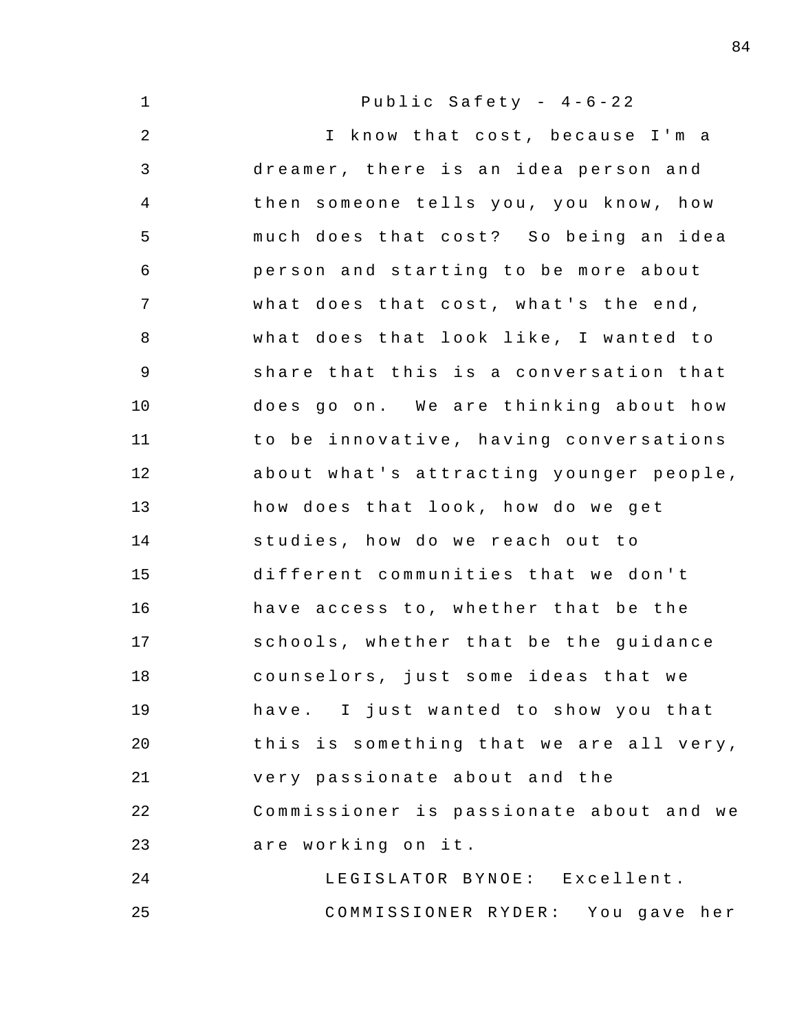| $\mathbf 1$ | Public Safety - $4-6-22$                |
|-------------|-----------------------------------------|
| $\sqrt{2}$  | I know that cost, because I'm a         |
| 3           | dreamer, there is an idea person and    |
| 4           | then someone tells you, you know, how   |
| 5           | much does that cost? So being an idea   |
| 6           | person and starting to be more about    |
| 7           | what does that cost, what's the end,    |
| 8           | what does that look like, I wanted to   |
| 9           | share that this is a conversation that  |
| 10          | does go on. We are thinking about how   |
| 11          | to be innovative, having conversations  |
| 12          | about what's attracting younger people, |
| 13          | how does that look, how do we get       |
| 14          | studies, how do we reach out to         |
| 15          | different communities that we don't     |
| 16          | have access to, whether that be the     |
| 17          | schools, whether that be the guidance   |
| 18          | counselors, just some ideas that we     |
| 19          | have. I just wanted to show you that    |
| 20          | this is something that we are all very, |
| 21          | very passionate about and the           |
| 22          | Commissioner is passionate about and we |
| 23          | are working on it.                      |
| 24          | LEGISLATOR BYNOE: Excellent.            |
| 25          | COMMISSIONER RYDER: You gave her        |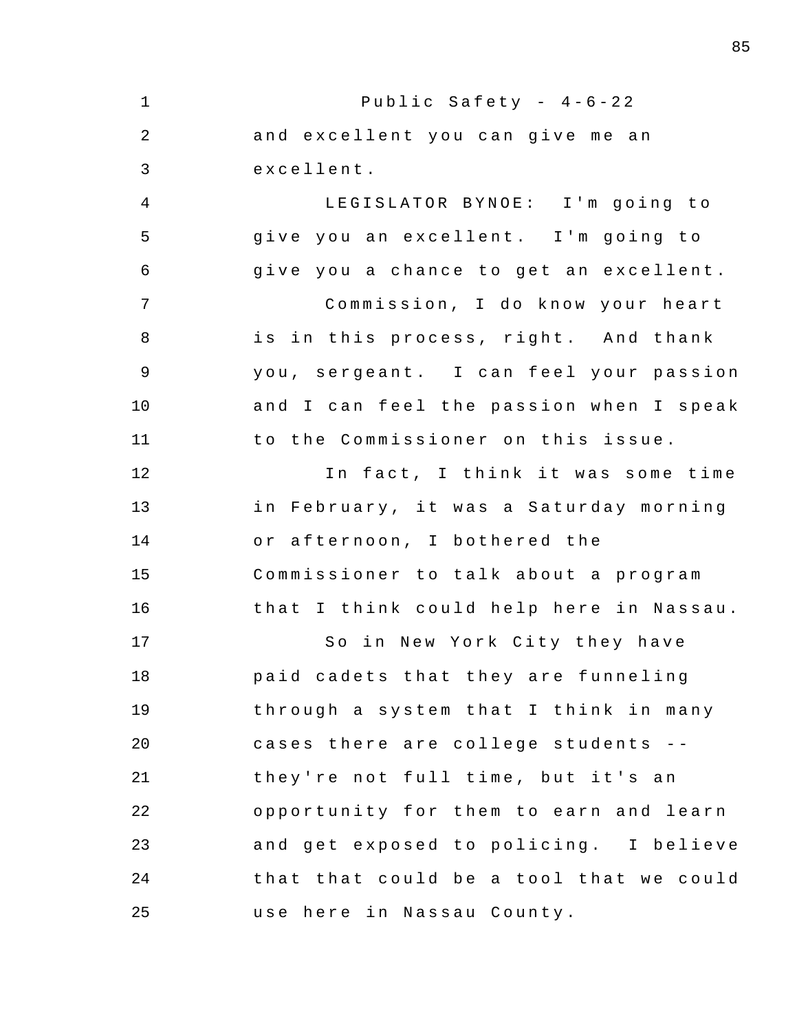1 2 3 4 5 6 7 8 9 10 11 12 13 14 15 16 17 18 19 20 21 22 23 24 25 Public Safety -  $4-6-22$ and excellent you can give me an excellent . LEGISLATOR BYNOE: I'm going to give you an excellent. I'm going to give you a chance to get an excellent. Commission, I do know your heart is in this process, right. And thank you, sergeant. I can feel your passion and I can feel the passion when I speak to the Commissioner on this issue. In fact, I think it was some time in February, it was a Saturday morning or afternoon, I bothered the Commissioner to talk about a program that I think could help here in Nassau. So in New York City they have paid cadets that they are funneling through a system that I think in many cases there are college students -they're not full time, but it's an opportunity for them to earn and learn and get exposed to policing. I believe that that could be a tool that we could use here in Nassau County.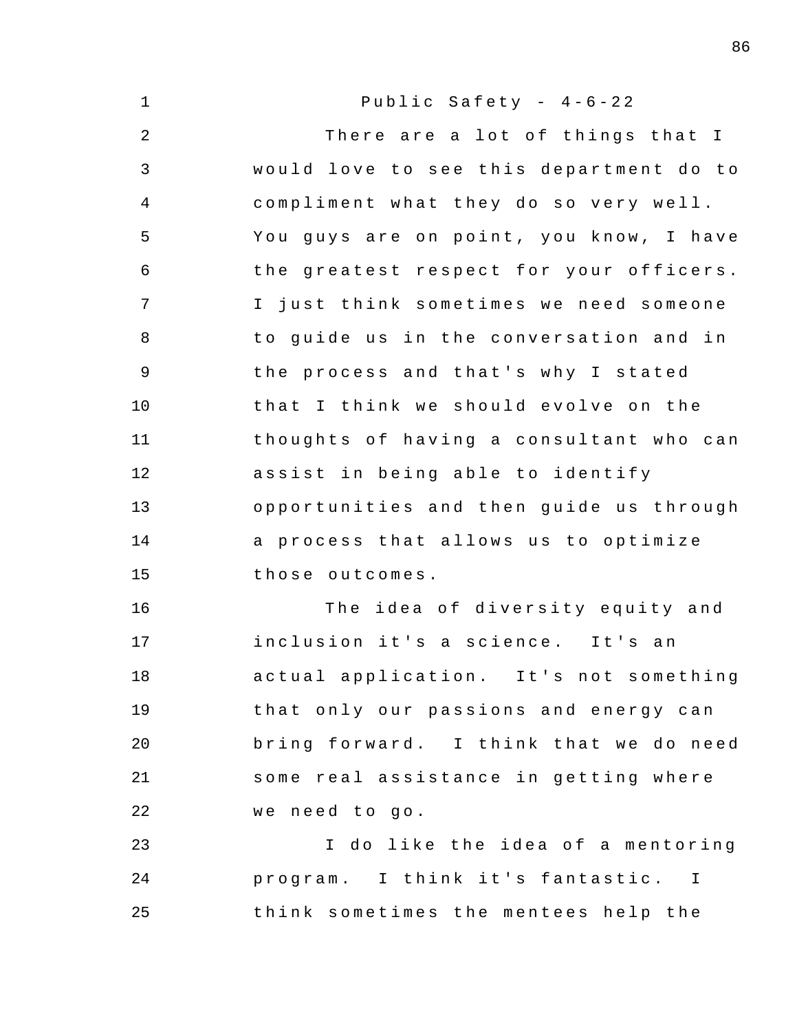1 2 3 4 5 6 7 8 9 10 11 12 13 14 15 16 17 18 19 20 21 22 23 24 25 Public Safety -  $4-6-22$ There are a lot of things that I would love to see this department do to compliment what they do so very well. You guys are on point, you know, I have the greatest respect for your officers . I just think sometimes we need someone to quide us in the conversation and in the process and that's why I stated that I think we should evolve on the thoughts of having a consultant who can assist in being able to identify opportunities and then guide us through a process that allows us to optimize those outcomes . The idea of diversity equity and inclusion it's a science. It's an actual application. It's not something that only our passions and energy can bring forward. I think that we do need some real assistance in getting where we need to go. I do like the idea of a mentoring program. I think it's fantastic. I think sometimes the mentees help the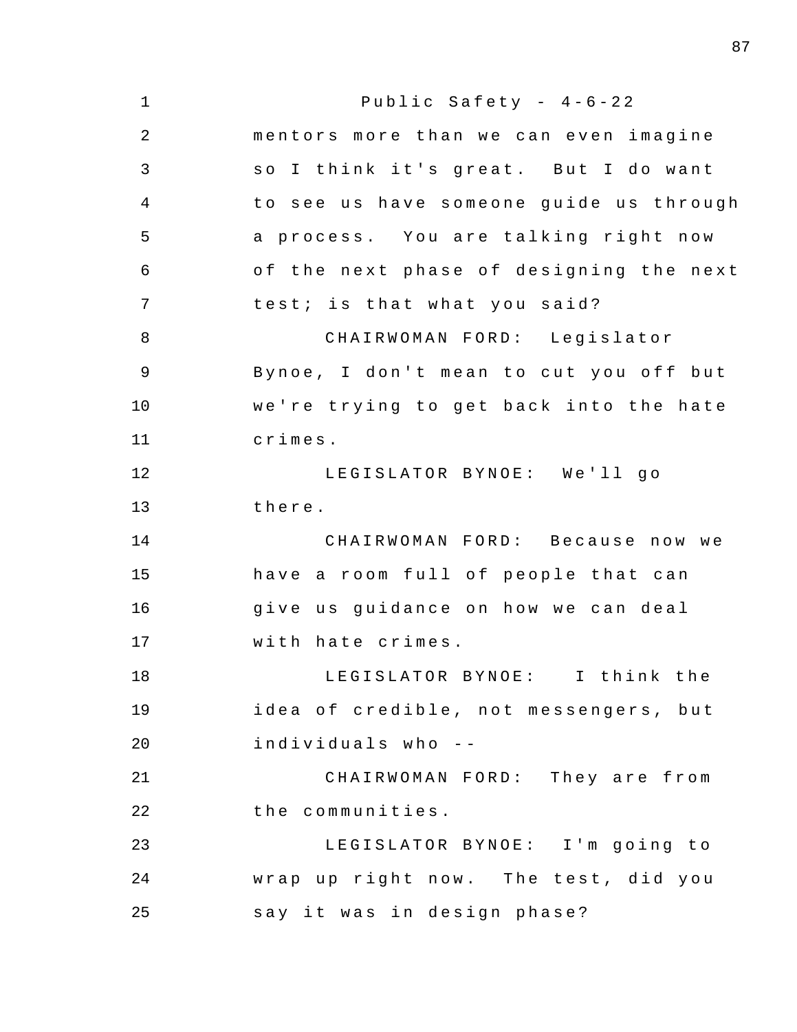| $\mathbf 1$    | Public Safety - $4-6-22$                |
|----------------|-----------------------------------------|
| $\overline{2}$ | mentors more than we can even imagine   |
| 3              | so I think it's great. But I do want    |
| 4              | to see us have someone guide us through |
| 5              | a process. You are talking right now    |
| 6              | of the next phase of designing the next |
| 7              | test; is that what you said?            |
| 8              | CHAIRWOMAN FORD: Legislator             |
| $\mathsf 9$    | Bynoe, I don't mean to cut you off but  |
| 10             | we're trying to get back into the hate  |
| 11             | crimes.                                 |
| 12             | LEGISLATOR BYNOE: We'll go              |
| 13             | there.                                  |
| 14             | CHAIRWOMAN FORD: Because now we         |
| 15             | have a room full of people that can     |
| 16             | give us guidance on how we can deal     |
| 17             | with hate crimes.                       |
| 18             | LEGISLATOR BYNOE: I think the           |
| 19             | idea of credible, not messengers, but   |
| 20             | individuals who --                      |
| 21             | CHAIRWOMAN FORD: They are from          |
| 22             | the communities.                        |
| 23             | LEGISLATOR BYNOE: I'm going to          |
| 24             | wrap up right now. The test, did you    |
| 25             | say it was in design phase?             |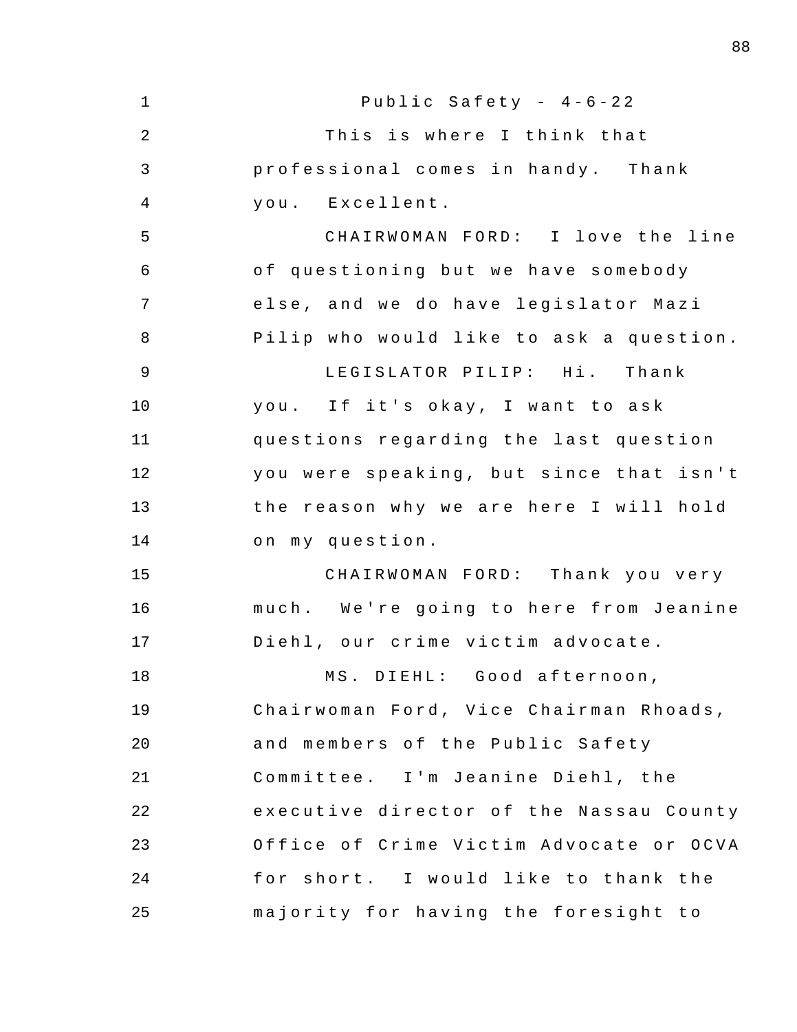| $\mathbf{1}$   | Public Safety - 4-6-22                  |
|----------------|-----------------------------------------|
| $\overline{2}$ | This is where I think that              |
| 3              | professional comes in handy. Thank      |
| $\overline{4}$ | you. Excellent.                         |
| 5              | CHAIRWOMAN FORD: I love the line        |
| 6              | of questioning but we have somebody     |
| 7              | else, and we do have legislator Mazi    |
| 8              | Pilip who would like to ask a question. |
| 9              | LEGISLATOR PILIP: Hi. Thank             |
| 10             | you. If it's okay, I want to ask        |
| 11             | questions regarding the last question   |
| 12             | you were speaking, but since that isn't |
| 13             | the reason why we are here I will hold  |
| 14             | on my question.                         |
| 15             | CHAIRWOMAN FORD: Thank you very         |
| 16             | much. We're going to here from Jeanine  |
| 17             | Diehl, our crime victim advocate.       |
| 18             | MS. DIEHL: Good afternoon,              |
| 19             | Chairwoman Ford, Vice Chairman Rhoads,  |
| 20             | and members of the Public Safety        |
| 21             | Committee. I'm Jeanine Diehl, the       |
| 22             | executive director of the Nassau County |
| 23             | Office of Crime Victim Advocate or OCVA |
| 24             | for short. I would like to thank the    |
| 25             | majority for having the foresight to    |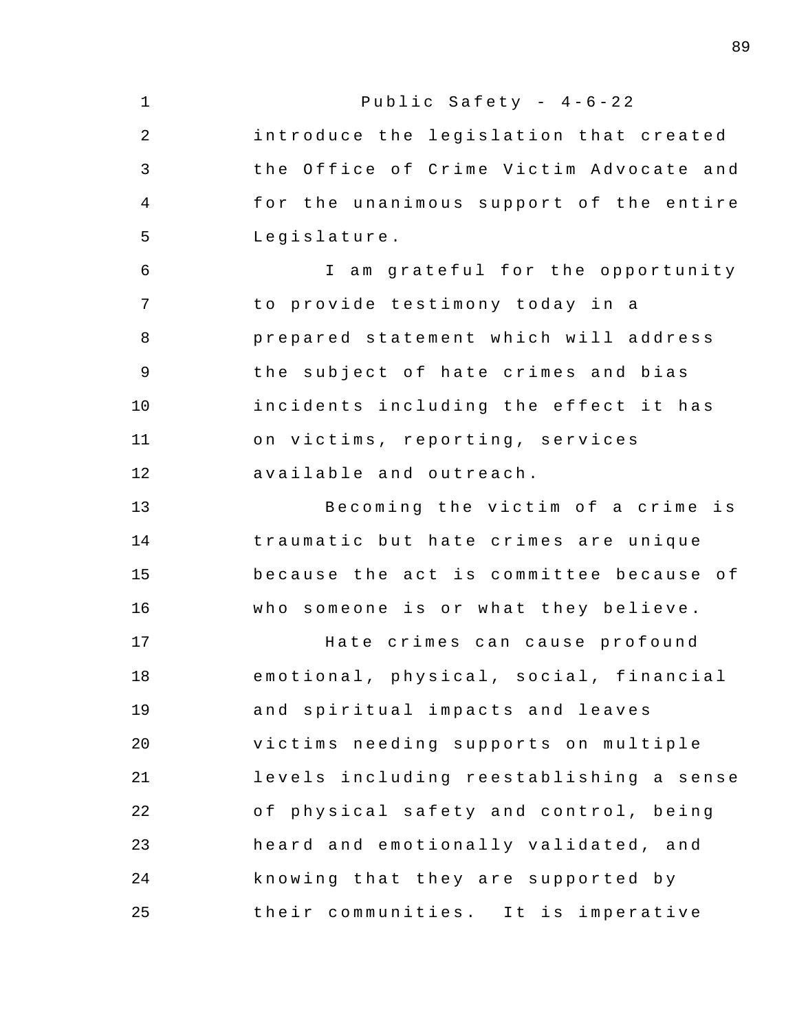| $\mathbf 1$    | Public Safety - $4-6-22$                |
|----------------|-----------------------------------------|
| $\overline{2}$ | introduce the legislation that created  |
| 3              | the Office of Crime Victim Advocate and |
| 4              | for the unanimous support of the entire |
| 5              | Legislature.                            |
| $\epsilon$     | I am grateful for the opportunity       |
| 7              | to provide testimony today in a         |
| 8              | prepared statement which will address   |
| $\mathsf 9$    | the subject of hate crimes and bias     |
| 10             | incidents including the effect it has   |
| 11             | on victims, reporting, services         |
| 12             | available and outreach.                 |
| 13             | Becoming the victim of a crime is       |
| 14             | traumatic but hate crimes are unique    |
| 15             | because the act is committee because of |
| 16             | who someone is or what they believe.    |
| 17             | Hate crimes can cause profound          |
| 18             | emotional, physical, social, financial  |
| 19             | and spiritual impacts and leaves        |
| 20             | victims needing supports on multiple    |
| 21             | levels including reestablishing a sense |
| 22             | of physical safety and control, being   |
| 23             | heard and emotionally validated, and    |
| 24             | knowing that they are supported by      |
| 25             | their communities. It is imperative     |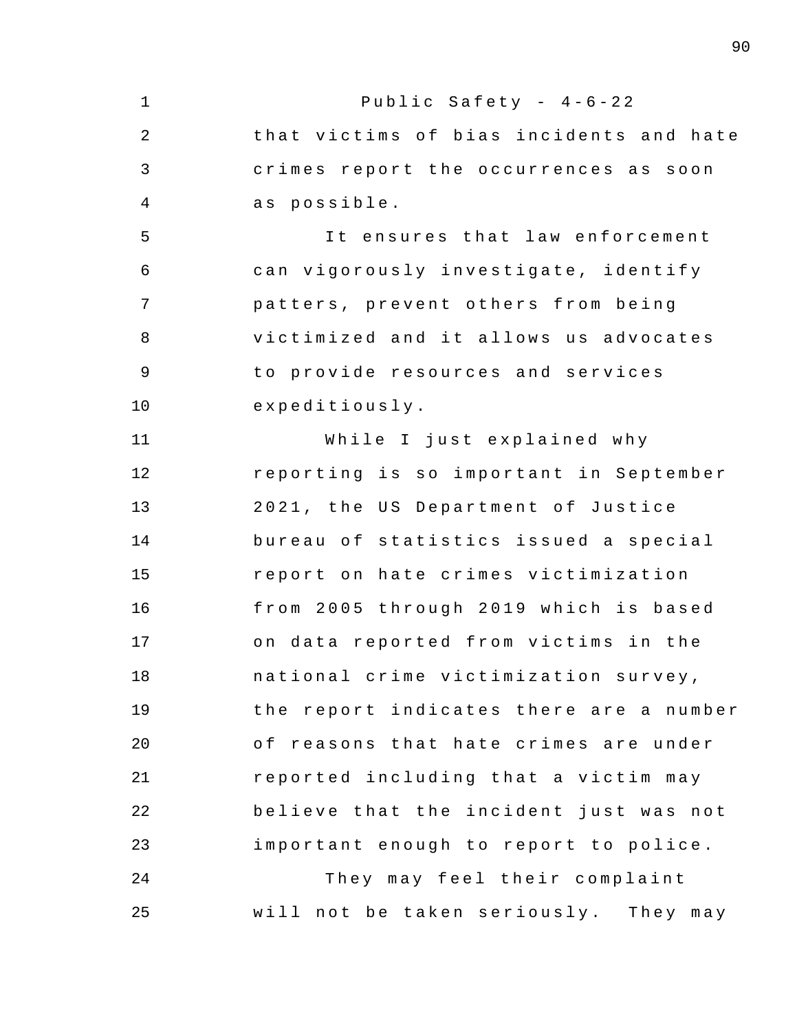1 2 3 4 5 6 7 8 9 10 11 12 13 14 15 16 17 18 19  $20^{\circ}$ 21 22 23 24 25 Public Safety -  $4-6-22$ that victims of bias incidents and hate crimes report the occurrences as soon as possible. It ensures that law enforcement can vigorously investigate , identify patters , prevent others from being victimized and it allows us advocates to provide resources and services expeditiously . While I just explained why reporting is so important in September 2021, the US Department of Justice bureau of statistics issued a special report on hate crimes victimization from 2005 through 2019 which is based on data reported from victims in the national crime victimization survey , the report indicates there are a number of reasons that hate crimes are under reported including that a victim may believe that the incident just was not important enough to report to police. They may feel their complaint will not be taken seriously. They may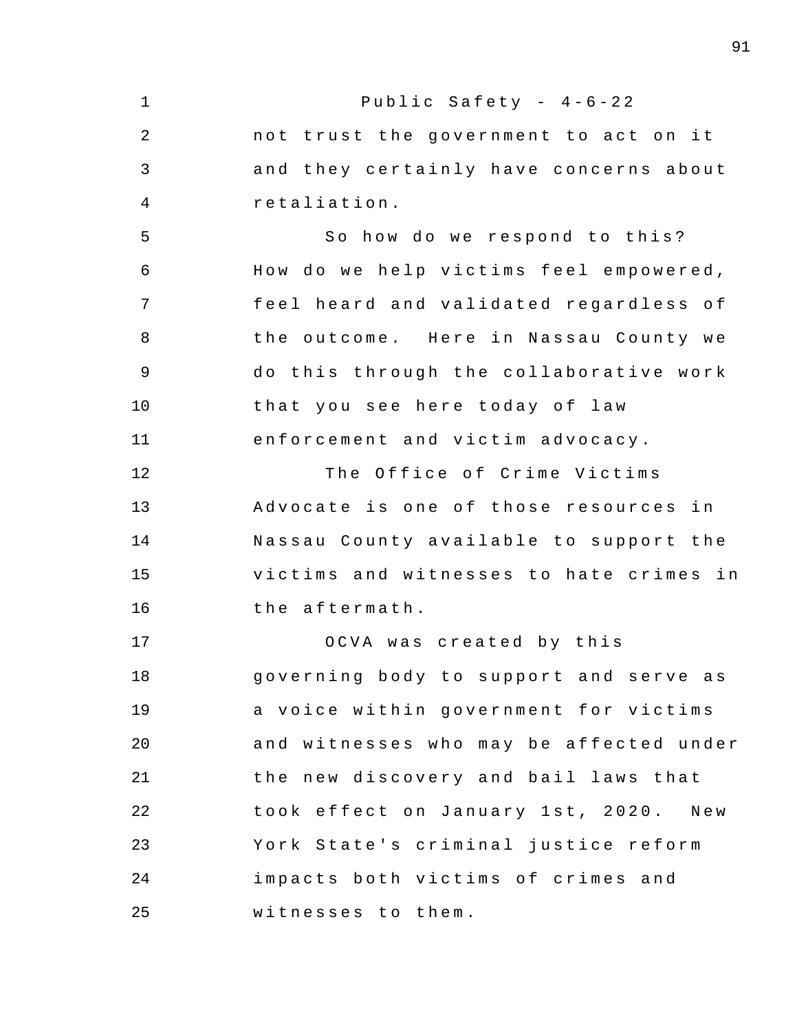1 2 3 4 5 6 7 8 9 10 11 12 13 14 15 16 17 18 19  $20^{\circ}$ 21 22 23 24 25 Public Safety -  $4-6-22$ not trust the government to act on it and they certainly have concerns about retaliation . So how do we respond to this? How do we help victims feel empowered, feel heard and validated regardless of the outcome. Here in Nassau County we do this through the collaborative work that you see here today of law enforcement and victim advocacy . The Office of Crime Victims Advocate is one of those resources in Nassau County available to support the victims and witnesses to hate crimes in the aftermath . OCVA was created by this governing body to support and serve as a voice within government for victims and witnesses who may be affected under the new discovery and bail laws that took effect on January 1st, 2020. New York State's criminal justice reform impacts both victims of crimes and witnesses to them.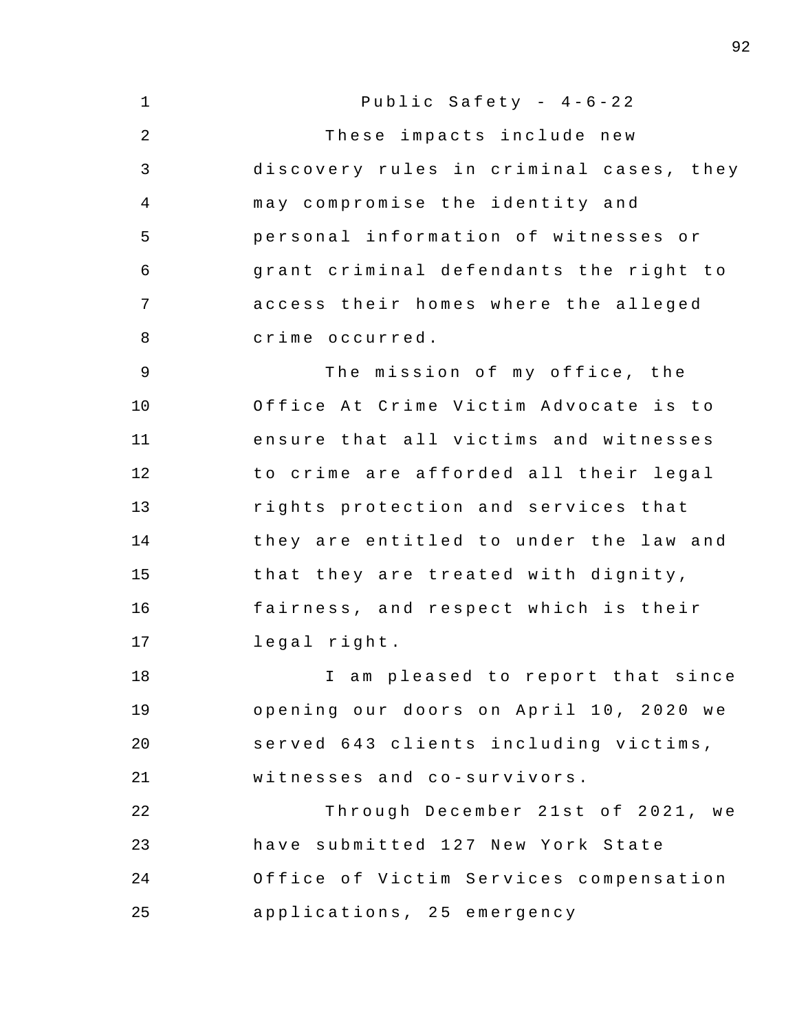1 2 3 4 5 6 7 8 9 10 11 12 13 14 15 16 17 18 19  $20^{\circ}$ 21 22 23 24 25 Public Safety -  $4-6-22$ These impacts include new discovery rules in criminal cases, they may compromise the identity and personal information of witnesses or grant criminal defendants the right to access their homes where the alleged crime occurred . The mission of my office, the Office At Crime Victim Advocate is to ensure that all victims and witnesses to crime are afforded all their legal rights protection and services that they are entitled to under the law and that they are treated with dignity , fairness, and respect which is their legal right . I am pleased to report that since opening our doors on April 10, 2020 we served 643 clients including victims, witnesses and co-survivors. Through December 21st of 2021, we have submitted 127 New York State Office of Victim Services compensation applications, 25 emergency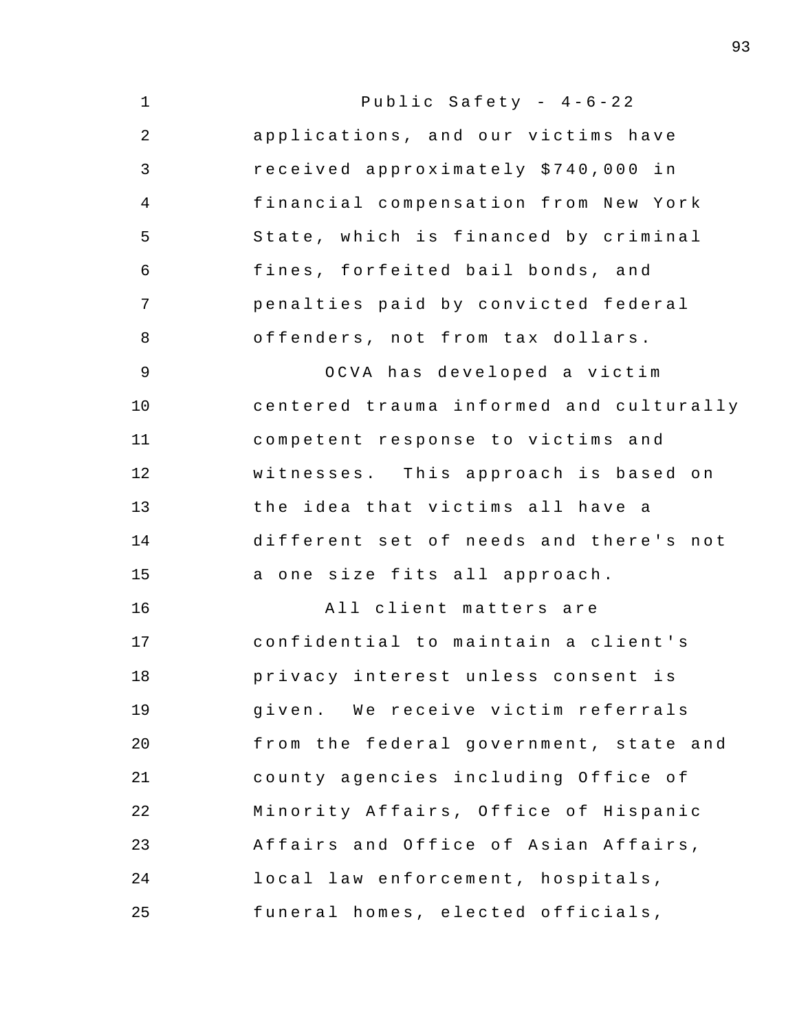| $\mathbf 1$ | Public Safety - $4-6-22$                |
|-------------|-----------------------------------------|
| 2           | applications, and our victims have      |
| 3           | received approximately \$740,000 in     |
| 4           | financial compensation from New York    |
| 5           | State, which is financed by criminal    |
| 6           | fines, forfeited bail bonds, and        |
| 7           | penalties paid by convicted federal     |
| 8           | offenders, not from tax dollars.        |
| 9           | OCVA has developed a victim             |
| 10          | centered trauma informed and culturally |
| 11          | competent response to victims and       |
| 12          | witnesses. This approach is based on    |
| 13          | the idea that victims all have a        |
| 14          | different set of needs and there's not  |
| 15          | a one size fits all approach.           |
| 16          | All client matters are                  |
| 17          | confidential to maintain a client's     |
| 18          | privacy interest unless consent is      |
| 19          | given. We receive victim referrals      |
| 20          | from the federal government, state and  |
| 21          | county agencies including Office of     |
| 22          | Minority Affairs, Office of Hispanic    |
| 23          | Affairs and Office of Asian Affairs,    |
| 24          | local law enforcement, hospitals,       |
| 25          | funeral homes, elected officials,       |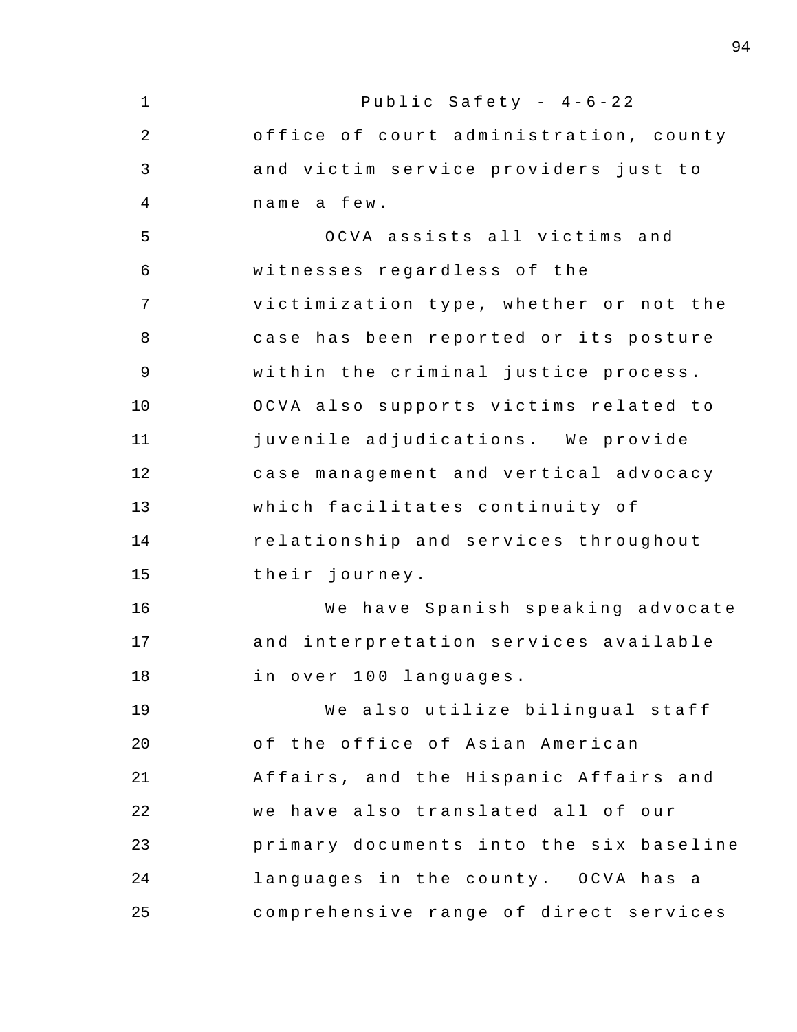1 2 3 4 5 6 7 8 9 10 11 12 13 14 15 16 17 18 19 20 21 22 23 24 25 Public Safety -  $4-6-22$ office of court administration, county and victim service providers just to name a few . OCVA assists all victims and witnesses regardless of the victimization type, whether or not the case has been reported or its posture within the criminal justice process. OCVA also supports victims related to juvenile adjudications. We provide case management and vertical advocacy which facilitates continuity of relationship and services throughout their journey . We have Spanish speaking advocate and interpretation services available in over 100 languages. We also utilize bilingual staff of the office of Asian American Affairs , and the Hispanic Affairs and we have also translated all of our primary documents into the six baseline languages in the county. OCVA has a comprehensive range of direct services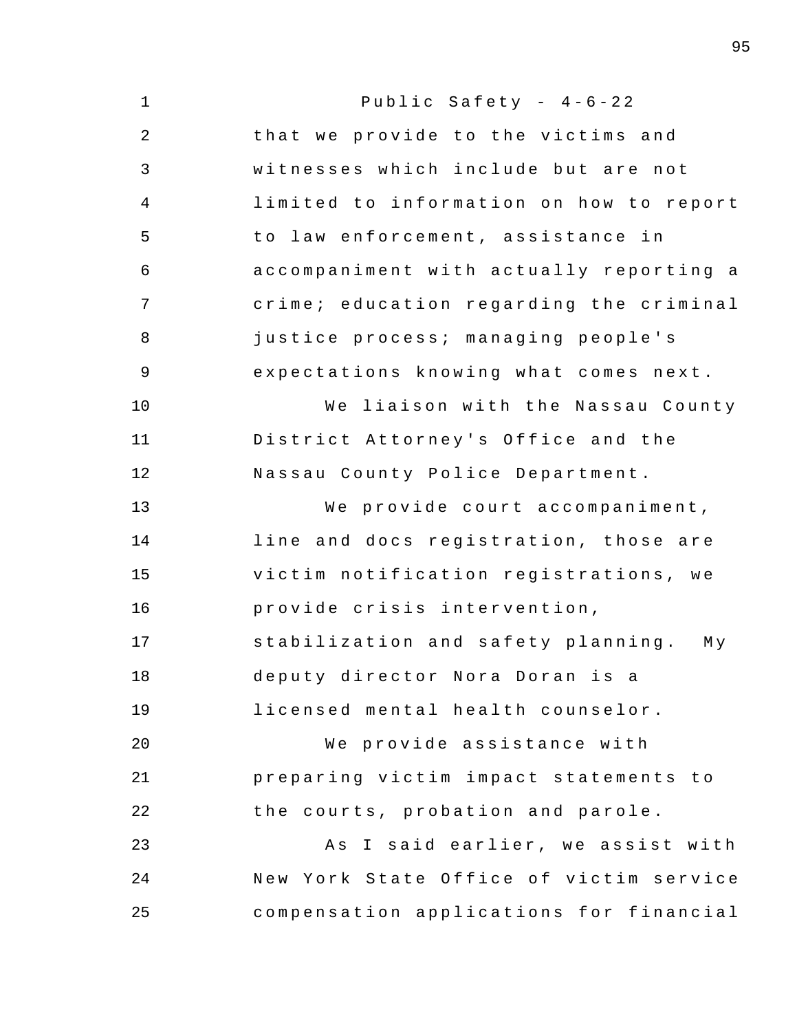| $\mathbf 1$    | Public Safety - $4-6-22$                |
|----------------|-----------------------------------------|
| 2              | that we provide to the victims and      |
| 3              | witnesses which include but are not     |
| $\overline{4}$ | limited to information on how to report |
| 5              | to law enforcement, assistance in       |
| 6              | accompaniment with actually reporting a |
| 7              | crime; education regarding the criminal |
| 8              | justice process; managing people's      |
| $\overline{9}$ | expectations knowing what comes next.   |
| 10             | We liaison with the Nassau County       |
| 11             | District Attorney's Office and the      |
| 12             | Nassau County Police Department.        |
| 13             | We provide court accompaniment,         |
| 14             | line and docs registration, those are   |
| 15             | victim notification registrations, we   |
| 16             | provide crisis intervention,            |
| 17             | stabilization and safety planning. My   |
| 18             | deputy director Nora Doran is a         |
| 19             | licensed mental health counselor.       |
| 20             | We provide assistance with              |
| 21             | preparing victim impact statements to   |
| 22             | the courts, probation and parole.       |
| 23             | As I said earlier, we assist with       |
| 24             | New York State Office of victim service |
| 25             | compensation applications for financial |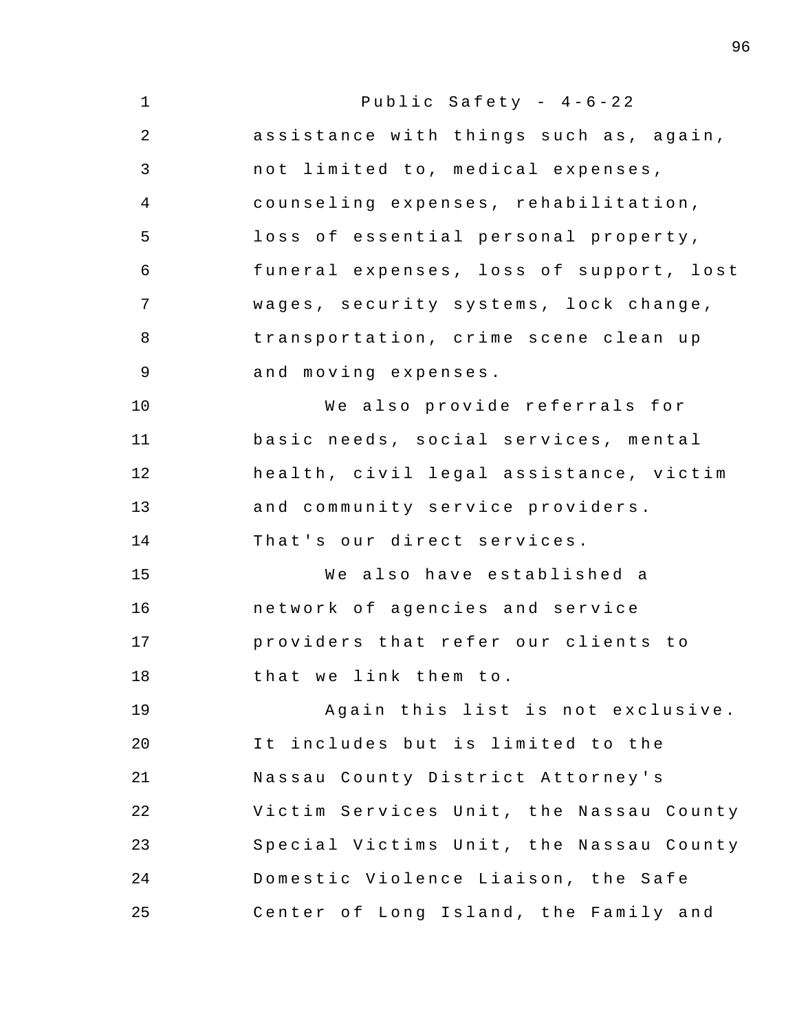| $\mathbf 1$ | Public Safety - $4-6-22$                |
|-------------|-----------------------------------------|
| 2           | assistance with things such as, again,  |
| 3           | not limited to, medical expenses,       |
| 4           | counseling expenses, rehabilitation,    |
| 5           | loss of essential personal property,    |
| 6           | funeral expenses, loss of support, lost |
| 7           | wages, security systems, lock change,   |
| 8           | transportation, crime scene clean up    |
| $\mathsf 9$ | and moving expenses.                    |
| 10          | We also provide referrals for           |
| 11          | basic needs, social services, mental    |
| 12          | health, civil legal assistance, victim  |
| 13          | and community service providers.        |
| 14          | That's our direct services.             |
| 15          | We also have established a              |
| 16          | network of agencies and service         |
| 17          | providers that refer our clients to     |
| 18          | that we link them to.                   |
| 19          | Again this list is not exclusive.       |
| 20          | It includes but is limited to the       |
| 21          | Nassau County District Attorney's       |
| 22          | Victim Services Unit, the Nassau County |
| 23          | Special Victims Unit, the Nassau County |
| 24          | Domestic Violence Liaison, the Safe     |
| 25          | Center of Long Island, the Family and   |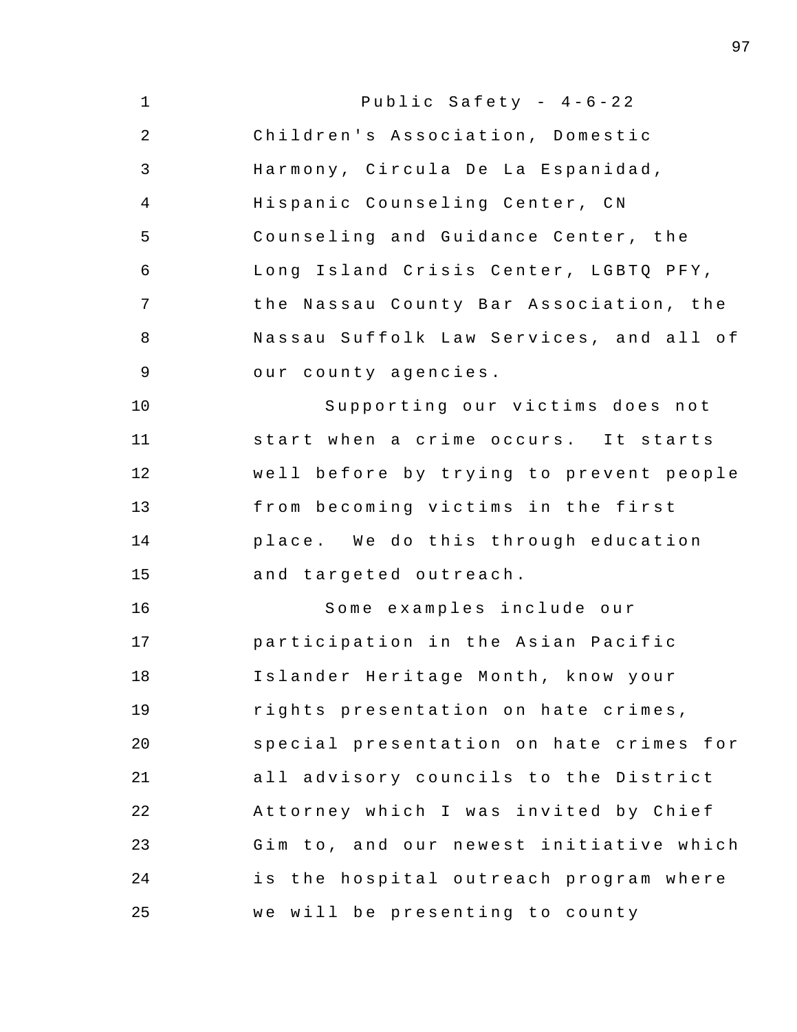| $\mathbf{1}$ | Public Safety - $4-6-22$                |
|--------------|-----------------------------------------|
| 2            | Children's Association, Domestic        |
| 3            | Harmony, Circula De La Espanidad,       |
| 4            | Hispanic Counseling Center, CN          |
| 5            | Counseling and Guidance Center, the     |
| 6            | Long Island Crisis Center, LGBTQ PFY,   |
| 7            | the Nassau County Bar Association, the  |
| 8            | Nassau Suffolk Law Services, and all of |
| 9            | our county agencies.                    |
| 10           | Supporting our victims does not         |
| 11           | start when a crime occurs. It starts    |
| 12           | well before by trying to prevent people |
| 13           | from becoming victims in the first      |
| 14           | place. We do this through education     |
| 15           | and targeted outreach.                  |
| 16           | Some examples include our               |
| 17           | participation in the Asian Pacific      |
| 18           | Islander Heritage Month, know your      |
| 19           | rights presentation on hate crimes,     |
| 20           | special presentation on hate crimes for |
| 21           | all advisory councils to the District   |
| 22           | Attorney which I was invited by Chief   |
| 23           | Gim to, and our newest initiative which |
| 24           | is the hospital outreach program where  |
| 25           | we will be presenting to county         |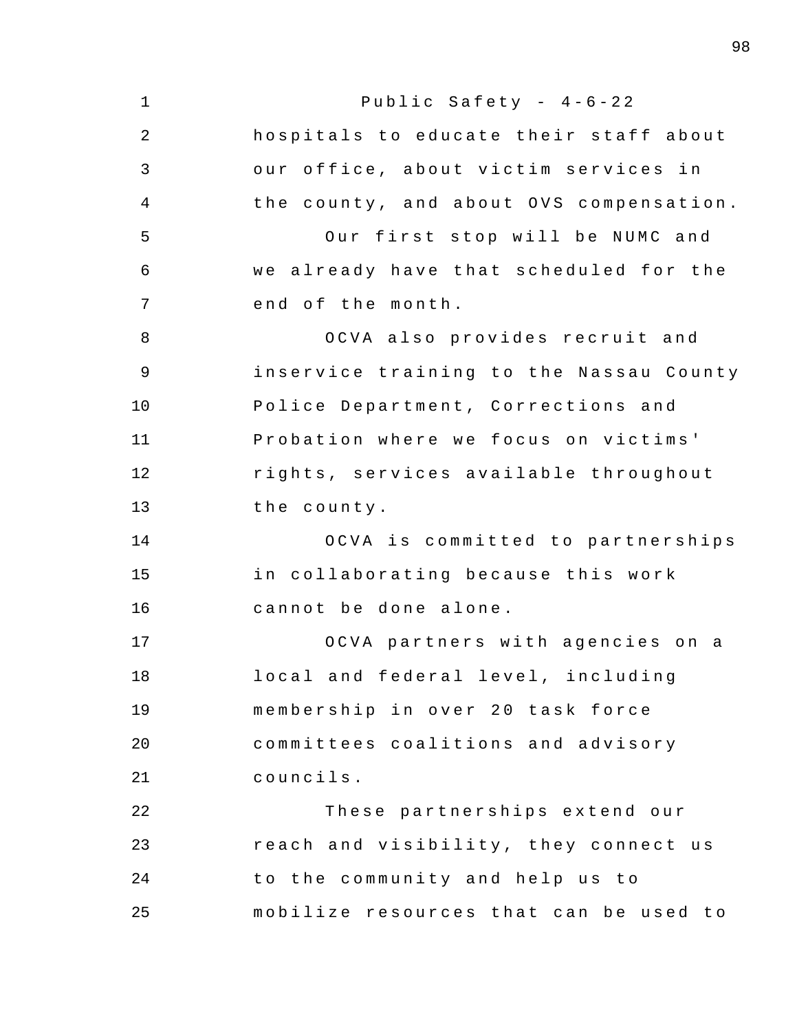1 2 3 4 5 6 7 8 9 10 11 12 13 14 15 16 17 18 19  $20^{\circ}$ 21 22 23 24 25 Public Safety -  $4-6-22$ hospitals to educate their staff about our office, about victim services in the county, and about OVS compensation. Our first stop will be NUMC and we already have that scheduled for the end of the month. OCVA also provides recruit and inservice training to the Nassau County Police Department, Corrections and Probation where we focus on victims' rights , services available throughout the county . OCVA is committed to partnerships in collaborating because this work cannot be done alone. OCVA partners with agencies on a local and federal level, including membership in over 20 task force committees coalitions and advisory councils . These partnerships extend our reach and visibility, they connect us to the community and help us to mobilize resources that can be used to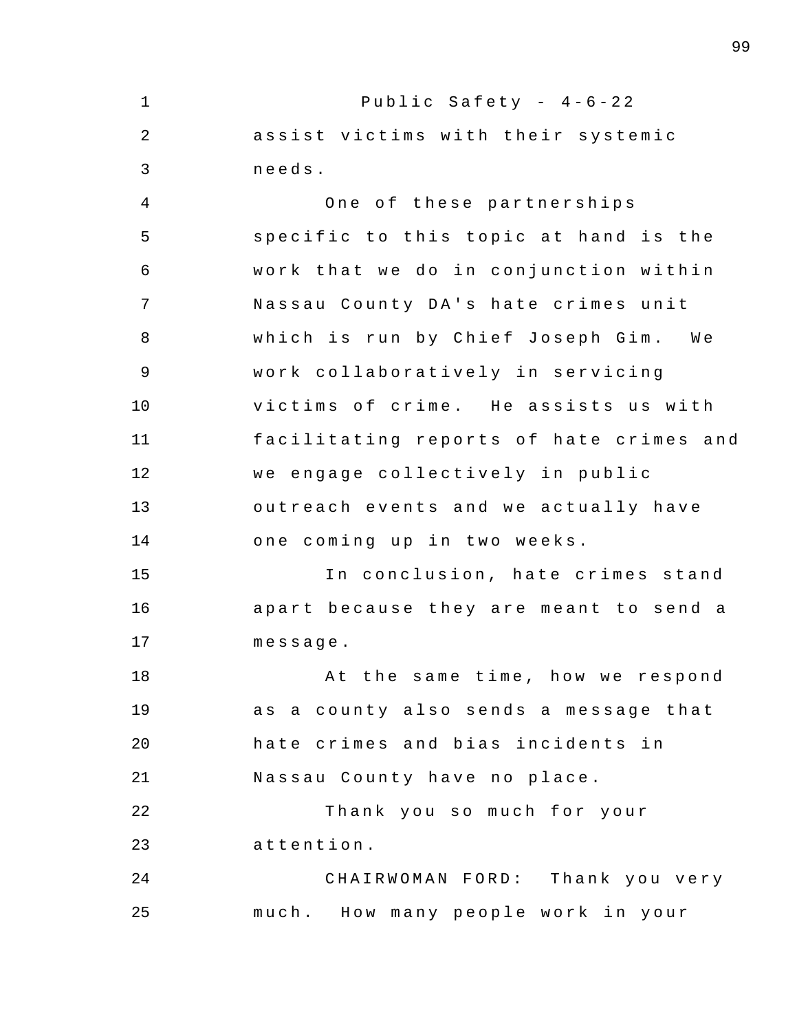1 2 3 4 5 6 7 8 9 10 11 12 13 14 15 16 17 18 19  $20^{\circ}$ 21 22 23 24 25 Public Safety -  $4-6-22$ assist victims with their systemic needs . One of these partnerships specific to this topic at hand is the work that we do in conjunction within Nassau County DA's hate crimes unit which is run by Chief Joseph Gim. We work collaboratively in servicing victims of crime. He assists us with facilitating reports of hate crimes and we engage collectively in public outreach events and we actually have one coming up in two weeks. In conclusion, hate crimes stand apart because they are meant to send a message . At the same time, how we respond as a county also sends a message that hate crimes and bias incidents in Nassau County have no place. Thank you so much for your attention . CHAIRWOMAN FORD: Thank you very much. How many people work in your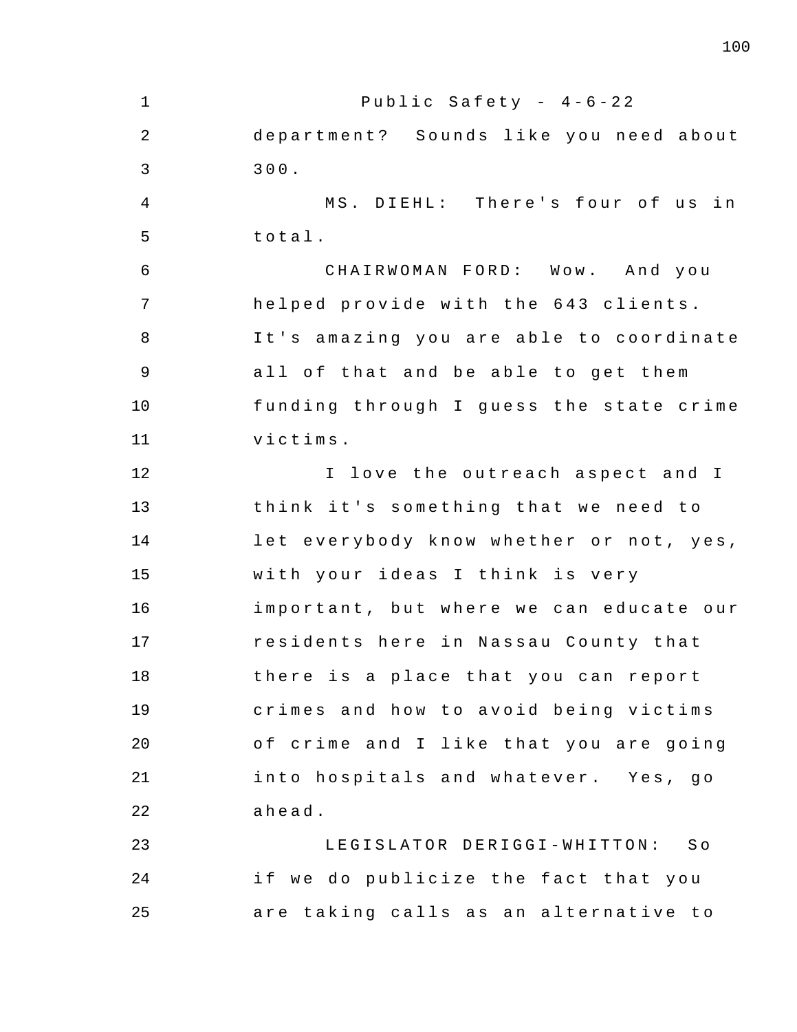1 2 3 4 5 6 7 8 9 10 11 12 13 14 15 16 17 18 19 20 21 22 23 24 25 Public Safety -  $4-6-22$ department? Sounds like you need about 300 . MS. DIEHL: There's four of us in total . CHAIRWOMAN FORD: Wow. And you helped provide with the 643 clients. It's amazing you are able to coordinate all of that and be able to get them funding through I guess the state crime victims . I love the outreach aspect and I think it's something that we need to let everybody know whether or not, yes, with your ideas I think is very important, but where we can educate our residents here in Nassau County that there is a place that you can report crimes and how to avoid being victims of crime and I like that you are going into hospitals and whatever. Yes, go ahead . LEGISLATOR DERIGGI-WHITTON: So if we do publicize the fact that you are taking calls as an alternative to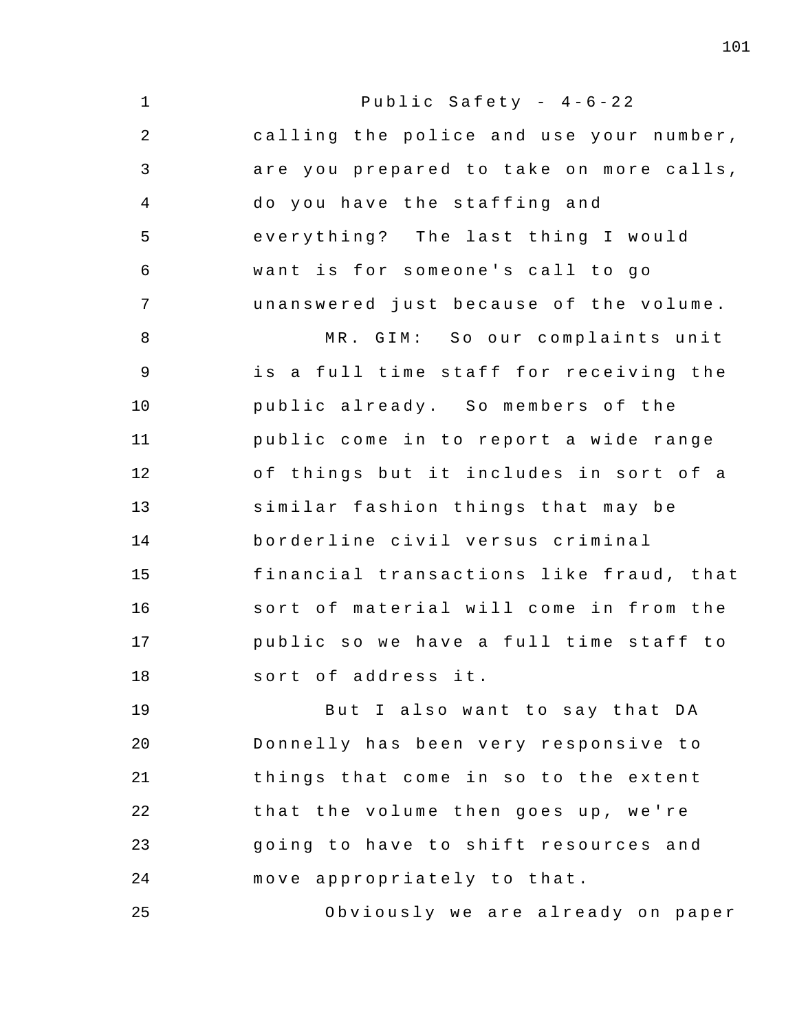1 2 3 4 5 6 7 8 9 10 11 12 13 14 15 16 17 18 19 20 21 22 23 24 Public Safety -  $4-6-22$ calling the police and use your number , are you prepared to take on more calls, do you have the staffing and everything? The last thing I would want is for someone's call to go unanswered just because of the volume. MR. GIM: So our complaints unit is a full time staff for receiving the public already. So members of the public come in to report a wide range of things but it includes in sort of a similar fashion things that may be borderline civil versus criminal financial transactions like fraud, that sort of material will come in from the public so we have a full time staff to sort of address it. But I also want to say that DA Donnelly has been very responsive to things that come in so to the extent that the volume then goes up, we're going to have to shift resources and move appropriately to that.

25 Obviously we are already on paper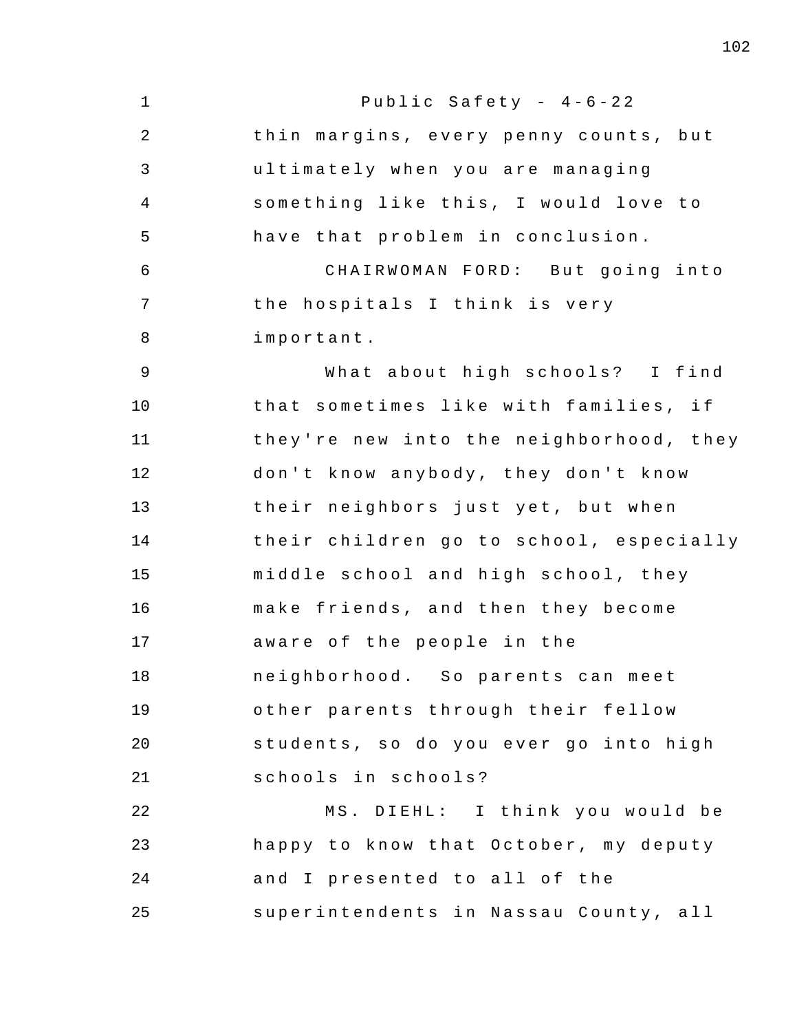| $\mathbf 1$ | Public Safety - $4-6-22$                |
|-------------|-----------------------------------------|
| 2           | thin margins, every penny counts, but   |
| 3           | ultimately when you are managing        |
| 4           | something like this, I would love to    |
| 5           | have that problem in conclusion.        |
| 6           | CHAIRWOMAN FORD: But going into         |
| 7           | the hospitals I think is very           |
| 8           | important.                              |
| 9           | What about high schools? I find         |
| 10          | that sometimes like with families, if   |
| 11          | they're new into the neighborhood, they |
| 12          | don't know anybody, they don't know     |
| 13          | their neighbors just yet, but when      |
| 14          | their children go to school, especially |
| 15          | middle school and high school, they     |
| 16          | make friends, and then they become      |
| 17          | aware of the people in the              |
| 18          | neighborhood. So parents can meet       |
| 19          | other parents through their fellow      |
| 20          | students, so do you ever go into high   |
| 21          | schools in schools?                     |
| 22          | MS. DIEHL: I think you would be         |
| 23          | happy to know that October, my deputy   |
| 24          | and I presented to all of the           |
| 25          | superintendents in Nassau County, all   |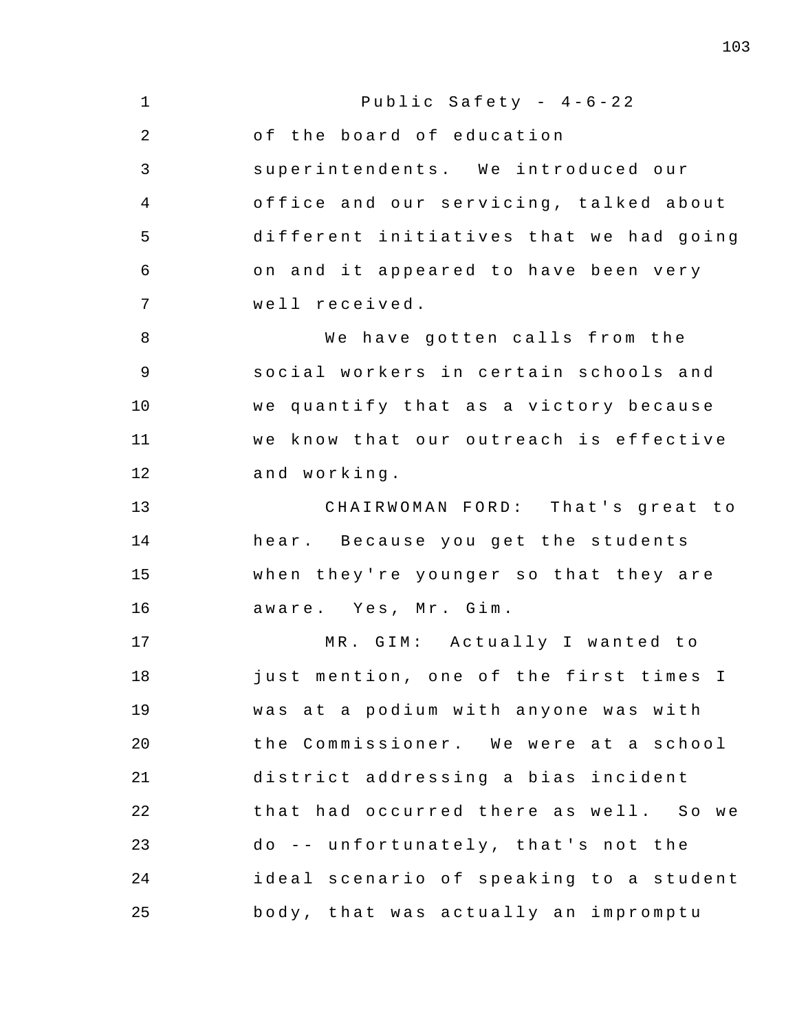| $\mathbf 1$    | Public Safety - $4-6-22$                |
|----------------|-----------------------------------------|
| $\overline{2}$ | of the board of education               |
| 3              | superintendents. We introduced our      |
| 4              | office and our servicing, talked about  |
| 5              | different initiatives that we had going |
| 6              | on and it appeared to have been very    |
| 7              | well received.                          |
| 8              | We have gotten calls from the           |
| $\mathsf 9$    | social workers in certain schools and   |
| 10             | we quantify that as a victory because   |
| 11             | we know that our outreach is effective  |
| 12             | and working.                            |
| 13             | CHAIRWOMAN FORD: That's great to        |
| 14             | hear. Because you get the students      |
| 15             | when they're younger so that they are   |
| 16             | aware. Yes, Mr. Gim.                    |
| 17             | MR. GIM: Actually I wanted to           |
| 18             | just mention, one of the first times I  |
| 19             | was at a podium with anyone was with    |
| 20             | the Commissioner. We were at a school   |
| 21             | district addressing a bias incident     |
| 22             | that had occurred there as well. So we  |
| 23             | do -- unfortunately, that's not the     |
| 24             | ideal scenario of speaking to a student |
| 25             | body, that was actually an impromptu    |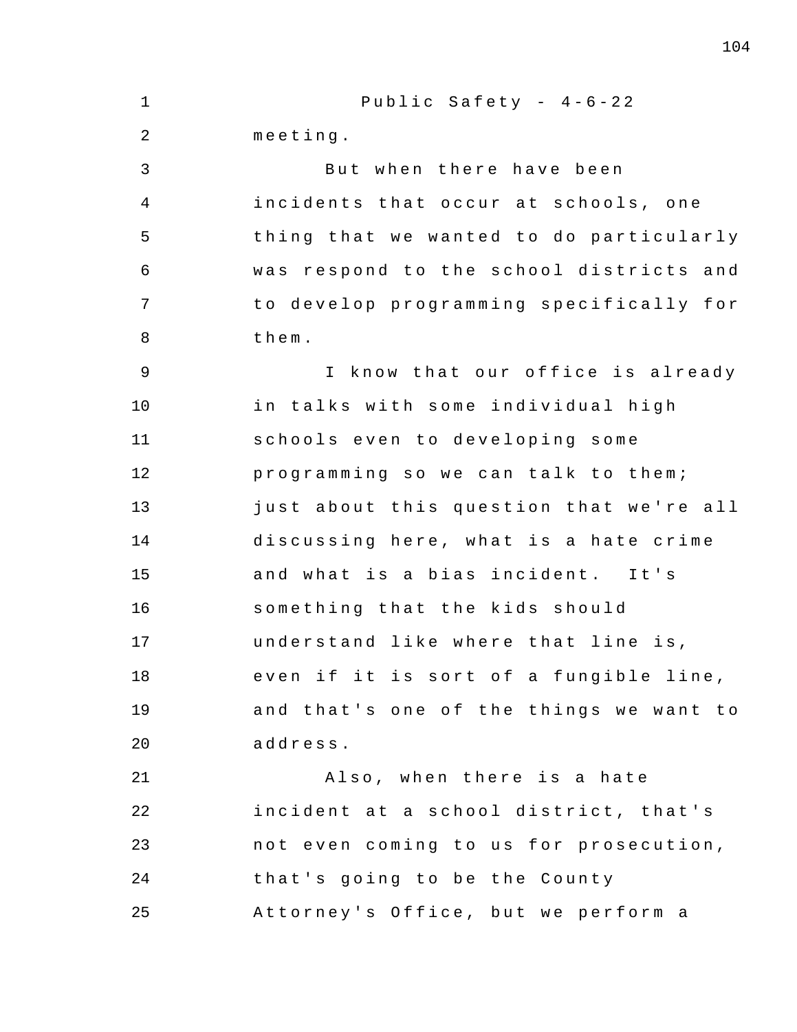1 2 3 4 5 6 7 8 9 10 11 12 13 14 15 16 17 18 19 20 21 22 23 24 25 Public Safety -  $4-6-22$ meeting . But when there have been incidents that occur at schools, one thing that we wanted to do particularly was respond to the school districts and to develop programming specifically for them . I know that our office is already in talks with some individual high schools even to developing some programming so we can talk to them; just about this question that we're all discussing here, what is a hate crime and what is a bias incident. It's something that the kids should understand like where that line is, even if it is sort of a fungible line, and that's one of the things we want to address . Also, when there is a hate incident at a school district, that's not even coming to us for prosecution, that's going to be the County Attorney's Office, but we perform a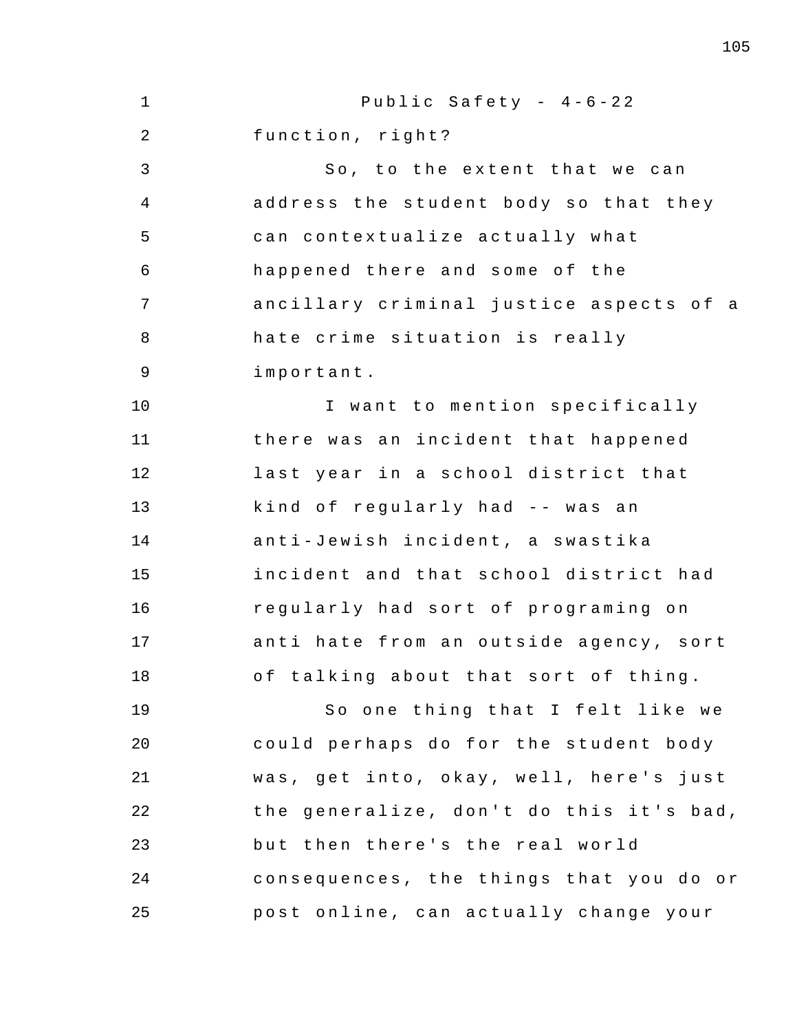1 2 3 4 5 6 7 8 9 10 11 12 13 14 15 16 17 18 19 20 21 22 23 24 25 Public Safety -  $4-6-22$ function, right? So, to the extent that we can address the student body so that they can contextualize actually what happened there and some of the ancillary criminal justice aspects of a hate crime situation is really important . I want to mention specifically there was an incident that happened last year in a school district that kind of regularly had -- was an anti - Jewish incident , a swastika incident and that school district had regularly had sort of programing on anti hate from an outside agency, sort of talking about that sort of thing. So one thing that I felt like we could perhaps do for the student body was, get into, okay, well, here's just the generalize, don't do this it's bad, but then there's the real world consequences, the things that you do or post online , can actually change your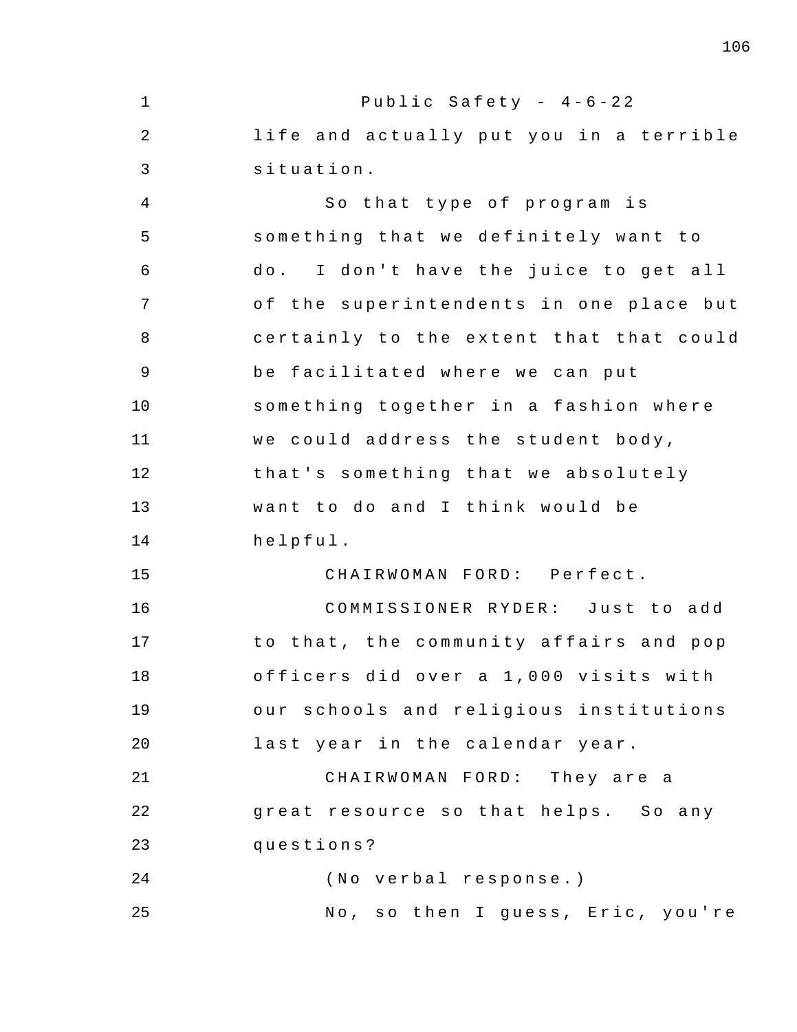1 2 3 4 5 6 7 8 9 10 11 12 13 14 15 16 17 18 19 20 21 22 23 24 25 Public Safety -  $4-6-22$ life and actually put you in a terrible situation . So that type of program is something that we definitely want to do. I don't have the juice to get all of the superintendents in one place but certainly to the extent that that could be facilitated where we can put something together in a fashion where we could address the student body, that's something that we absolutely want to do and I think would be helpful . CHAIRWOMAN FORD: Perfect. COMMISSIONER RYDER: Just to add to that, the community affairs and pop officers did over a 1 , 000 visits with our schools and religious institutions last year in the calendar year. CHAIRWOMAN FORD: They are a great resource so that helps. So any questions ? (No verbal response.) No, so then I guess, Eric, you're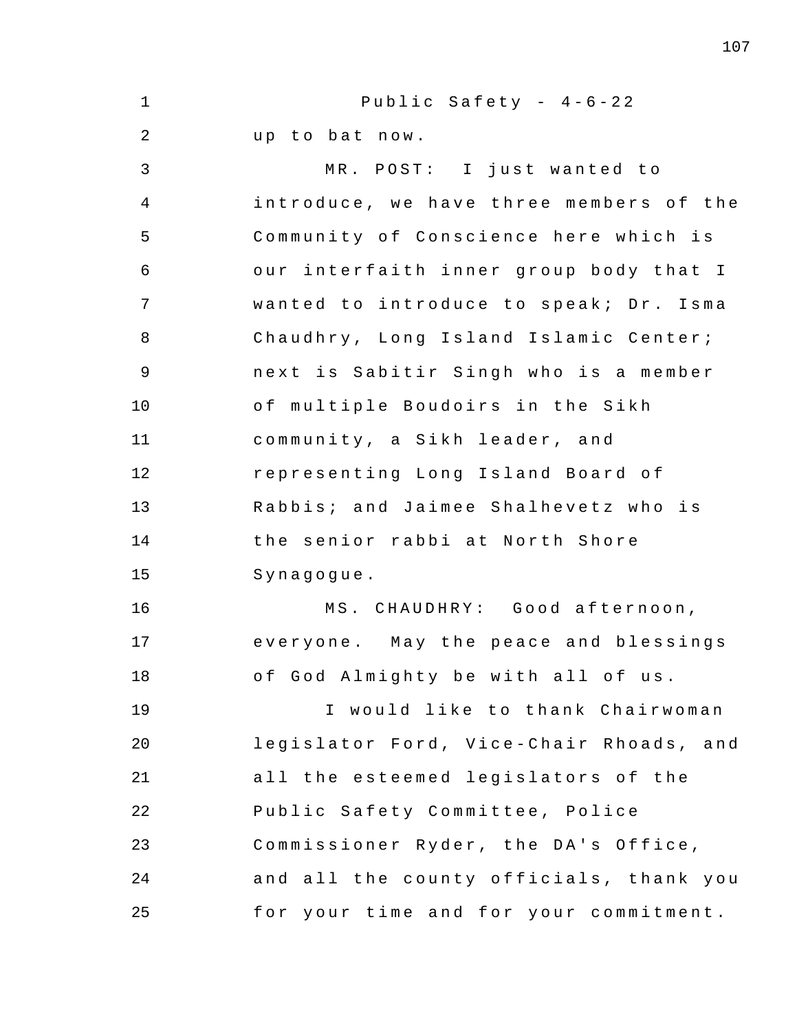1 2 3 4 5 6 7 8 9 10 11 12 13 14 15 16 17 18 19 20 21 22 23 24 25 Public Safety -  $4-6-22$ up to bat now. MR. POST: I just wanted to introduce, we have three members of the Community of Conscience here which is our interfaith inner group body that I wanted to introduce to speak; Dr. Isma Chaudhry, Long Island Islamic Center; next is Sabitir Singh who is a member of multiple Boudoirs in the Sikh community, a Sikh leader, and representing Long Island Board of Rabbis; and Jaimee Shalhevetz who is the senior rabbi at North Shore Synagogue . MS. CHAUDHRY: Good afternoon, everyone. May the peace and blessings of God Almighty be with all of us. I would like to thank Chairwoman legislator Ford, Vice-Chair Rhoads, and all the esteemed legislators of the Public Safety Committee , Police Commissioner Ryder, the DA's Office, and all the county officials , thank you for your time and for your commitment.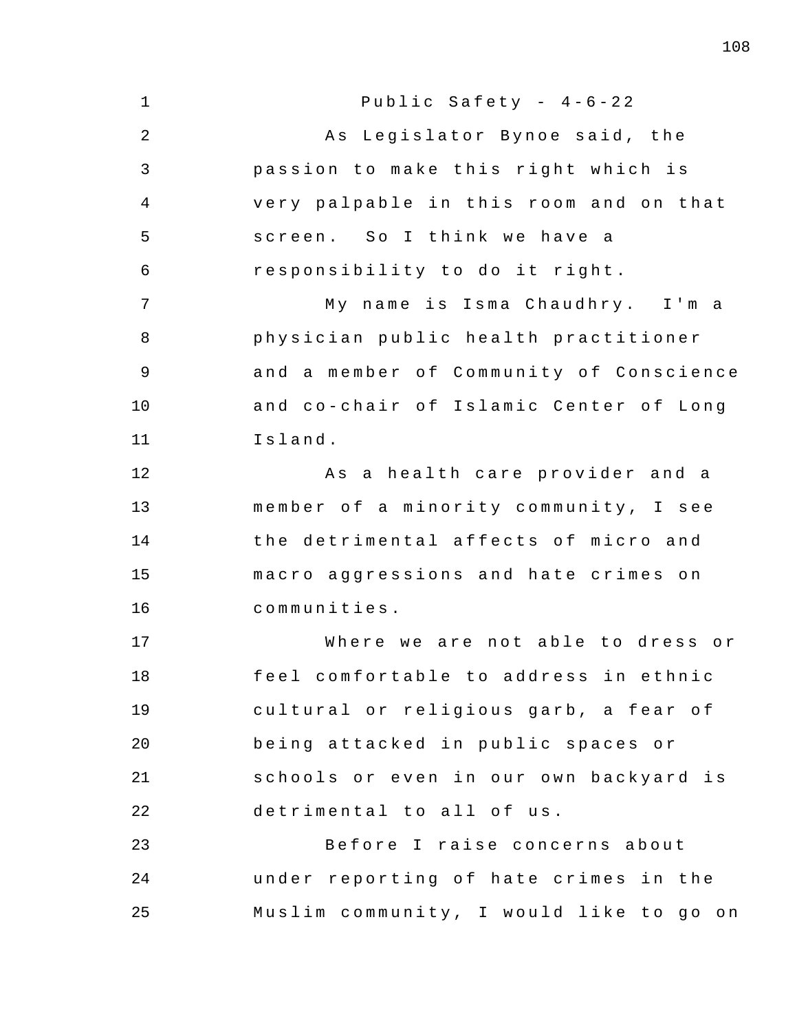1 2 3 4 5 6 7 8 9 10 11 12 13 14 15 16 17 18 19 20 21 22 23 24 25 Public Safety -  $4-6-22$ As Legislator Bynoe said, the passion to make this right which is very palpable in this room and on that screen. So I think we have a responsibility to do it right. My name is Isma Chaudhry. I'm a physician public health practitioner and a member of Community of Conscience and co-chair of Islamic Center of Long Island . As a health care provider and a member of a minority community, I see the detrimental affects of micro and macro aggressions and hate crimes on communities . Where we are not able to dress or feel comfortable to address in ethnic cultural or religious garb, a fear of being attacked in public spaces or schools or even in our own backyard is detrimental to all of us. Before I raise concerns about under reporting of hate crimes in the Muslim community, I would like to go on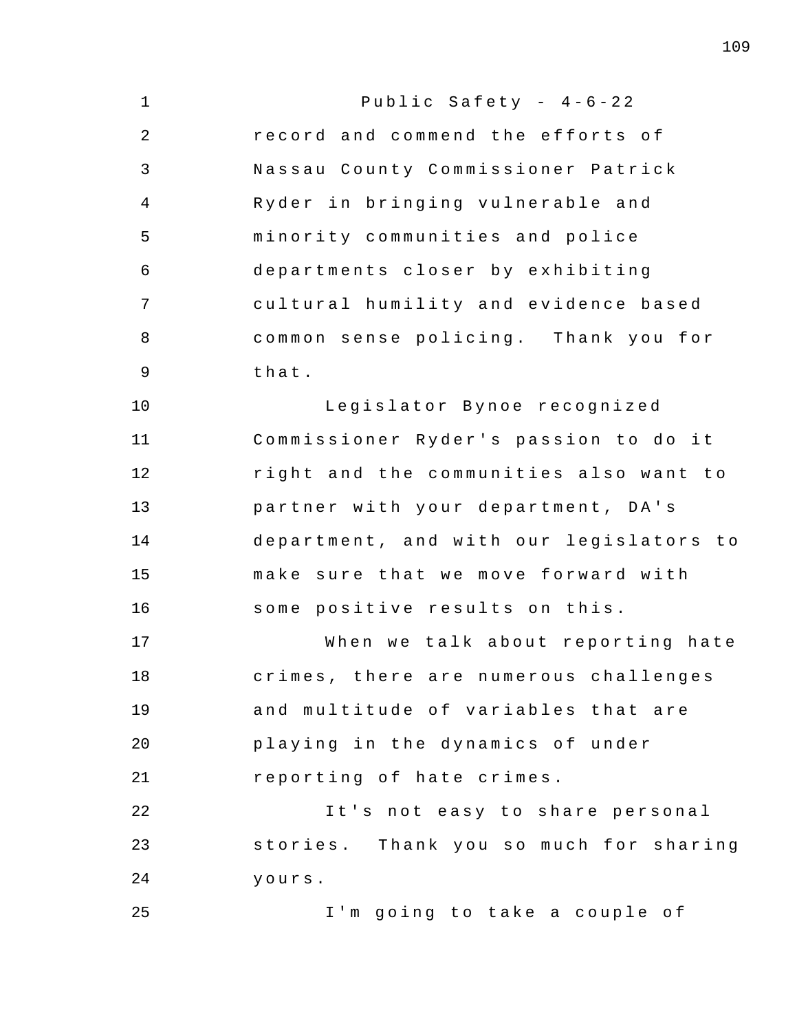| $\mathbf{1}$   | Public Safety - $4-6-22$                |
|----------------|-----------------------------------------|
| 2              | record and commend the efforts of       |
| $\mathfrak{Z}$ | Nassau County Commissioner Patrick      |
| 4              | Ryder in bringing vulnerable and        |
| 5              | minority communities and police         |
| 6              | departments closer by exhibiting        |
| 7              | cultural humility and evidence based    |
| 8              | common sense policing. Thank you for    |
| 9              | that.                                   |
| 10             | Legislator Bynoe recognized             |
| 11             | Commissioner Ryder's passion to do it   |
| 12             | right and the communities also want to  |
| 13             | partner with your department, DA's      |
| 14             | department, and with our legislators to |
| 15             | make sure that we move forward with     |
| 16             | some positive results on this.          |
| 17             | When we talk about reporting hate       |
| 18             | crimes, there are numerous challenges   |
| 19             | and multitude of variables that are     |
| 20             | playing in the dynamics of under        |
| 21             | reporting of hate crimes.               |
| 22             | It's not easy to share personal         |
| 23             | stories. Thank you so much for sharing  |
| 24             | yours.                                  |
| 25             | I'm going to take a couple of           |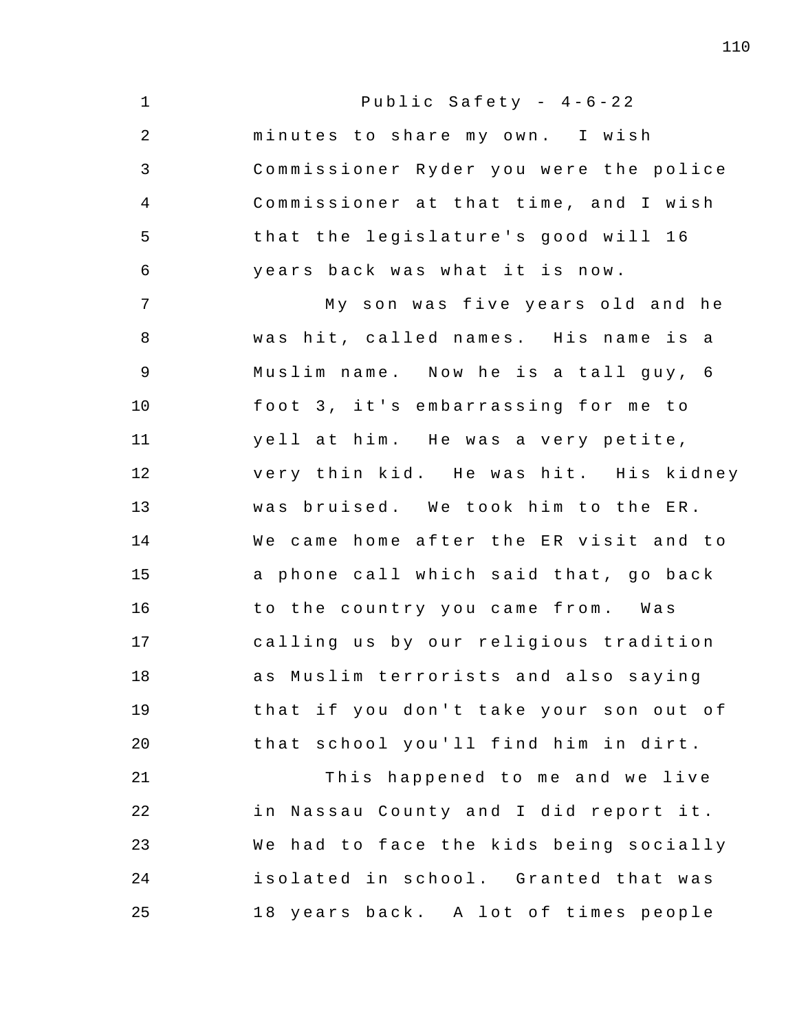| $\mathbf 1$    | Public Safety - $4-6-22$               |
|----------------|----------------------------------------|
| $\overline{2}$ | minutes to share my own. I wish        |
| 3              | Commissioner Ryder you were the police |
| 4              | Commissioner at that time, and I wish  |
| 5              | that the legislature's good will 16    |
| 6              | years back was what it is now.         |
| 7              | My son was five years old and he       |
| 8              | was hit, called names. His name is a   |
| 9              | Muslim name. Now he is a tall guy, 6   |
| 10             | foot 3, it's embarrassing for me to    |
| 11             | yell at him. He was a very petite,     |
| 12             | very thin kid. He was hit. His kidney  |
| 13             | was bruised. We took him to the ER.    |
| 14             | We came home after the ER visit and to |
| 15             | a phone call which said that, go back  |
| 16             | to the country you came from. Was      |
| 17             | calling us by our religious tradition  |
| 18             | as Muslim terrorists and also saying   |
| 19             | that if you don't take your son out of |
| 20             | that school you'll find him in dirt.   |
| 21             | This happened to me and we live        |
| 22             | in Nassau County and I did report it.  |
| 23             | We had to face the kids being socially |
| 24             | isolated in school. Granted that was   |
| 25             | 18 years back. A lot of times people   |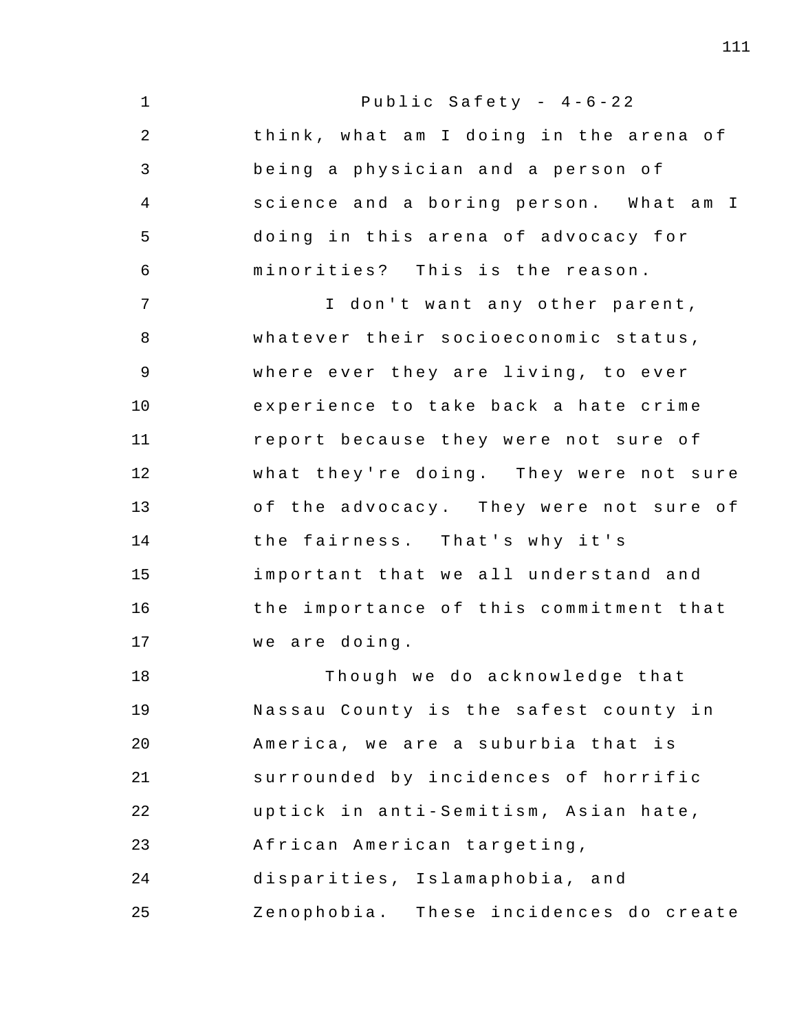| $\mathbf 1$    | Public Safety - $4-6-22$               |
|----------------|----------------------------------------|
| $\overline{2}$ | think, what am I doing in the arena of |
| 3              | being a physician and a person of      |
| $\overline{4}$ | science and a boring person. What am I |
| 5              | doing in this arena of advocacy for    |
| 6              | minorities? This is the reason.        |
| 7              | I don't want any other parent,         |
| 8              | whatever their socioeconomic status,   |
| $\overline{9}$ | where ever they are living, to ever    |
| 10             | experience to take back a hate crime   |
| 11             | report because they were not sure of   |
| 12             | what they're doing. They were not sure |
| 13             | of the advocacy. They were not sure of |
| 14             | the fairness. That's why it's          |
| 15             | important that we all understand and   |
| 16             | the importance of this commitment that |
| 17             | we are doing.                          |
| 18             | Though we do acknowledge that          |
| 19             | Nassau County is the safest county in  |
| 20             | America, we are a suburbia that is     |
| 21             | surrounded by incidences of horrific   |
| 22             | uptick in anti-Semitism, Asian hate,   |
| 23             | African American targeting,            |
| 24             | disparities, Islamaphobia, and         |
| 25             | Zenophobia. These incidences do create |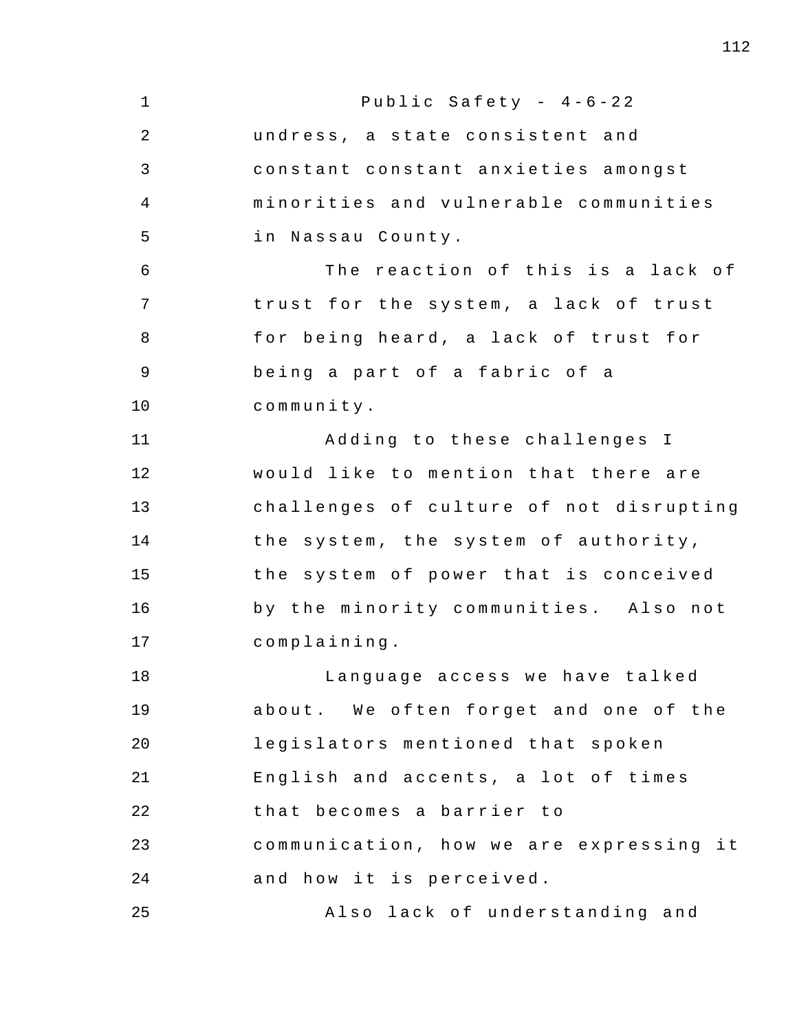1 2 3 4 5 6 7 8 9 10 11 12 13 14 15 16 17 18 19 20 21 22 23 24 25 Public Safety -  $4-6-22$ undress, a state consistent and constant constant anxieties amongst minorities and vulnerable communities in Nassau County. The reaction of this is a lack of trust for the system, a lack of trust for being heard, a lack of trust for being a part of a fabric of a community . Adding to these challenges I would like to mention that there are challenges of culture of not disrupting the system, the system of authority, the system of power that is conceived by the minority communities. Also not complaining . Language access we have talked about. We often forget and one of the legislators mentioned that spoken English and accents, a lot of times that becomes a barrier to communication, how we are expressing it and how it is perceived. Also lack of understanding and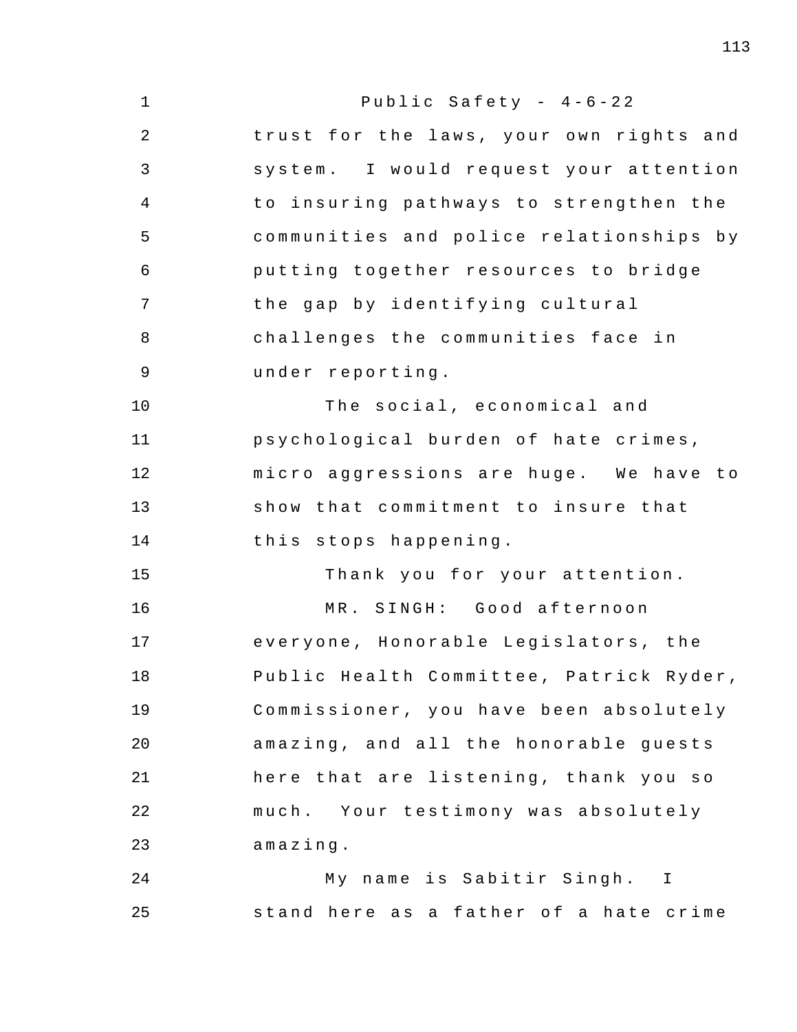1 2 3 4 5 6 7 8 9 10 11 12 13 14 15 16 17 18 19 20 21 22 23 24 25 Public Safety -  $4-6-22$ trust for the laws, your own rights and system . I would request your attention to insuring pathways to strengthen the communities and police relationships by putting together resources to bridge the gap by identifying cultural challenges the communities face in under reporting . The social, economical and psychological burden of hate crimes, micro aggressions are huge. We have to show that commitment to insure that this stops happening . Thank you for your attention. MR. SINGH: Good afternoon every one , Honorable Legislators , the Public Health Committee, Patrick Ryder, Commissioner, you have been absolutely amazing, and all the honorable guests here that are listening, thank you so much. Your testimony was absolutely amazing . My name is Sabitir Singh. I stand here as a father of a hate crime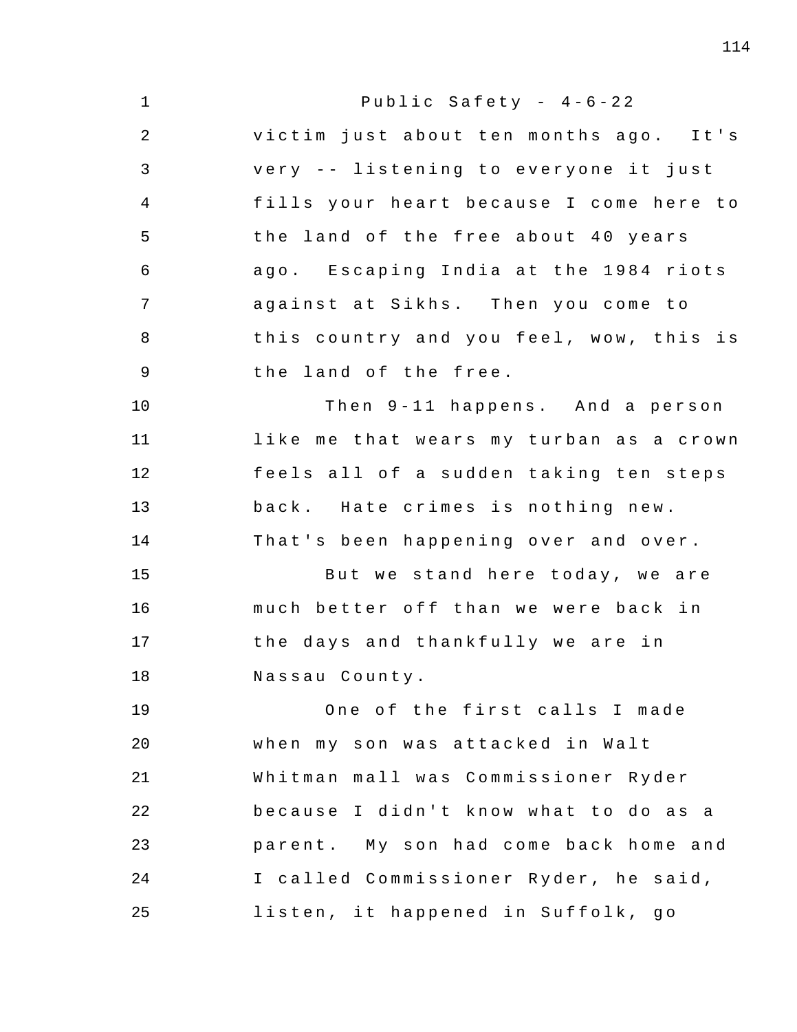| $\mathbf 1$    | Public Safety - $4-6-22$                |
|----------------|-----------------------------------------|
| $\overline{a}$ | victim just about ten months ago. It's  |
| 3              | very -- listening to everyone it just   |
| $\overline{4}$ | fills your heart because I come here to |
| 5              | the land of the free about 40 years     |
| 6              | ago. Escaping India at the 1984 riots   |
| 7              | against at Sikhs. Then you come to      |
| 8              | this country and you feel, wow, this is |
| $\overline{9}$ | the land of the free.                   |
| 10             | Then 9-11 happens. And a person         |
| 11             | like me that wears my turban as a crown |
| 12             | feels all of a sudden taking ten steps  |
| 13             | back. Hate crimes is nothing new.       |
| 14             | That's been happening over and over.    |
| 15             | But we stand here today, we are         |
| 16             | much better off than we were back in    |
| 17             | the days and thankfully we are in       |
| 18             | Nassau County.                          |
| 19             | One of the first calls I made           |
| 20             | when my son was attacked in Walt        |
| 21             | Whitman mall was Commissioner Ryder     |
| 22             | because I didn't know what to do as a   |
| 23             | parent. My son had come back home and   |
| 24             | I called Commissioner Ryder, he said,   |
| 25             | listen, it happened in Suffolk, go      |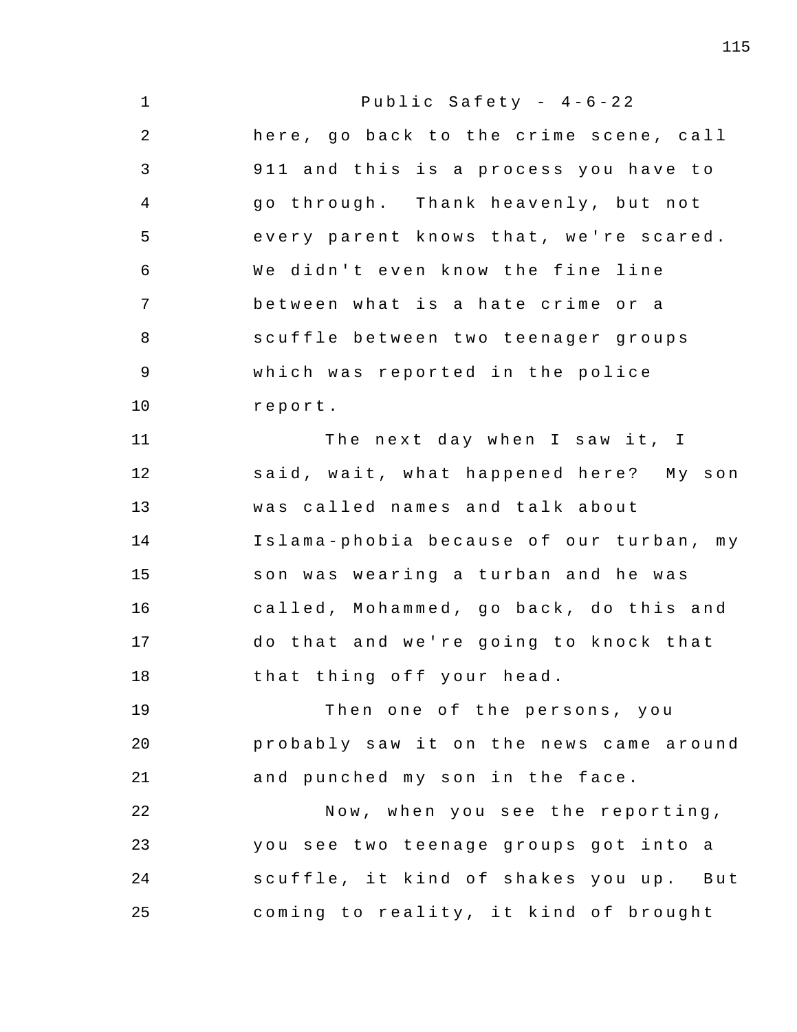| $\mathbf 1$    | Public Safety - $4-6-22$                |
|----------------|-----------------------------------------|
| $\overline{2}$ | here, go back to the crime scene, call  |
| 3              | 911 and this is a process you have to   |
| 4              | go through. Thank heavenly, but not     |
| 5              | every parent knows that, we're scared.  |
| 6              | We didn't even know the fine line       |
| 7              | between what is a hate crime or a       |
| 8              | scuffle between two teenager groups     |
| $\mathsf 9$    | which was reported in the police        |
| 10             | report.                                 |
| 11             | The next day when I saw it, I           |
| 12             | said, wait, what happened here? My son  |
| 13             | was called names and talk about         |
| 14             | Islama-phobia because of our turban, my |
| 15             | son was wearing a turban and he was     |
| 16             | called, Mohammed, go back, do this and  |
| 17             | do that and we're going to knock that   |
| 18             | that thing off your head.               |
| 19             | Then one of the persons, you            |
| 20             | probably saw it on the news came around |
| 21             | and punched my son in the face.         |
| 22             | Now, when you see the reporting,        |
| 23             | you see two teenage groups got into a   |
| 24             | scuffle, it kind of shakes you up. But  |
| 25             | coming to reality, it kind of brought   |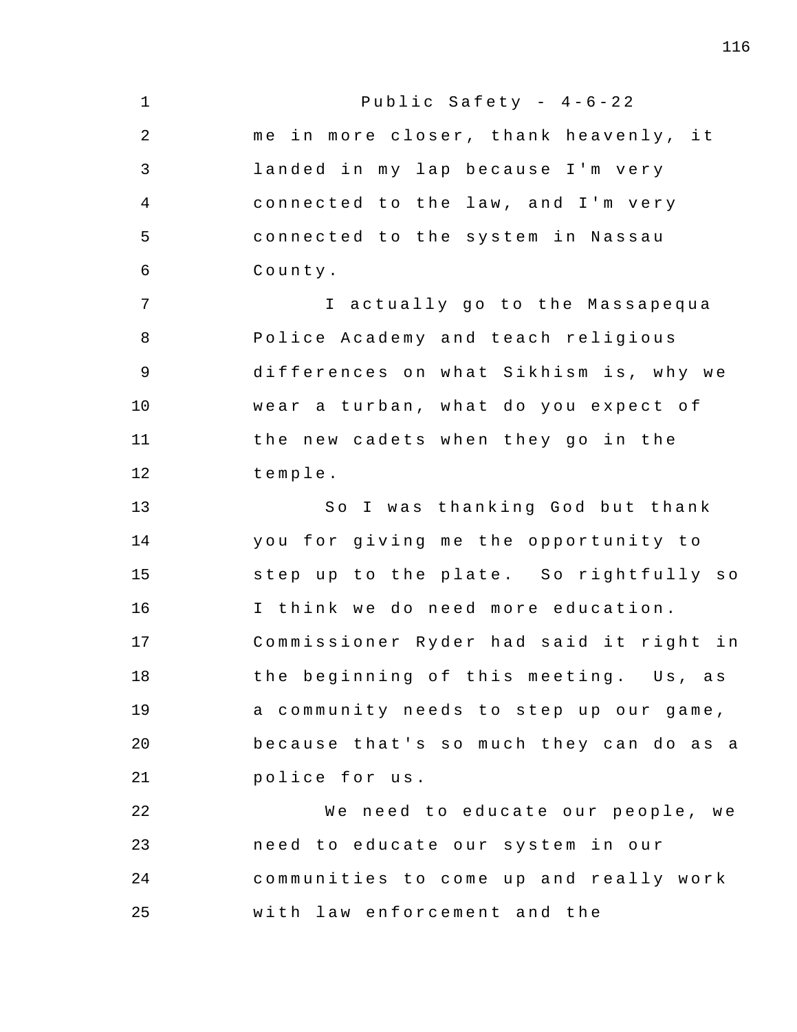1 2 3 4 5 6 7 8 9 10 11 12 13 14 15 16 17 18 19 20 21 22 23 24 25 Public Safety -  $4-6-22$ me in more closer, thank heavenly, it landed in my lap because I'm very connected to the law, and I'm very connected to the system in Nassau County . I actually go to the Massapequa Police Academy and teach religious differences on what Sikhism is, why we wear a turban, what do you expect of the new cadets when they go in the temple . So I was thanking God but thank you for giving me the opportunity to step up to the plate. So rightfully so I think we do need more education. Commissioner Ryder had said it right in the beginning of this meeting. Us, as a community needs to step up our game, because that's so much they can do as a police for us. We need to educate our people, we need to educate our system in our communities to come up and really work with law enforcement and the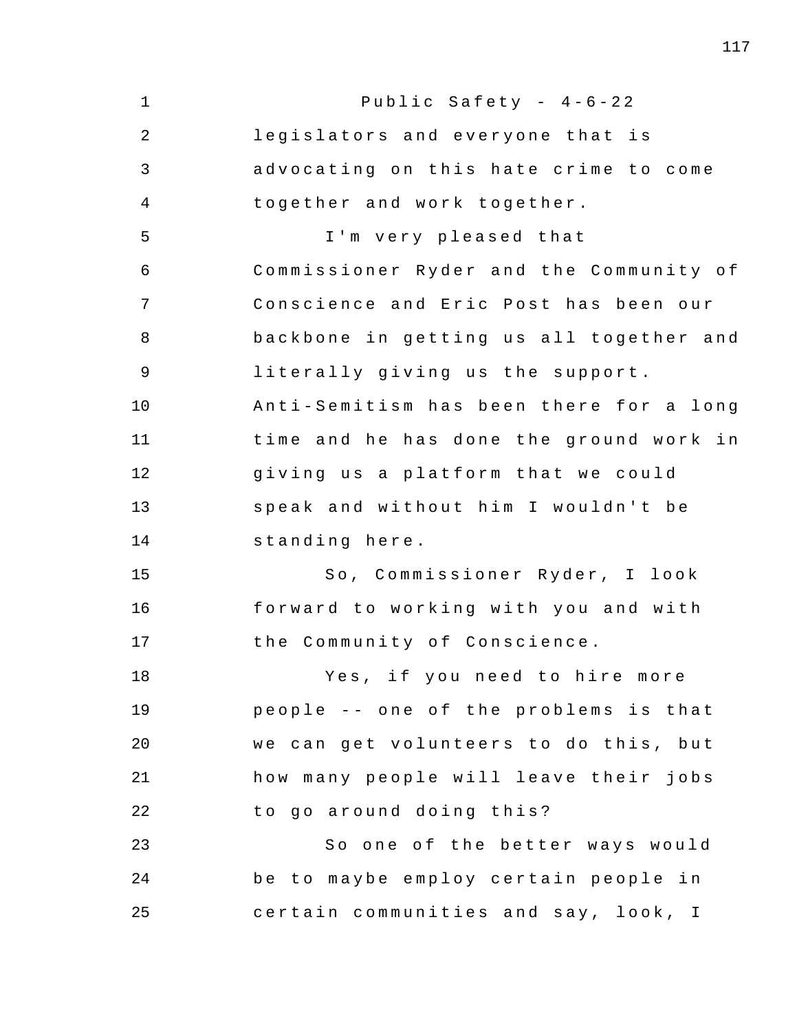1 2 3 4 5 6 7 8 9 10 11 12 13 14 15 16 17 18 19 20 21 22 23 24 25 Public Safety -  $4-6-22$ legislators and everyone that is advocating on this hate crime to come together and work together. I'm very pleased that Commissioner Ryder and the Community of Conscience and Eric Post has been our backbone in getting us all together and literally giving us the support. Anti - Semitism has been there for a long time and he has done the ground work in giving us a platform that we could speak and without him I wouldn't be standing here . So, Commissioner Ryder, I look forward to working with you and with the Community of Conscience. Yes, if you need to hire more people -- one of the problems is that we can get volunteers to do this, but how many people will leave their jobs to go around doing this? So one of the better ways would be to maybe employ certain people in certain communities and say, look, I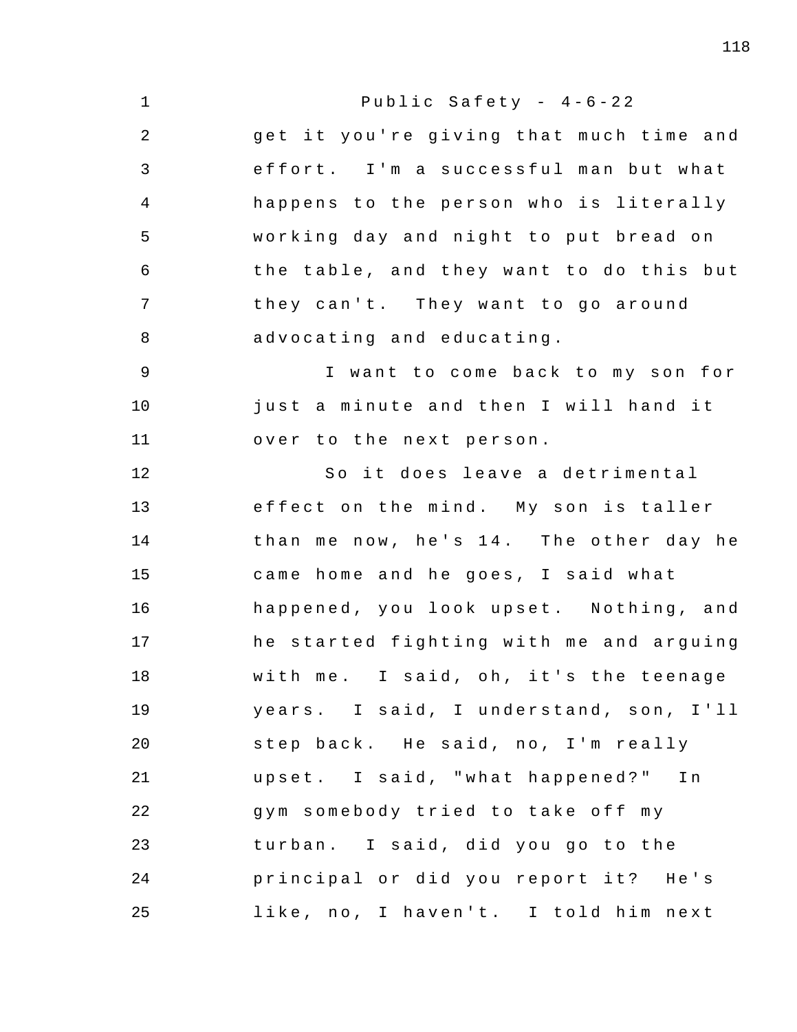| $\mathbf 1$    | Public Safety - $4-6-22$                |
|----------------|-----------------------------------------|
| $\overline{2}$ | get it you're giving that much time and |
| 3              | effort. I'm a successful man but what   |
| 4              | happens to the person who is literally  |
| 5              | working day and night to put bread on   |
| 6              | the table, and they want to do this but |
| 7              | they can't. They want to go around      |
| 8              | advocating and educating.               |
| 9              | I want to come back to my son for       |
| 10             | just a minute and then I will hand it   |
| 11             | over to the next person.                |
| 12             | So it does leave a detrimental          |
| 13             | effect on the mind. My son is taller    |
| 14             | than me now, he's 14. The other day he  |
| 15             | came home and he goes, I said what      |
| 16             | happened, you look upset. Nothing, and  |
| 17             | he started fighting with me and arguing |
| 18             | with me. I said, oh, it's the teenage   |
| 19             | years. I said, I understand, son, I'll  |
| 20             | step back. He said, no, I'm really      |
| 21             | upset. I said, "what happened?"<br>Ιn   |
| 22             | gym somebody tried to take off my       |
| 23             | turban. I said, did you go to the       |
| 24             | principal or did you report it? He's    |
| 25             | like, no, I haven't. I told him next    |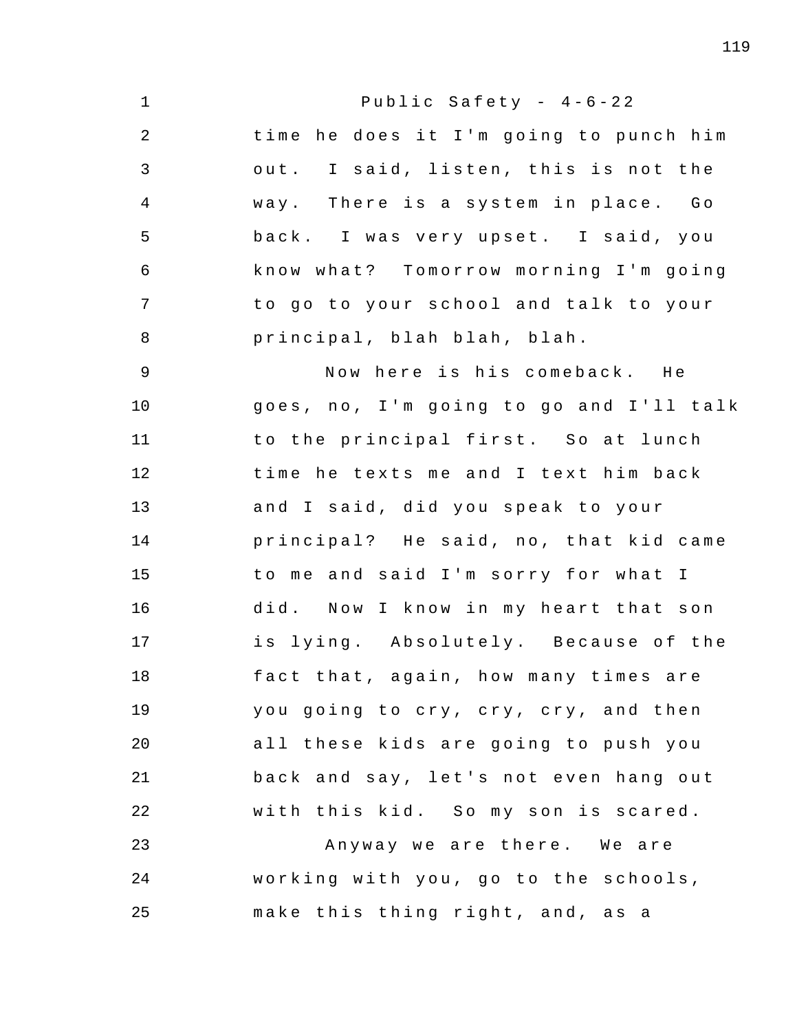1 2 3 4 5 6 7 8 9 10 11 12 13 14 15 16 17 18 19 20 21 22 23 24 25 Public Safety -  $4-6-22$ time he does it I'm going to punch him out. I said, listen, this is not the way. There is a system in place. Go back. I was very upset. I said, you know what? Tomorrow morning I'm going to go to your school and talk to your principal , blah blah , blah . Now here is his comeback. He goes, no, I'm going to go and I'll talk to the principal first. So at lunch time he texts me and I text him back and I said, did you speak to your principal? He said, no, that kid came to me and said I'm sorry for what I did. Now I know in my heart that son is lying. Absolutely. Because of the fact that, again, how many times are you going to cry, cry, cry, and then all these kids are going to push you back and say, let's not even hang out with this kid. So my son is scared. Anyway we are there. We are working with you, go to the schools, make this thing right, and, as a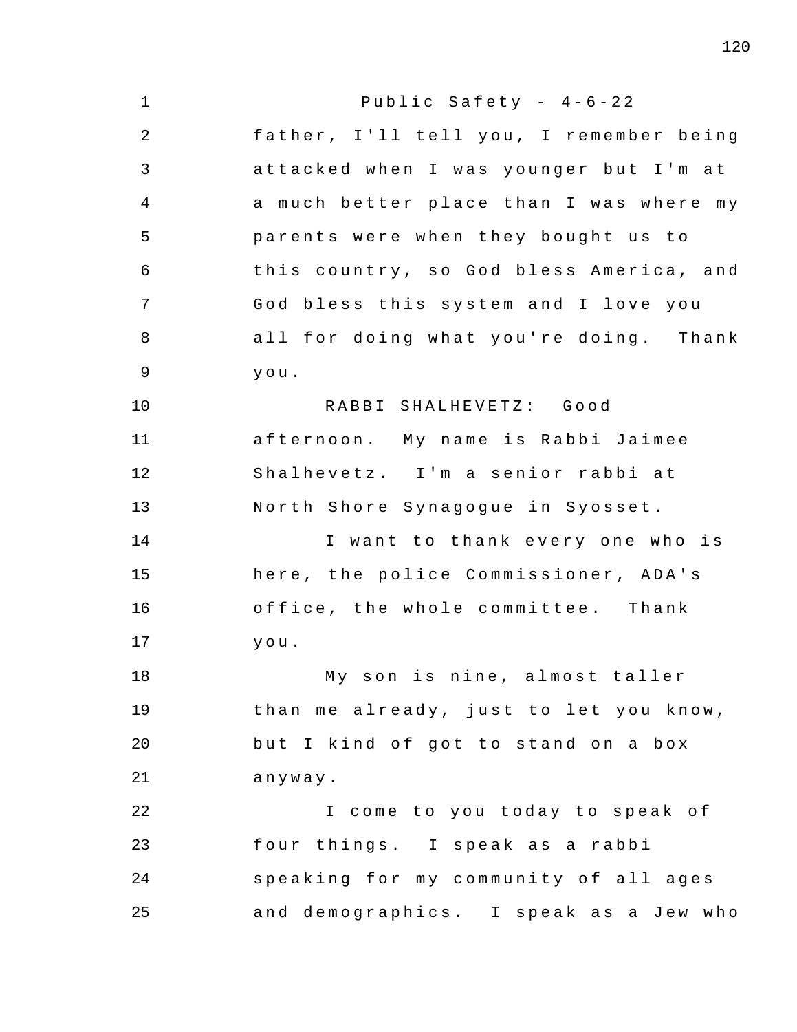1 2 3 4 5 6 7 8 9 10 11 12 13 14 15 16 17 18 19 20 21 22 23 24 25 Public Safety -  $4-6-22$ father, I'll tell you, I remember being attacked when I was younger but I'm at a much better place than I was where my parents were when they bought us to this country, so God bless America, and God bless this system and I love you all for doing what you're doing. Thank you . RABBI SHALHEVETZ : Good afternoon. My name is Rabbi Jaimee Shalhevetz. I'm a senior rabbi at North Shore Synagogue in Syosset. I want to thank every one who is here, the police Commissioner, ADA's office, the whole committee. Thank you . My son is nine, almost taller than me already, just to let you know, but I kind of got to stand on a box anyway . I come to you today to speak of four things. I speak as a rabbi speaking for my community of all ages and demographics. I speak as a Jew who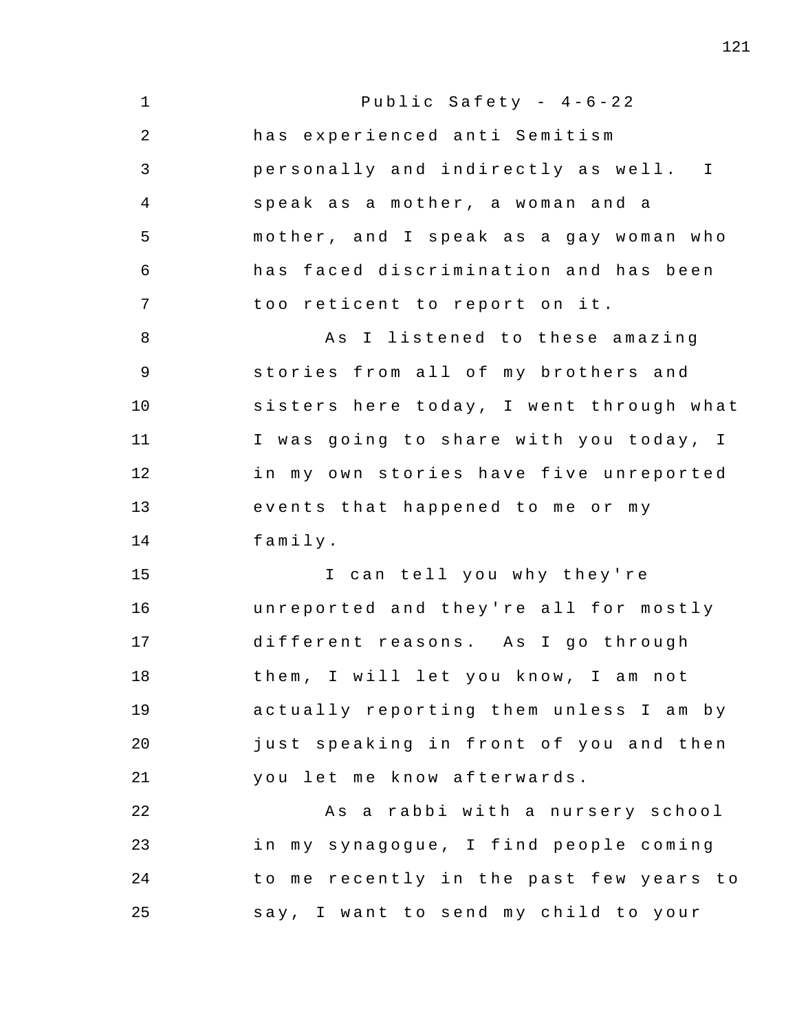1 2 3 4 5 6 7 8 9 10 11 12 13 14 15 16 17 18 19 20 21 22 23 24 25 Public Safety -  $4-6-22$ has experienced anti Semitism personally and indirectly as well. I speak as a mother, a woman and a mother, and I speak as a gay woman who has faced discrimination and has been too reticent to report on it. As I listened to these amazing stories from all of my brothers and sisters here today, I went through what I was going to share with you today, I in my own stories have five unreported events that happened to me or my family . I can tell you why they're unreported and they're all for mostly different reasons. As I go through them, I will let you know, I am not actually reporting them unless I am by just speaking in front of you and then you let me know afterwards. As a rabbi with a nursery school in my synagogue, I find people coming to me recently in the past few years to say, I want to send my child to your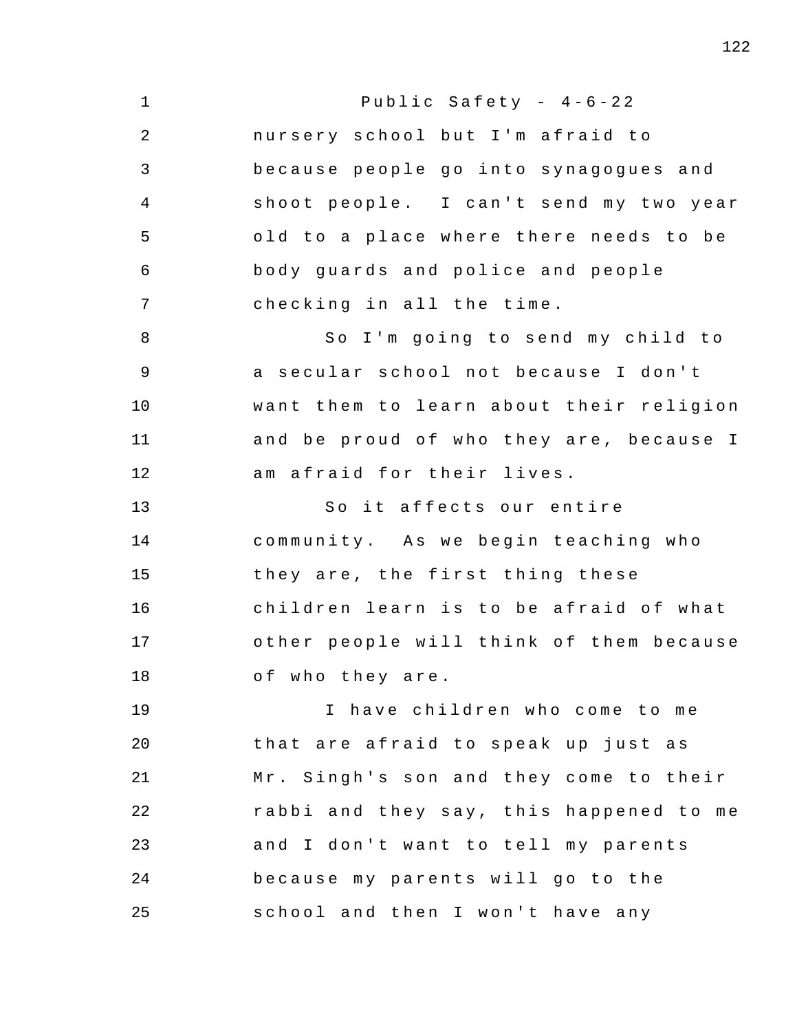1 2 3 4 5 6 7 8 9 10 11 12 13 14 15 16 17 18 19 20 21 22 23 24 25 Public Safety -  $4-6-22$ nursery school but I'm afraid to because people go into synagogues and shoot people. I can't send my two year old to a place where there needs to be body guards and police and people checking in all the time. So I'm going to send my child to a secular school not because I don't want them to learn about their religion and be proud of who they are, because I am afraid for their lives. So it affects our entire community. As we begin teaching who they are, the first thing these children learn is to be afraid of what other people will think of them because of who they are. I have children who come to me that are afraid to speak up just as Mr. Singh's son and they come to their rabbi and they say, this happened to me and I don't want to tell my parents because my parents will go to the school and then I won't have any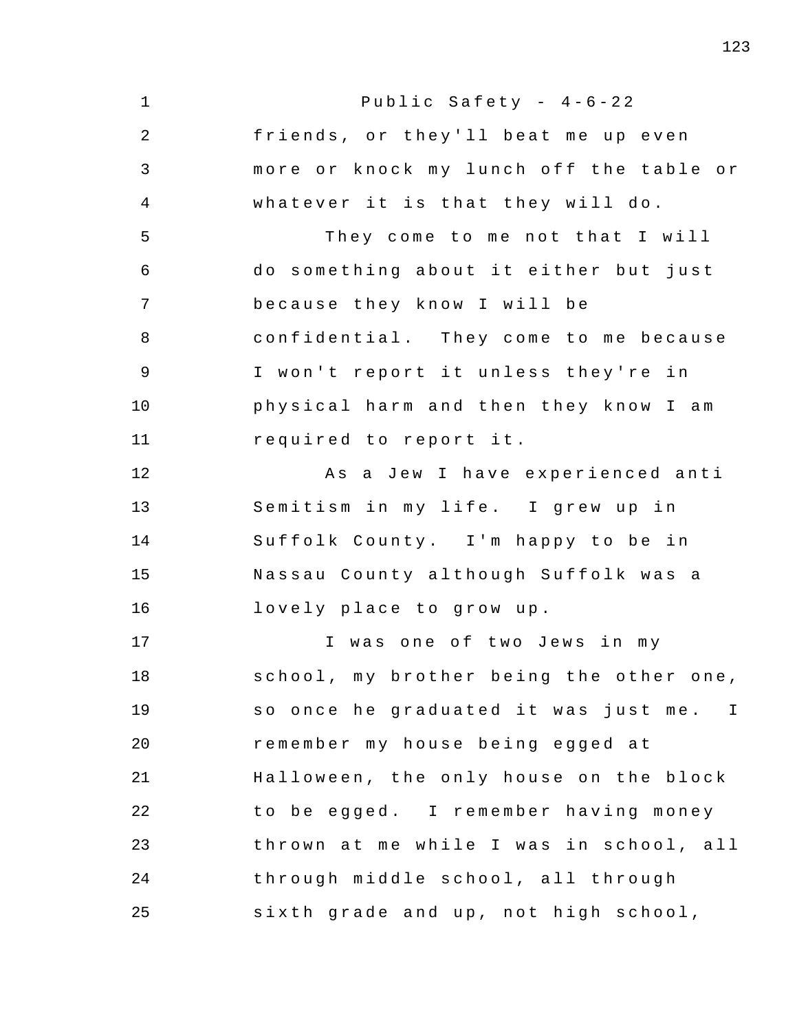1 2 3 4 5 6 7 8 9 10 11 12 13 14 15 16 17 18 19 20 21 22 23 24 25 Public Safety -  $4-6-22$ friends, or they'll beat me up even more or knock my lunch off the table or whatever it is that they will do. They come to me not that I will do something about it either but just because they know I will be confidential. They come to me because I won't report it unless they're in physical harm and then they know I am required to report it. As a Jew I have experienced anti Semitism in my life. I grew up in Suffolk County. I'm happy to be in Nassau County although Suffolk was a lovely place to grow up. I was one of two Jews in my school, my brother being the other one, so once he graduated it was just me. I remember my house being egged at Halloween, the only house on the block to be egged. I remember having money thrown at me while I was in school, all through middle school, all through sixth grade and up, not high school,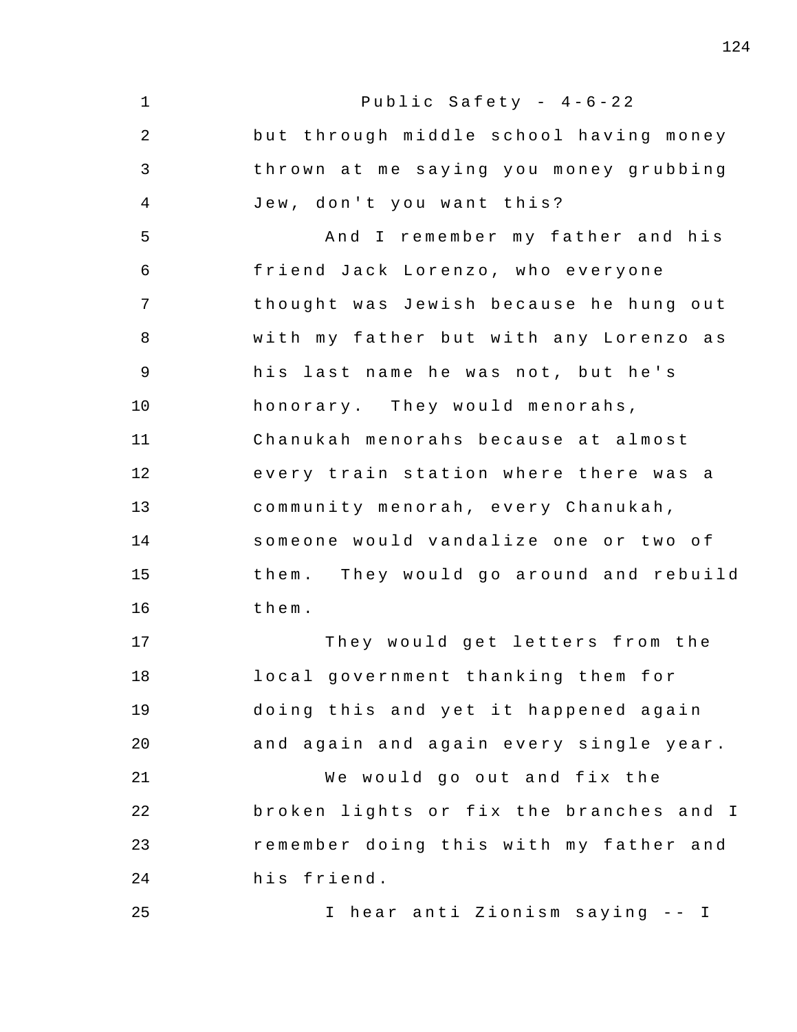1 2 3 4 5 6 7 8 9 10 11 12 13 14 15 16 17 18 19 20 21 22 23 24 25 Public Safety -  $4-6-22$ but through middle school having money thrown at me saying you money grubbing Jew, don't you want this? And I remember my father and his friend Jack Lorenzo, who everyone thought was Jewish because he hung out with my father but with any Lorenzo as his last name he was not, but he's honorary. They would menorahs, Chanukah menorahs because at almost every train station where there was a community menorah, every Chanukah, someone would vandalize one or two of them. They would go around and rebuild the m . They would get letters from the local government thanking them for doing this and yet it happened again and again and again every single year . We would go out and fix the broken lights or fix the branches and I remember doing this with my father and his friend . I hear anti Zionism saying - - I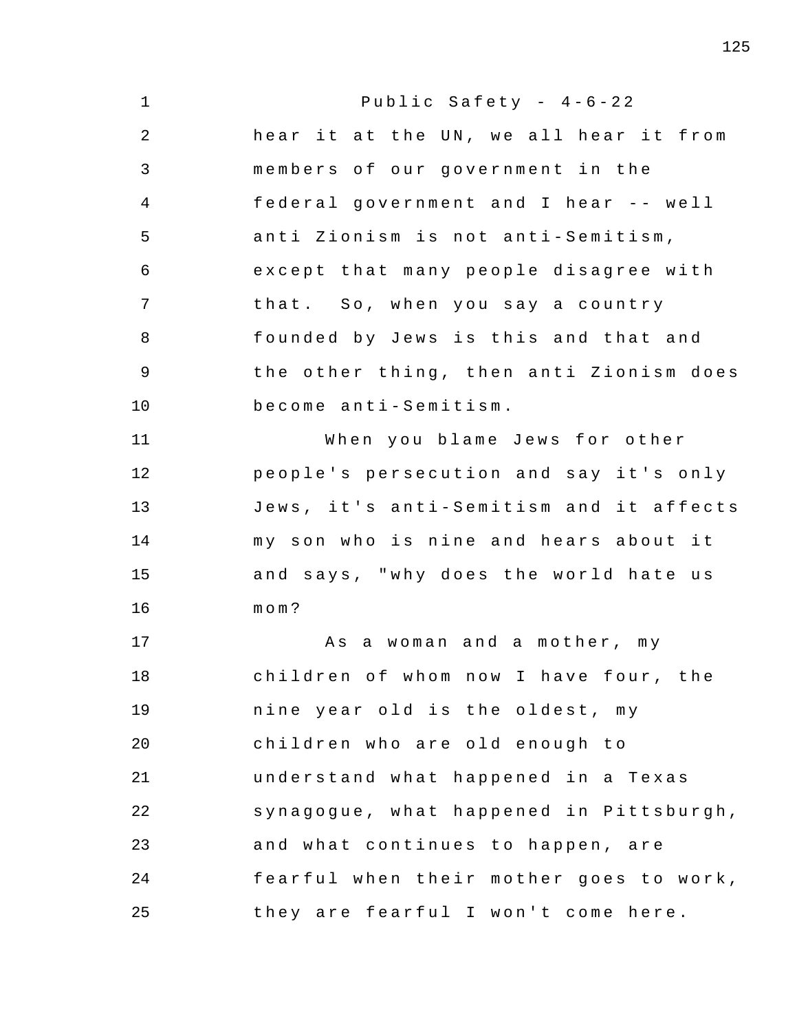1 2 3 4 5 6 7 8 9 10 11 12 13 14 15 16 17 18 19 20 21 22 23 24 25 Public Safety -  $4-6-22$ hear it at the UN, we all hear it from members of our government in the federal government and I hear -- well anti Zionism is not anti-Semitism, except that many people disagree with that. So, when you say a country founded by Jews is this and that and the other thing, then anti Zionism does become anti - Semitism . When you blame Jews for other people's persecution and say it's only Jews, it's anti-Semitism and it affects my son who is nine and hears about it and says, "why does the world hate us mom ? As a woman and a mother, my children of whom now I have four, the nine year old is the oldest, my children who are old enough to understand what happened in a Texas synagogue, what happened in Pittsburgh, and what continues to happen, are fearful when their mother goes to work, they are fearful I won't come here.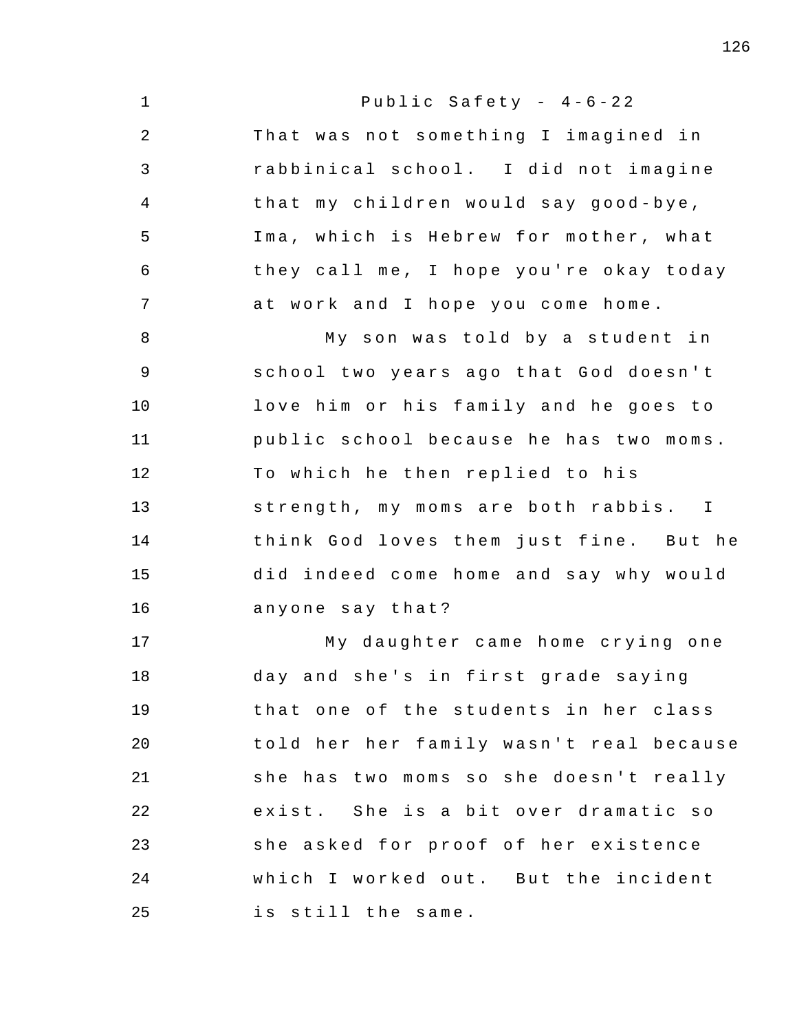1 2 3 4 5 6 7 8 9 10 11 12 13 14 15 16 17 18 19 20 21 22 23 24 25 Public Safety -  $4-6-22$ That was not something I imagined in rabbinical school . I did not imagine that my children would say good-bye, Ima, which is Hebrew for mother, what they call me, I hope you're okay today at work and I hope you come home. My son was told by a student in school two years ago that God doesn't love him or his family and he goes to public school because he has two moms. To which he then replied to his strength, my moms are both rabbis. I think God loves them just fine. But he did indeed come home and say why would anyone say that? My daughter came home crying one day and she's in first grade saying that one of the students in her class told her her family wasn't real because she has two moms so she doesn't really exist. She is a bit over dramatic so she asked for proof of her existence which I worked out. But the incident is still the same.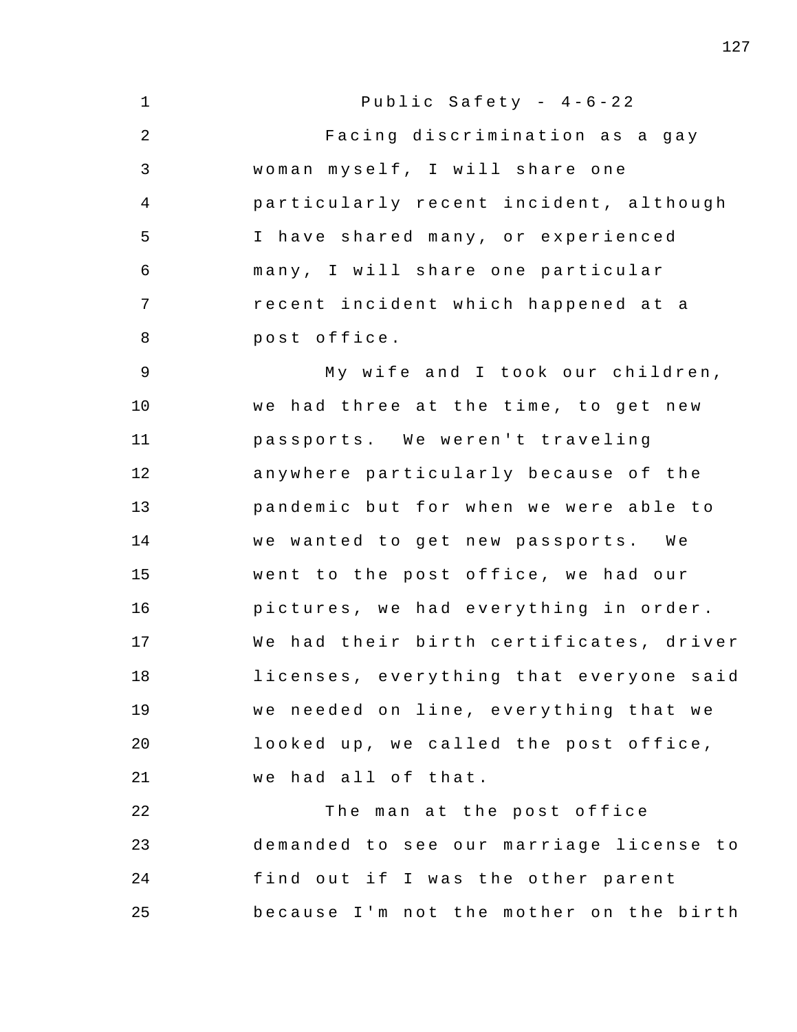1 2 3 4 5 6 7 8 9 10 11 12 13 14 15 16 17 18 19 20 21 22 23 24 25 Public Safety -  $4-6-22$ Facing discrimination as a gay woman myself, I will share one particularly recent incident , although I have shared many, or experienced many , I will share one particular recent incident which happened at a post office . My wife and I took our children, we had three at the time, to get new passports. We weren't traveling anywhere particularly because of the pandemic but for when we were able to we wanted to get new passports. We went to the post office, we had our pictures, we had everything in order. We had their birth certificates, driver licenses, everything that everyone said we needed on line, everything that we looked up, we called the post office, we had all of that. The man at the post office demanded to see our marriage license to find out if I was the other parent because I'm not the mother on the birth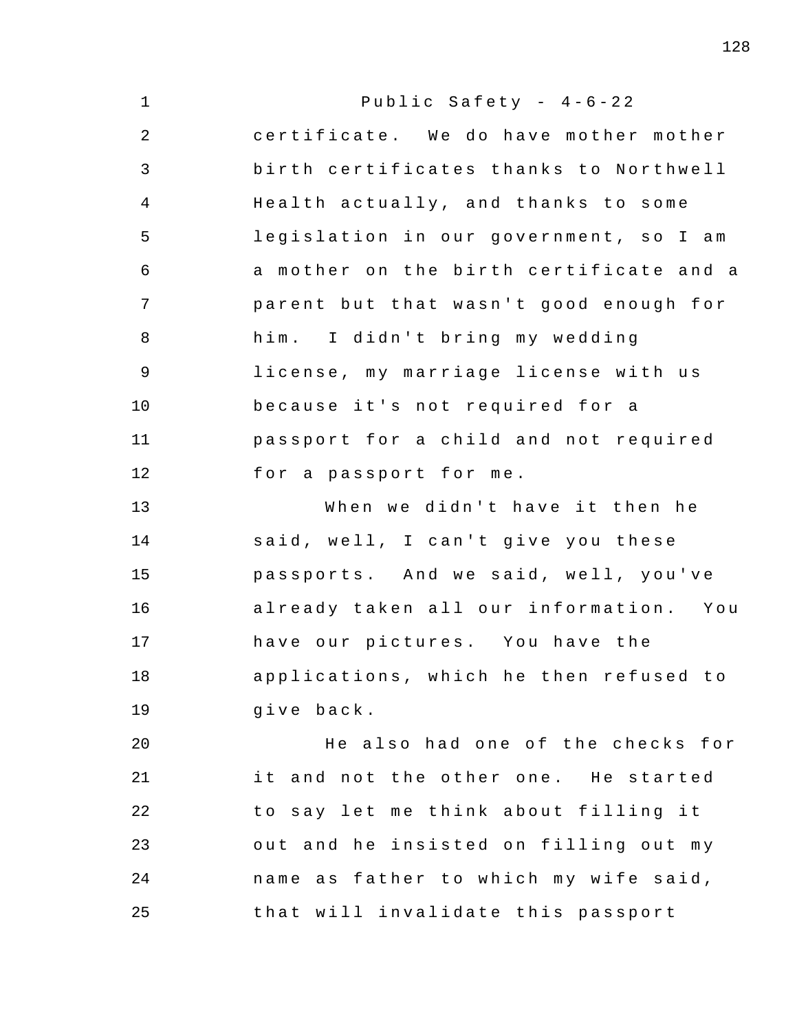| $\mathbf{1}$   | Public Safety - $4-6-22$                |
|----------------|-----------------------------------------|
| $\overline{2}$ | certificate. We do have mother mother   |
| 3              | birth certificates thanks to Northwell  |
| 4              | Health actually, and thanks to some     |
| 5              | legislation in our government, so I am  |
| 6              | a mother on the birth certificate and a |
| 7              | parent but that wasn't good enough for  |
| 8              | him. I didn't bring my wedding          |
| $\mathsf 9$    | license, my marriage license with us    |
| 10             | because it's not required for a         |
| 11             | passport for a child and not required   |
| 12             | for a passport for me.                  |
| 13             | When we didn't have it then he          |
| 14             | said, well, I can't give you these      |
| 15             | passports. And we said, well, you've    |
| 16             | already taken all our information. You  |
| 17             | have our pictures. You have the         |
| 18             | applications, which he then refused to  |
| 19             | give back.                              |
| 20             | He also had one of the checks for       |
| 21             | it and not the other one. He started    |
| 22             | to say let me think about filling it    |
| 23             | out and he insisted on filling out my   |
| 24             | name as father to which my wife said,   |
| 25             | that will invalidate this passport      |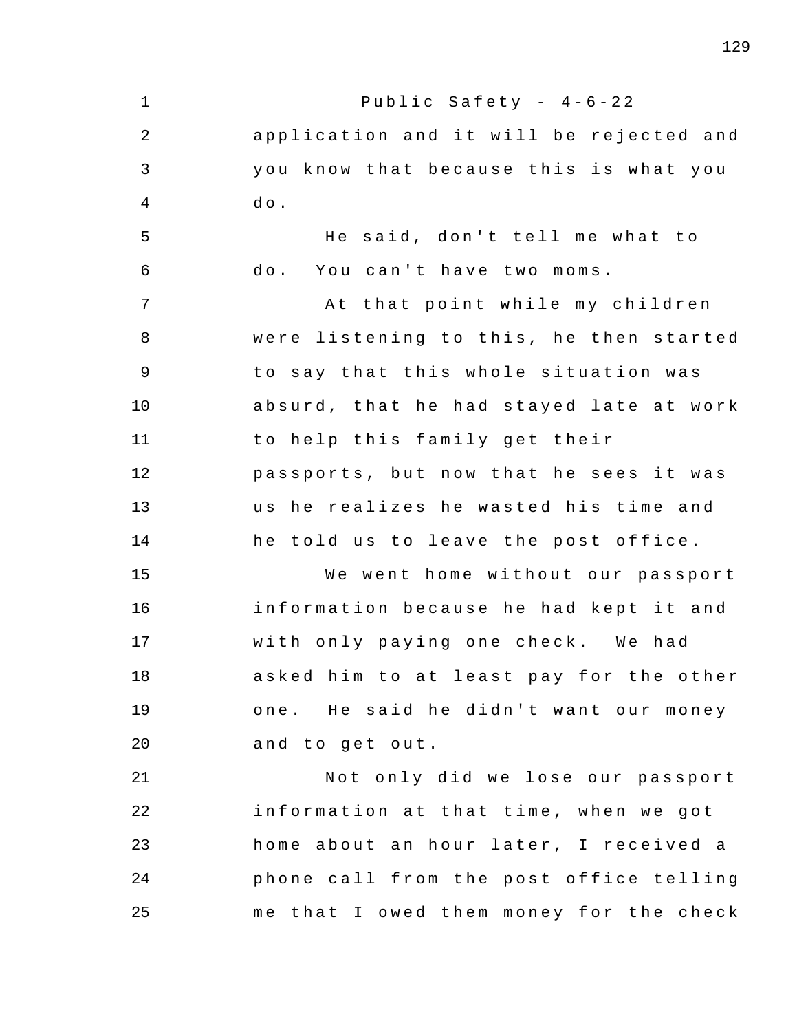1 2 3 4 5 6 7 8 9 10 11 12 13 14 15 16 17 18 19 20 21 22 23 24 25 Public Safety -  $4-6-22$ application and it will be rejected and you know that because this is what you  $d \circ$ . He said, don't tell me what to do. You can't have two moms. At that point while my children were listening to this, he then started to say that this whole situation was absurd, that he had stayed late at work to help this family get their passports, but now that he sees it was us he realizes he wasted his time and he told us to leave the post office. We went home without our passport information because he had kept it and with only paying one check. We had asked him to at least pay for the other one. He said he didn't want our money and to get out. Not only did we lose our passport information at that time, when we got home about an hour later, I received a phone call from the post office telling me that I owed them money for the check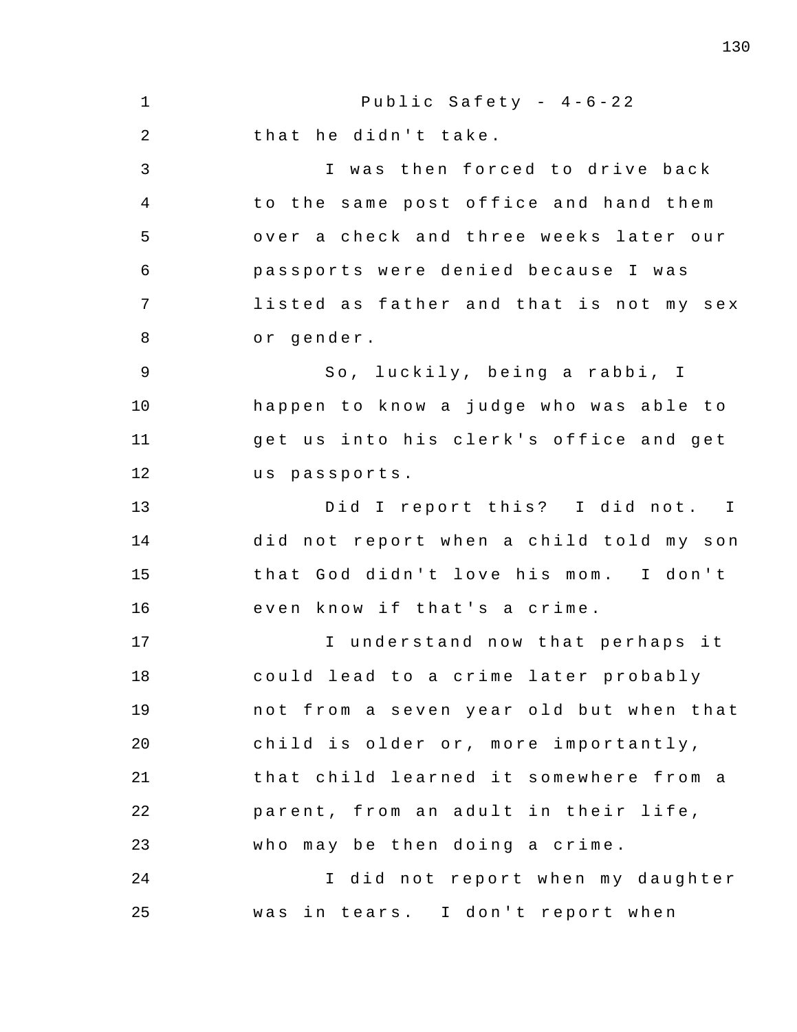1 2 3 4 5 6 7 8 9 10 11 12 13 14 15 16 17 18 19 20 21 22 23 24 25 Public Safety -  $4-6-22$ that he didn't take. I was then forced to drive back to the same post office and hand them over a check and three weeks later our passports were denied because I was listed as father and that is not my sex or gender. So, luckily, being a rabbi, I happen to know a judge who was able to get us into his clerk's office and get us passports. Did I report this? I did not. I did not report when a child told my son that God didn't love his mom. I don't even know if that's a crime. I understand now that perhaps it could lead to a crime later probably not from a seven year old but when that child is older or, more importantly, that child learned it somewhere from a parent, from an adult in their life, who may be then doing a crime. I did not report when my daughter was in tears. I don't report when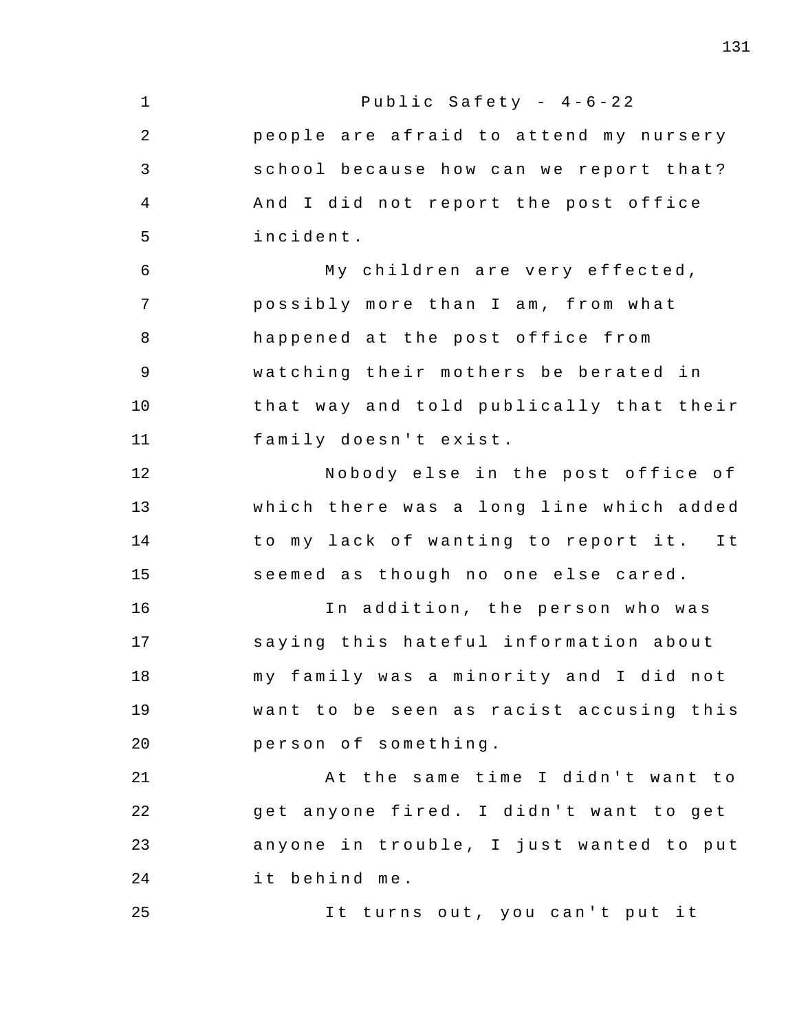1 2 3 4 5 6 7 8 9 10 11 12 13 14 15 16 17 18 19 20 21 22 23 24 25 Public Safety -  $4-6-22$ people are afraid to attend my nursery school because how can we report that? And I did not report the post office incident . My children are very effected, possibly more than I am, from what happened at the post office from watching their mothers be berated in that way and told publically that their family doesn't exist. Nobody else in the post office of which there was a long line which added to my lack of wanting to report it. It seemed as though no one else cared. In addition, the person who was saying this hateful information about m y family was a minority and I did not want to be seen as racist accusing this person of something. At the same time I didn't want to get anyone fired. I didn't want to get anyone in trouble, I just wanted to put it behind me. It turns out, you can't put it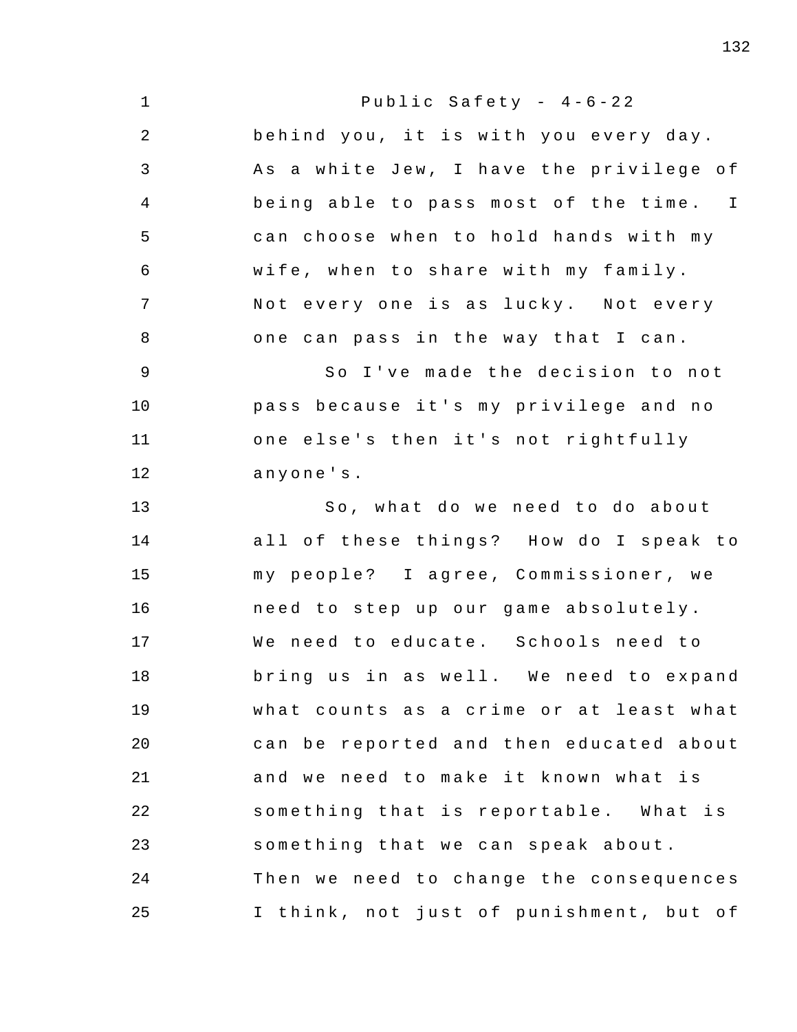1 2 3 4 5 6 7 8 9 10 11 12 13 14 15 16 17 18 19 20 21 22 23 24 25 Public Safety -  $4-6-22$ behind you, it is with you every day. As a white Jew, I have the privilege of being able to pass most of the time. I can choose when to hold hands with my wife, when to share with my family. Not every one is as lucky. Not every one can pass in the way that I can. So I've made the decision to not pass because it's my privilege and no one else's then it's not rightfully anyone ' s . So, what do we need to do about all of these things? How do I speak to my people? I agree, Commissioner, we need to step up our game absolutely. We need to educate. Schools need to bring us in as well. We need to expand what counts as a crime or at least what can be reported and then educated about and we need to make it known what is something that is reportable. What is something that we can speak about. Then we need to change the consequences I think, not just of punishment, but of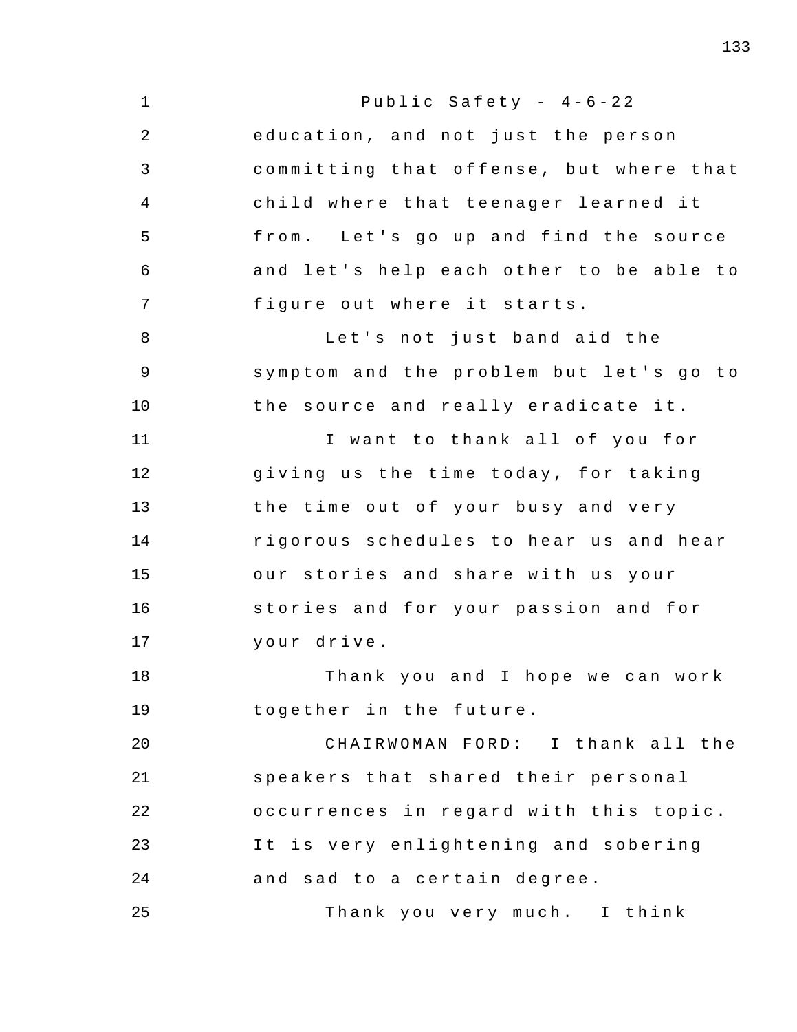1 2 3 4 5 6 7 8 9 10 11 12 13 14 15 16 17 18 19 20 21 22 23 24 25 Public Safety -  $4-6-22$ education, and not just the person committing that offense, but where that child where that teenager learned it from. Let's go up and find the source and let's help each other to be able to figure out where it starts. Let's not just band aid the symptom and the problem but let's go to the source and really eradicate it. I want to thank all of you for giving us the time today, for taking the time out of your busy and very rigorous schedules to hear us and hear our stories and share with us your stories and for your passion and for your drive . Thank you and I hope we can work together in the future. CHAIRWOMAN FORD: I thank all the speakers that shared their personal occurrences in regard with this topic. It is very enlightening and sobering and sad to a certain degree. Thank you very much. I think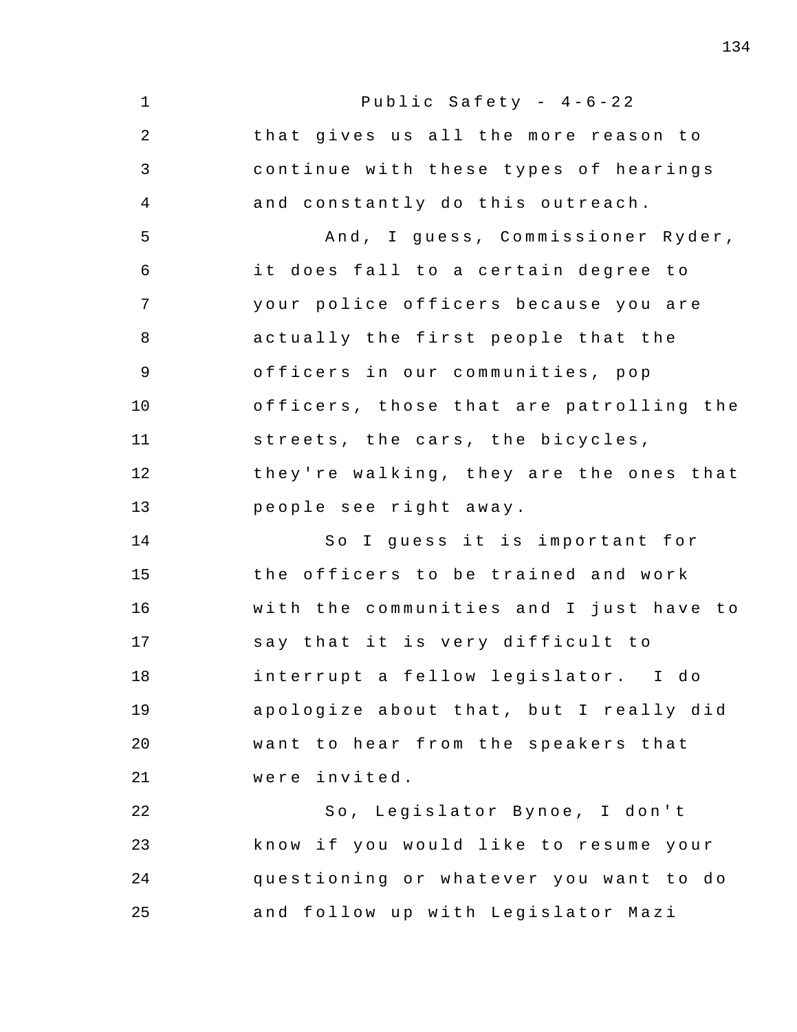1 2 3 4 5 6 7 8 9 10 11 12 13 14 15 16 17 18 19 20 21 22 23 24 25 Public Safety -  $4-6-22$ that gives us all the more reason to continue with these types of hearings and constantly do this outreach. And , I guess , Commissioner Ryder , it does fall to a certain degree to your police officers because you are actually the first people that the officers in our communities, pop officers , those that are patrolling the streets, the cars, the bicycles, they're walking, they are the ones that people see right away . So I guess it is important for the officers to be trained and work with the communities and I just have to say that it is very difficult to interrupt a fellow legislator. I do apologize about that, but I really did want to hear from the speakers that were invited . So, Legislator Bynoe, I don't know if you would like to resume your questioning or whatever you want to do and follow up with Legislator Mazi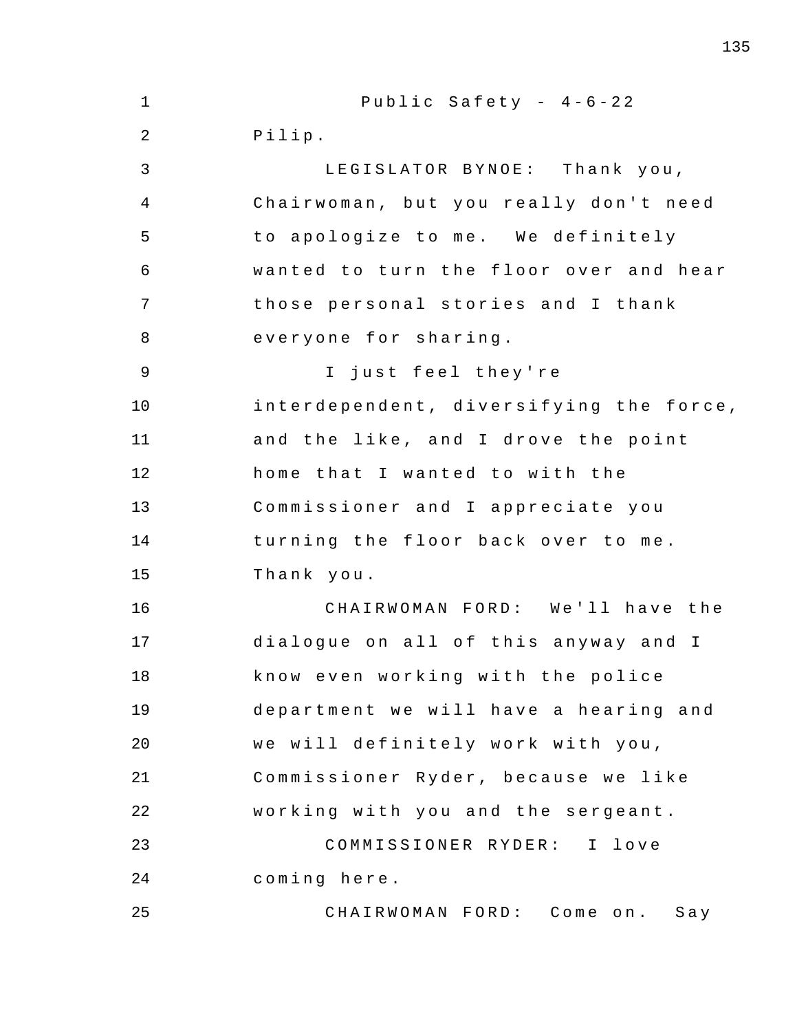1 2 3 4 5 6 7 8 9 10 11 12 13 14 15 16 17 18 19 20 21 22 23 24 25 Public Safety -  $4-6-22$ Pilip . LEGISLATOR BYNOE: Thank you, Chairwoman, but you really don't need to apologize to me. We definitely wanted to turn the floor over and hear those personal stories and I thank everyone for sharing . I just feel they're interdependent, diversifying the force, and the like, and I drove the point home that I wanted to with the Commissioner and I appreciate you turning the floor back over to me. Thank you . CHAIRWOMAN FORD: We'll have the dialogue on all of this anyway and I know even working with the police department we will have a hearing and we will definitely work with you, Commissioner Ryder, because we like working with you and the sergeant . COMMISSIONER RYDER : I love coming here . CHAIRWOMAN FORD: Come on. Say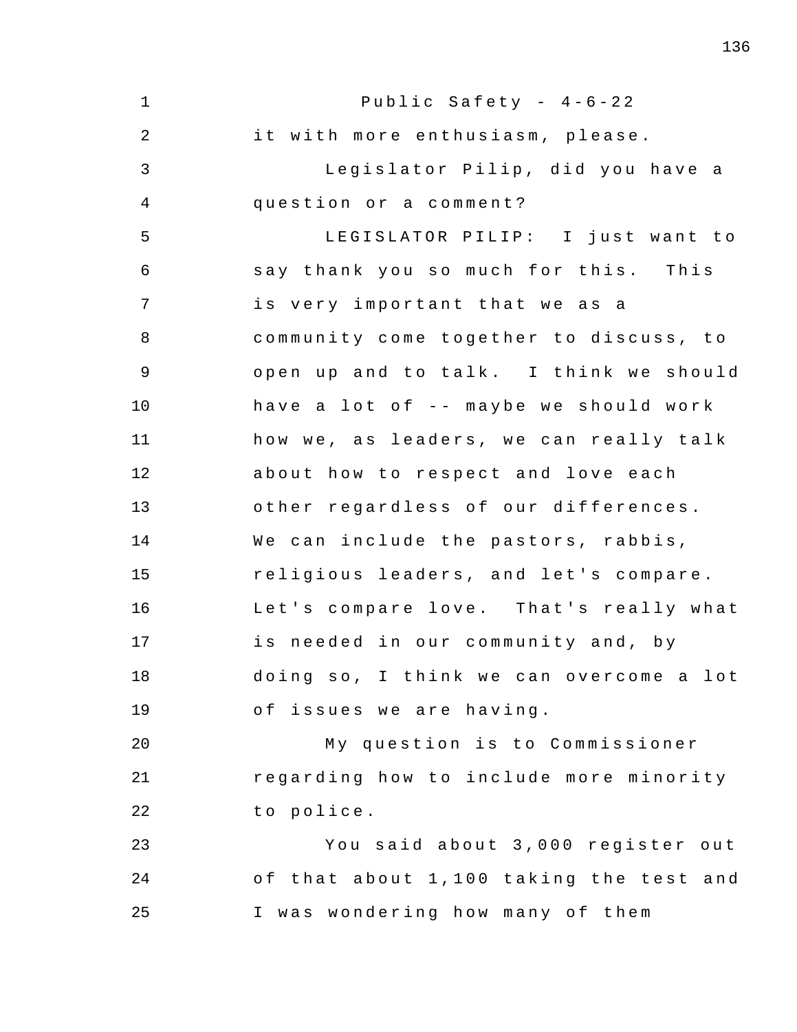1 2 3 4 5 6 7 8 9 10 11 12 13 14 15 16 17 18 19 20 21 22 23 24 25 Public Safety -  $4-6-22$ it with more enthusiasm, please. Legislator Pilip, did you have a question or a comment? LEGISLATOR PILIP: I just want to say thank you so much for this. This is very important that we as a community come together to discuss, to open up and to talk. I think we should have a lot of  $-$ - maybe we should work how we, as leaders, we can really talk about how to respect and love each other regardless of our differences. We can include the pastors, rabbis, religious leaders, and let's compare. Let's compare love. That's really what is needed in our community and, by doing so, I think we can overcome a lot of issues we are having. My question is to Commissioner regarding how to include more minority to police. You said about 3 , 000 register out of that about 1,100 taking the test and I was wondering how many of them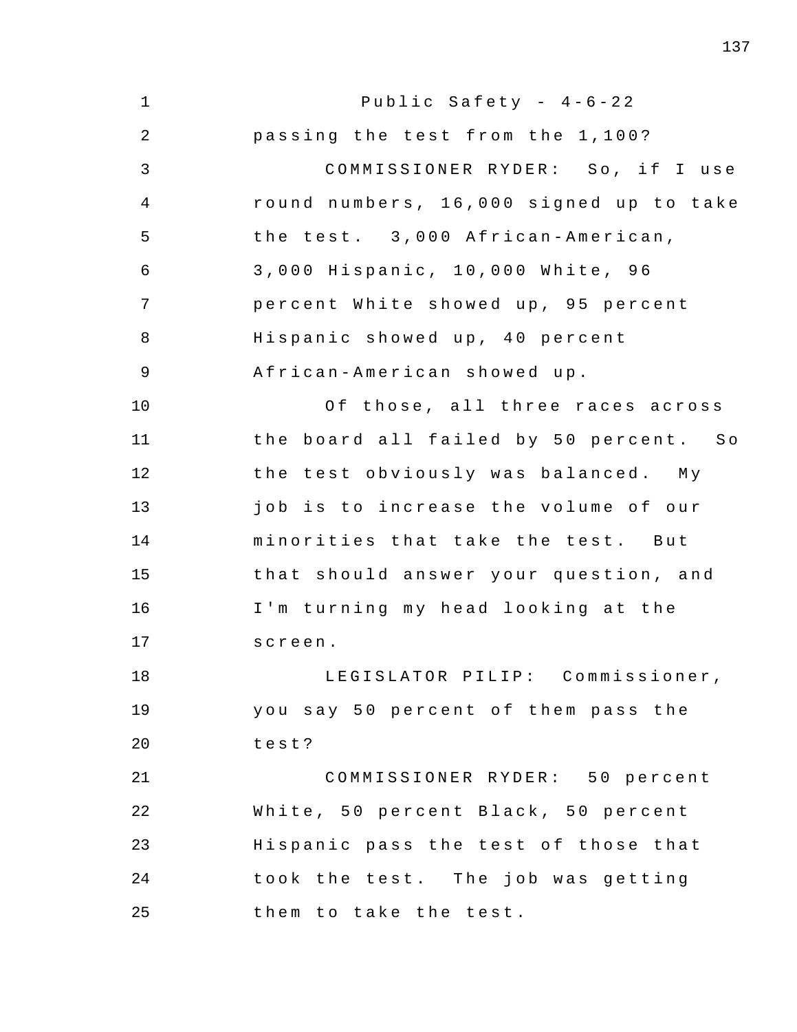| $\mathbf 1$    | Public Safety - $4-6-22$                |
|----------------|-----------------------------------------|
| 2              | passing the test from the 1,100?        |
| 3              | COMMISSIONER RYDER: So, if I use        |
| 4              | round numbers, 16,000 signed up to take |
| 5              | the test. 3,000 African-American,       |
| 6              | 3,000 Hispanic, 10,000 White, 96        |
| 7              | percent White showed up, 95 percent     |
| 8              | Hispanic showed up, 40 percent          |
| $\overline{9}$ | African-American showed up.             |
| 10             | Of those, all three races across        |
| 11             | the board all failed by 50 percent. So  |
| 12             | the test obviously was balanced. My     |
| 13             | job is to increase the volume of our    |
| 14             | minorities that take the test. But      |
| 15             | that should answer your question, and   |
| 16             | I'm turning my head looking at the      |
| 17             | screen.                                 |
| 18             | LEGISLATOR PILIP: Commissioner,         |
| 19             | you say 50 percent of them pass the     |
| 20             | test?                                   |
| 21             | COMMISSIONER RYDER: 50 percent          |
| 22             | White, 50 percent Black, 50 percent     |
| 23             | Hispanic pass the test of those that    |
| 24             | took the test. The job was getting      |
| 25             | them to take the test.                  |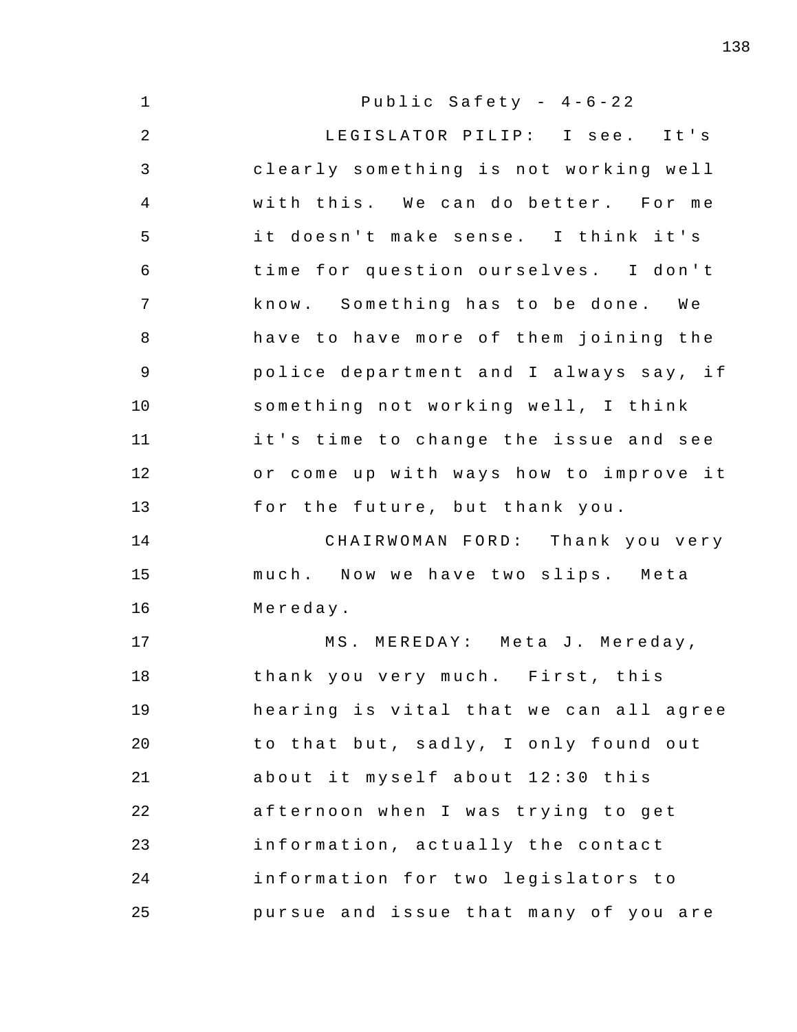| $\mathbf{1}$   | Public Safety - 4-6-22                 |
|----------------|----------------------------------------|
| $\overline{2}$ | LEGISLATOR PILIP: I see. It's          |
| 3              | clearly something is not working well  |
| $\overline{4}$ | with this. We can do better. For me    |
| 5              | it doesn't make sense. I think it's    |
| 6              | time for question ourselves. I don't   |
| 7              | know. Something has to be done. We     |
| 8              | have to have more of them joining the  |
| 9              | police department and I always say, if |
| 10             | something not working well, I think    |
| 11             | it's time to change the issue and see  |
| 12             | or come up with ways how to improve it |
| 13             | for the future, but thank you.         |
| 14             | CHAIRWOMAN FORD: Thank you very        |
| 15             | much. Now we have two slips. Meta      |
| 16             | Mereday.                               |
| 17             | MS. MEREDAY: Meta J. Mereday,          |
| 18             | thank you very much. First, this       |
| 19             | hearing is vital that we can all agree |
| 20             | to that but, sadly, I only found out   |
| 21             | about it myself about 12:30 this       |
| 22             | afternoon when I was trying to get     |
| 23             | information, actually the contact      |
| 24             | information for two legislators to     |
| 25             | pursue and issue that many of you are  |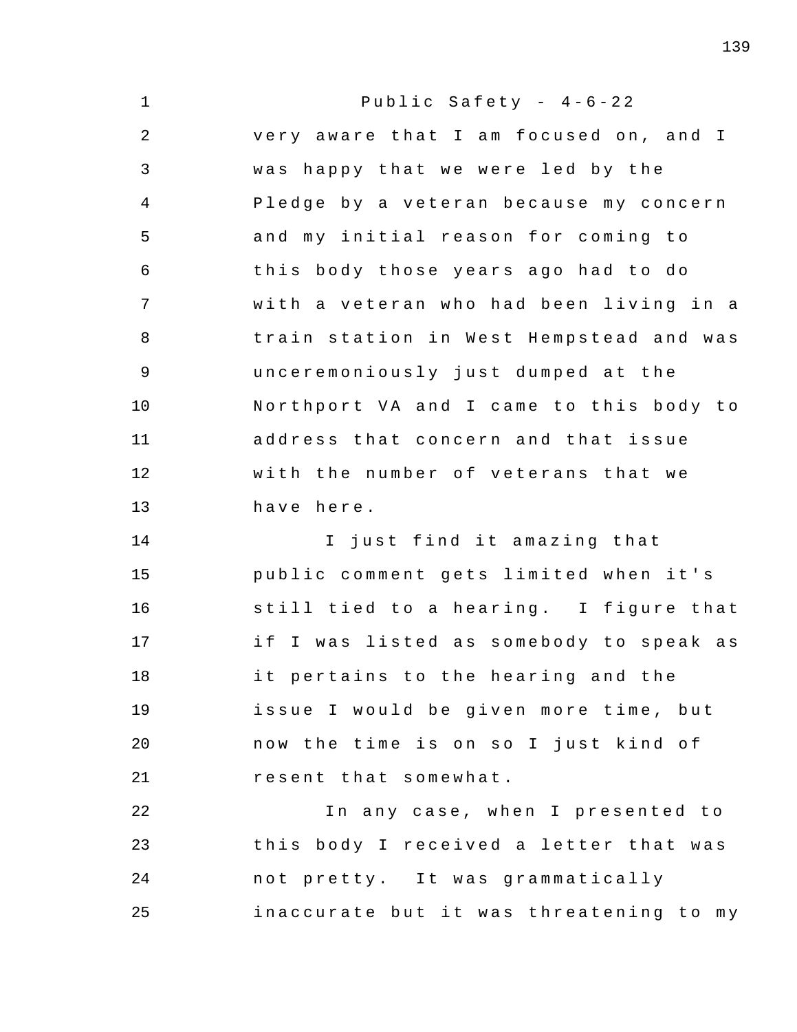1 2 3 4 5 6 7 8 9 10 11 12 13 14 15 16 17 18 19 20 21 22 23 24 25 Public Safety -  $4-6-22$ very aware that I am focused on, and I was happy that we were led by the Pledge by a veteran because my concern and my initial reason for coming to this body those years ago had to do with a veteran who had been living in a train station in West Hempstead and was unceremoniously just dumped at the Northport VA and I came to this body to address that concern and that issue with the number of veterans that we have here . I just find it amazing that public comment gets limited when it's still tied to a hearing. I figure that if I was listed as somebody to speak as it pertains to the hearing and the issue I would be given more time, but now the time is on so I just kind of resent that somewhat . In any case, when I presented to this body I received a letter that was not pretty. It was grammatically inaccurate but it was threatening to my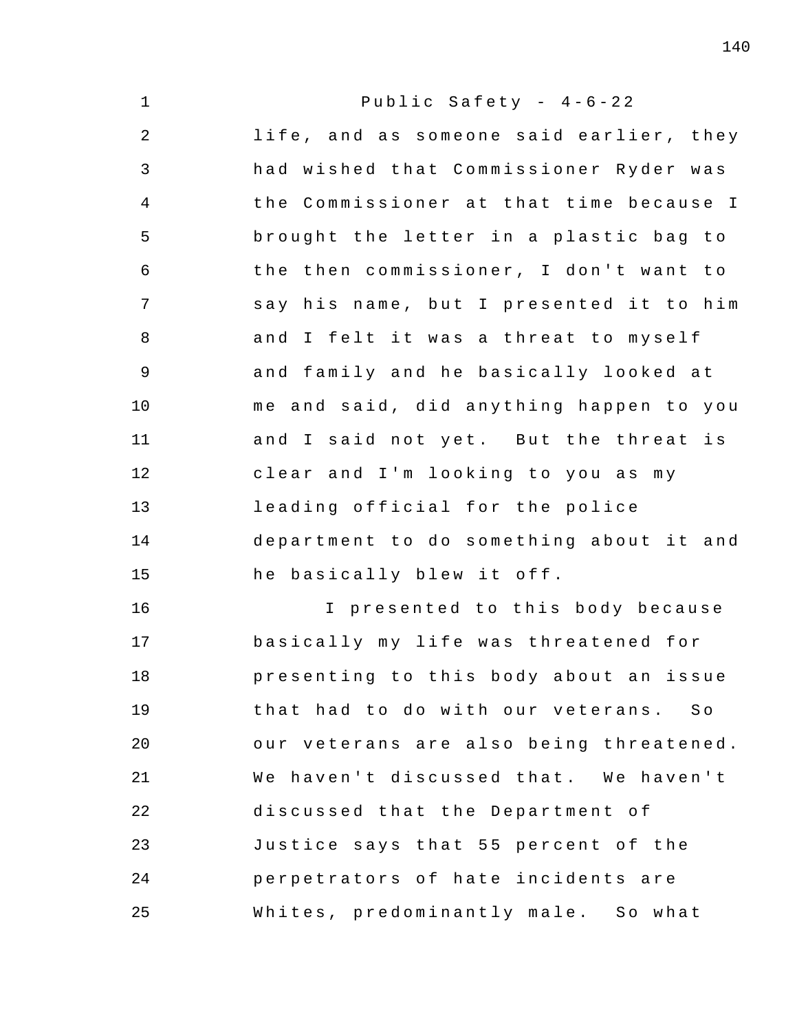| $\mathbf 1$     | Public Safety - $4-6-22$                |
|-----------------|-----------------------------------------|
| 2               | life, and as someone said earlier, they |
| 3               | had wished that Commissioner Ryder was  |
| 4               | the Commissioner at that time because I |
| 5               | brought the letter in a plastic bag to  |
| 6               | the then commissioner, I don't want to  |
| $7\phantom{.0}$ | say his name, but I presented it to him |
| 8               | and I felt it was a threat to myself    |
| 9               | and family and he basically looked at   |
| 10              | me and said, did anything happen to you |
| 11              | and I said not yet. But the threat is   |
| 12              | clear and I'm looking to you as my      |
| 13              | leading official for the police         |
| 14              | department to do something about it and |
| 15              | he basically blew it off.               |
| 16              | I presented to this body because        |
| 17              | basically my life was threatened for    |
| 18              | presenting to this body about an issue  |
| 19              | that had to do with our veterans. So    |
| 20              | our veterans are also being threatened. |
| 21              | We haven't discussed that. We haven't   |
| 22              | discussed that the Department of        |
| 23              | Justice says that 55 percent of the     |
| 24              | perpetrators of hate incidents are      |
| 25              | Whites, predominantly male. So what     |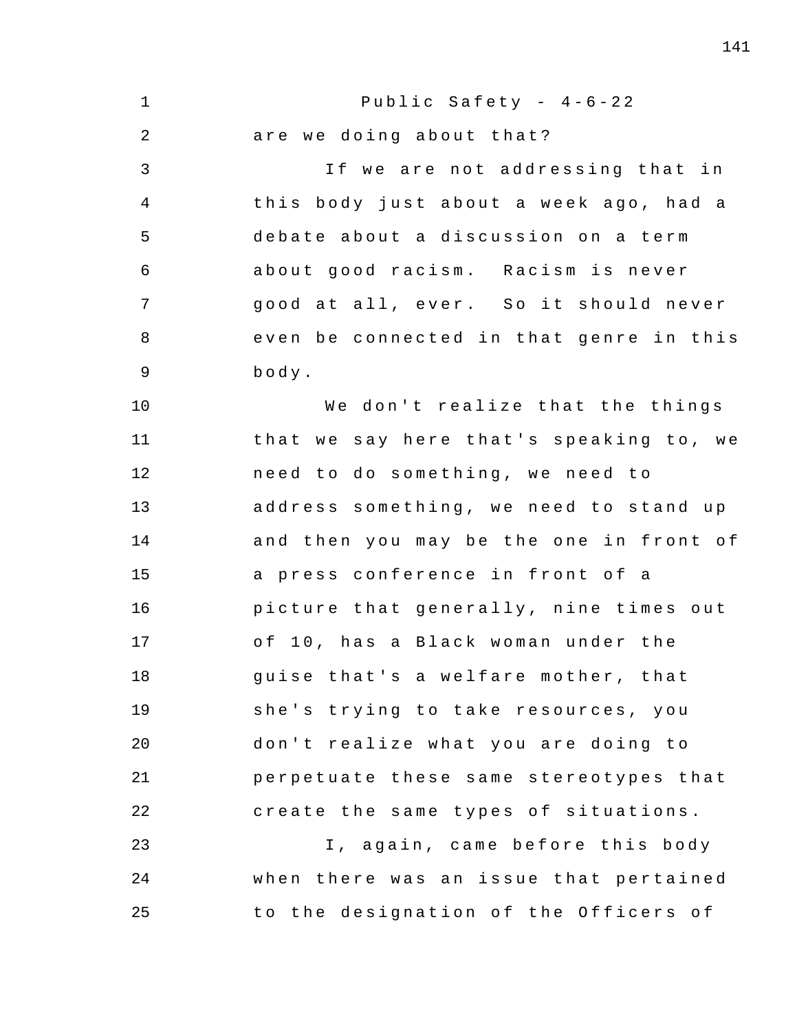1 2 3 4 5 6 7 8 9 10 11 12 13 14 15 16 17 18 19 20 21 22 23 24 25 Public Safety -  $4-6-22$ are we doing about that? If we are not addressing that in this body just about a week ago, had a debate about a discussion on a term about good racism. Racism is never good at all, ever. So it should never even be connected in that genre in this body . We don't realize that the things that we say here that's speaking to, we need to do something, we need to address something, we need to stand up and then you may be the one in front of a press conference in front of a picture that generally, nine times out of 10, has a Black woman under the quise that's a welfare mother, that she's trying to take resources, you don't realize what you are doing to perpetuate these same stereotypes that create the same types of situations. I, again, came before this body when there was an issue that pertained to the designation of the Officers of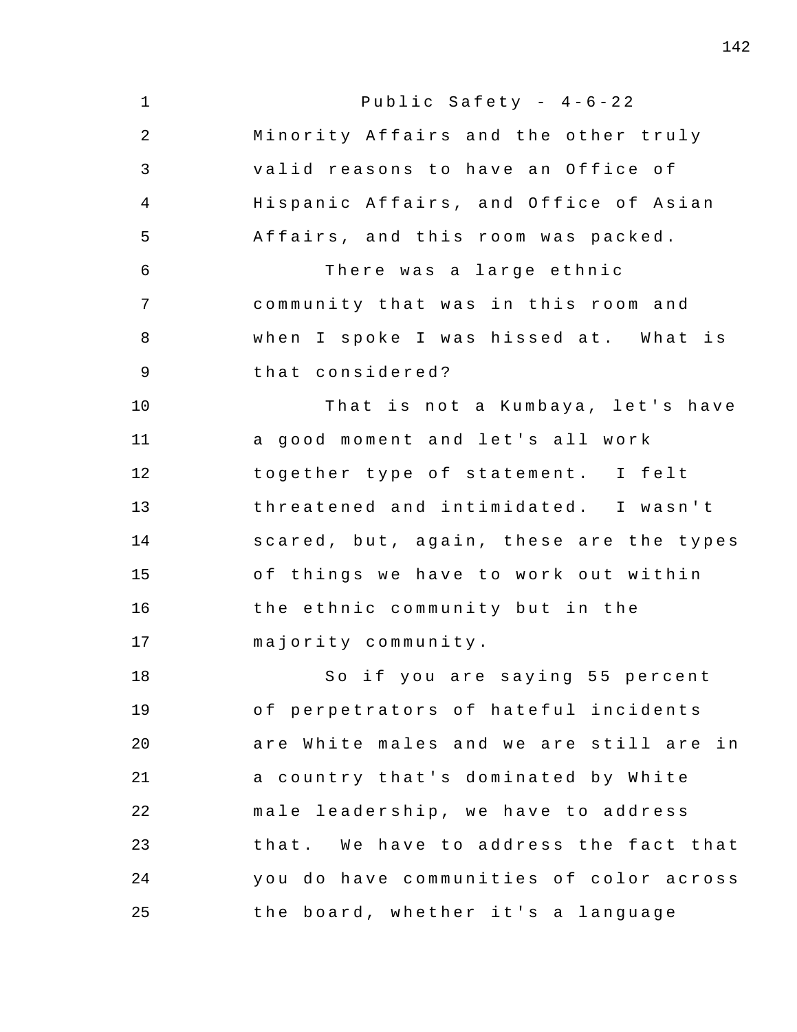| $\mathbf{1}$   | Public Safety - $4-6-22$                |
|----------------|-----------------------------------------|
| $\overline{2}$ | Minority Affairs and the other truly    |
| 3              | valid reasons to have an Office of      |
| $\overline{4}$ | Hispanic Affairs, and Office of Asian   |
| 5              | Affairs, and this room was packed.      |
| 6              | There was a large ethnic                |
| 7              | community that was in this room and     |
| 8              | when I spoke I was hissed at. What is   |
| 9              | that considered?                        |
| 10             | That is not a Kumbaya, let's have       |
| 11             | a good moment and let's all work        |
| 12             | together type of statement. I felt      |
| 13             | threatened and intimidated. I wasn't    |
| 14             | scared, but, again, these are the types |
| 15             | of things we have to work out within    |
| 16             | the ethnic community but in the         |
| 17             | majority community.                     |
| 18             | So if you are saying 55 percent         |
| 19             | of perpetrators of hateful incidents    |
| 20             | are White males and we are still are in |
| 21             | a country that's dominated by White     |
| 22             | male leadership, we have to address     |
| 23             | that. We have to address the fact that  |
| 24             | you do have communities of color across |
| 25             | the board, whether it's a language      |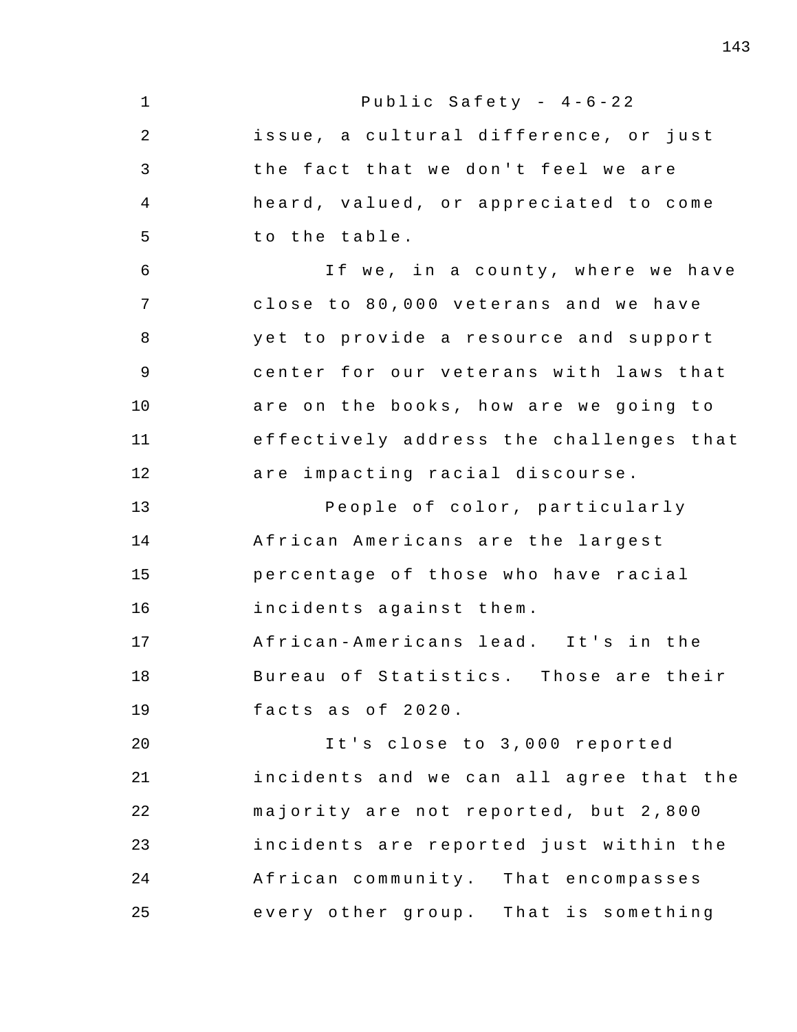| $\mathbf 1$ | Public Safety - $4-6-22$                |
|-------------|-----------------------------------------|
| 2           | issue, a cultural difference, or just   |
| 3           | the fact that we don't feel we are      |
| 4           | heard, valued, or appreciated to come   |
| 5           | to the table.                           |
| 6           | If we, in a county, where we have       |
| 7           | close to 80,000 veterans and we have    |
| 8           | yet to provide a resource and support   |
| 9           | center for our veterans with laws that  |
| 10          | are on the books, how are we going to   |
| 11          | effectively address the challenges that |
| 12          | are impacting racial discourse.         |
| 13          | People of color, particularly           |
| 14          | African Americans are the largest       |
| 15          | percentage of those who have racial     |
| 16          | incidents against them.                 |
| 17          | African-Americans lead. It's in the     |
| 18          | Bureau of Statistics. Those are their   |
| 19          | facts as of 2020.                       |
| 20          | It's close to 3,000 reported            |
| 21          | incidents and we can all agree that the |
| 22          | majority are not reported, but 2,800    |
| 23          | incidents are reported just within the  |
| 24          | African community. That encompasses     |
| 25          | every other group. That is something    |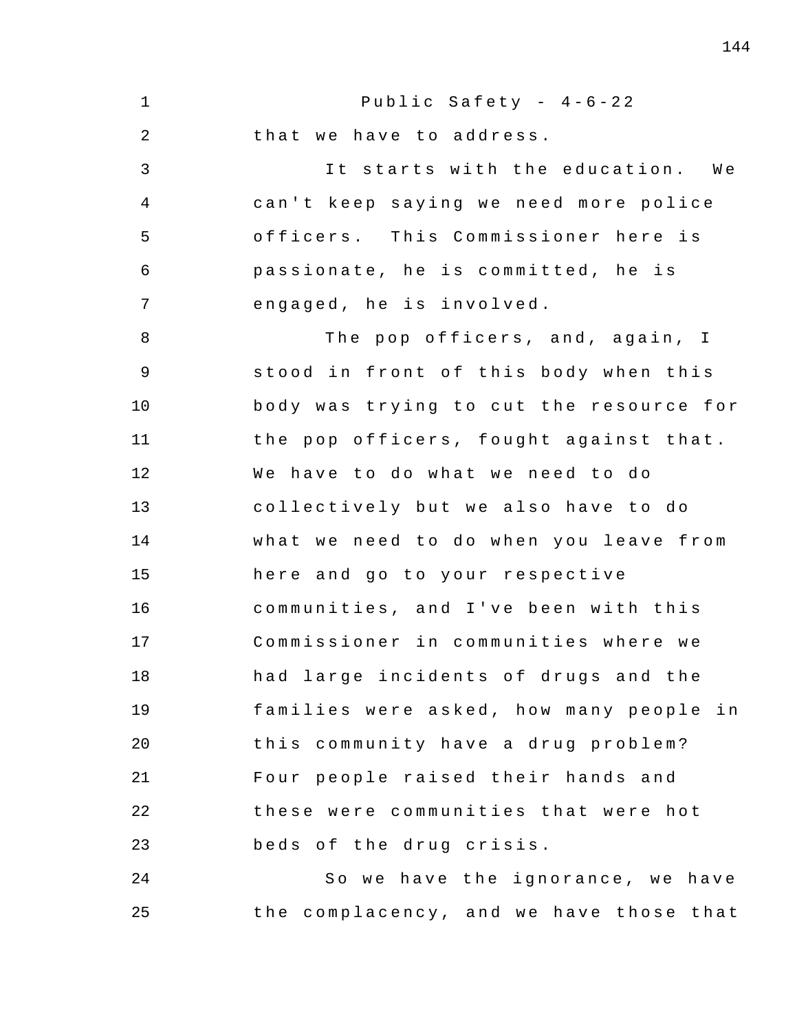1 2 3 4 5 6 7 8 9 10 11 12 13 14 15 16 17 18 19 20 21 22 23 24 25 Public Safety -  $4-6-22$ that we have to address. It starts with the education. We can't keep saying we need more police officers. This Commissioner here is passionate, he is committed, he is engaged, he is involved. The pop officers, and, again, I stood in front of this body when this body was trying to cut the resource for the pop officers, fought against that. We have to do what we need to do collectively but we also have to do what we need to do when you leave from here and go to your respective communities, and I've been with this Commissioner in communities where we had large incidents of drugs and the families were asked, how many people in this community have a drug problem? Four people raised their hands and these were communities that were hot beds of the drug crisis. So we have the ignorance, we have the complacency, and we have those that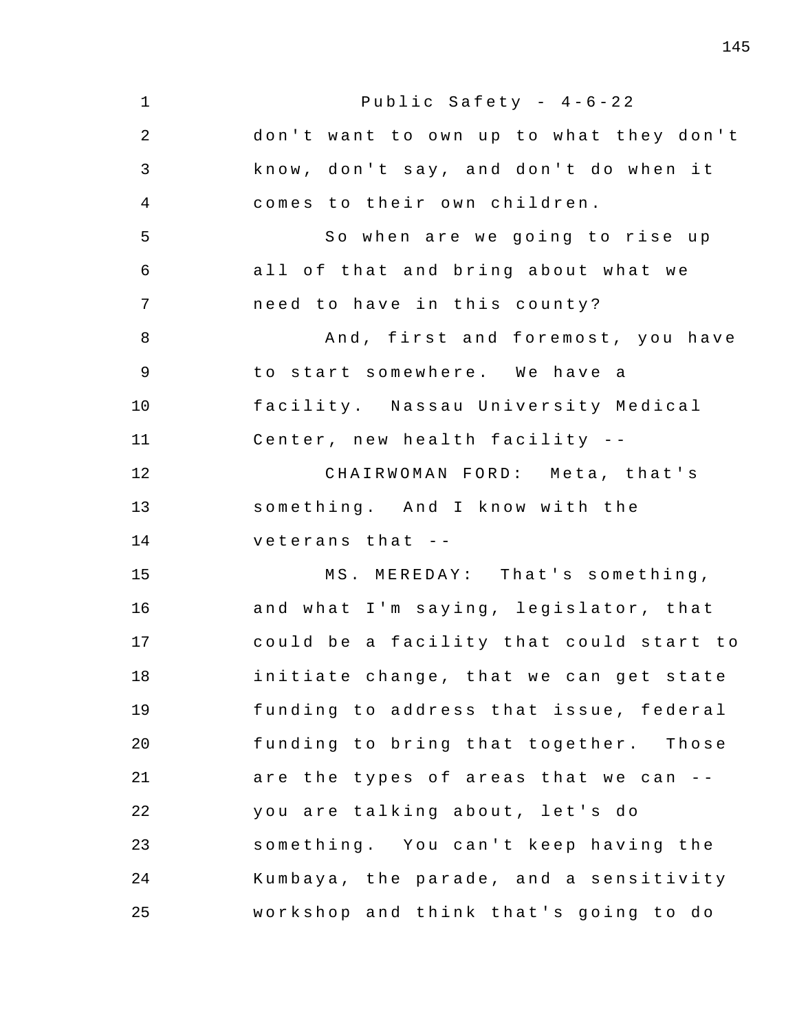1 2 3 4 5 6 7 8 9 10 11 12 13 14 15 16 17 18 19 20 21 22 23 24 25 Public Safety -  $4-6-22$ don't want to own up to what they don't know, don't say, and don't do when it comes to their own children. So when are we going to rise up all of that and bring about what we need to have in this county? And, first and foremost, you have to start somewhere. We have a facility . Nassau University Medical Center, new health facility --CHAIRWOMAN FORD: Meta, that's something. And I know with the veterans that - - MS. MEREDAY: That's something, and what I'm saying, legislator, that could be a facility that could start to initiate change, that we can get state funding to address that issue, federal funding to bring that together. Those are the types of areas that we can  $-$ you are talking about, let's do something. You can't keep having the Kumbaya , the parade , and a sensitivity workshop and think that's going to do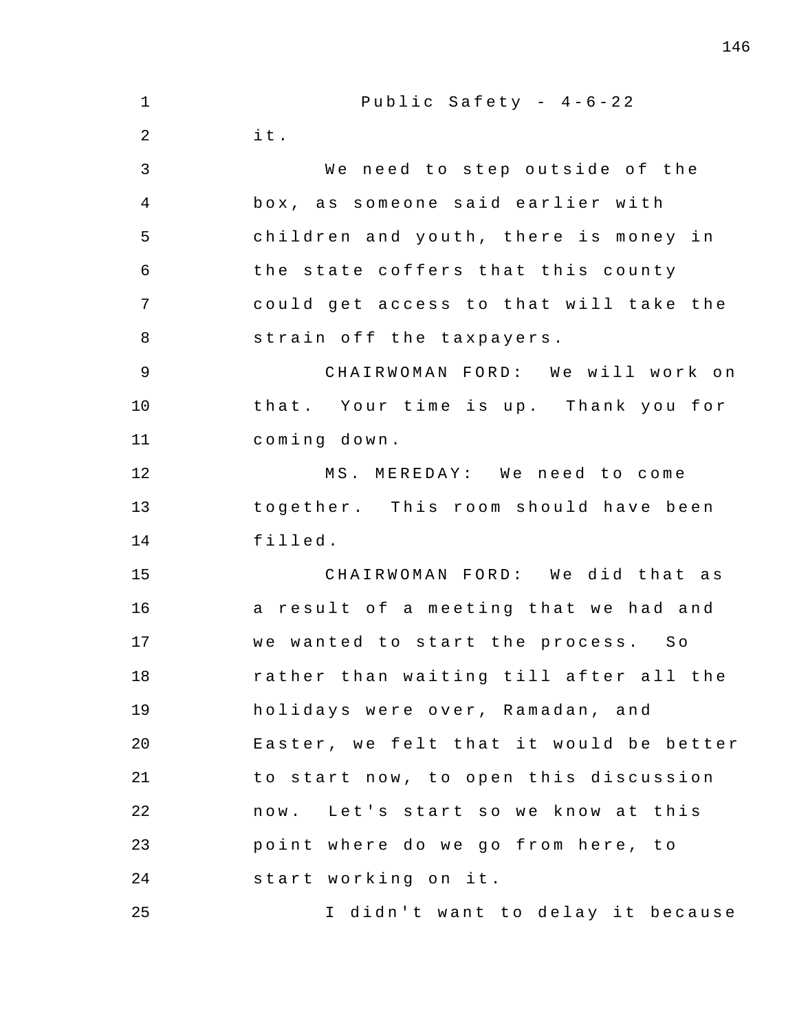| $\mathbf 1$    | Public Safety - $4-6-22$                |
|----------------|-----------------------------------------|
| 2              | it.                                     |
| 3              | We need to step outside of the          |
| $\overline{4}$ | box, as someone said earlier with       |
| 5              | children and youth, there is money in   |
| 6              | the state coffers that this county      |
| 7              | could get access to that will take the  |
| 8              | strain off the taxpayers.               |
| $\overline{9}$ | CHAIRWOMAN FORD: We will work on        |
| 10             | that. Your time is up. Thank you for    |
| 11             | coming down.                            |
| 12             | MS. MEREDAY: We need to come            |
| 13             | together. This room should have been    |
| 14             | filled.                                 |
| 15             | CHAIRWOMAN FORD: We did that as         |
| 16             | a result of a meeting that we had and   |
| 17             | we wanted to start the process. So      |
| 18             | rather than waiting till after all the  |
| 19             | holidays were over, Ramadan, and        |
| 20             | Easter, we felt that it would be better |
| 21             | to start now, to open this discussion   |
| 22             | now. Let's start so we know at this     |
| 23             | point where do we go from here, to      |
| 24             | start working on it.                    |
| 25             | I didn't want to delay it because       |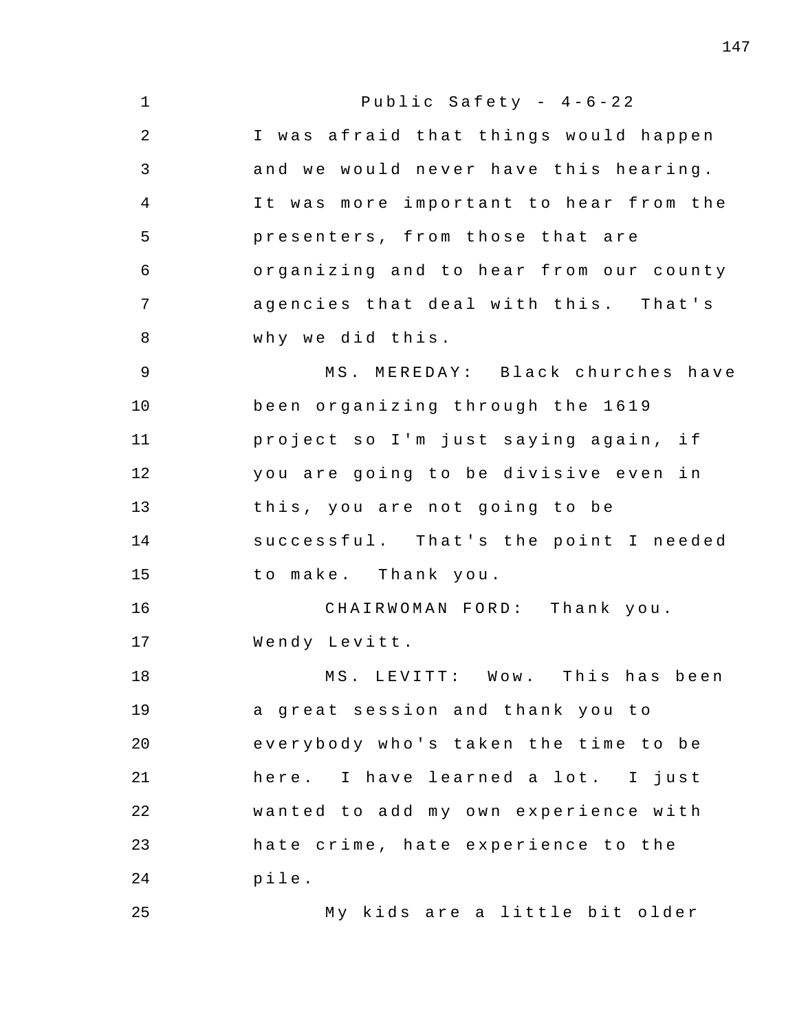| $\mathbf 1$    | Public Safety - $4-6-22$                |
|----------------|-----------------------------------------|
| $\overline{2}$ | I was afraid that things would happen   |
| $\mathsf{3}$   | and we would never have this hearing.   |
| $\overline{4}$ | It was more important to hear from the  |
| 5              | presenters, from those that are         |
| 6              | organizing and to hear from our county  |
| 7              | agencies that deal with this. That's    |
| 8              | why we did this.                        |
| $\mathsf 9$    | MS. MEREDAY: Black churches have        |
| 10             | been organizing through the 1619        |
| 11             | project so I'm just saying again, if    |
| 12             | you are going to be divisive even<br>in |
| 13             | this, you are not going to be           |
| 14             | successful. That's the point I needed   |
| 15             | to make. Thank you.                     |
| 16             | CHAIRWOMAN FORD: Thank you.             |
| 17             | Wendy Levitt.                           |
| 18             | MS. LEVITT: Wow. This has been          |
| 19             | a great session and thank you to        |
| 20             | everybody who's taken the time to be    |
| 21             | here. I have learned a lot. I just      |
| 22             | wanted to add my own experience with    |
| 23             | hate crime, hate experience to the      |
| 24             | pile.                                   |
| 25             | My kids are a little bit older          |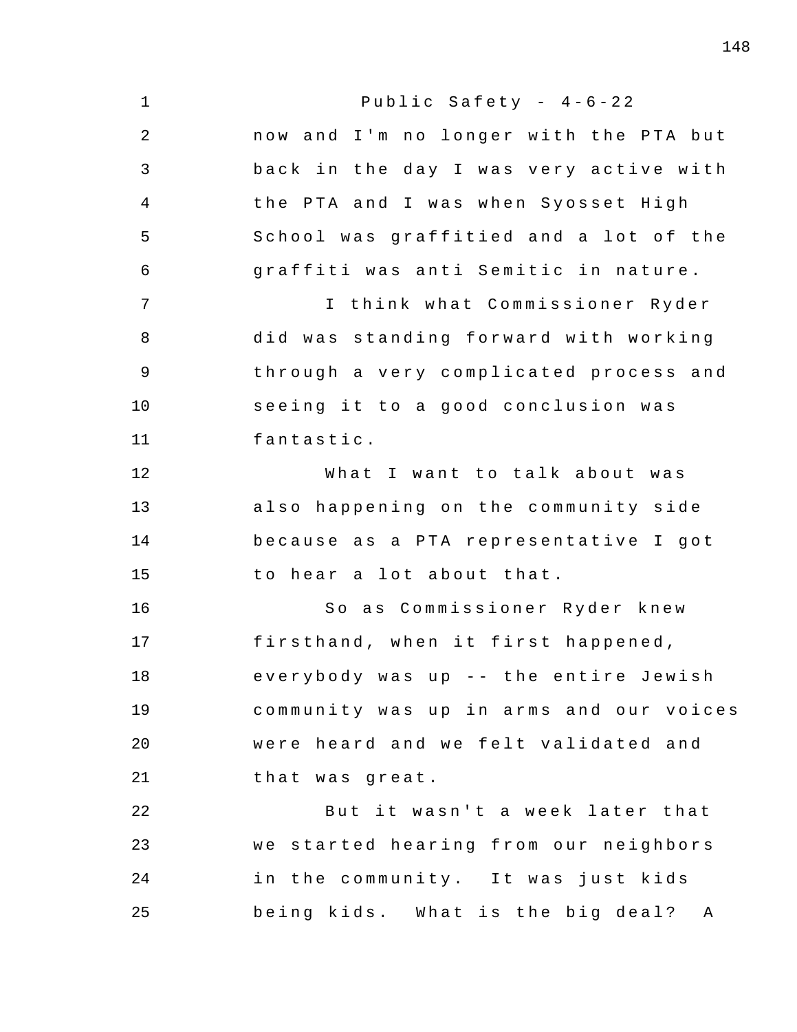1 2 3 4 5 6 7 8 9 10 11 12 13 14 15 16 17 18 19 20 21 22 23 24 25 Public Safety -  $4-6-22$ now and I'm no longer with the PTA but back in the day I was very active with the PTA and I was when Syosset High School was graffitied and a lot of the graffiti was anti Semitic in nature. I think what Commissioner Ryder did was standing forward with working through a very complicated process and seeing it to a good conclusion was fantastic . What I want to talk about was also happening on the community side because as a PTA representative I got to hear a lot about that. So as Commissioner Ryder knew firsthand, when it first happened, everybody was up -- the entire Jewish community was up in arms and our voices were heard and we felt validated and that was great . But it wasn't a week later that we started hearing from our neighbors in the community. It was just kids being kids. What is the big deal? A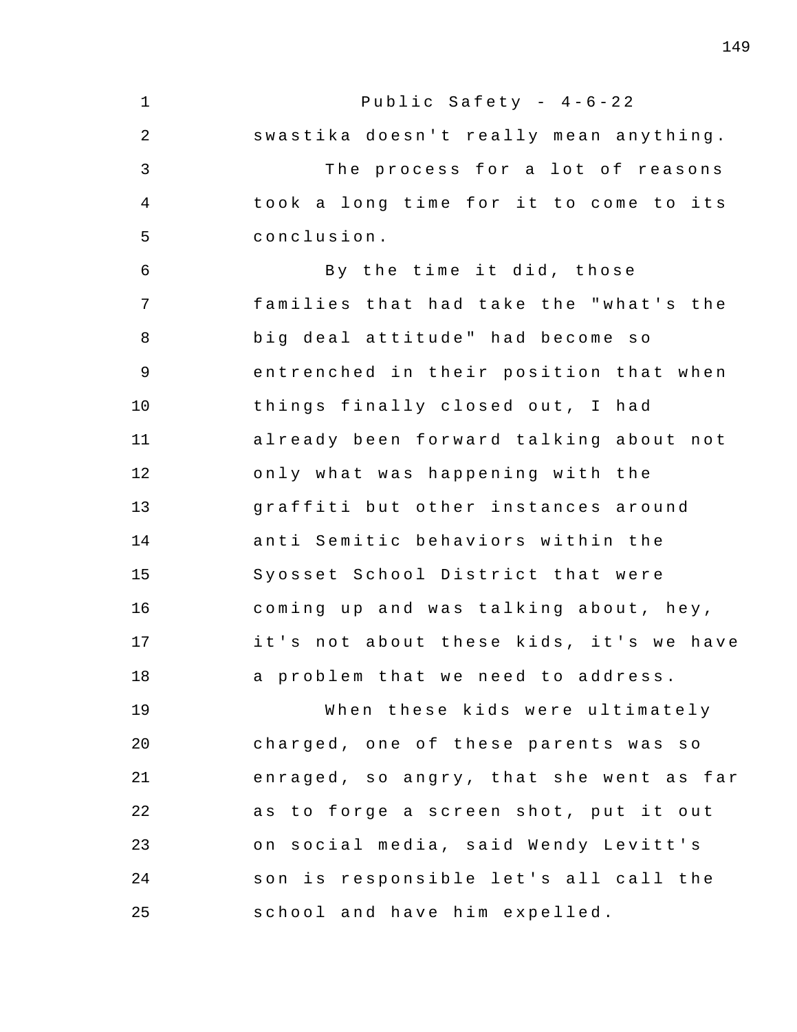| $\mathbf 1$ | Public Safety - $4-6-22$                |
|-------------|-----------------------------------------|
| 2           | swastika doesn't really mean anything.  |
| 3           | The process for a lot of reasons        |
| 4           | took a long time for it to come to its  |
| 5           | conclusion.                             |
| 6           | By the time it did, those               |
| 7           | families that had take the "what's the  |
| 8           | big deal attitude" had become so        |
| 9           | entrenched in their position that when  |
| 10          | things finally closed out, I had        |
| 11          | already been forward talking about not  |
| 12          | only what was happening with the        |
| 13          | graffiti but other instances around     |
| 14          | anti Semitic behaviors within the       |
| 15          | Syosset School District that were       |
| 16          | coming up and was talking about, hey,   |
| 17          | it's not about these kids, it's we have |
| 18          | a problem that we need to address.      |
| 19          | When these kids were ultimately         |
| 20          | charged, one of these parents was so    |
| 21          | enraged, so angry, that she went as far |
| 22          | as to forge a screen shot, put it out   |
| 23          | on social media, said Wendy Levitt's    |
| 24          | son is responsible let's all call the   |
| 25          | school and have him expelled.           |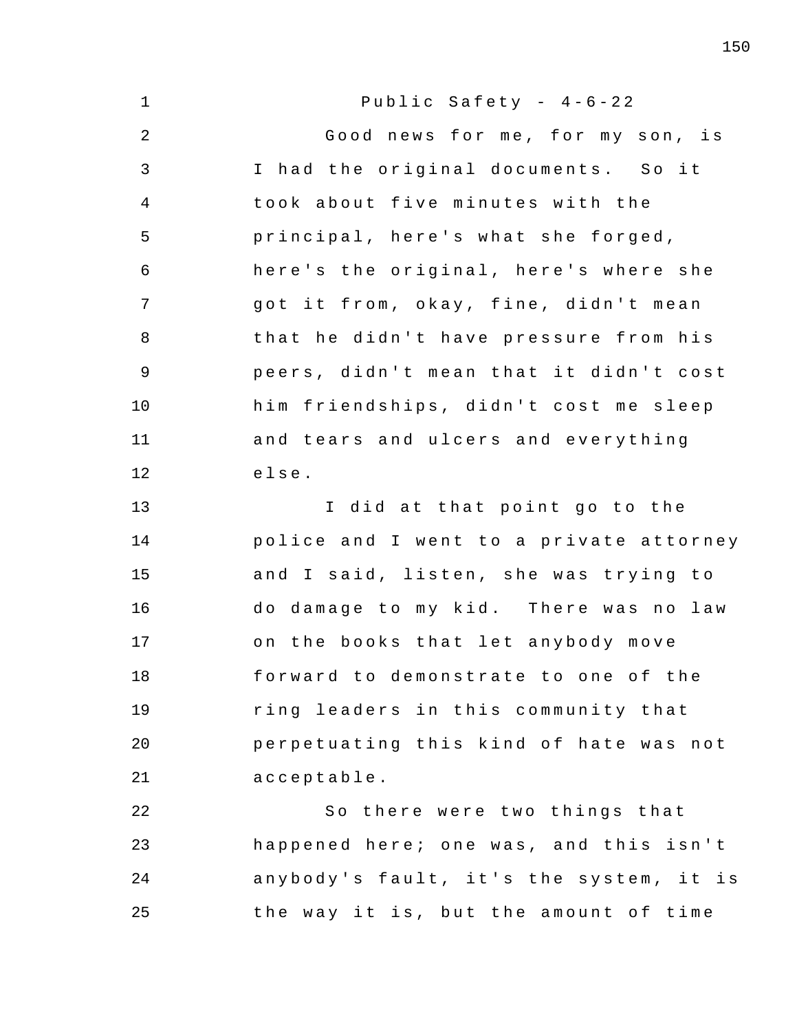| $\mathbf 1$    | Public Safety - $4-6-22$                |
|----------------|-----------------------------------------|
| 2              | Good news for me, for my son, is        |
| 3              | I had the original documents. So it     |
| $\overline{4}$ | took about five minutes with the        |
| 5              | principal, here's what she forged,      |
| 6              | here's the original, here's where she   |
| 7              | got it from, okay, fine, didn't mean    |
| 8              | that he didn't have pressure from his   |
| 9              | peers, didn't mean that it didn't cost  |
| 10             | him friendships, didn't cost me sleep   |
| 11             | and tears and ulcers and everything     |
| 12             | else.                                   |
| 13             | I did at that point go to the           |
| 14             | police and I went to a private attorney |
| 15             | and I said, listen, she was trying to   |
| 16             | do damage to my kid. There was no law   |
| 17             | on the books that let anybody move      |
| 18             | forward to demonstrate to one of the    |
| 19             | ring leaders in this community that     |
| 20             | perpetuating this kind of hate was not  |
| 21             | acceptable.                             |
| 22             | So there were two things that           |
| 23             | happened here; one was, and this isn't  |
| 24             | anybody's fault, it's the system, it is |
| 25             | the way it is, but the amount of time   |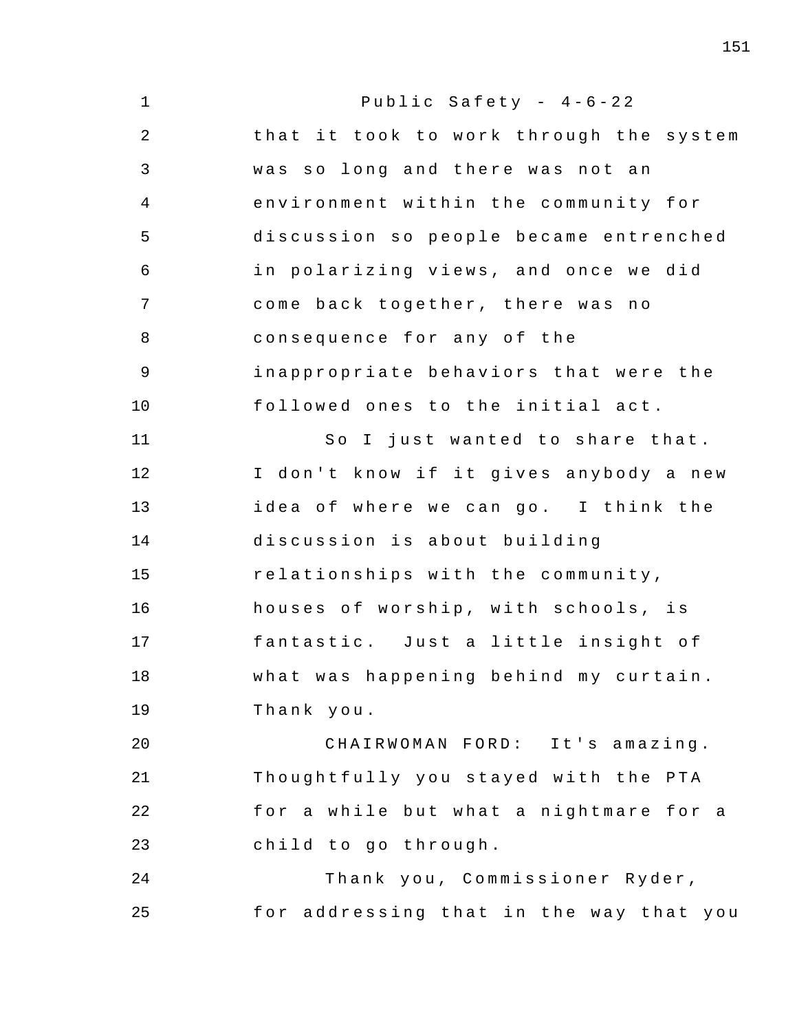| $\mathbf 1$ | Public Safety - $4-6-22$                |
|-------------|-----------------------------------------|
| 2           | that it took to work through the system |
| 3           | was so long and there was not an        |
| 4           | environment within the community for    |
| 5           | discussion so people became entrenched  |
| 6           | in polarizing views, and once we did    |
| 7           | come back together, there was no        |
| 8           | consequence for any of the              |
| 9           | inappropriate behaviors that were the   |
| 10          | followed ones to the initial act.       |
| 11          | So I just wanted to share that.         |
| 12          | I don't know if it gives anybody a new  |
| 13          | idea of where we can go. I think the    |
| 14          | discussion is about building            |
| 15          | relationships with the community,       |
| 16          | houses of worship, with schools, is     |
| 17          | fantastic. Just a little insight of     |
| 18          | what was happening behind my curtain.   |
| 19          | Thank you.                              |
| 20          | CHAIRWOMAN FORD: It's amazing.          |
| 21          | Thoughtfully you stayed with the PTA    |
| 22          | for a while but what a nightmare for a  |
| 23          | child to go through.                    |
| 24          | Thank you, Commissioner Ryder,          |
| 25          | for addressing that in the way that you |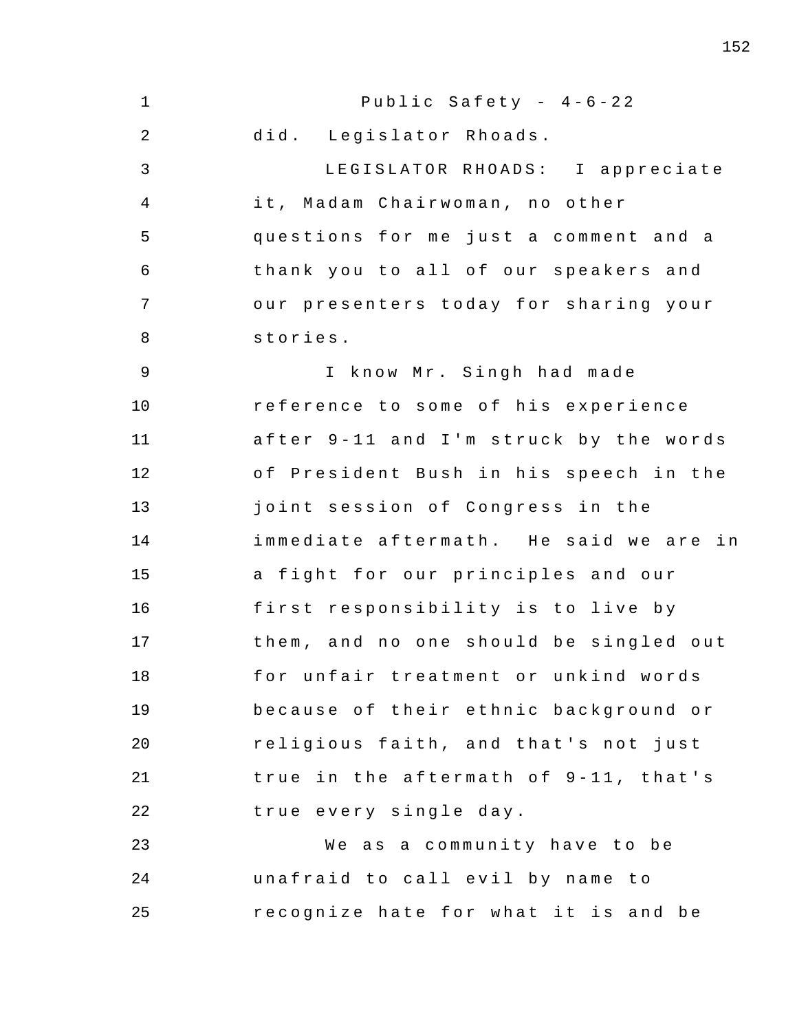1 2 3 4 5 6 7 8 9 10 11 12 13 14 15 16 17 18 19 20 21 22 23 24 25 Public Safety -  $4-6-22$ did. Legislator Rhoads. LEGISLATOR RHOADS: I appreciate it, Madam Chairwoman, no other questions for me just a comment and a thank you to all of our speakers and our presenters today for sharing your stories . I know Mr. Singh had made reference to some of his experience after 9-11 and I'm struck by the words of President Bush in his speech in the joint session of Congress in the immediate aftermath. He said we are in a fight for our principles and our first responsibility is to live by them, and no one should be singled out for unfair treatment or unkind words because of their ethnic background or religious faith, and that's not just true in the aftermath of 9-11, that's true every single day . We as a community have to be unafraid to call evil by name to recognize hate for what it is and be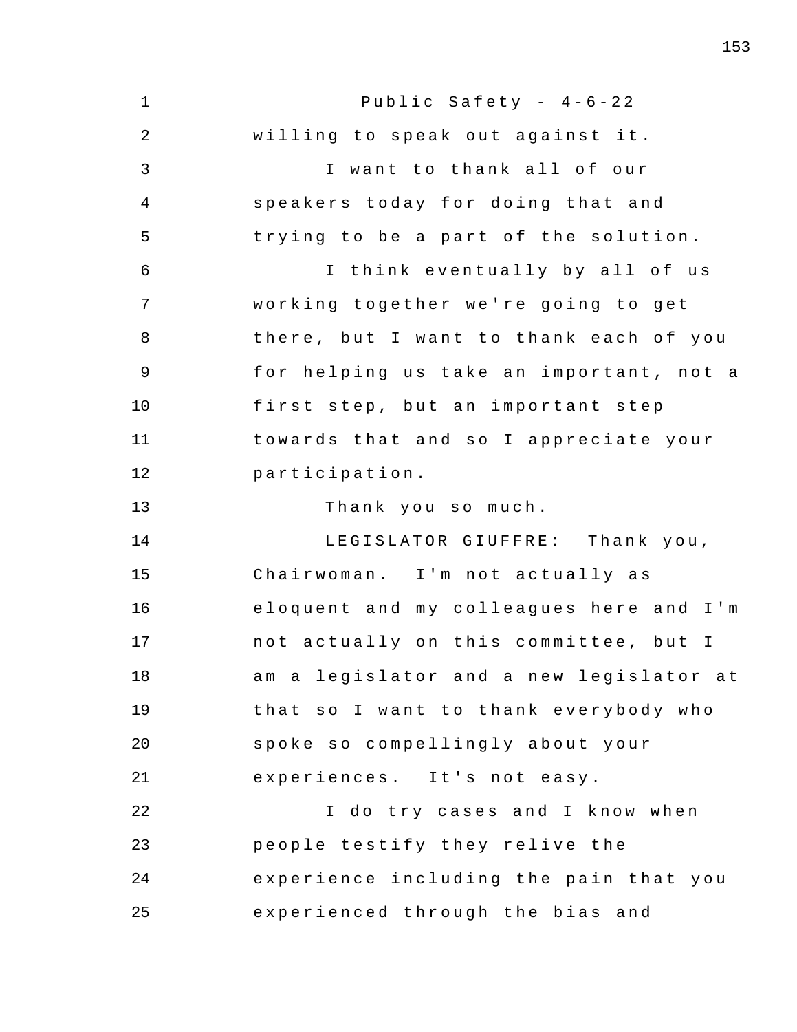1 2 3 4 5 6 7 8 9 10 11 12 13 14 15 16 17 18 19 20 21 22 23 24 25 Public Safety -  $4-6-22$ willing to speak out against it. I want to thank all of our speakers today for doing that and trying to be a part of the solution. I think eventually by all of us working together we're going to get there, but I want to thank each of you for helping us take an important, not a first step, but an important step towards that and so I appreciate your participation . Thank you so much. LEGISLATOR GIUFFRE: Thank you, Chairwoman. I'm not actually as eloquent and my colleagues here and I'm not actually on this committee, but I am a legislator and a new legislator at that so I want to thank everybody who spoke so compellingly about your experiences. It's not easy. I do try cases and I know when people testify they relive the experience including the pain that you experienced through the bias and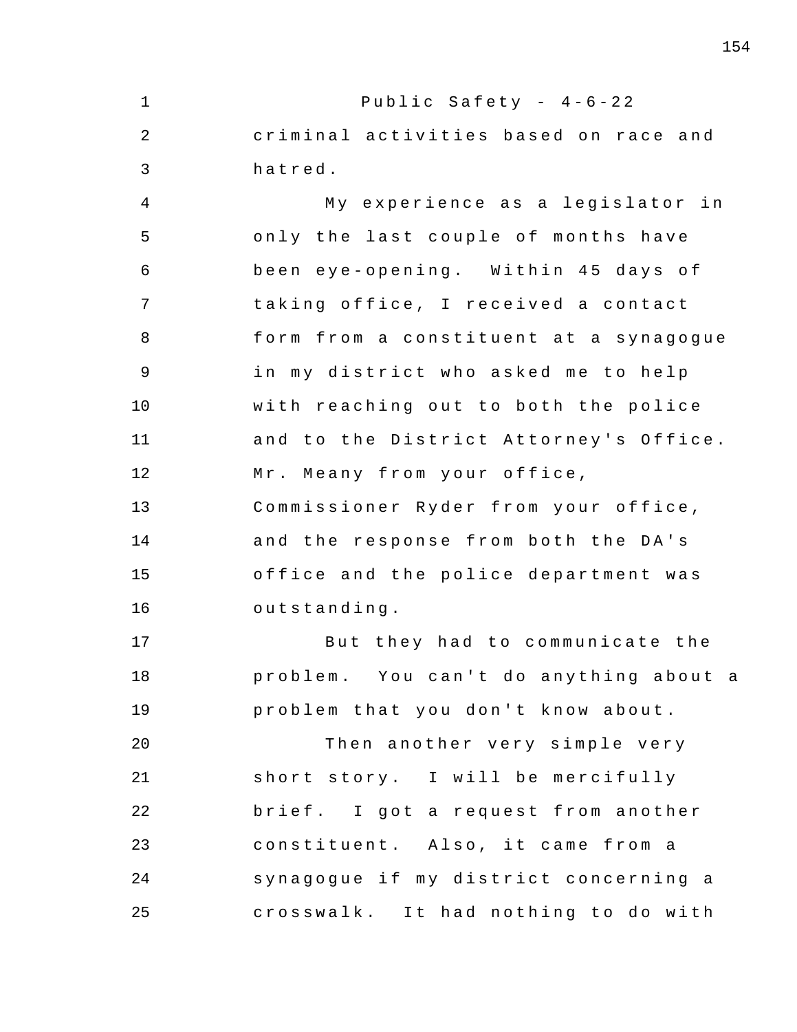1 2 3 4 5 6 7 8 9 10 11 12 13 14 15 16 17 18 19 20 21 22 23 24 25 Public Safety -  $4-6-22$ criminal activities based on race and hatred . My experience as a legislator in only the last couple of months have been eye-opening. Within 45 days of t aking office , I received a contact form from a constituent at a synagogue in my district who asked me to help with reaching out to both the police and to the District Attorney's Office. Mr. Meany from your office, Commissioner Ryder from your office , and the response from both the DA's office and the police department was outstanding . But they had to communicate the problem. You can't do anything about a problem that you don't know about. Then another very simple very short story. I will be mercifully brief . I got a request from another constituent. Also, it came from a synagogue if my district concerning a crosswalk. It had nothing to do with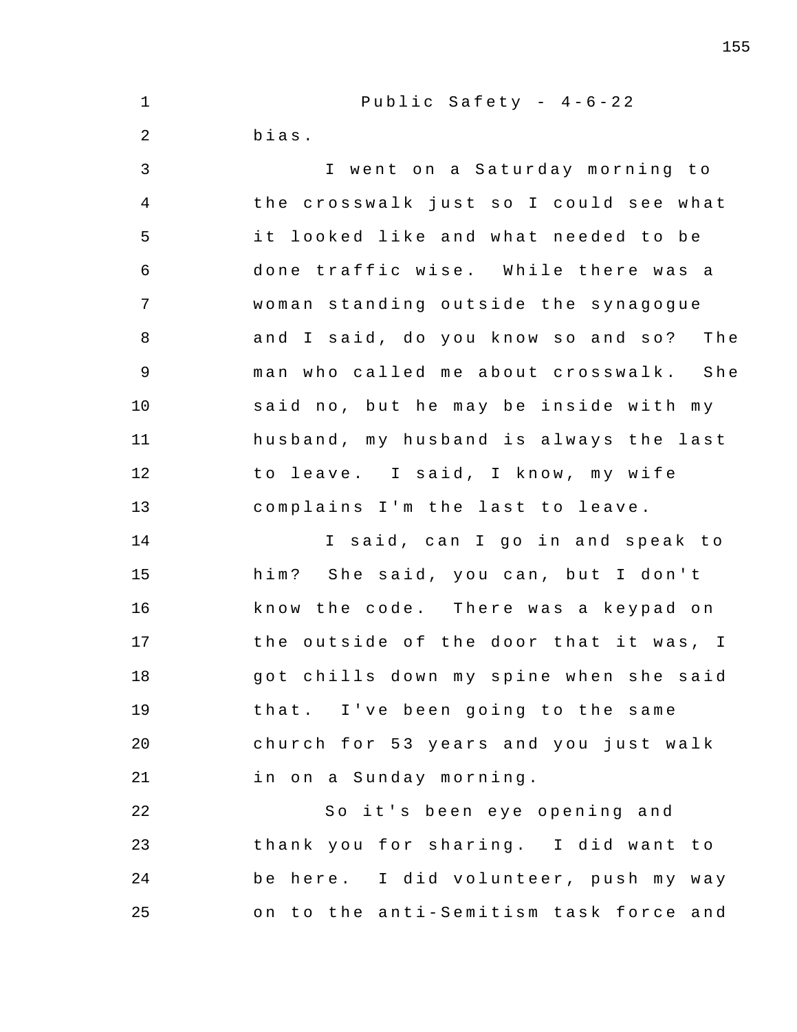| $\mathbf 1$    | Public Safety - $4-6-22$               |
|----------------|----------------------------------------|
| $\overline{2}$ | bias.                                  |
| 3              | I went on a Saturday morning to        |
| 4              | the crosswalk just so I could see what |
| 5              | it looked like and what needed to be   |
| 6              | done traffic wise. While there was a   |
| 7              | woman standing outside the synagogue   |
| 8              | and I said, do you know so and so? The |
| 9              | man who called me about crosswalk. She |
| 10             | said no, but he may be inside with my  |
| 11             | husband, my husband is always the last |
| 12             | to leave. I said, I know, my wife      |
| 13             | complains I'm the last to leave.       |
| 14             | I said, can I go in and speak to       |
| 15             | him? She said, you can, but I don't    |
| 16             | know the code. There was a keypad on   |
| 17             | the outside of the door that it was, I |
| 18             | got chills down my spine when she said |
| 19             | that. I've been going to the same      |
| 20             | church for 53 years and you just walk  |
| 21             | in on a Sunday morning.                |
| 22             | So it's been eye opening and           |
| 23             | thank you for sharing. I did want to   |
| 24             | be here. I did volunteer, push my way  |
| 25             | on to the anti-Semitism task force and |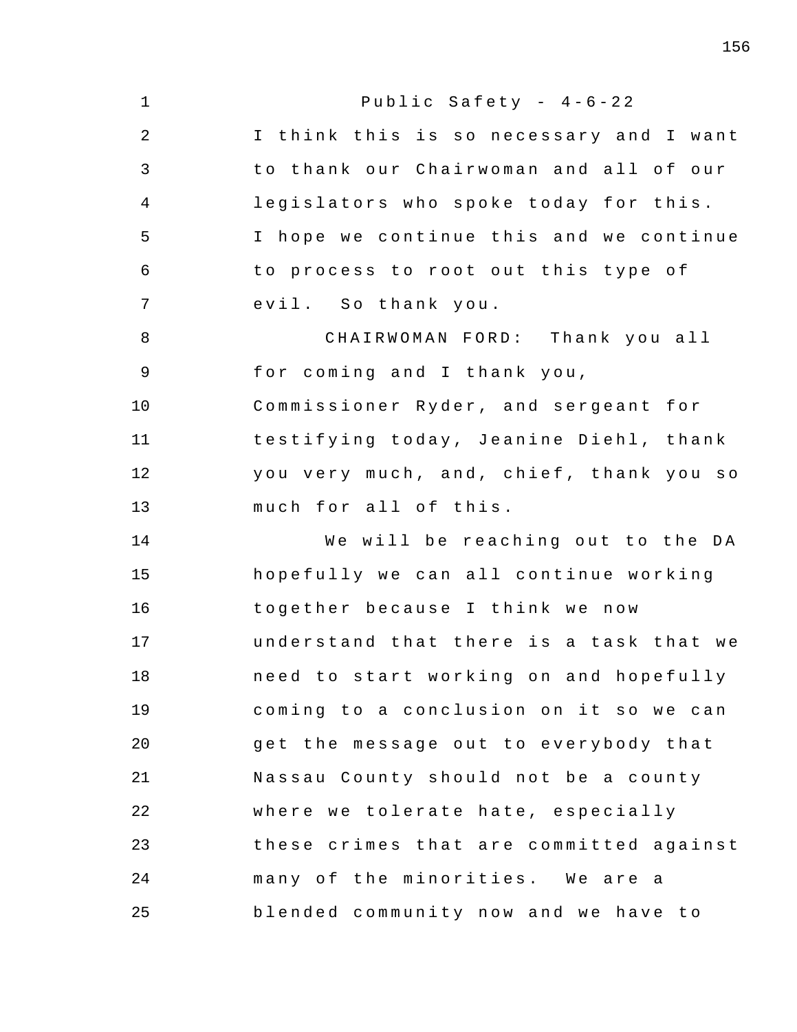| $\mathbf 1$    | Public Safety - 4-6-22                  |
|----------------|-----------------------------------------|
| $\overline{2}$ | I think this is so necessary and I want |
| 3              | to thank our Chairwoman and all of our  |
| $\overline{4}$ | legislators who spoke today for this.   |
| 5              | I hope we continue this and we continue |
| 6              | to process to root out this type of     |
| 7              | evil. So thank you.                     |
| 8              | CHAIRWOMAN FORD: Thank you all          |
| 9              | for coming and I thank you,             |
| 10             | Commissioner Ryder, and sergeant for    |
| 11             | testifying today, Jeanine Diehl, thank  |
| 12             | you very much, and, chief, thank you so |
| 13             | much for all of this.                   |
| 14             | We will be reaching out to the DA       |
| 15             | hopefully we can all continue working   |
| 16             | together because I think we now         |
| 17             | understand that there is a task that we |
| 18             | need to start working on and hopefully  |
| 19             | coming to a conclusion on it so we can  |
| 20             | get the message out to everybody that   |
| 21             | Nassau County should not be a county    |
| 22             | where we tolerate hate, especially      |
| 23             | these crimes that are committed against |
| 24             | many of the minorities. We are a        |
| 25             | blended community now and we have to    |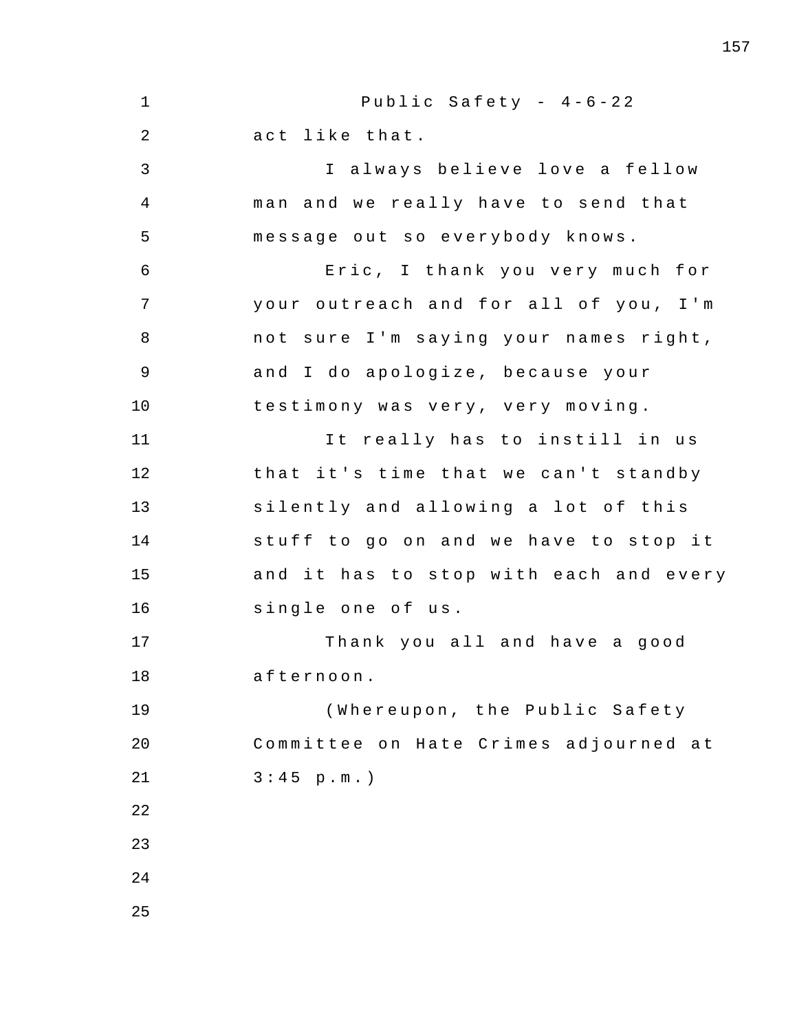1 2 3 4 5 6 7 8 9 10 11 12 13 14 15 16 17 18 19 20 21 22 23 24 25 Public Safety -  $4-6-22$ act like that. I always believe love a fellow man and we really have to send that message out so everybody knows. Eric , I thank you very much for your outreach and for all of you, I'm not sure I'm saying your names right, and I do apologize, because your testimony was very , very moving . It really has to instill in us that it's time that we can't standby silently and allowing a lot of this stuff to go on and we have to stop it and it has to stop with each and every single one of us. Thank you all and have a good afternoon . ( Whereupon , the Public Safety Committee on Hate Crimes adjourned at  $3:45 p.m.$